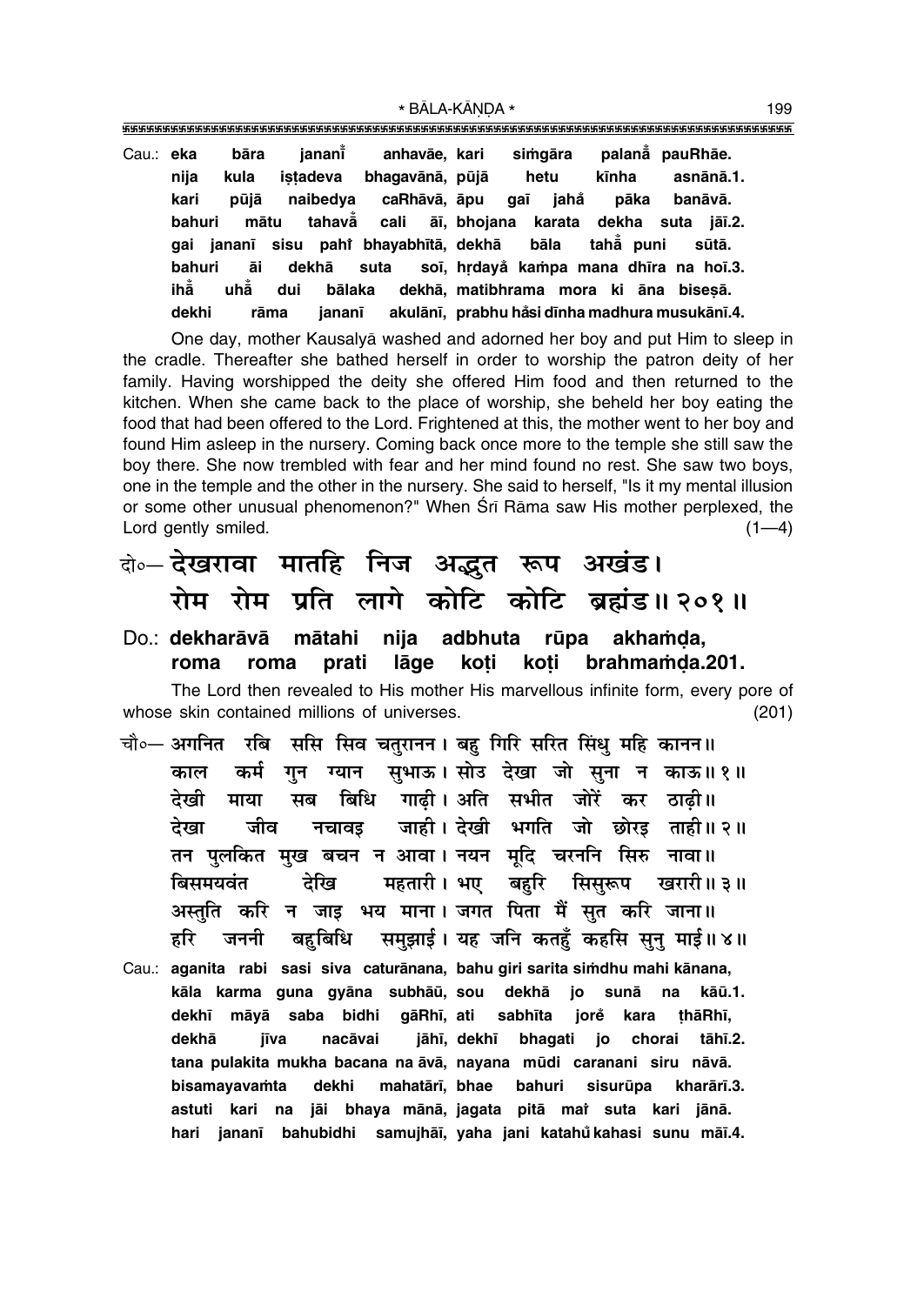| bāra<br>Cau.: eka<br>nija<br>kula |                                             | janani̇̃<br>istadeva                                  |        | anhavāe, kari<br>bhagavānā, pūjā |  | hetu | simgāra                                           | kīnha     |      | palanå pauRhāe.<br>asnānā.1. |         |
|-----------------------------------|---------------------------------------------|-------------------------------------------------------|--------|----------------------------------|--|------|---------------------------------------------------|-----------|------|------------------------------|---------|
| kari                              | pūjā                                        |                                                       |        | naibedya caRhāvā, āpu            |  |      | gaī jahå                                          |           | pāka |                              | banāvā. |
| bahuri                            |                                             | mātu tahavā cali āī, bhojana karata dekha suta jāī.2. |        |                                  |  |      |                                                   |           |      |                              |         |
|                                   | gai jananī sisu pahi bhayabhītā, dekhā bāla |                                                       |        |                                  |  |      |                                                   | tahẳ puni |      |                              | sūtā.   |
| bahuri                            | āi                                          |                                                       |        |                                  |  |      | dekhā suta soī, hrdayå kampa mana dhīra na hoī.3. |           |      |                              |         |
| ihẳ                               | uhẵ                                         | dui                                                   |        |                                  |  |      | bālaka dekhā, matibhrama mora ki āna bisesā.      |           |      |                              |         |
| dekhi                             | rāma                                        |                                                       | iananī |                                  |  |      | akulānī, prabhu håsi dīnha madhura musukānī.4.    |           |      |                              |         |

One day, mother Kausalyå washed and adorned her boy and put Him to sleep in the cradle. Thereafter she bathed herself in order to worship the patron deity of her family. Having worshipped the deity she offered Him food and then returned to the kitchen. When she came back to the place of worship, she beheld her boy eating the food that had been offered to the Lord. Frightened at this, the mother went to her boy and found Him asleep in the nursery. Coming back once more to the temple she still saw the boy there. She now trembled with fear and her mind found no rest. She saw two boys, one in the temple and the other in the nursery. She said to herself, "Is it my mental illusion or some other unusual phenomenon?" When Śrī Rāma saw His mother perplexed, the Lord gently smiled.  $(1-4)$ 

दो**०– देखरावा मातहि निज अद्भुत रूप अखंड। रोम रोम प्रति लागे कोटि कोटि ब्रह्मंड॥२०१॥** 

Do.: **dekharāvā mātahi nija adbhuta rūpa akhamda**, roma roma prati lāge koti koti brahmamda.201.

The Lord then revealed to His mother His marvellous infinite form, every pore of whose skin contained millions of universes. The matrix of the state (201)

- चौ०– अगनित रबि ससि सिव चतुरानन। बहु गिरि सरित सिंधु महि कानन॥ ेकाल कर्म गुन ग्यान सुभाऊ।**सोउ देखा जो सुना न काऊ॥१॥** देखी माया सब बिधि गाढी।अति सभीत जोरें कर ठाढी।। देखा जीव नचावइ जाही। देखी भगति जो छोरइ ताही॥२॥ <u>तन पु</u>लकित मुख बचन न आवा। नयन मूदि चरननि सिरु नावा॥ **बिसमयवंत देखि महतारी । भए बहरि सिसुरूप ख**रारी ॥ ३ ॥ <u>अस्तुति करि न जाइ भय माना। जगत पिता मैं सुत करि जाना॥</u> हरि जननी बहुबिधि समुझाई। यह जनि कतहुँ कहसि सुनु माई॥ ४॥
- Cau.: aganita rabi sasi siva caturānana, bahu giri sarita simdhu mahi kānana, kāla karma guna gyāna subhāū, sou dekhā jo sunā na kāū.1. **dekh∂ måyå saba bidhi gåRh∂, ati sabh∂ta jore kara ¢håRh∂, ° dekhå j∂va nacåvai jåh∂, dekh∂ bhagati jo chorai tåh∂.2. tana pulakita mukha bacana na åvå, nayana mµudi caranani siru nåvå. bisamayava≈ta dekhi mahatår∂, bhae bahuri sisurµupa kharår∂.3. astuti kari na jåi bhaya månå, jagata pitå maiÚ suta kari jånå. hari janan∂ bahubidhi samujhå∂, yaha jani katahu° kahasi sunu må∂.4.**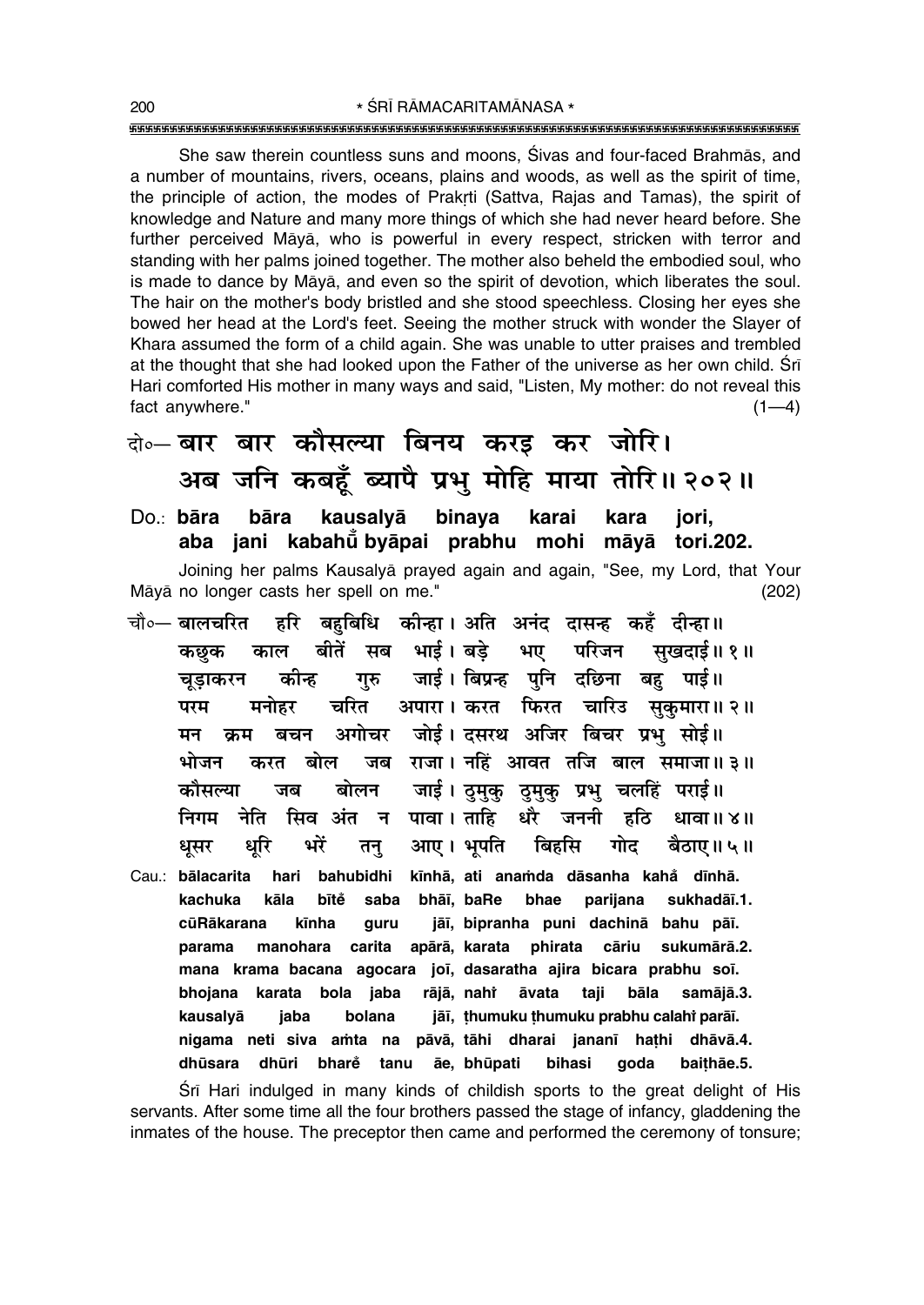She saw therein countless suns and moons, Sivas and four-faced Brahmās, and a number of mountains, rivers, oceans, plains and woods, as well as the spirit of time, the principle of action, the modes of Prakrti (Sattva, Rajas and Tamas), the spirit of knowledge and Nature and many more things of which she had never heard before. She further perceived Måyå, who is powerful in every respect, stricken with terror and standing with her palms joined together. The mother also beheld the embodied soul, who is made to dance by Måyå, and even so the spirit of devotion, which liberates the soul. The hair on the mother's body bristled and she stood speechless. Closing her eyes she bowed her head at the Lord's feet. Seeing the mother struck with wonder the Slayer of Khara assumed the form of a child again. She was unable to utter praises and trembled at the thought that she had looked upon the Father of the universe as her own child. Śrī Hari comforted His mother in many ways and said, "Listen, My mother: do not reveal this fact anywhere."  $(1-4)$ 

### दो**∘– बार बार कौसल्या बिनय करड कर जोरि।** अब जनि कबहँ ब्यापै प्रभु मोहि माया तोरि॥ २०२॥

- Do.: **båra båra kausalyå binaya karai kara jori, aba jani kabahµu° byåpai prabhu mohi måyå tori.202.** Joining her palms Kausalyå prayed again and again, "See, my Lord, that Your Måyå no longer casts her spell on me." (202)
- <sup>−चौ०</sup>─ बालचरित हरि बहुबिधि कोन्हा । अति अनंद दासन्ह कहँ दीन्हा ॥ ∑कछक काल बीतें सब भाई। बड़े भए परिजन सुखदाई॥ १॥ चुडाकरन कीन्ह गुरु जाई। बिप्रन्ह पनि दछिना बह पाई॥ परम मनोहर चरित अपारा । करत फिरत चारिउ सुकुमारा ॥ २ ॥ मन क्रम बचन अगोचर जोई।दसरथ अजिर बिचर प्रभु सोई॥ <u>भोजन करत बोल जब राजा। नहिं आवत तजि बाल समाजा॥३॥</u> <u>कौसल्या जब बोलन जाई।उुमुकु ठुमुकु प्रभु</u> चलहिं पराई॥ निगम नेति सिव**ंअंत न पावा । ताहि धरै जननी हठि धावा ॥ ४** ॥ धुसर धुरि भरें तन् आए। भुपति बिहसि गोद बैठाए॥ ५॥
- Cau.: **bålacarita hari bahubidhi k∂nhå, ati ana≈da dåsanha kaha° d∂nhå. kachuka kåla b∂te saba bhå∂, baRe bhae parijana sukhadå∂.1. ° cµuRåkarana k∂nha guru jå∂, bipranha puni dachinå bahu på∂. parama manohara carita apårå, karata phirata cåriu sukumårå.2. mana krama bacana agocara jo∂, dasaratha ajira bicara prabhu so∂. bhojana karata bola jaba åvata taji båla samåjå.3.** kausalyā jaba bolana jāī, ṭhumuku ṭhumuku prabhu calahi parāī. **nigama neti siva a≈ta na påvå, tåhi dharai janan∂ ha¢hi dhåvå.4. dhµusara dhµuri bhare tanu åe, bhµupati bihasi goda bai¢håe.5. °**

Srī Hari indulged in many kinds of childish sports to the great delight of His servants. After some time all the four brothers passed the stage of infancy, gladdening the inmates of the house. The preceptor then came and performed the ceremony of tonsure;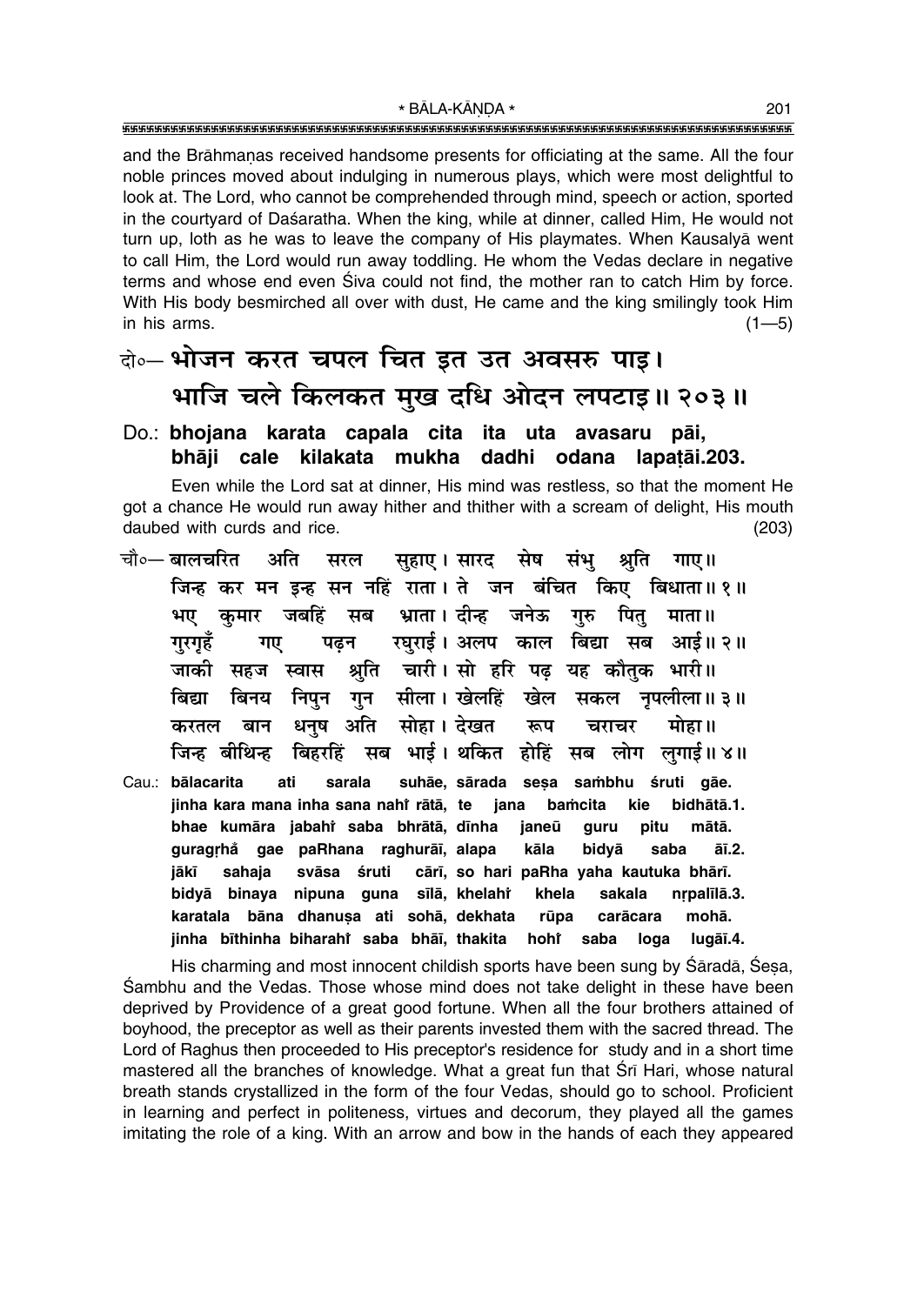and the Brāhmanas received handsome presents for officiating at the same. All the four noble princes moved about indulging in numerous plays, which were most delightful to look at. The Lord, who cannot be comprehended through mind, speech or action, sported in the courtyard of Daśaratha. When the king, while at dinner, called Him, He would not turn up, loth as he was to leave the company of His playmates. When Kausalya went to call Him, the Lord would run away toddling. He whom the Vedas declare in negative terms and whose end even Siva could not find, the mother ran to catch Him by force. With His body besmirched all over with dust, He came and the king smilingly took Him in his arms.  $(1 - 5)$ 

### वे॰– भोजन करत चपल चित इत उत अवसरु पाइ। भाजि चले किलकत मुख दधि ओदन लपटाइ॥ २०३॥

Do.: bhojana karata capala cita ita uta avasaru pāi, bhāji cale kilakata mukha dadhi odana lapatāi.203.

Even while the Lord sat at dinner, His mind was restless, so that the moment He got a chance He would run away hither and thither with a scream of delight, His mouth daubed with curds and rice.  $(203)$ 

- चौ∘— बालचरित अति सरल सुहाए। सारद सेष संभु श्रति गाए।। जिन्ह कर मन इन्ह सन नहिं राता। ते जन बंचित किए बिधाता॥ १॥ जबहिं सब भ्राता। दीन्ह जनेऊ गुरु कमार पित माता॥ भए रघुराई। अलप काल बिद्या सब आई॥२॥ गरगहँ गए पढ़न श्रुति चारी। सो हरि पढ़ यह कौतक भारी॥ जाकी सहज स्वास निपुन गन सीला। खेलहिं खेल सकल नपलीला॥३॥ बिनय बिद्या धनुष अति सोहा। देखत मोहा ॥ करतल बान रूप चराचर सब भाई। थकित होहिं जिन्ह बीथिन्ह बिहरहिं सब लोग लगाई॥४॥
- Cau.: bālacarita ati sarala suhāe, sārada sesa sambhu śruti gāe. jinha kara mana inha sana nahi rātā, te iana bamcita kie bidhātā.1. bhae kumāra jabahi saba bhrātā, dīnha janeū pitu mātā. guru guragrhå gae paRhana raghurāī, alapa kāla bidyā saba āī.2. jākī sahaja svāsa śruti cārī, so hari paRha yaha kautuka bhārī. bidyā binaya nipuna guna sīlā, khelahř khela nrpalīlā.3. sakala karatala bāna dhanusa ati sohā, dekhata rūpa carācara mohā. jinha bīthinha biharahi saba bhāī, thakita hohř saba loga lugāī.4.

His charming and most innocent childish sports have been sung by Sāradā, Sesa, Sambhu and the Vedas. Those whose mind does not take delight in these have been deprived by Providence of a great good fortune. When all the four brothers attained of boyhood, the preceptor as well as their parents invested them with the sacred thread. The Lord of Raghus then proceeded to His preceptor's residence for study and in a short time mastered all the branches of knowledge. What a great fun that Srī Hari, whose natural breath stands crystallized in the form of the four Vedas, should go to school. Proficient in learning and perfect in politeness, virtues and decorum, they played all the games imitating the role of a king. With an arrow and bow in the hands of each they appeared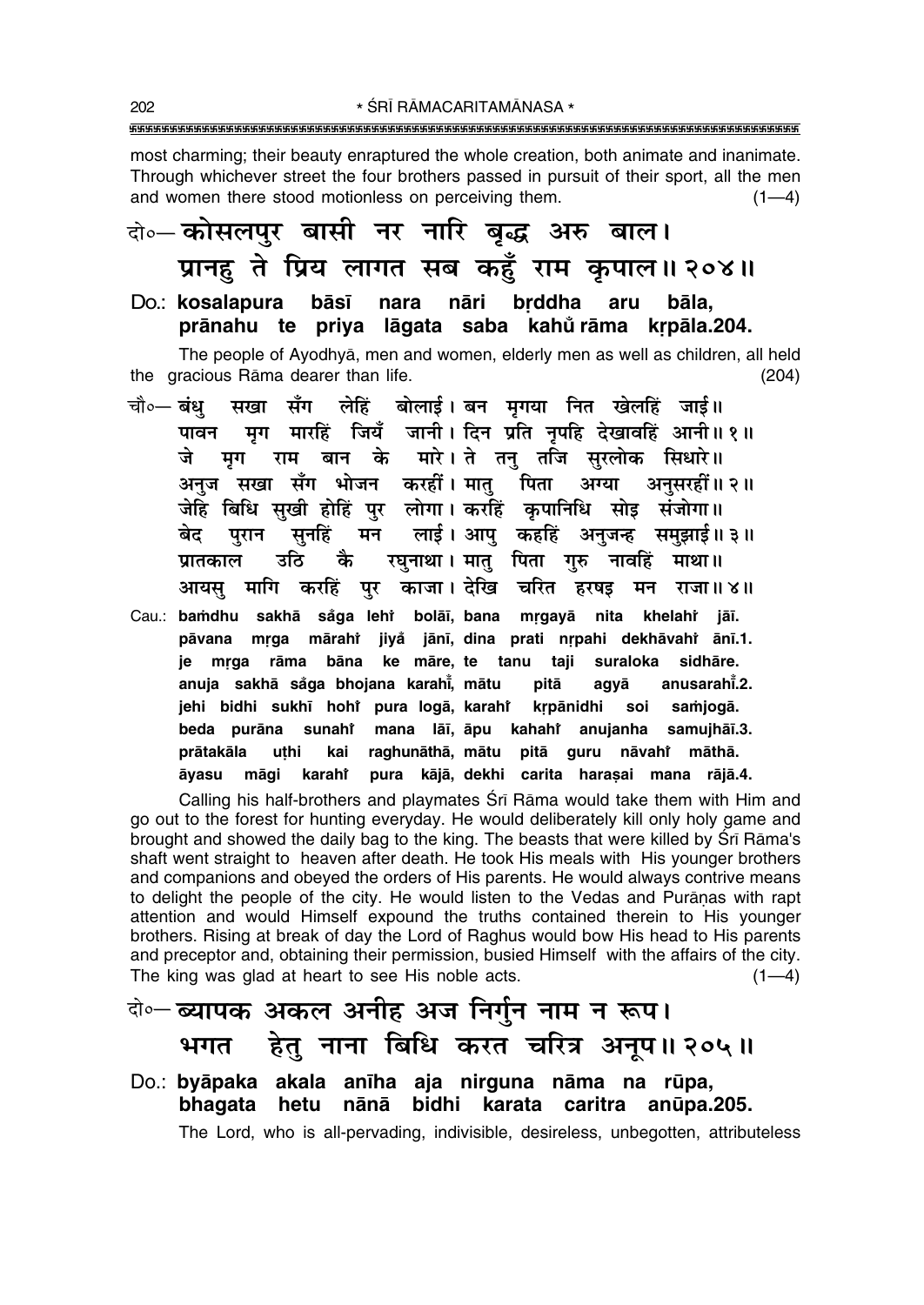most charming; their beauty enraptured the whole creation, both animate and inanimate. Through whichever street the four brothers passed in pursuit of their sport, all the men and women there stood motionless on perceiving them.  $(1-4)$ 

### कोल्नेसलपर बासी नर नारि बद्ध अरु बाल। प्रानहु ते प्रिय लागत सब कहुँ राम कृपाल॥२०४॥

Do.: kosalapura bāsī nara nāri brddha aru bāla. prānahu te priya lāgata saba kahůrāma krpāla.204.

The people of Ayodhya, men and women, elderly men as well as children, all held the gracious Rāma dearer than life.  $(204)$ 

- सखा सँग लेहिं बोलाई।बन मृगया नित खेलहिं जाई॥ चौ०— **बंध** मृग मारहिं जियँ जानी। दिन प्रति नृपहि देखावहिं आनी॥१॥ पावन मृग राम बान के मारे। ते तनु तजि सुरलोक सिधारे॥ जे अनुज सखा सँग भोजन करहीं। मातु पिता अग्या अनुसरहीं॥ २॥ जेहि बिधि सुखी होहिं पुर लोगा। करहिं कृपानिधि सोइ संजोगा॥ पुरान सुनहिं मन लाई।अापु कहहिं अनुजन्ह समुझाई॥३॥ बेद उठि कै रघुनाथा। मातु पिता गुरु नावहिं माथा॥ प्रातकाल आयस मागि करहिं पर काजा। देखि चरित हरषड़ मन राजा॥४॥
- Cau.: bamdhu sakhā såga leht bolāī, bana mrgayā nita khelaht jāī. pāvana mrga mārahi jiyå jānī, dina prati nrpahi dekhāvahi ānī.1. je mrga rāma bāna ke māre, te tanu taji suraloka sidhāre. anuja sakhā såga bhojana karahi, mātu pitā anusarahi<sup>2</sup>. agyā jehi bidhi sukhī hohi pura logā, karahi krpānidhi soi samjogā. mana lāī, āpu kahahi anujanha samujhāī.3. beda purāna sunahi prātakāla uthi raghunāthā, mātu pitā guru nāvahi māthā. kai pura kājā, dekhi carita harasai mana rājā.4. āvasu māgi karahi

Calling his half-brothers and playmates Srī Rāma would take them with Him and go out to the forest for hunting everyday. He would deliberately kill only holy game and brought and showed the daily bag to the king. The beasts that were killed by Srī Rāma's shaft went straight to heaven after death. He took His meals with His younger brothers and companions and obeyed the orders of His parents. He would always contrive means to delight the people of the city. He would listen to the Vedas and Puranas with rapt attention and would Himself expound the truths contained therein to His younger brothers. Rising at break of day the Lord of Raghus would bow His head to His parents and preceptor and, obtaining their permission, busied Himself with the affairs of the city. The king was glad at heart to see His noble acts.  $(1-4)$ 

- बे॰– ब्यापक अकल अनीह अज निर्गुन नाम न रूप। भगत हेतु नाना बिधि करत चरित्र अनूप॥२०५॥
- Do.: byāpaka akala anīha aja nirguna nāma na rūpa, bhagata hetu nānā bidhi karata caritra anūpa.205. The Lord, who is all-pervading, indivisible, desireless, unbegotten, attributeless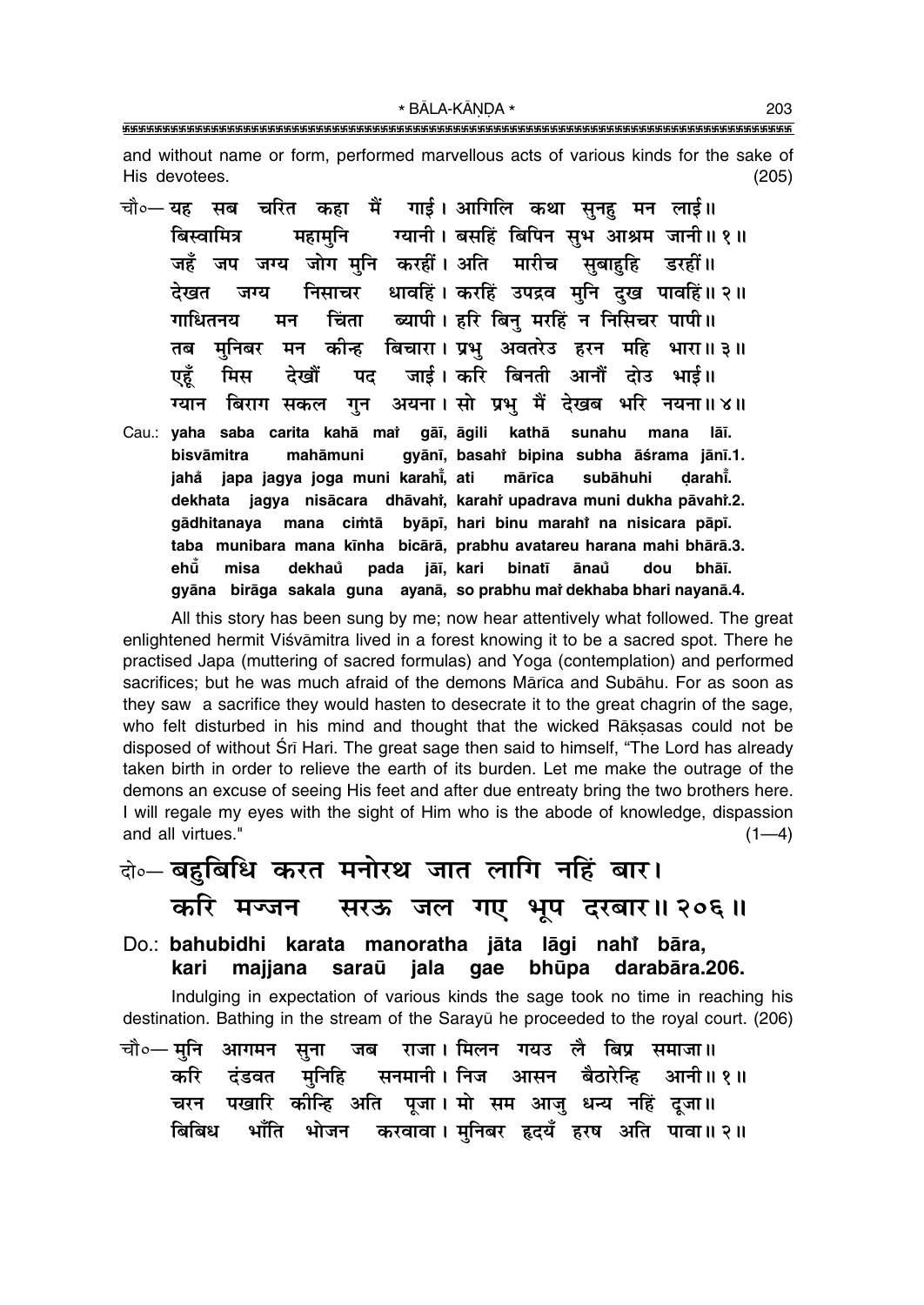and without name or form, performed marvellous acts of various kinds for the sake of His devotees.  $(205)$ 

चौ०— यह सब चरित कहा मैं गाई। आगिलि कथा सुनह मन लाई॥ ग्यानी। बसहिं बिपिन सुभ आश्रम जानी॥१॥ महामनि बिस्वामित्र जहँ जप जग्य जोग मनि करहीं। अति मारीच सबाहहि डरहीं॥ निसाचर धावहिं। करहिं उपद्रव मनि दख पावहिं॥ २॥ देखत जग्य चिंता ब्यापी। हरि बिन मरहिं न निसिचर पापी॥ गाधितनय मन मन कीन्ह बिचारा। प्रभ अवतरेउ हरन महि भारा॥३॥ तब मनिबर जाई। करि बिनती आनौं दोउ भाई॥ पट एहँ मिस देखों गन अयना। सो प्रभ मैं देखब भरि नयना॥४॥ ग्यान बिराग सकल Cau.: yaha saba carita kahā mai gāi, āgili kathā sunahu lāī. mana bisvāmitra mahāmuni gyānī, basahi bipina subha āśrama jānī.1. japa jagya joga muni karahi, ati mārīca subāhuhi jahå darahi. dekhata jagya nisācara dhāvahi, karahi upadrava muni dukha pāvahi.2. qādhitanaya mana cimtā byāpī, hari binu marahi na nisicara pāpī. taba munibara mana kīnha bicārā, prabhu avatareu harana mahi bhārā.3. ehū้ misa dekhaů pada jāī, kari binatī ānaů dou bhāī. gyāna birāga sakala guna ayanā, so prabhu mai dekhaba bhari nayanā.4.

All this story has been sung by me; now hear attentively what followed. The great enlightened hermit Viśvāmitra lived in a forest knowing it to be a sacred spot. There he practised Japa (muttering of sacred formulas) and Yoga (contemplation) and performed sacrifices; but he was much afraid of the demons Mārīca and Subāhu. For as soon as they saw a sacrifice they would hasten to desecrate it to the great chagrin of the sage, who felt disturbed in his mind and thought that the wicked Rāksasas could not be disposed of without Srī Hari. The great sage then said to himself, "The Lord has already taken birth in order to relieve the earth of its burden. Let me make the outrage of the demons an excuse of seeing His feet and after due entreaty bring the two brothers here. I will regale my eyes with the sight of Him who is the abode of knowledge, dispassion and all virtues."  $(1-4)$ 

- के- बहुबिधि करत मनोरथ जात लागि नहिं बार। करि मज्जन सरऊ जल गए भूप दरबार॥ २०६॥
- Do.: bahubidhi karata manoratha jāta lāgi nahi bāra, kari majjana saraū iala qae bhūpa darabāra.206.

Indulging in expectation of various kinds the sage took no time in reaching his destination. Bathing in the stream of the Sarayū he proceeded to the royal court. (206)

चौ०— मनि आगमन राजा। मिलन गयउ लै बिप्र समाजा॥ जब सना आसन बैठारेन्हि करि मुनिहि सनमानी । निज आनी॥ १॥ दंडवत पखारि कीन्हि अति पूजा। मो सम आजु धन्य नहिं दूजा॥ चरन भाँति भोजन करवावा। मनिबर हृदयँ हरष अति पावा॥२॥ बिबिध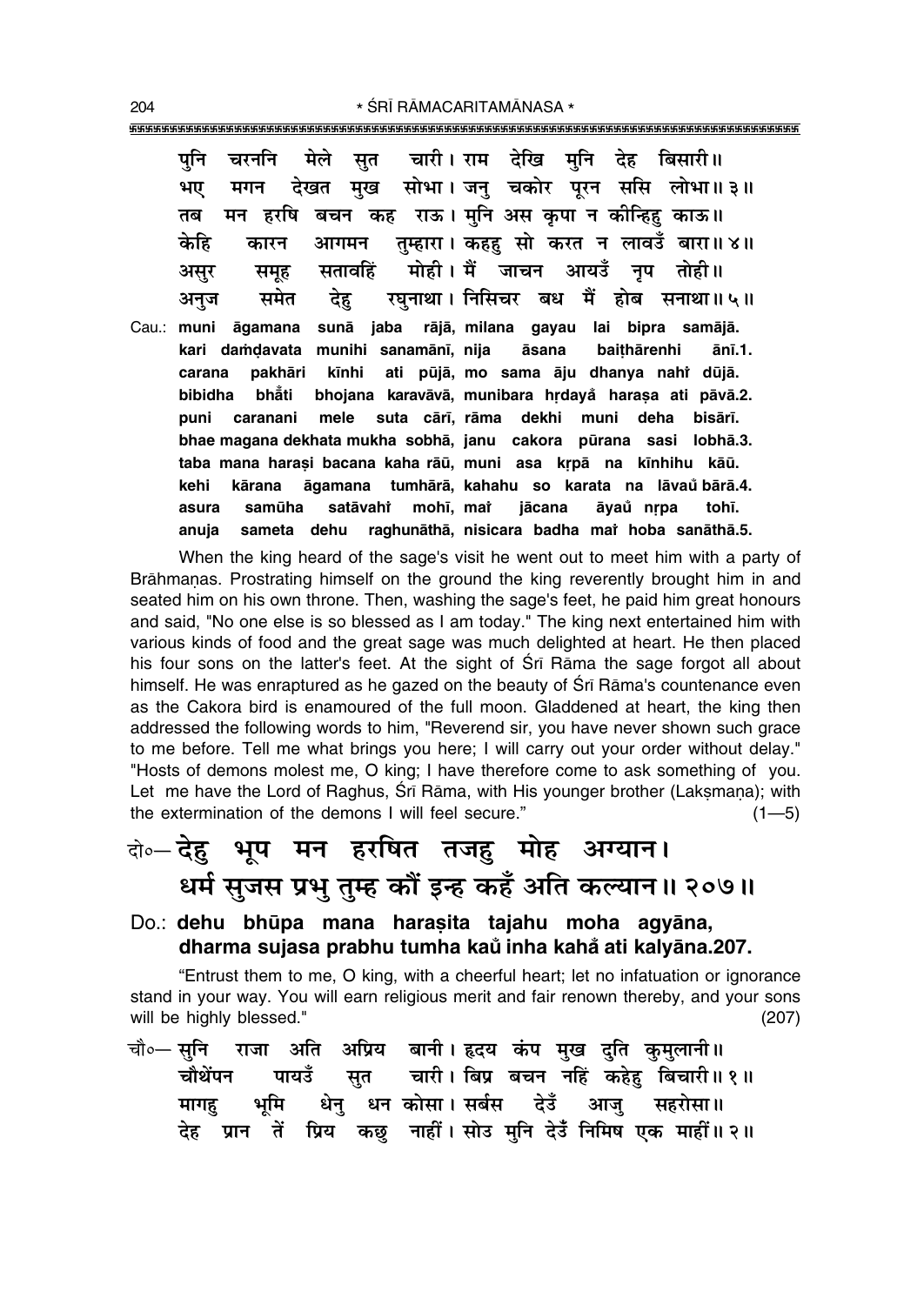मेले चारी। राम देखि मनि देह बिसारी॥ पनि चरननि सत मुख सोभा। जनु चकोर पूरन ससि लोभा॥३॥ भए देखत मगन बचन कह राऊ। मनि अस कपा न कोन्हिह काऊ॥ तब मन हरषि तम्हारा। कहह सो करत न लावडँ बारा॥४॥ आगमन केहि कारन मोही। मैं जाचन आयउँ नप तोही॥ सतावहिं असर समह रघनाथा। निसिचर बध मैं होब सनाथा॥५॥ देह समेत अनज rājā, milana gayau lai bipra samājā. Cau.: muni āgamana sunā iaba kari damdavata munihi sanamānī, nija āsana baithārenhi ānī.1. pakhāri ati pūjā, mo sama āju dhanya nahi dūjā. kīnhi carana bibidha bhẳti bhojana karavāvā, munibara hrdayå harasa ati pāvā.2. puni caranani mele suta cārī, rāma dekhi muni deha **bisārī** bhae magana dekhata mukha sobhā, janu cakora pūrana sasi lobhā.3. taba mana harasi bacana kaha rāū, muni asa krpā na kīnhihu kāū. āgamana tumhārā, kahahu so karata na lāvaŭ bārā.4. kehi kārana mohī, mat asura samūha satāvahi jācana āvaů nrpa tohī. anuia sameta dehu raghunāthā, nisicara badha mai hoba sanāthā.5.

When the king heard of the sage's visit he went out to meet him with a party of Brāhmanas. Prostrating himself on the ground the king reverently brought him in and seated him on his own throne. Then, washing the sage's feet, he paid him great honours and said. "No one else is so blessed as I am today." The king next entertained him with various kinds of food and the great sage was much delighted at heart. He then placed his four sons on the latter's feet. At the sight of Sri Rama the sage forgot all about himself. He was enraptured as he gazed on the beauty of Sri Rama's countenance even as the Cakora bird is enamoured of the full moon. Gladdened at heart, the king then addressed the following words to him, "Reverend sir, you have never shown such grace to me before. Tell me what brings you here; I will carry out your order without delay." "Hosts of demons molest me, O king; I have therefore come to ask something of you. Let me have the Lord of Raghus, Srī Rāma, with His younger brother (Laksmana); with the extermination of the demons I will feel secure."  $(1 - 5)$ 

## के-देह़ भूष मन हरषित तजहु मोह अग्यान। धर्म सुजस प्रभु तुम्ह कौं इन्ह कहँ अति कल्यान॥ २०७॥

Do.: dehu bhūpa mana harasita tajahu moha agyāna, dharma sujasa prabhu tumha kaů inha kahå ati kalyāna.207.

"Entrust them to me, O king, with a cheerful heart; let no infatuation or ignorance stand in your way. You will earn religious merit and fair renown thereby, and your sons will be highly blessed."  $(207)$ 

|  |  | चौ∘— सुनि   राजा  अति   अप्रिय   बानी । हृदय  कंप  मुख  दुति  कुमुलानी॥ |  |  |  |
|--|--|-------------------------------------------------------------------------|--|--|--|
|  |  | चौथेंपन पायउँ सुत चारी।।बिप्र बचन नहिं कहेह बिचारी॥१॥                   |  |  |  |
|  |  | मागह भूमि धेन् धनंकोसा।सर्बस देउँ आजु सहरोसा॥                           |  |  |  |
|  |  | देह प्रान तें प्रिय कछु नाहीं।सोउ मुनि देउँ निमिष एक माहीं॥२॥           |  |  |  |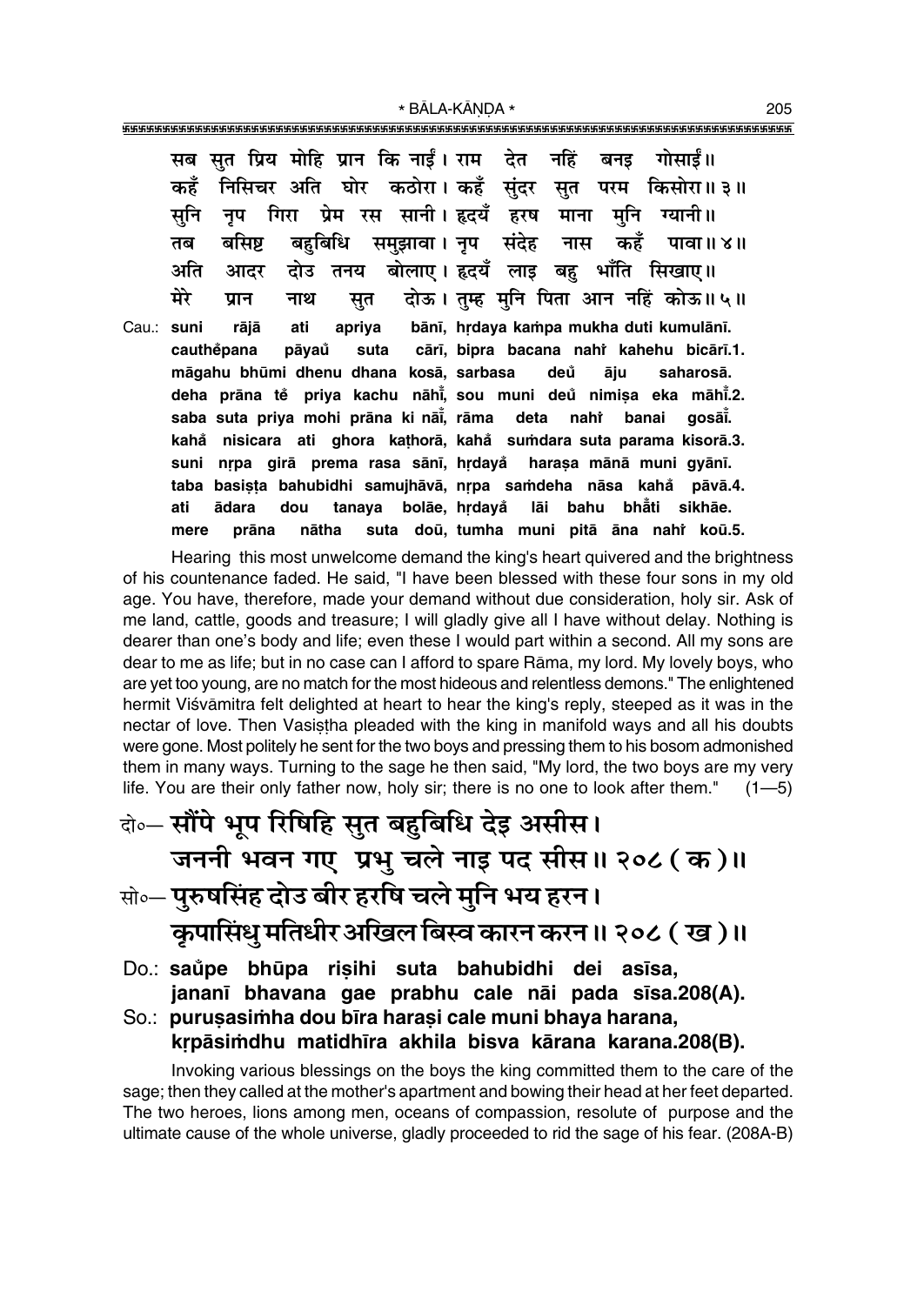\* BĀLA-KĀNDA \*

|            | सब सुत प्रिय मोहि प्रान कि नाईं। राम देत नहिं बनइ गोसाईं॥           |
|------------|---------------------------------------------------------------------|
|            | निसिचर अति घोर कठोरा। कहँ सुंदर सुत परम किसोरा॥३॥<br>कहँ            |
|            | नृप गिरा प्रेम रस सानी।इदयँ हरष माना मुनि ग्यानी॥<br>सनि            |
|            | बसिष्ट बहुबिधि समुझावा।नृप संदेह नास कहँ पावा॥४॥<br>तब              |
|            | अति आदर दोउ तनय बोलाए।इदयँ लाइ बहु भाँति सिखाए॥                     |
|            | मेरे<br>नाथ सुत दोऊ। तुम्ह मुनि पिता आन नहिं कोऊ॥५॥<br>प्रान        |
| Cau.: suni | rājā ati apriya bānī, hrdaya-kampa-mukha-duti-kumulānī.             |
|            | cauthěpana pāyaů suta cārī, bipra bacana nahř kahehu bicārī.1.      |
|            | māgahu bhūmi dhenu dhana kosā, sarbasa deŭ āju saharosā.            |
|            | deha prāna tě priya kachu nāhi, sou muni deů nimișa eka māhi.2.     |
|            | saba suta priya mohi prāna ki nāi, rāma deta nahi banai gosāi.      |
|            | kahă nisicara ati ghora kathorā, kahă sumdara suta parama kisorā.3. |
|            | nrpa girā prema rasa sānī, hrdayå harasa mānā muni gyānī.<br>suni   |
|            | basista bahubidhi samujhāvā, nrpa samdeha nāsa kahå pāvā.4.<br>taba |
|            | ādara dou tanaya bolāe, hrdayå lāi bahu bhāti sikhāe.<br>ati        |
|            | prāna nātha suta doū, tumha muni pitā āna nahi koū.5.<br>mere       |

Hearing this most unwelcome demand the king's heart quivered and the brightness of his countenance faded. He said, "I have been blessed with these four sons in my old age. You have, therefore, made your demand without due consideration, holy sir. Ask of me land, cattle, goods and treasure; I will gladly give all I have without delay. Nothing is dearer than one's body and life; even these I would part within a second. All my sons are dear to me as life; but in no case can I afford to spare Rāma, my lord. My lovely boys, who are yet too young, are no match for the most hideous and relentless demons." The enlightened hermit Viśvāmitra felt delighted at heart to hear the king's reply, steeped as it was in the nectar of love. Then Vasistha pleaded with the king in manifold ways and all his doubts were gone. Most politely he sent for the two boys and pressing them to his bosom admonished them in many ways. Turning to the sage he then said, "My lord, the two boys are my very life. You are their only father now, holy sir; there is no one to look after them."  $(1 - 5)$ 

वे०-सौंपे भूप रिषिहि सुत बहुबिधि देइ असीस। जननी भवन गए प्रभु चले नाइ पद सीस॥ २०८ ( क )॥ सो॰- पुरुषसिंह दोउ बीर हरषि चले मुनि भय हरन।

कुपासिंधु मतिधीर अखिल बिस्व कारन करन ॥ २०८ ( ख )॥

Do.: saŭpe bhūpa risihi suta bahubidhi dei asīsa, jananī bhavana gae prabhu cale nāi pada sīsa.208(A).

So.: purusasimha dou bīra harasi cale muni bhaya harana, krpāsimdhu matidhīra akhila bisva kārana karana.208(B).

Invoking various blessings on the boys the king committed them to the care of the sage; then they called at the mother's apartment and bowing their head at her feet departed. The two heroes, lions among men, oceans of compassion, resolute of purpose and the ultimate cause of the whole universe, gladly proceeded to rid the sage of his fear. (208A-B)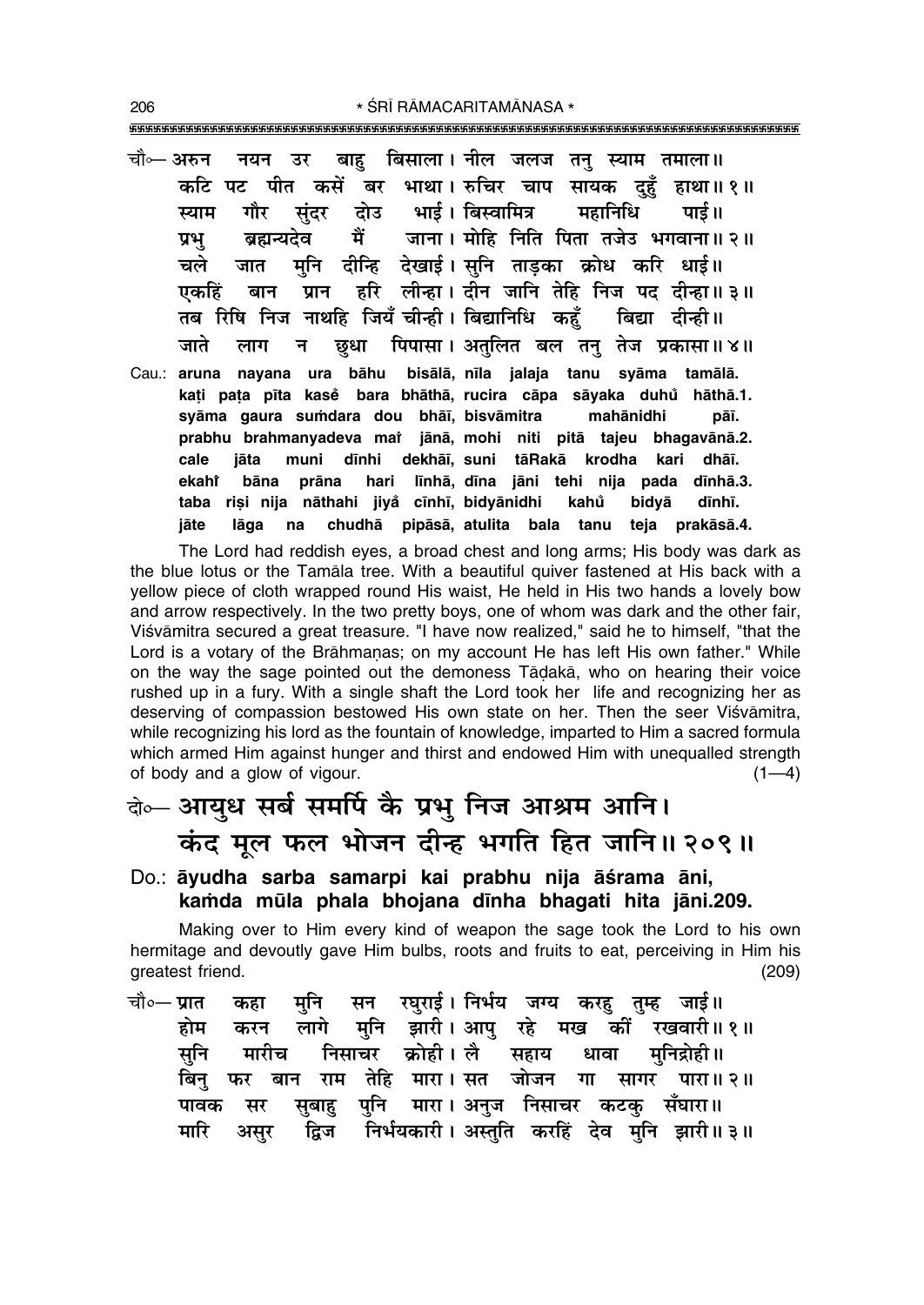\* ŚRĪ RĀMACARITAMĀNASA \* 

- बाह बिसाला। नील जलज तन स्याम तमाला॥ चौ⊶ अरुन नयन उर कटि पट पीत कसें बर भाथा। रुचिर चाप सायक दहँ हाथा॥१॥ संदर भाई । बिस्वामित्र महानिधि गौर तोउ पाई॥ स्याम मैं जाना । मोहि निति पिता तजेउ भगवाना॥ २॥ बहान्यतेव प्रभ मनि दीन्हि देखाई।सनि ताडका क्रोध करि धाई॥ चले जात हरि लीन्हा। दीन जानि तेहि निज पद दीन्हा॥३॥ एकहिं बान प्रान तब रिषि निज नाथहि जियँ चीन्ही। बिद्यानिधि कहँ बिद्या दीन्ही ॥ जाते छधा पिपासा। अतुलित बल तन तेज प्रकासा॥४॥ लाग न $\overline{a}$
- Cau.: aruna nayana ura bāhu bisālā, nīla jalaja tanu syāma tamālā. kati pata pīta kase bara bhāthā, rucira cāpa sāyaka duhu hāthā.1. syāma gaura sumdara dou bhāī, bisvāmitra mahānidhi pāī. prabhu brahmanyadeva mai jānā, mohi niti pitā tajeu bhagavānā.2. cale jāta muni dīnhi dekhāī, suni tāRakā krodha kari dhāī. ekaht prāna hari līnhā, dīna jāni tehi nija pada dīnhā.3. bāna taba riși nija nāthahi jiyå cīnhī, bidyānidhi kahů bidyā dīnhī. jāte lāga  $na$ chudhā pipāsā, atulita bala tanu teja prakāsā.4.

The Lord had reddish eyes, a broad chest and long arms; His body was dark as the blue lotus or the Tamala tree. With a beautiful quiver fastened at His back with a yellow piece of cloth wrapped round His waist, He held in His two hands a lovely bow and arrow respectively. In the two pretty boys, one of whom was dark and the other fair, Viśvāmitra secured a great treasure. "I have now realized," said he to himself, "that the Lord is a votary of the Brāhmanas; on my account He has left His own father." While on the way the sage pointed out the demoness Tāḍakā, who on hearing their voice rushed up in a fury. With a single shaft the Lord took her life and recognizing her as deserving of compassion bestowed His own state on her. Then the seer Visvamitra. while recognizing his lord as the fountain of knowledge, imparted to Him a sacred formula which armed Him against hunger and thirst and endowed Him with unequalled strength of body and a glow of vigour.  $(1-4)$ 

## वेञ्-आयुध सर्ब समर्पि के प्रभु निज आश्रम आनि। कंद मूल फल भोजन दीन्ह भगति हित जानि॥ २०९॥

Do.: āyudha sarba samarpi kai prabhu nija āśrama āni, kamda mūla phala bhojana dīnha bhagati hita jāni.209.

Making over to Him every kind of weapon the sage took the Lord to his own hermitage and devoutly gave Him bulbs, roots and fruits to eat, perceiving in Him his greatest friend.  $(209)$ 

सन रघुराई। निर्भय जग्य करहु तुम्ह जाई॥ चौ∘— प्रात मनि कहा मनि झारी।आप रहे मख कों रखवारी॥१॥ होम करन लागे निसाचर क्रोही। लै सनि मारीच धावा मनिद्रोही।। सहाय बान राम तेहि मारा। सत जोजन बिन गा सागर पारा॥२॥ फर मारा। अनज निसाचर कटक पावक मर सबाह पनि सँघारा॥ द्विज निर्भयकारी। अस्तुति करहिं देव मुनि झारी॥३॥ मारि असूर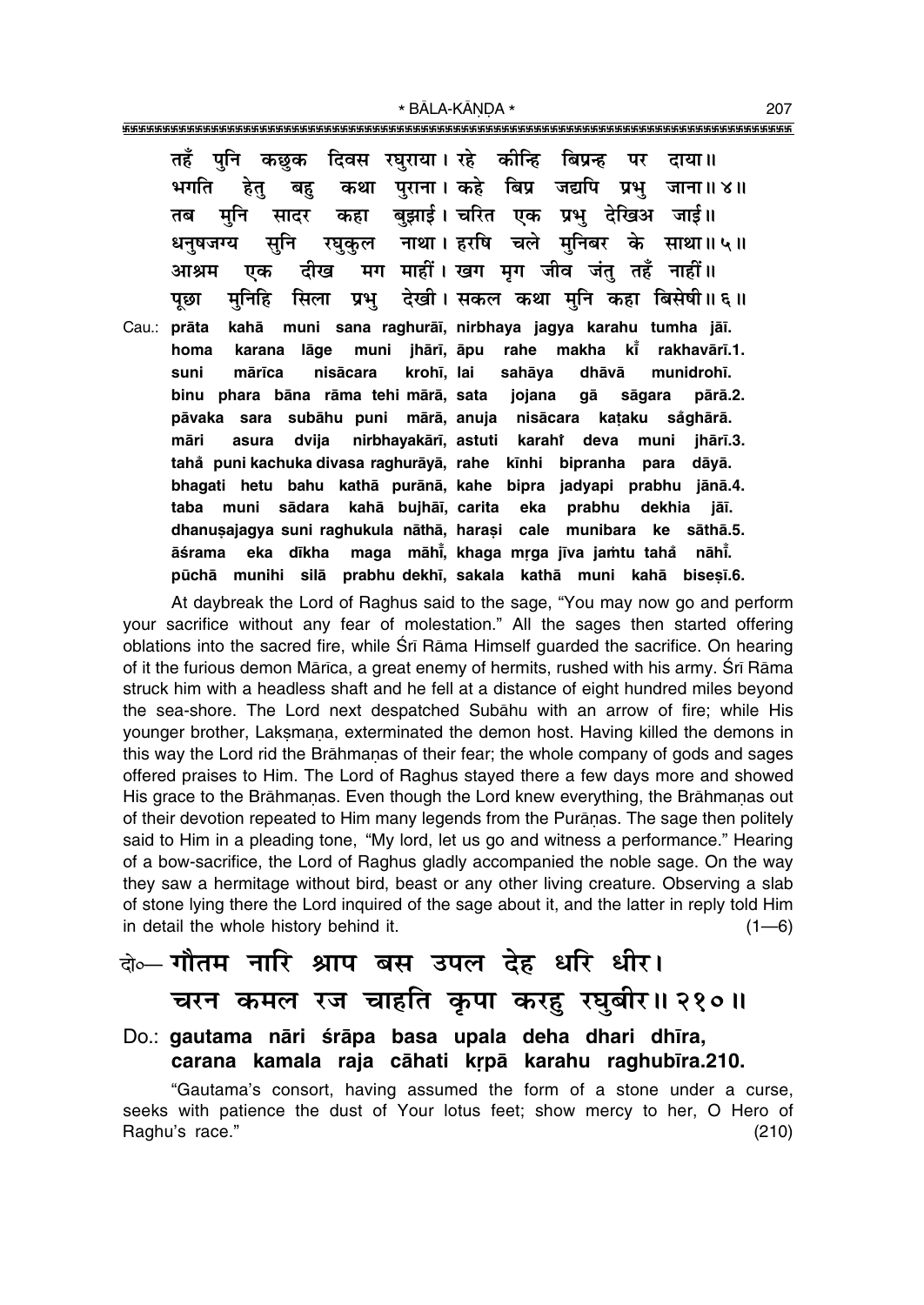\* BĀLA-KĀNDA \* 

तहँ पनि दिवस रघुराया। रहे कीन्हि बिप्रन्ह कछक दाया ॥ पर पराना। कहे बिप्र जद्यपि प्रभ जाना॥४॥ भगति हेत् कथा बह बझाई। चरित एक प्रभ देखिअ जाई॥ कहा तब मनि सादर नाथा। हरषि चले मनिबर के साथा॥५॥ धनषजग्य सनि रघुकुल मग माहीं। खग मग जीव जंत तहँ नाहीं॥ आश्रम दीख एक देखी। सकल कथा मनि कहा बिसेषी॥६॥ मनिहि सिला प्रभु पछा muni sana raghurāī, nirbhaya jagya karahu tumha jāī. Cau.: prāta kahā muni jhārī, āpu kŤ lāge rahe makha rakhavārī.1. homa karana krohī, lai munidrohī. suni mārīca nisācara sahāya dhāvā binu phara bāna rāma tehi mārā, sata jojana gā sāgara pārā.2. såghārā. pāvaka sara subāhu puni mārā, anuja nisācara kataku nirbhayakārī, astuti māri asura dvija karahi deva muni jhārī.3. tahå puni kachuka divasa raghurāyā, rahe kīnhi bipranha para dāyā. bhagati hetu bahu kathā purānā, kahe bipra jadyapi prabhu jānā.4. taba muni sādara kahā bujhāī, carita eka prabhu dekhia jāī. dhanusajagya suni raghukula nāthā, harasi cale munibara ke sāthā.5. āśrama eka dīkha maga māhī, khaga mrga jīva jamtu tahå nāhī. pūchā munihi silā prabhu-dekhī, sakala kathā muni kahā bisesī.6.

At daybreak the Lord of Raghus said to the sage, "You may now go and perform your sacrifice without any fear of molestation." All the sages then started offering oblations into the sacred fire, while Srī Rāma Himself quarded the sacrifice. On hearing of it the furious demon Mārīca, a great enemy of hermits, rushed with his army. Śrī Rāma struck him with a headless shaft and he fell at a distance of eight hundred miles beyond the sea-shore. The Lord next despatched Subahu with an arrow of fire; while His younger brother, Laksmana, exterminated the demon host. Having killed the demons in this way the Lord rid the Brāhmanas of their fear; the whole company of gods and sages offered praises to Him. The Lord of Raghus stayed there a few days more and showed His grace to the Brāhmanas. Even though the Lord knew everything, the Brāhmanas out of their devotion repeated to Him many legends from the Puranas. The sage then politely said to Him in a pleading tone, "My lord, let us go and witness a performance." Hearing of a bow-sacrifice, the Lord of Raghus gladly accompanied the noble sage. On the way they saw a hermitage without bird, beast or any other living creature. Observing a slab of stone lying there the Lord inquired of the sage about it, and the latter in reply told Him in detail the whole history behind it.  $(1-6)$ 

### बेल गौतम नारि श्राप बस उपल देह धरि धीर। चरन कमल रज चाहति कृपा करह रघुबीर॥ २१०॥

#### Do.: gautama nāri śrāpa basa upala deha dhari dhīra, carana kamala raja cāhati krpā karahu raghubīra.210.

"Gautama's consort, having assumed the form of a stone under a curse, seeks with patience the dust of Your lotus feet; show mercy to her, O Hero of Raghu's race."  $(210)$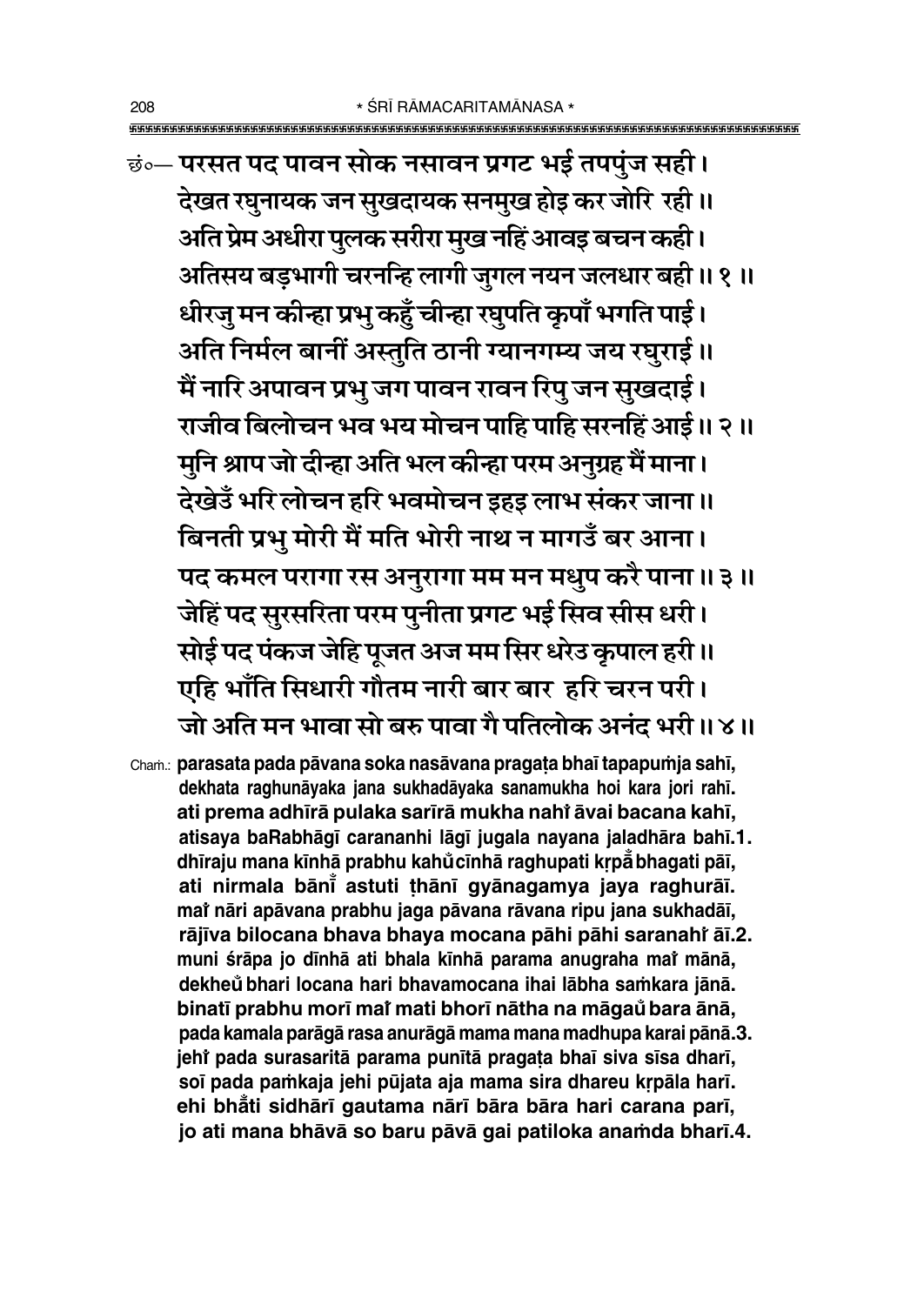छं॰— परसत पद पावन सोक नसावन प्रगट भई तपपुंज सही। देखत रघुनायक जन सुखदायक सनमुख होइ कर जोरि रही ॥ अति प्रेम अधीरा पुलक सरीरा मुख नहिं आवइ बचन कही । अतिसय बड़भागी चरनन्हि लागी जुगल नयन जलधार बही ॥ १ ॥ धीरजु मन कीन्हा प्रभु कहुँ चीन्हा रघुपति कृपाँ भगति पाई। अति निर्मल बानीं अस्तुति ठानी ग्यानगम्य जय रघुराई ॥ मैं नारि अपावन प्रभु जग पावन रावन रिपु जन सुखदाई। राजीव बिलोचन भव भय मोचन पाहि पाहि सरनहिं आई॥ २॥ मुनि श्राप जो दीन्हा अति भल कीन्हा परम अनुग्रह मैं माना। देखेउँ भरि लोचन हरि भवमोचन इहइ लाभ संकर जाना ॥ बिनती प्रभु मोरी मैं मति भोरी नाथ न मागडँ बर आना। पद कमल परागा रस अनुरागा मम मन मधुप करै पाना ॥ ३ ॥ जेहिं पद सुरसरिता परम पुनीता प्रगट भई सिव सीस धरी। सोई पद पंकज जेहि पूजत अज मम सिर धरेउ कृपाल हरी ॥

- एहि भाँति सिधारी गौतम नारी बार बार हरि चरन परी।
- जो अति मन भावा सो बरु पावा गै पतिलोक अनंद भरी ॥ ४ ॥

Cham.: parasata pada pāvana soka nasāvana pragata bhaī tapapumja sahī, dekhata raghunāyaka jana sukhadāyaka sanamukha hoi kara jori rahī. ati prema adhīrā pulaka sarīrā mukha nahi āvai bacana kahī, atisaya baRabhāgī carananhi lāgī jugala nayana jaladhāra bahī.1. dhīraju mana kīnhā prabhu kahůcīnhā raghupati krpā bhagati pāī, ati nirmala bānī astuti thānī gyānagamya jaya raghurāī. mai nāri apāvana prabhu jaga pāvana rāvana ripu jana sukhadāī, rājīva bilocana bhava bhaya mocana pāhi pāhi saranahi āī.2. muni śrāpa jo dīnhā ati bhala kīnhā parama anugraha mai mānā, dekheŭ bhari locana hari bhavamocana ihai lābha samkara jānā. binatī prabhu morī mai mati bhorī nātha na māgaŭ bara ānā, pada kamala parāgā rasa anurāgā mama mana madhupa karai pānā.3. jehi pada surasaritā parama punītā pragata bhaī siva sīsa dharī, soī pada pamkaja jehi pūjata aja mama sira dhareu krpāla harī. ehi bhåti sidhārī gautama nārī bāra bāra hari carana parī, jo ati mana bhāvā so baru pāvā gai patiloka anamda bharī.4.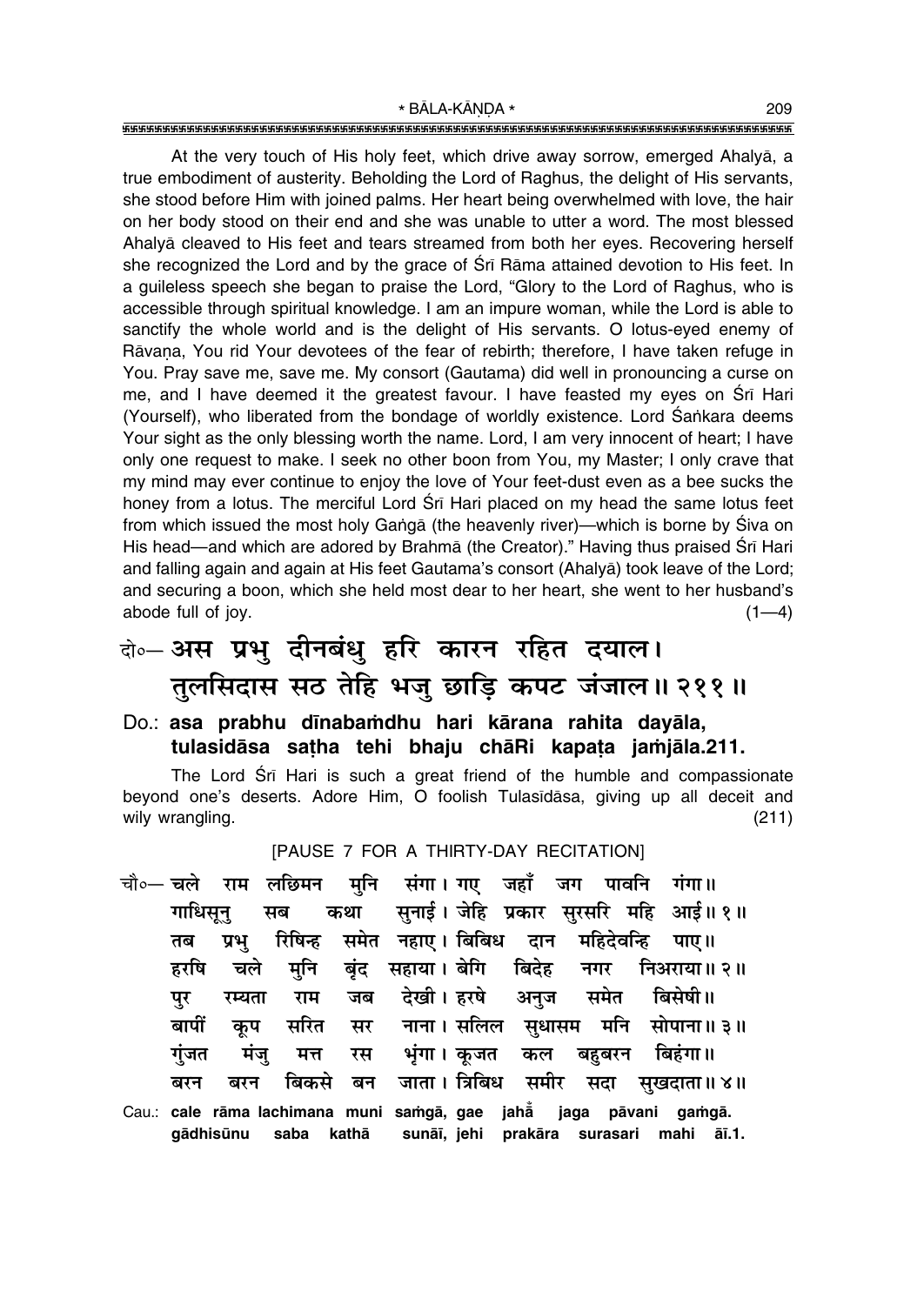At the very touch of His holy feet, which drive away sorrow, emerged Ahalyå, a true embodiment of austerity. Beholding the Lord of Raghus, the delight of His servants, she stood before Him with joined palms. Her heart being overwhelmed with love, the hair on her body stood on their end and she was unable to utter a word. The most blessed Ahalyå cleaved to His feet and tears streamed from both her eyes. Recovering herself she recognized the Lord and by the grace of Śrī Rāma attained devotion to His feet. In a guileless speech she began to praise the Lord, "Glory to the Lord of Raghus, who is accessible through spiritual knowledge. I am an impure woman, while the Lord is able to sanctify the whole world and is the delight of His servants. O lotus-eyed enemy of Rāvana, You rid Your devotees of the fear of rebirth; therefore, I have taken refuge in You. Pray save me, save me. My consort (Gautama) did well in pronouncing a curse on me, and I have deemed it the greatest favour. I have feasted my eyes on Srī Hari (Yourself), who liberated from the bondage of worldly existence. Lord Sankara deems Your sight as the only blessing worth the name. Lord, I am very innocent of heart; I have only one request to make. I seek no other boon from You, my Master; I only crave that my mind may ever continue to enjoy the love of Your feet-dust even as a bee sucks the honey from a lotus. The merciful Lord Srī Hari placed on my head the same lotus feet from which issued the most holy Gangā (the heavenly river)—which is borne by Śiva on His head—and which are adored by Brahmā (the Creator)." Having thus praised Śrī Hari and falling again and again at His feet Gautamaís consort (Ahalyå) took leave of the Lord; and securing a boon, which she held most dear to her heart, she went to her husbandís  $a\bar{b}$  abode full of joy.  $(1-4)$ 

# दो**०– अस प्रभु दीनबंधु हरि कारन रहित दयाल।** तुलसिदास सठ तेहि भजु छाड़ि कपट जंजाल॥ २११॥

#### Do.: **asa prabhu d∂naba≈dhu hari kårana rahita dayåla, tulasidåsa sa¢ha tehi bhaju chåRi kapa¢a ja≈jåla.211.**

The Lord Śrī Hari is such a great friend of the humble and compassionate beyond one's deserts. Adore Him, O foolish Tulasīdāsa, giving up all deceit and wily wrangling. (211)

[PAUSE 7 FOR A THIRTY-DAY RECITATION]

चौ०— चले राम लछिमन मुनि संगा।गए जहाँ जग पावनि गंगा॥ <u>गाधिसन सब कथा सनाई। जेहि प्रकार सरसरि महि आई॥१॥</u> तब प्रभ् रिषिन्ह समेत नहाए । बिबिध दान महिदेवन्<mark>हि</mark> पाए ॥ हरषि चले मनि बंद सहाया।बेगि बिदेह नगर निअराया॥२॥ पुर रम्यता राम जब देखी। हरषे अनुज समेत बिसेषी॥ बापीं कृप सरित सर नाना। सलिल सुधासम मनि सोपाना॥ ३॥ <u>गंजत मंज मत्त रस भंगा।वकजत कल बहबरन बिहंगा॥</u> ेबरन बरन बिकसे बन जाता।।त्रिबिध समीर सदा सुखदाता॥४॥ Cau.: **cale råma lachimana muni sa≈gå, gae jahå° jaga påvani ga≈gå. gådhisµunu saba kathå sunå∂, jehi prakåra surasari mahi å∂.1.**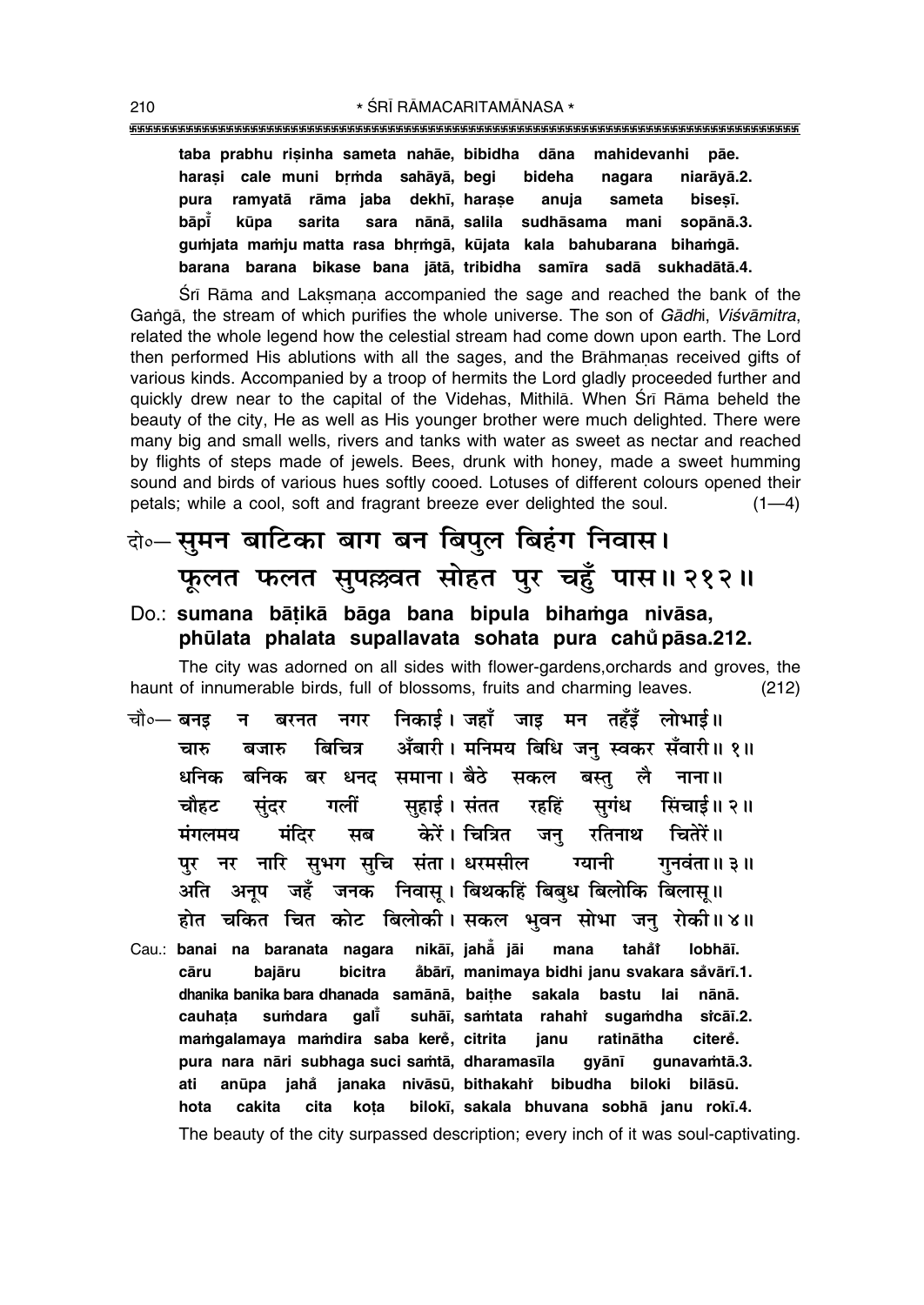**taba prabhu ri¶inha sameta nahåe, bibidha dåna mahidevanhi påe.** harasi cale muni brmda sahāyā, begi bideha nagara niarāyā.2. **pura ramvatā rāma jaba dekhī, harase anuja sameta bisesī. båp∂° kµupa sarita sara nånå, salila sudhåsama mani sopånå.3.** gumjata mamju matta rasa bhrmgā, kūjata kala bahubarana bihamgā. **barana barana bikase bana jåtå, tribidha sam∂ra sadå sukhadåtå.4.**

Srī Rāma and Laksmana accompanied the sage and reached the bank of the Gangã, the stream of which purifies the whole universe. The son of *Gādhi, Viśvāmitra*, related the whole legend how the celestial stream had come down upon earth. The Lord then performed His ablutions with all the sages, and the Brāhmanas received gifts of various kinds. Accompanied by a troop of hermits the Lord gladly proceeded further and quickly drew near to the capital of the Videhas, Mithilā. When Śrī Rāma beheld the beauty of the city, He as well as His younger brother were much delighted. There were many big and small wells, rivers and tanks with water as sweet as nectar and reached by flights of steps made of jewels. Bees, drunk with honey, made a sweet humming sound and birds of various hues softly cooed. Lotuses of different colours opened their petals; while a cool, soft and fragrant breeze ever delighted the soul.  $(1-4)$ 

### दो**० सूमन बाटिका बाग बन बिपुल बिहंग निवास। फूलत फलत सुपल्लवत सोहत पुर चहुँ पास॥ २१२॥**

#### Do.: sumana bātikā bāga bana bipula bihamga nivāsa, **phµulata phalata supallavata sohata pura cahu° påsa.212.**

The city was adorned on all sides with flower-gardens,orchards and groves, the haunt of innumerable birds, full of blossoms, fruits and charming leaves. (212)

- चौ०— बनइ न बरनत नगर निकाई । जहाँ जाइ मन तहँडँ लोभाई ॥ चारु बजारु बिचित्र अँबारी । मनिमय बिधि जनु स्वकर सँवारी॥ १॥ धनिक बनिक बर धनद समाना।**बैठे सकल बस्त लै नाना**॥ **चौहट सुंदर गलीं सुहाई।**संतत रहहिं सुगंध सिंचाई॥२॥ **मंगलमय मंदिर सब केरें।** चित्रित जन रतिनाथ चितेरें॥ पुर नर नारि सुभग सुचि संता। धरमसील ग्यानी गुनवंता॥ ३॥ <u>अति अनूप जहँ जनक निवासू</u> । बिथकहिं बिबुध बिलोकि बिलासू ॥ होत चकित चित कोट बिलोकी। सकल भवन सोभा जन् रोकी॥४॥
- Cau.: **banai na baranata nagara nikå∂, jahå° jåi mana taha°iÚ lobhå∂. cåru bajåru bicitra a°bår∂, manimaya bidhi janu svakara sa°vår∂.1. dhanika banika bara dhanada samånå, bai¢he sakala bastu lai nånå. cauha¢a su≈dara gal∂° suhå∂, sa≈tata rahahiÚ suga≈dha siÚ cå∂.2. ma≈galamaya ma≈dira saba kere° , citrita janu ratinåtha citere°. pura nara nåri subhaga suci sa≈tå, dharamas∂la gyån∂ gunava≈tå.3. ati anµupa jaha° janaka nivåsµu, bithakahiÚ bibudha biloki bilåsµu. hota cakita cita ko¢a bilok∂, sakala bhuvana sobhå janu rok∂.4.** The beauty of the city surpassed description; every inch of it was soul-captivating.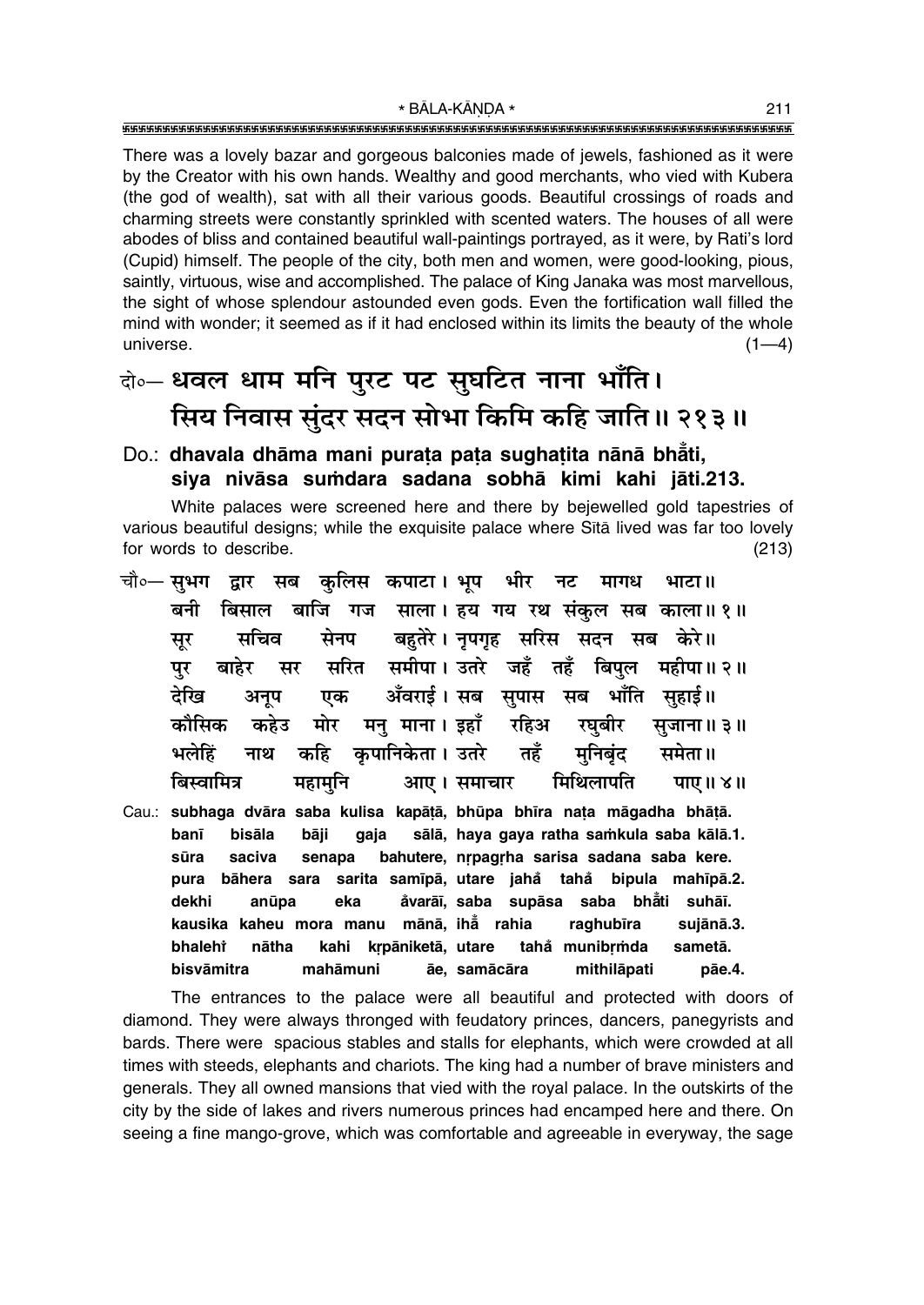There was a lovely bazar and gorgeous balconies made of jewels, fashioned as it were by the Creator with his own hands. Wealthy and good merchants, who vied with Kubera (the god of wealth), sat with all their various goods. Beautiful crossings of roads and charming streets were constantly sprinkled with scented waters. The houses of all were abodes of bliss and contained beautiful wall-paintings portrayed, as it were, by Rati's lord (Cupid) himself. The people of the city, both men and women, were good-looking, pious, saintly, virtuous, wise and accomplished. The palace of King Janaka was most marvellous, the sight of whose splendour astounded even gods. Even the fortification wall filled the mind with wonder; it seemed as if it had enclosed within its limits the beauty of the whole universe.  $(1-4)$ 

## बे॰- धवल धाम मनि पुरट पट सुघटित नाना भाँति। सिय निवास सुंदर सदन सोभा किमि कहि जाति॥ २१३॥

### Do.: dhavala dhāma mani purata pata sughatita nānā bhāti, siya nivāsa sumdara sadana sobhā kimi kahi jāti.213.

White palaces were screened here and there by bejewelled gold tapestries of various beautiful designs; while the exquisite palace where Sita lived was far too lovely for words to describe.  $(213)$ 

|      |             |  | चौ∘— स़ुभग) द्वार सब कुलिस कपाटा। भूप भीर नट मागध भाटा॥ |  |  |                                                    |  |
|------|-------------|--|---------------------------------------------------------|--|--|----------------------------------------------------|--|
|      |             |  |                                                         |  |  | बनी बिसाल बाजि गज साला। हय गय रथ संकुल सब काला॥१॥  |  |
| सूर  |             |  | सचिव सेनप बहुतेरे।नृपगृह सरिस सदन सब केरे॥              |  |  |                                                    |  |
| पर   |             |  |                                                         |  |  | बाहेर सर सरित समीपा।उतरे जहँ तहँ बिपुल महीपा॥२॥    |  |
| देखि |             |  | अनूप एक अँवराई। सब सुपास सब भाँति सुहाई॥                |  |  |                                                    |  |
|      |             |  |                                                         |  |  | कौसिक कहेउ मोर मनु माना।इहाँ रहिअ रघुबीर सुजाना॥३॥ |  |
|      |             |  | भलेहिं नाथ कहि कृपानिकेता। उतरे तहँ मुनिबृंद समेता॥     |  |  |                                                    |  |
|      | बिस्वामित्र |  |                                                         |  |  | महामुनि  आए। समाचार मिथिलापति  पाए॥ ४॥             |  |
|      |             |  |                                                         |  |  |                                                    |  |

Cau.: subhaga dvāra saba kulisa kapātā, bhūpa bhīra nata māgadha bhātā. sālā, haya gaya ratha samkula saba kālā.1. banī bisāla bāji gaja bahutere, nrpagrha sarisa sadana saba kere. sūra saciva senapa pura bāhera sara sarita samīpā, utare jahå tahå bipula mahīpā.2. åvarāī, saba supāsa saba bhāti suhāī. dekhi anūpa eka kausika kaheu mora manu mānā, ihā rahia raghubīra sujānā.3. bhaleht nātha kahi krpāniketā, utare tahå munibrmda sametā. bisvāmitra mahāmuni āe, samācāra mithilāpati pāe.4.

The entrances to the palace were all beautiful and protected with doors of diamond. They were always thronged with feudatory princes, dancers, panegyrists and bards. There were spacious stables and stalls for elephants, which were crowded at all times with steeds, elephants and chariots. The king had a number of brave ministers and generals. They all owned mansions that vied with the royal palace. In the outskirts of the city by the side of lakes and rivers numerous princes had encamped here and there. On seeing a fine mango-grove, which was comfortable and agreeable in everyway, the sage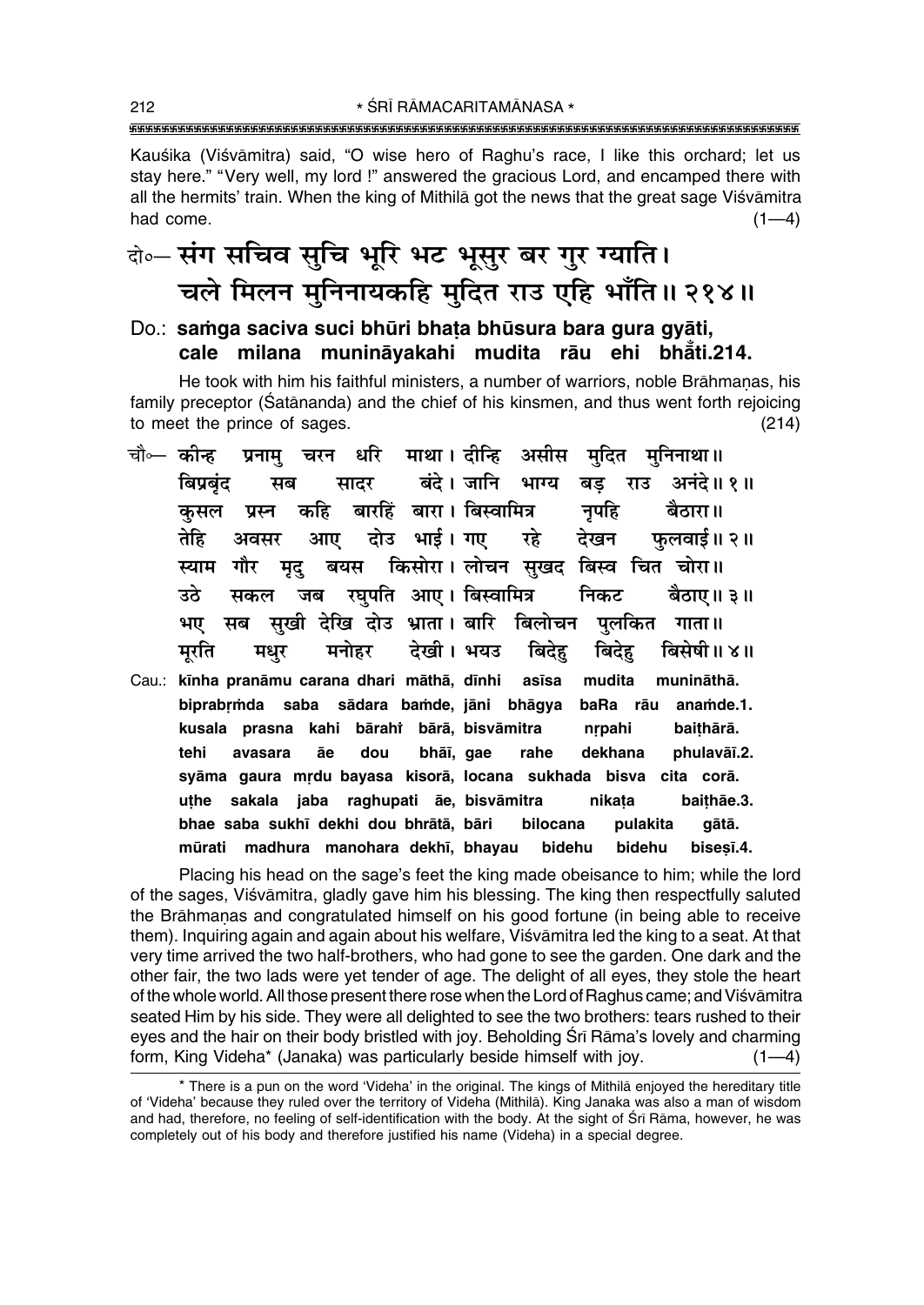Kauśika (Viśvāmitra) said, "O wise hero of Raghu's race, I like this orchard; let us stay here." "Very well, my lord!" answered the gracious Lord, and encamped there with all the hermits' train. When the king of Mithila got the news that the great sage Visvamitra had come.  $(1-4)$ 

## बे॰ संग सचिव सुचि भूरि भट भूसुर बर गुर ग्याति। चले मिलन मुनिनायकहि मुदित राउ एहि भाँति॥ २१४॥

Do.: samga saciya suci bhūri bhata bhūsura bara gura gyāti. cale milana munināyakahi mudita rāu ehi bhāti.214.

He took with him his faithful ministers, a number of warriors, noble Brāhmanas, his family preceptor (Satananda) and the chief of his kinsmen, and thus went forth rejoicing to meet the prince of sages.  $(214)$ 

- धरि माथा। दीन्हि असीस मुदित मुनिनाथा॥ चौ⊶ कोन्ह चरन प्रनाम् बंदे। जानि भाग्य बड राउ बिप्रबंट अनंदे॥ १॥ मब सादर बारहिं बारा। बिस्वामित्र कहि नपहि बैठारा॥ कसल प्रस्न तेहि आए दोउ भाई। गए फलवाई॥ २॥ रहे देखन अवसर बयस किसोरा। लोचन सुखद बिस्व चित चोरा॥ स्याम गौर मृद् उठे जब रघपति आए। बिस्वामित्र निकट सकल बैठाए॥ ३॥ सुखी देखि दोउ भ्राता। बारि बिलोचन पुलकित भए सब गाता ॥ देखी। भयउ बिदेह बिसेषी॥४॥ मरति मधर मनोहर बिदेह
- Cau.: kīnha pranāmu carana dhari māthā, dīnhi asīsa mudita munināthā. biprabrmda saba sādara bamde, jāni bhāgya baRa rāu anamde.1. kusala prasna kahi bārahi bārā, bisvāmitra nrpahi baithārā. tehi avasara dou bhāī, gae dekhana phulavāī.2. āe rahe syāma gaura mrdu bayasa kisorā, locana sukhada bisva cita corā. sakala jaba raghupati āe, bisvāmitra baithae.3. uthe nikata bhae saba sukhī dekhi dou bhrātā, bāri bilocana pulakita gātā. mūrati madhura manohara dekhī, bhavau bidehu bidehu bisesī.4.

Placing his head on the sage's feet the king made obeisance to him; while the lord of the sages, Visvamitra, gladly gave him his blessing. The king then respectfully saluted the Brāhmanas and congratulated himself on his good fortune (in being able to receive them). Inquiring again and again about his welfare, Visvamitra led the king to a seat. At that very time arrived the two half-brothers, who had gone to see the garden. One dark and the other fair, the two lads were yet tender of age. The delight of all eyes, they stole the heart of the whole world. All those present there rose when the Lord of Raghus came; and Viśvāmitra seated Him by his side. They were all delighted to see the two brothers: tears rushed to their eyes and the hair on their body bristled with joy. Beholding Srī Rāma's lovely and charming form, King Videha\* (Janaka) was particularly beside himself with joy. –4)

<sup>\*</sup> There is a pun on the word 'Videha' in the original. The kings of Mithila enjoyed the hereditary title of 'Videha' because they ruled over the territory of Videha (Mithila). King Janaka was also a man of wisdom and had, therefore, no feeling of self-identification with the body. At the sight of Sri Rama, however, he was completely out of his body and therefore justified his name (Videha) in a special degree.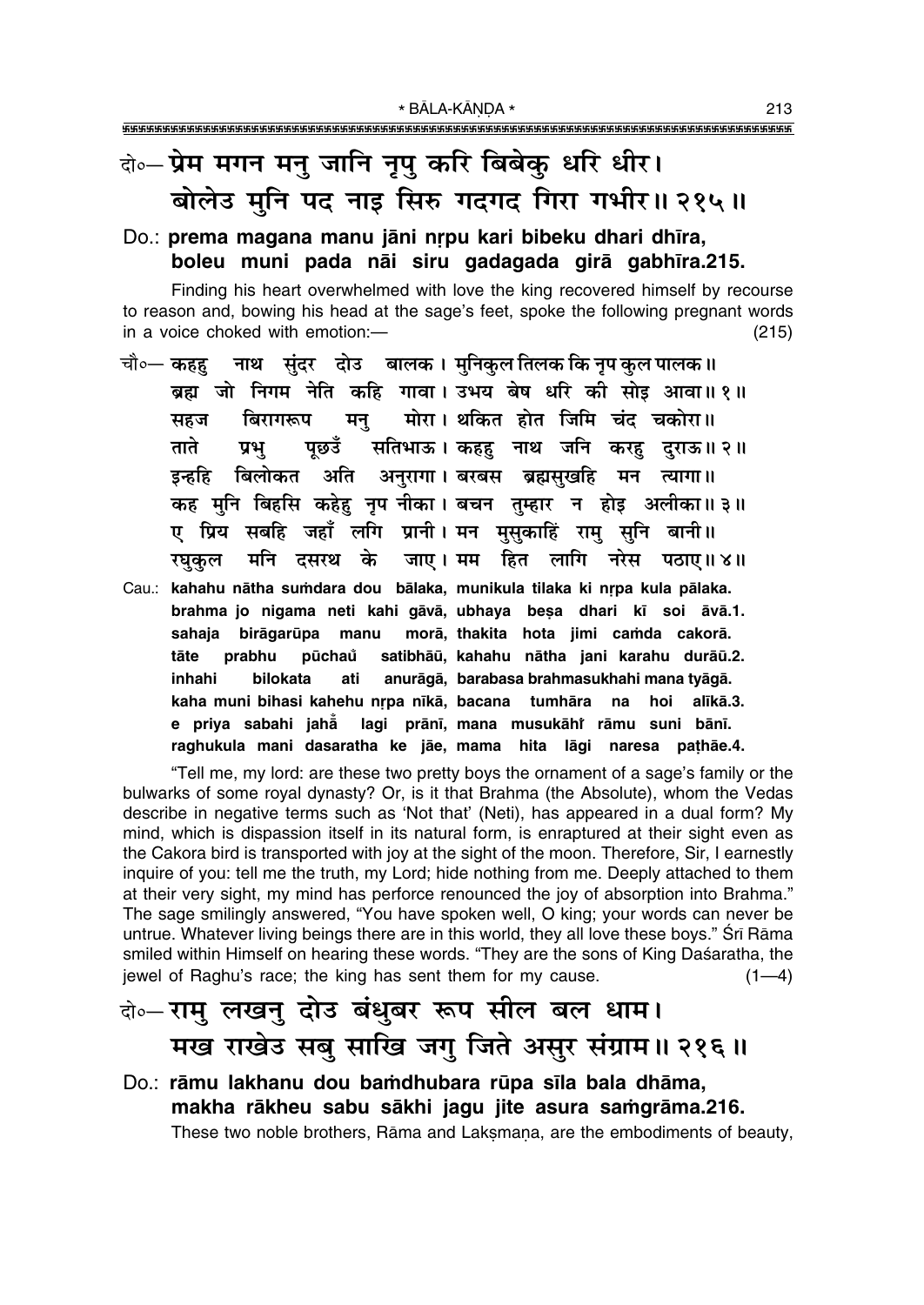## बे॰ प्रेम मगन मनु जानि नृपु करि बिबेकु धरि धीर। बोलेउ मनि पद नाइ सिरु गदगद गिरा गभीर॥ २१५॥

#### Do.: prema magana manu jāni nrpu kari bibeku dhari dhīra, boleu muni pada nāi siru gadagada girā gabhīra.215.

Finding his heart overwhelmed with love the king recovered himself by recourse to reason and, bowing his head at the sage's feet, spoke the following pregnant words in a voice choked with emotion:- $(215)$ 

- चौ०— कहह नाथ सुंदर दोउ बालक । मुनिकुल तिलक कि नृप कुल पालक ॥ ब्रह्म जो निगम नेति कहि गावा। उभय बेष धरि की सोड़ आवा॥१॥ मोरा। थकित होत जिमि चंद चकोरा॥ बिरागरूप सहज मन् ताते पछउँ सतिभाऊ। कहह नाथ जनि करह दराऊ॥२॥ प्रभ बिलोकत अति अनुरागा। बरबस ब्रह्मसुखहि मन त्यागा॥ डन्हहि कह मुनि बिहसि कहेह नृप नीका। बचन तुम्हार न होइ अलीका॥३॥ ए प्रिय सबहि जहाँ लगि प्रानी। मन मुसुकाहिं राम् सुनि बानी॥ मनि दसरथ के जाए। मम हित लागि नरेस पठाए॥४॥ रघुकुल
- Cau.: kahahu nātha sumdara dou bālaka, munikula tilaka ki nrpa kula pālaka. brahma jo nigama neti kahi gāvā, ubhaya besa dhari kī soi āvā.1. sahaja birāgarūpa morā, thakita hota jimi camda cakorā. manu pūchaů tāte prabhu satibhāū, kahahu nātha jani karahu durāū.2. anurāgā, barabasa brahmasukhahi mana tyāgā. inhahi bilokata ati kaha muni bihasi kahehu nrpa nīkā, bacana tumhāra alīkā.3. na hoi e priya sabahi jahă lagi prānī, mana musukāhi rāmu suni bānī. raghukula mani dasaratha ke jāe, mama hita lāgi naresa pathāe.4.

"Tell me, my lord: are these two pretty boys the ornament of a sage's family or the bulwarks of some royal dynasty? Or, is it that Brahma (the Absolute), whom the Vedas describe in negative terms such as 'Not that' (Neti), has appeared in a dual form? My mind, which is dispassion itself in its natural form, is enraptured at their sight even as the Cakora bird is transported with joy at the sight of the moon. Therefore, Sir, I earnestly inquire of you: tell me the truth, my Lord; hide nothing from me. Deeply attached to them at their very sight, my mind has perforce renounced the joy of absorption into Brahma." The sage smilingly answered, "You have spoken well, O king; your words can never be untrue. Whatever living beings there are in this world, they all love these boys." Srī Rāma smiled within Himself on hearing these words. "They are the sons of King Daśaratha, the jewel of Raghu's race; the king has sent them for my cause.  $(1-4)$ 

### वे⊶राम् लखन् दोउ बंधुबर रूप सील बल धाम। मख राखेउ सब साखि जग जिते असुर संग्राम॥ २१६॥

Do.: rāmu lakhanu dou bamdhubara rūpa sīla bala dhāma, makha rākheu sabu sākhi jagu jite asura samgrāma.216. These two noble brothers, Rāma and Lakṣmaṇa, are the embodiments of beauty,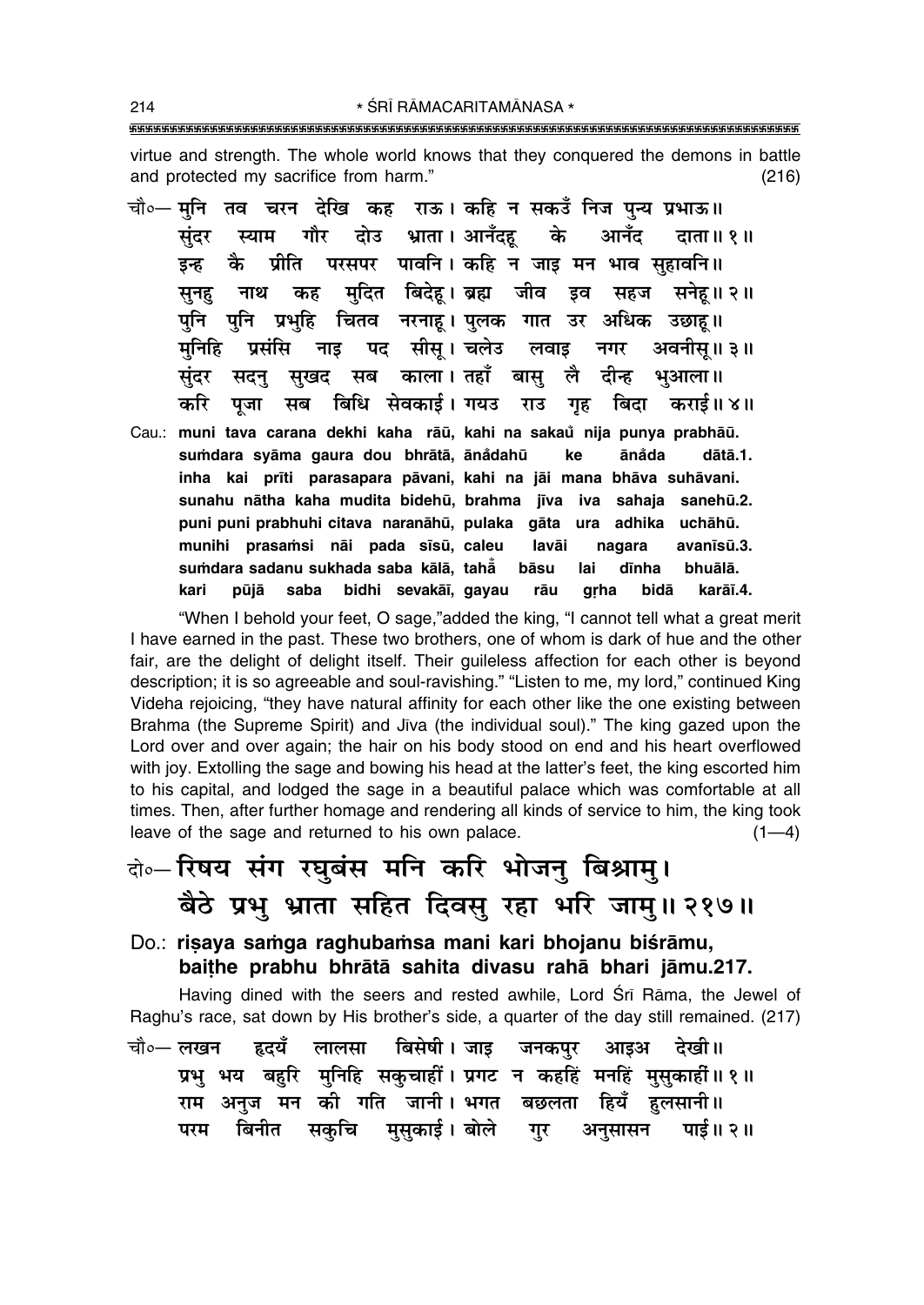$(216)$ 

and protected my sacrifice from harm."

sumdara sadanu sukhada saba kālā, tahā

saba

चौ∘— मनि तव चरन देखि कह राऊ। कहि न सकउँ निज पन्य प्रभाऊ॥ दोउ भ्राता । आनँदह गौर के आनँद संदर स्याम दाता॥ १॥ प्रीति परसपर पावनि । कहि न जाड मन भाव सहावनि ॥ कै इन्ह नाथ कह मदित बिदेह।ब्रह्म जीव इव सहज सनेह॥२॥ सनह पुनि पुनि प्रभुहि चितव नरनाह। पुलक गात उर अधिक उछाह॥ नाइ पद सीस। चलेउ लवाइ मनिहि प्रसंसि अवनीस॥ ३॥ नगर सखद सब काला। तहाँ बास लै संदर सदन दीन्ह भआला ॥ बिधि सेवकाई। गयउ राउ गृह करि पजा बिदा सब कराई॥ ४॥ Cau.: muni tava carana dekhi kaha rāū, kahi na sakaŭ nija punya prabhāū. sumdara syāma gaura dou bhrātā, ānådahū ānåda ke dātā.1. inha kai prīti parasapara pāvani, kahi na jāi mana bhāva suhāvani. sunahu nātha kaha mudita bidehū, brahma jīva iva sahaja sanehū.2. puni puni prabhuhi citava naranāhū, pulaka gāta ura adhika uchāhū. munihi prasamsi nāi pada sīsū, caleu lavāi nagara avanīsū.3.

bidhi sevakāī, gayau

"When I behold your feet, O sage,"added the king, "I cannot tell what a great merit I have earned in the past. These two brothers, one of whom is dark of hue and the other fair, are the delight of delight itself. Their guileless affection for each other is beyond description; it is so agreeable and soul-ravishing." "Listen to me, my lord," continued King Videha rejoicing, "they have natural affinity for each other like the one existing between Brahma (the Supreme Spirit) and Jīva (the individual soul)." The king gazed upon the Lord over and over again; the hair on his body stood on end and his heart overflowed with joy. Extolling the sage and bowing his head at the latter's feet, the king escorted him to his capital, and lodged the sage in a beautiful palace which was comfortable at all times. Then, after further homage and rendering all kinds of service to him, the king took leave of the sage and returned to his own palace.  $(1-4)$ 

bāsu

rāu

lai

grha

dīnha

bidā

bhuālā.

karāī.4.

# के-रिषय संग रघुबंस मनि करि भोजनु बिश्रामु। बैठे प्रभु भ्राता सहित दिवसु रहा भरि जामु॥ २१७॥

Do.: risaya samga raghubamsa mani kari bhojanu biśrāmu, baithe prabhu bhrātā sahita divasu rahā bhari jāmu.217.

Having dined with the seers and rested awhile, Lord Srī Rāma, the Jewel of Raghu's race, sat down by His brother's side, a quarter of the day still remained. (217)

बिसेषी। जाड चौ०— लखन हृदयँ लालसा जनकपुर आइअ देखी।। प्रभु भय बहुरि मुनिहि सकुचाहीं । प्रगट न कहहिं मनहिं मुसुकाहीं ॥ १ ॥ राम अनुज मन की गति जानी। भगत बछलता हियँ हलसानी॥ परम बिनीत सकचि मसकाई।बोले गर अनसासन पाई॥ २॥

kari

pūjā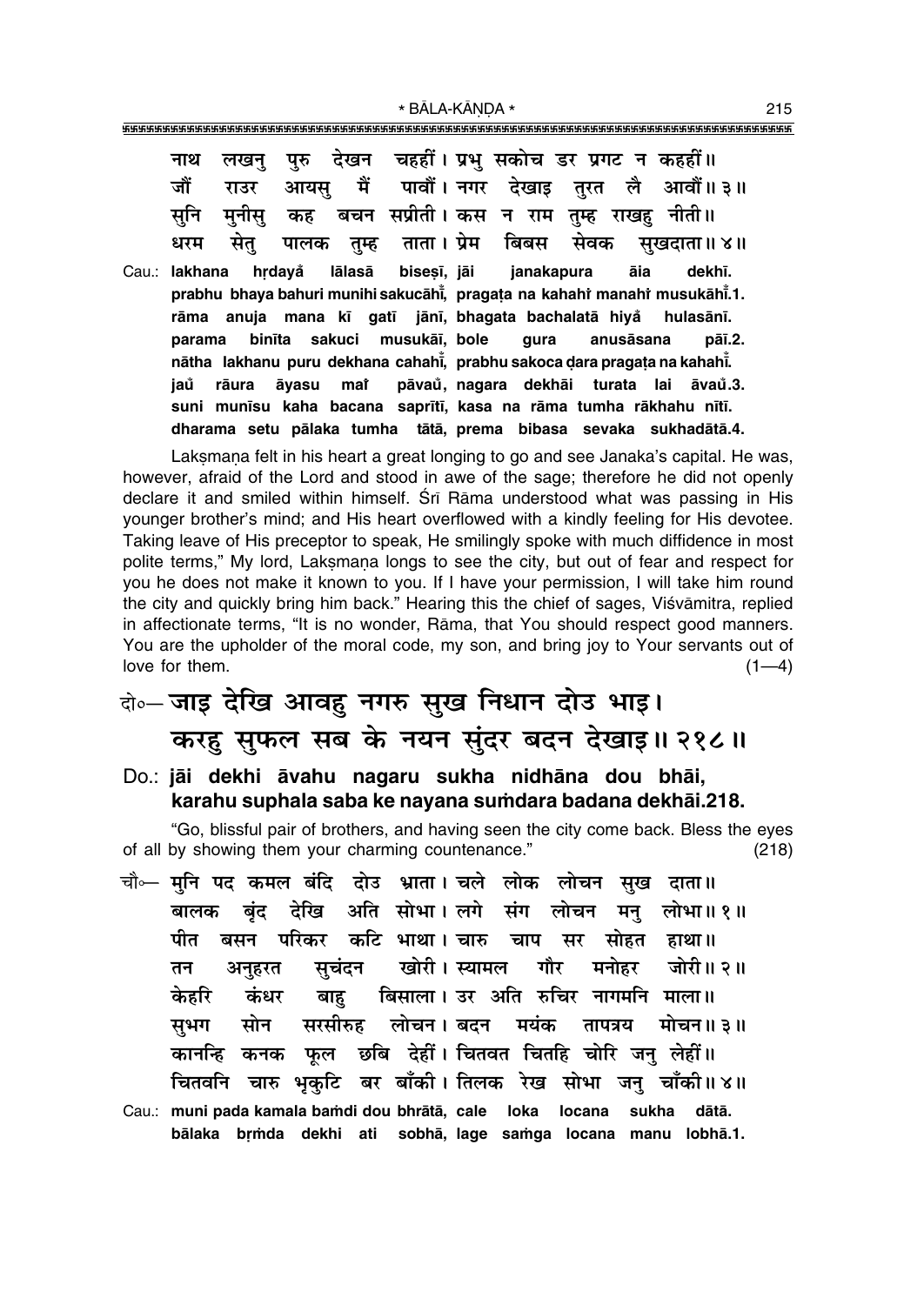| नाथ<br>जौं<br>सूनि<br>धरम | राउर<br>मनीस<br>सेत् |  |  | लखनु पुरु देखन चहहीं। प्रभु सकोच डर प्रगट न कहहीं॥<br>कह  बचन  सप्रीती । कस  न  राम  तुम्ह  राखहु  नीती ॥ |  | आयसु मैं पावौं। नगर देखाइ तुरत लै आवौं॥३॥<br>पालक तुम्ह ताता। प्रेम बिबस सेवक सुखदाता॥४॥                                                                                                                           |
|---------------------------|----------------------|--|--|-----------------------------------------------------------------------------------------------------------|--|--------------------------------------------------------------------------------------------------------------------------------------------------------------------------------------------------------------------|
|                           |                      |  |  | Cau.: lakhana hrdayå lālasā bisesī, jāi janakapura āia                                                    |  | dekhī.<br>prabhu bhaya bahuri munihi sakucāhi, pragata na kahahi manahi musukāhi.1.<br>rāma anuja mana kī gatī jānī, bhagata bachalatā hiyå hulasānī.                                                              |
| jaů                       |                      |  |  | parama binīta sakuci musukāi, bole gura anusāsana                                                         |  | pāī.2.<br>nātha lakhanu puru dekhana cahahi, prabhu sakoca dara pragata na kahahi.<br>rāura āyasu mai pāvau, nagara dekhāi turata lai āvau.3.<br>suni munīsu kaha bacana saprītī, kasa na rāma tumha rākhahu nītī. |
|                           |                      |  |  |                                                                                                           |  | dharama setu pālaka tumha tātā, prema bibasa sevaka sukhadātā.4.                                                                                                                                                   |

Laksmana felt in his heart a great longing to go and see Janaka's capital. He was, however, afraid of the Lord and stood in awe of the sage; therefore he did not openly declare it and smiled within himself. Śrī Rāma understood what was passing in His younger brotherís mind; and His heart overflowed with a kindly feeling for His devotee. Taking leave of His preceptor to speak, He smilingly spoke with much diffidence in most polite terms," My lord, Laksmana longs to see the city, but out of fear and respect for you he does not make it known to you. If I have your permission, I will take him round the city and quickly bring him back." Hearing this the chief of sages, Viśvāmitra, replied in affectionate terms, "It is no wonder, Rāma, that You should respect good manners. You are the upholder of the moral code, my son, and bring joy to Your servants out of  $\lvert$  love for them. (1—4)

## दो**०– जाइ देखि आवहु नगरु सुख निधान दोउ भाइ। करहु सुफल सब के नयन सुंदर बदन देखाइ॥ २१८॥**

Do.: **jåi dekhi åvahu nagaru sukha nidhåna dou bhåi, karahu suphala saba ke nayana su≈dara badana dekhåi.218.**

ìGo, blissful pair of brothers, and having seen the city come back. Bless the eyes of all by showing them your charming countenance." (218)

- चौ∞— **मुनि पद कमल बंदि दोउ भ्राता। चले लोक लोचन सुख दाता॥ बालक बृंद देखि अति सोभा। लगे संग लोचन मनु लोभा॥१॥** <u>पीत बसन परिकर कटि भाथा। चारु चाप सर सोहत हाथा॥</u> ेतन अनुहरत सुचंदन खोरी। स्यामल गौर मनोहर जोरी॥ २॥ ेकेहरि कंधर बाह बिसाला। उर**्अति रुचिर नागमनि माला**॥ सभग सोन सरसीरुह लोचन।बदन मयंक तापत्रय मोचन॥३॥ े कानन्हि कनक फुल छबि देहीं । चितवत चितहि चोरि जन् लेहीं ॥ **चितवनि चारु भृकुटि बर बाँकी। तिलक रेख सोभा जनु चाँकी॥४॥**
- Cau.: **muni pada kamala ba≈di dou bhråtå, cale loka locana sukha dåtå.** bālaka brmda dekhi ati sobhā, lage samga locana manu lobhā.1.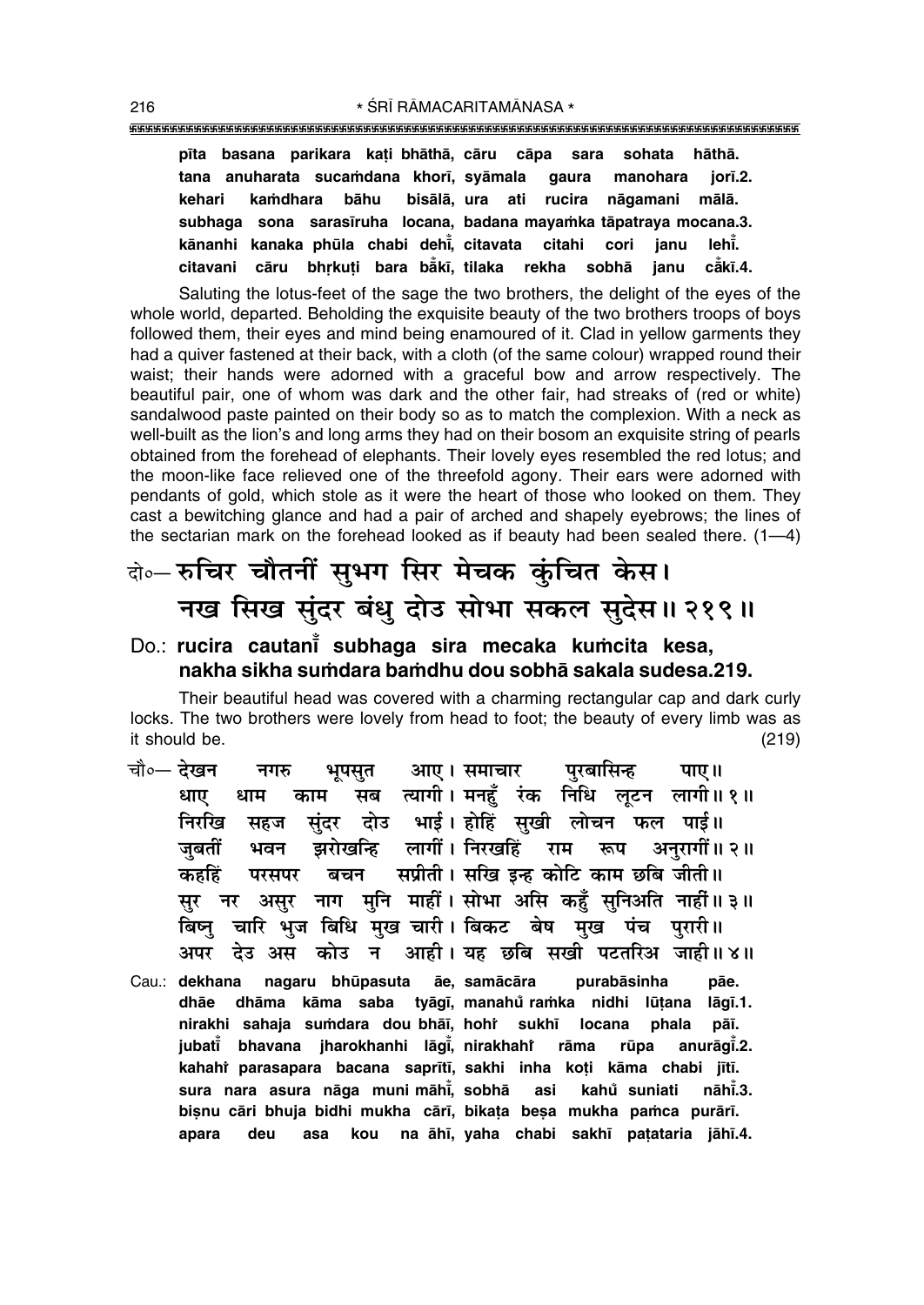|  |  |  |  | pīta basana parikara kati bhāthā, cāru cāpa sara sohata hāthā.     |  |
|--|--|--|--|--------------------------------------------------------------------|--|
|  |  |  |  | tana anuharata sucamdana khorī, syāmala gaura manohara jorī.2.     |  |
|  |  |  |  | kehari kamdhara bāhu bisālā, ura ati rucira nāgamani mālā.         |  |
|  |  |  |  | subhaga sona sarasīruha locana, badana mayamka tāpatraya mocana.3. |  |
|  |  |  |  | kānanhi kanaka phūla chabi dehi, citavata citahi cori janu lehi.   |  |
|  |  |  |  | citavani cāru bhrkuti bara bākī, tilaka rekha sobhā janu cākī.4.   |  |

Saluting the lotus-feet of the sage the two brothers, the delight of the eyes of the whole world, departed. Beholding the exquisite beauty of the two brothers troops of boys followed them, their eyes and mind being enamoured of it. Clad in yellow garments they had a quiver fastened at their back, with a cloth (of the same colour) wrapped round their waist; their hands were adorned with a graceful bow and arrow respectively. The beautiful pair, one of whom was dark and the other fair, had streaks of (red or white) sandalwood paste painted on their body so as to match the complexion. With a neck as well-built as the lion's and long arms they had on their bosom an exquisite string of pearls obtained from the forehead of elephants. Their lovely eyes resembled the red lotus; and the moon-like face relieved one of the threefold agony. Their ears were adorned with pendants of gold, which stole as it were the heart of those who looked on them. They cast a bewitching glance and had a pair of arched and shapely eyebrows; the lines of the sectarian mark on the forehead looked as if beauty had been sealed there.  $(1-4)$ 

## दो**०– रुचिर चौतनीं सुभग सिर मेचक कुंचित केस। नख सिख सुंदर बंधु दोउ सोभा सकल सुदेस॥ २१९॥**

#### Do.: **rucira cautani̇̃ subhaga sira mecaka kuṁcita kesa, nakha sikha su≈dara ba≈dhu dou sobhå sakala sudesa.219.**

Their beautiful head was covered with a charming rectangular cap and dark curly locks. The two brothers were lovely from head to foot; the beauty of every limb was as it should be. (219)

- <sup>.</sup> चौ०— देखन नगरु भूपसुत आए । समाचार पुरबासिन्ह पाए ॥ धाए धाम काम सब त्यागी।मनहूँ रंक निधि लूटन लागी॥१॥ निरखि सहज सुंदर दोउ भाई।**होहिं सुखी लोचन फल पाई**॥ जबतीं भवन झरोखन्हि लागीं। निरखहिं राम रूप अनुरागीं॥ २॥ कहहिं परसपर बचन सप्रीती। सखि इन्ह कोटि काम छबि जीती॥ सुर नर असुर नाग मुनि माहीं। सोभा असि कहुँ सुनिअति नाहीं॥३॥ बिष्नु चारि भुज बिधि मुख चारी। बिकट बेष मुख पंच पुरारी॥ **•¬⁄U Œ©U •' ∑§Ù©U Ÿ •Ê"UË– ÿ"U ¿UÁ' 'πË ¬≈UÃÁ⁄U• ¡Ê"UËH 4H** Cau.: **dekhana nagaru bhūpasuta āe, samācāra purabāsinha pāe.**
- **dhåe dhåma kåma saba tyåg∂, manahu° ra≈ka nidhi lµu¢ana låg∂.1.** nirakhi sahaja suṁdara dou-bhāī, hohi̇̀ sukhī locana phala pāī<mark>.</mark> **jubat∂° bhavana jharokhanhi låg∂° , nirakhahiÚ råma rµupa anuråg∂° .2.** kahahi parasapara bacana saprītī, sakhi inha koți kāma chabi jītī. **sura nara asura någa muni måh∂° , sobhå asi kahu° suniati nåh∂° .3.** bişnu cāri bhuja bidhi mukha cārī, bikata beşa mukha pamca purārī. **apara deu asa kou na åh∂, yaha chabi sakh∂ pa¢ataria jåh∂.4.**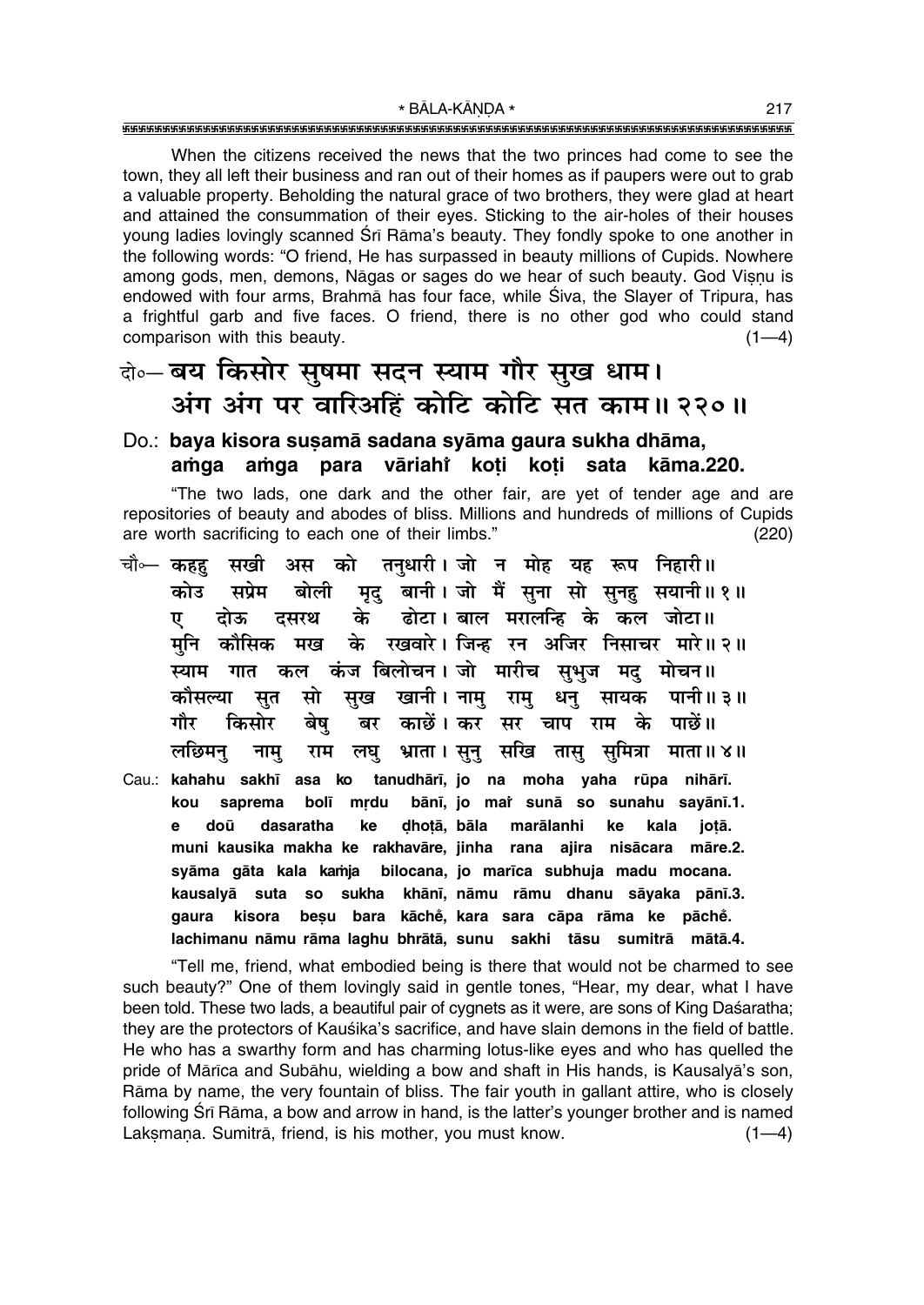When the citizens received the news that the two princes had come to see the town, they all left their business and ran out of their homes as if paupers were out to grab a valuable property. Beholding the natural grace of two brothers, they were glad at heart and attained the consummation of their eyes. Sticking to the air-holes of their houses young ladies lovingly scanned Srī Rāma's beauty. They fondly spoke to one another in the following words: "O friend, He has surpassed in beauty millions of Cupids. Nowhere among gods, men, demons, Nāgas or sages do we hear of such beauty. God Visnu is endowed with four arms, Brahma has four face, while Siva, the Slayer of Tripura, has a frightful garb and five faces. O friend, there is no other god who could stand comparison with this beauty.  $(1-4)$ 

### बे॰ बय किसोर सुषमा सदन स्याम गौर सुख धाम। अंग अंग पर वारिअहिं कोटि कोटि सत काम॥ २२०॥

#### Do.: baya kisora susamā sadana syāma gaura sukha dhāma, amga amga para vāriahi koti koti sata kāma.220.

"The two lads, one dark and the other fair, are yet of tender age and are repositories of beauty and abodes of bliss. Millions and hundreds of millions of Cupids are worth sacrificing to each one of their limbs."  $(220)$ 

- सखी अस को तनुधारी। जो न मोह यह रूप निहारी॥ चौ⊶ कहह मृद् बानी। जो मैं सुना सो सुनह सयानी॥१॥ कोउ सप्रेम बोली ढोटा। बाल मरालन्हि के कल जोटा॥ के दसरथ ए दोऊ मख के रखवारे। जिन्ह रन अजिर निसाचर मारे॥२॥ मनि कौसिक स्याम गात कल कंज बिलोचन।जो मारीच सभज मद मोचन॥ कौसल्या सुख खानी। नामु रामु सत सो धनु सायक पानी॥३॥ किसोर काछें। कर सर चाप राम के पाछें॥ गौर बेष बर लछिमन् भ्राता । सूनु सखि तासु सुमित्रा माता॥४॥ राम लघ नाम् Cau.: kahahu sakhī asa ko tanudhārī, jo na moha yaha rūpa nihārī.
- kou mrdu bānī, jo mai sunā so sunahu sayānī.1. saprema bolī  $\mathbf{a}$ doū dasaratha ke dhotā, bāla marālanhi ke kala jotā. muni kausika makha ke rakhavāre, jinha rana ajira nisācara māre.2. syāma gāta kala kamja bilocana, jo marīca subhuja madu mocana. kausalyā suta so sukha khānī, nāmu rāmu dhanu sāyaka pānī.3. beșu bara kāchě, kara sara cāpa rāma ke pāchě. kisora qaura lachimanu nāmu rāma laghu bhrātā, sunu sakhi tāsu sumitrā mātā.4.

"Tell me, friend, what embodied being is there that would not be charmed to see such beauty?" One of them lovingly said in gentle tones, "Hear, my dear, what I have been told. These two lads, a beautiful pair of cygnets as it were, are sons of King Daśaratha; they are the protectors of Kauśika's sacrifice, and have slain demons in the field of battle. He who has a swarthy form and has charming lotus-like eyes and who has quelled the pride of Mārīca and Subāhu, wielding a bow and shaft in His hands, is Kausalyā's son, Rāma by name, the very fountain of bliss. The fair youth in gallant attire, who is closely following Srī Rāma, a bow and arrow in hand, is the latter's younger brother and is named Laksmana. Sumitrā, friend, is his mother, you must know.  $(1-4)$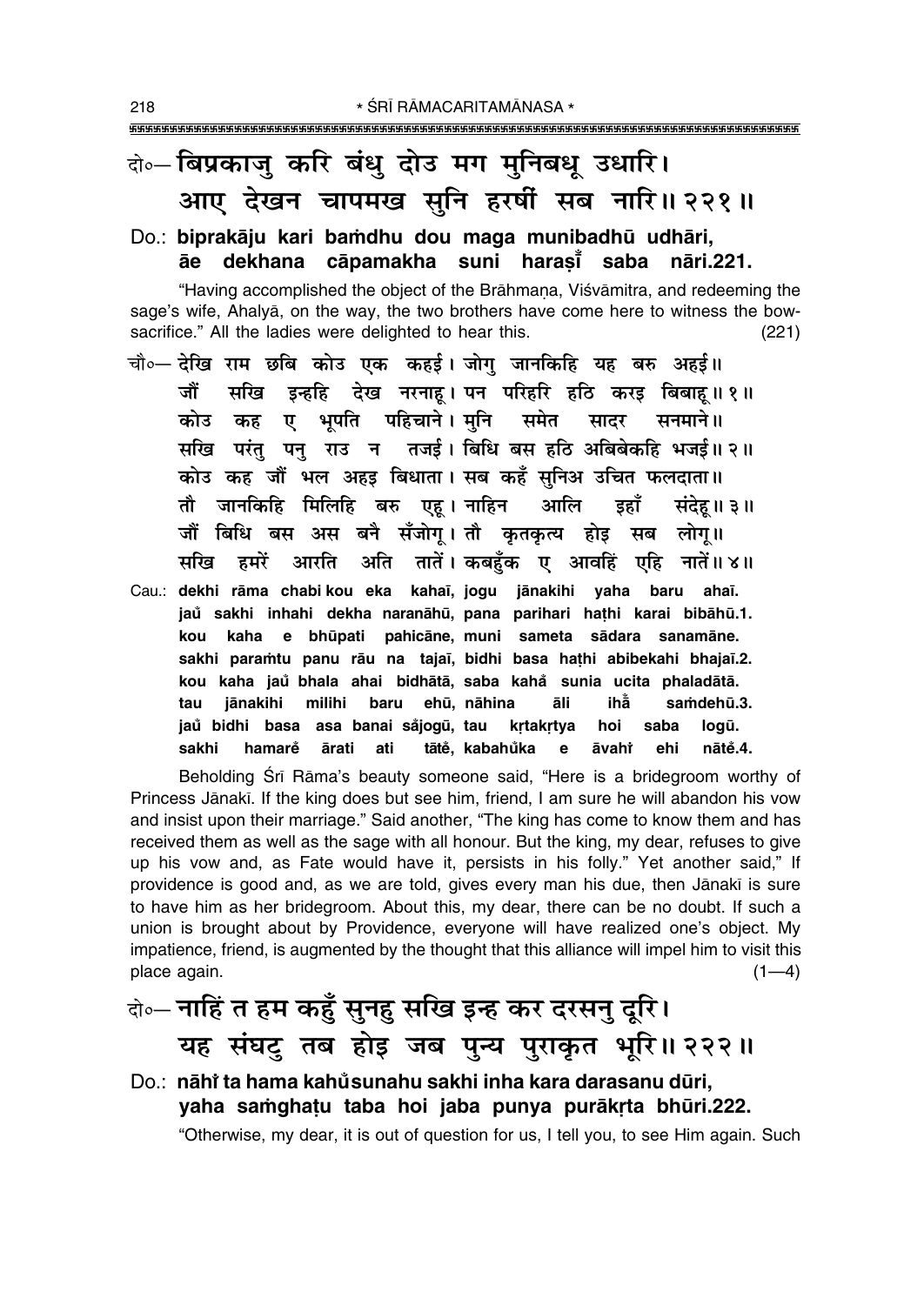### बे॰ बिप्रकाजु करि बंधु दोउ मग मुनिबधु उधारि। आए देखन चापमख सुनि हरषीं सब नारि॥ २२१॥

### Do.: biprakāju kari bamdhu dou maga munibadhū udhāri, āe dekhana cāpamakha suni harasī saba nāri.221.

"Having accomplished the object of the Brāhmana, Viśvāmitra, and redeeming the sage's wife, Ahalya, on the way, the two brothers have come here to witness the bowsacrifice." All the ladies were delighted to hear this.  $(221)$ 

- चौ०— देखि राम छबि कोउ एक कहई। जोग जानकिहि यह बरु अहई॥ सखि इन्हहि देख नरनाह। पन परिहरि हठि करइ बिबाह।। १ ॥ जौं कोउ कह ए भपति पहिचाने।मनि समेत सादर सनमाने ॥ सखि परंतु पनु राउ न तजई। बिधि बस हठि अबिबेकहि भजई॥ २॥ कोउ कह जौं भल अहड़ बिधाता। सब कहँ सनिअ उचित फलदाता॥ तौ जानकिहि मिलिहि बरु एहू।नाहिन आलि डहाँ संदेह॥ ३॥ जौं बिधि बस अस बनै सँजोग। तौ कतकत्य होड़ सब लोग॥ आरति अति तातें। कबहँक ए आवहिं एहि नातें॥४॥ सखि हमरें
- Cau.: dekhi rāma chabi kou eka kahaī, jogu jānakihi yaha baru ahaī. jaů sakhi inhahi dekha naranāhū, pana parihari hathi karai bibāhū.1. kaha e bhūpati pahicāne, muni sameta sādara sanamāne. kou sakhi paramtu panu rāu na tajaī, bidhi basa hathi abibekahi bhajaī.2. kou kaha jaŭ bhala ahai bidhātā, saba kahå sunia ucita phaladātā. jānakihi milihi baru ehū, nāhina āli ihằ samdehū.3. tau jaů bidhi basa asa banai såjogū, tau krtakrtya hoi saba logū. sakhi hamare ārati ati tātě, kabahůka  $\mathbf{e}$ āvahř ehi nātě.4.

Beholding Srī Rāma's beauty someone said, "Here is a bridegroom worthy of Princess Jānakī. If the king does but see him, friend, I am sure he will abandon his vow and insist upon their marriage." Said another, "The king has come to know them and has received them as well as the sage with all honour. But the king, my dear, refuses to give up his vow and, as Fate would have it, persists in his folly." Yet another said," If providence is good and, as we are told, gives every man his due, then Jānakī is sure to have him as her bridegroom. About this, my dear, there can be no doubt. If such a union is brought about by Providence, everyone will have realized one's object. My impatience, friend, is augmented by the thought that this alliance will impel him to visit this place again.  $(1-4)$ 

# के-नाहिं त हम कहुँ सुनहु सखि इन्ह कर दरसनु दूरि। यह संघटु तब होइ जब पुन्य पुराकृत भूरि॥ २२२॥

Do.: nāhi ta hama kahůsunahu sakhi inha kara darasanu dūri, yaha samghatu taba hoi jaba punya purākrta bhūri.222. "Otherwise, my dear, it is out of question for us, I tell you, to see Him again. Such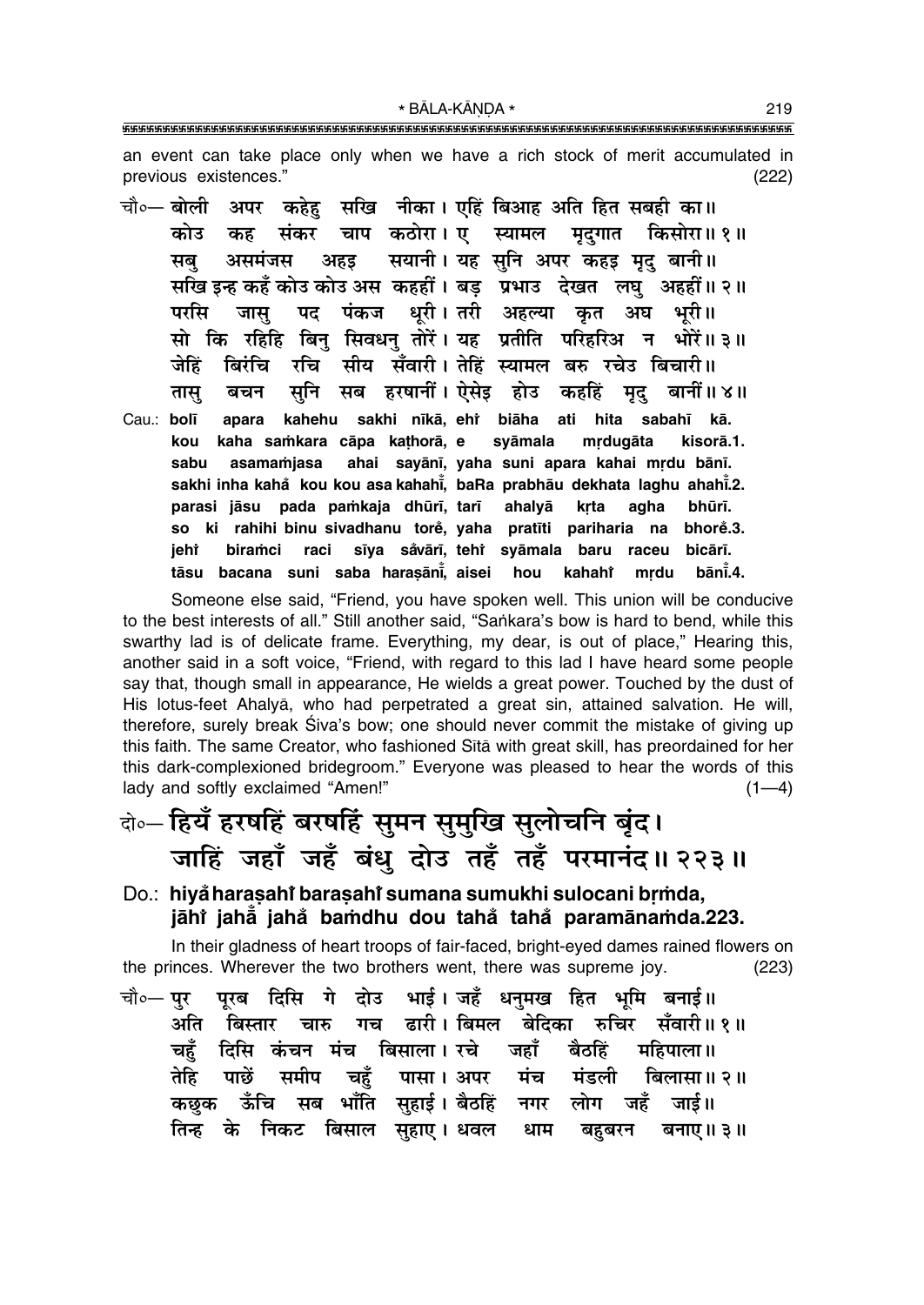\* BĀLA-KĀNDA \* 

an event can take place only when we have a rich stock of merit accumulated in previous existences."  $(222)$ 

कहेह सखि नीका। एहिं बिआह अति हित सबही का॥ चौ०- बोली अपर कोउ चाप कठोरा। एक्यामल मुदगात किसोरा॥ १॥ कह संकर सयानी। यह सनि अपर कहड़ मृद् बानी॥ असमंजस अहड सब सखि इन्ह कहँ कोउ कोउ अस कहहीं। बड़ प्रभाउ देखत लघु अहहीं॥२॥ पद पंकज धरी।तरी अहल्या कत अंघ भरी॥ परसि जास सो कि रहिहि बिनु सिवधनु तोरें। यह प्रतीति परिहरिअ न भोरें॥३॥ सीय सँवारी। तेहिं स्यामल बरु रचेउ बिचारी॥ रचि जेहिं बिरंचि सब हरषानीं। ऐसेइ होउ कहहिं मृद् बानीं॥४॥ सूनि तास् बचन kahehu sakhi nīkā, ehr biāha ati hita Cau.: bolī sabahī kā. apara kou kaha samkara cāpa kathorā, e syāmala mrdugāta kisorā.1. ahai sayānī, yaha suni apara kahai mrdu bānī. asamamjasa sabu sakhi inha kahå kou kou asa kahahi, baRa prabhāu dekhata laghu ahahi.2. parasi jāsu pada pamkaja dhūrī, tarī ahalyā krta agha bhūrī. ki rahihi binu sivadhanu torė, vaha pratīti pariharia na so bhore.3. sīya såvārī, teht syāmala baru raceu bicārī. ieht biramci raci tāsu bacana suni saba harasāni, aisei bānī.4. hou kahahr mrdu

Someone else said, "Friend, you have spoken well. This union will be conducive to the best interests of all." Still another said, "Sankara's bow is hard to bend, while this swarthy lad is of delicate frame. Everything, my dear, is out of place," Hearing this, another said in a soft voice, "Friend, with regard to this lad I have heard some people say that, though small in appearance, He wields a great power. Touched by the dust of His lotus-feet Ahalyā, who had perpetrated a great sin, attained salvation. He will, therefore, surely break Siva's bow; one should never commit the mistake of giving up this faith. The same Creator, who fashioned Sita with great skill, has preordained for her this dark-complexioned bridegroom." Everyone was pleased to hear the words of this lady and softly exclaimed "Amen!"  $(1-4)$ 

### बे∘– हियँ हरषहिं बरषहिं सुमन सुमुखि सुलोचनि बृंद। जाहिं जहाँ जहँ बंधु दोउ तहँ तहँ परमानंद॥ २२३॥

#### Do.: hiyå harasahi barasahi sumana sumukhi sulocani brmda, jāhi jahā jahå bamdhu dou tahå tahå paramānamda.223.

In their gladness of heart troops of fair-faced, bright-eyed dames rained flowers on the princes. Wherever the two brothers went, there was supreme joy.  $(223)$ 

पुरब दिसि गे दोउ भाई। जहँ धनुमख हित भूमि बनाई॥ चौ०— **प्**र बिस्तार चारु गच ढारी।बिमल बेदिका रुचिर सँवारी॥१॥ अति दिसि कंचन मंच बिसाला। रचे जहाँ चहँ बैठहिं महिपाला ॥ तेहि पाछें समीप चहँ पासा। अपर मंच मंडली बिलासा॥ २॥ ऊँचि सब भाँति सहाई।वैठहिं नगर लोग कछक जहँ जार्ड ॥ तिन्ह के निकट बिसाल सुहाए। धवल धाम बहुबरन बनाए॥ ३॥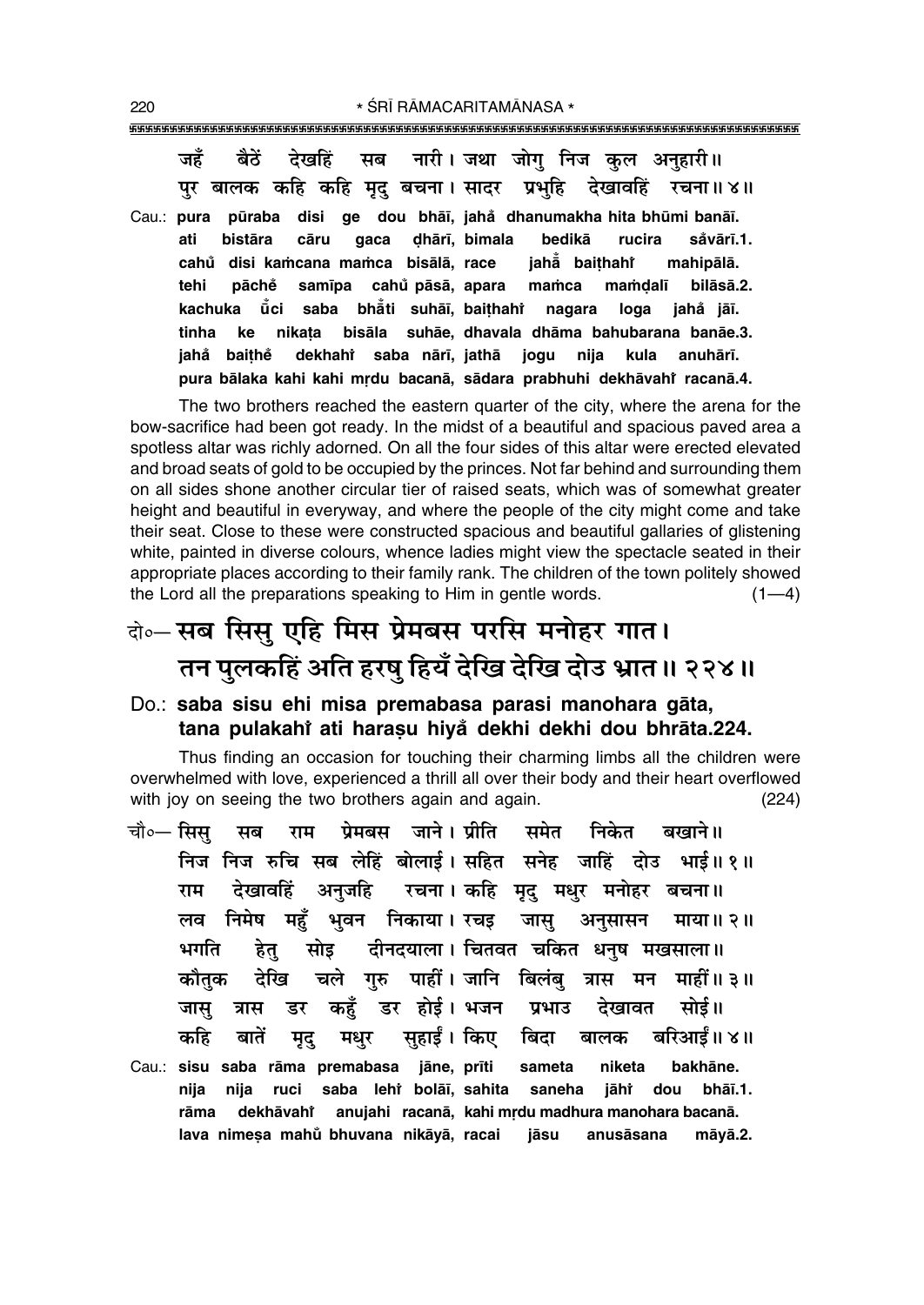जहँ बैठें देखहिं सब नारी।**जथा जोग निज कल अन**हारी॥ पर बालक कहि कहि मृद् बचना। सादर प्रभुहि देखावहिं रचना॥४॥ Cau.: **pura pµuraba disi ge dou bhå∂, jaha° dhanumakha hita bhµumi banå∂. ati biståra cåru gaca Œhår∂, bimala bedikå rucira sa°vår∂.1. cahu° disi ka≈cana ma≈ca bisålå, race jahå° bai¢hahiÚ mahipålå.** tehi pāche samīpa cahů pāsā, apara mamca mamdalī bilāsā.2. **kachuka µu° ci saba bhå° ti suhå∂, bai¢hahiÚ nagara loga jaha° jå∂. tinha ke nika¢a bisåla suhåe, dhavala dhåma bahubarana banåe.3.**  $i$ ahå baithe  **saba når∂, jathå jogu nija kula anuhår∂.** pura bālaka kahi kahi mṛdu bacanā, sādara prabhuhi dekhāvahi racanā.4.

The two brothers reached the eastern quarter of the city, where the arena for the bow-sacrifice had been got ready. In the midst of a beautiful and spacious paved area a spotless altar was richly adorned. On all the four sides of this altar were erected elevated and broad seats of gold to be occupied by the princes. Not far behind and surrounding them on all sides shone another circular tier of raised seats, which was of somewhat greater height and beautiful in everyway, and where the people of the city might come and take their seat. Close to these were constructed spacious and beautiful gallaries of glistening white, painted in diverse colours, whence ladies might view the spectacle seated in their appropriate places according to their family rank. The children of the town politely showed the Lord all the preparations speaking to Him in gentle words.  $(1-4)$ 

### दो०–सब सिसु एहि मिस प्रेमबस परसि मनोहर गात। <u>तन पु</u>लकहिं अति हरषु हियँ देखि देखि दोउ भ्रात॥ २२४॥

### Do.: **saba sisu ehi misa premabasa parasi manohara gåta, tana pulakahiÚ ati hara¶u hiya° dekhi dekhi dou bhråta.224.**

Thus finding an occasion for touching their charming limbs all the children were overwhelmed with love, experienced a thrill all over their body and their heart overflowed with joy on seeing the two brothers again and again. (224)

| चौ∘— सिसु सब राम प्रेमबस जाने।।प्रीति समेत निकेत बखाने॥           |
|-------------------------------------------------------------------|
| निज निज रुचि सब लेहिं बोलाई। सहित सनेह जाहिं दोउ भाई॥१॥           |
| राम देखावहिं अनुजहि रचना।कहि मृदु मधुर मनोहर बचना॥                |
| लव निमेष महुँ भुवन निकाया। रचइ जासु अनुसासन माया॥२॥               |
| भगति हेतु सोइ दीनदयाला। चितवत चकित धनुष मखसाला॥                   |
| कौतुक देखि चले गुरु पाहीं।जानि बिलंबु त्रास मन माहीं॥३॥           |
| जासु त्रास डर कहुँ डर होई। भजन प्रभाउ देखावत सोई॥                 |
| कहि बातें मृदु मधुर सुहाईं।वििाए बिदा बालक बरिआईं॥४॥              |
| Cau.: sisu saba rāma premabasa jāne, prīti sameta niketa bakhāne. |
| nija ruci saba lehi bolāī, sahita saneha jāhi dou bhāī.1.<br>nija |
| rāma dekhāvahi anujahi racanā, kahi mrdu madhura manohara bacanā. |
| lava nimesa mahŭ bhuvana nikāyā, racai jāsu anusāsana māyā.2.     |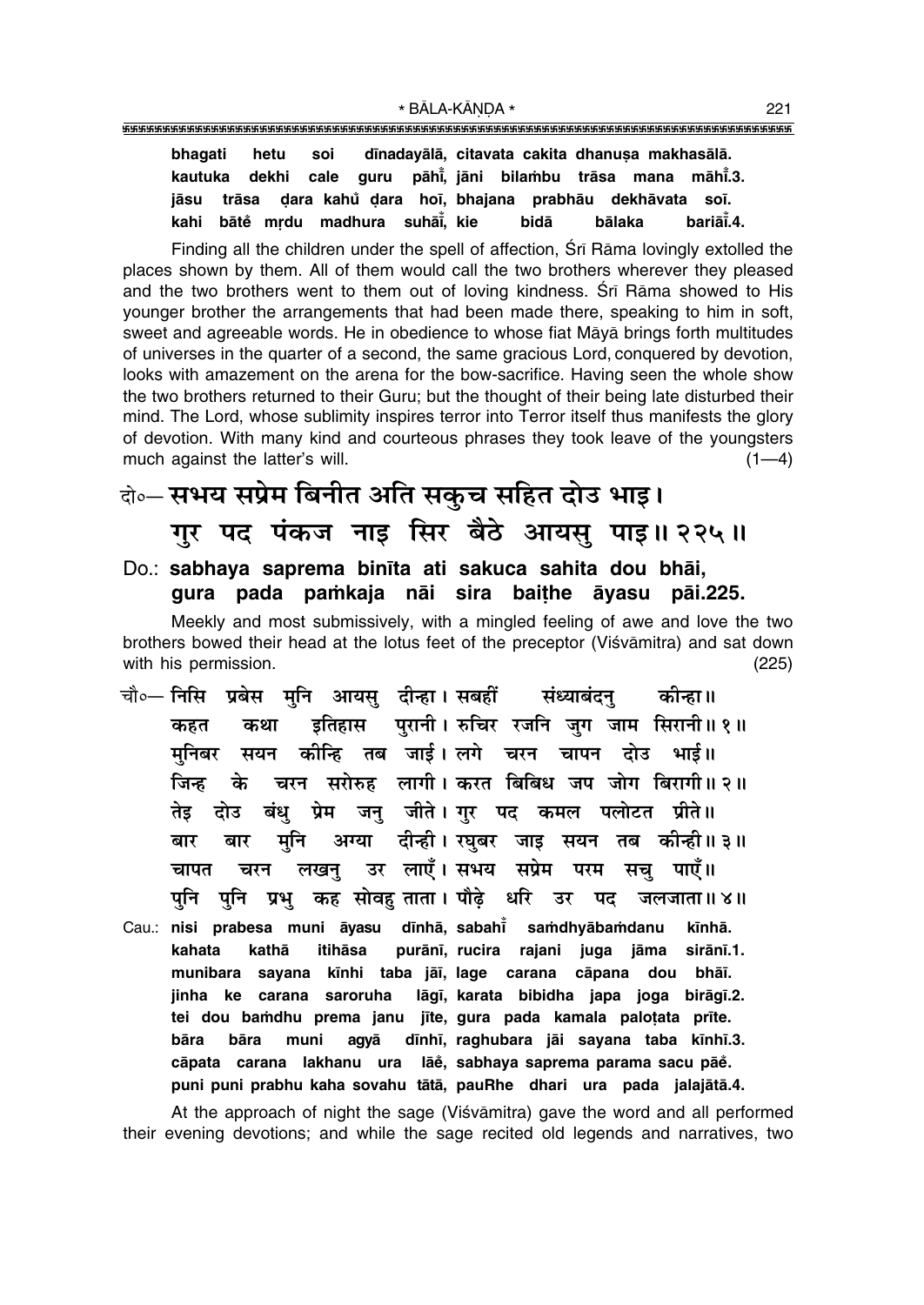dīnadayālā, citavata cakita dhanuṣa makhasālā. bhagati hetu soi cale guru pāhi, jāni bilambu trāsa mana māhi.3. kautuka dekhi dara kahů dara hoī, bhajana prabhāu dekhāvata soī, iāsu trāsa kahi bātě mrdu madhura suhāi, kie bidā bālaka bariāi.4.

Finding all the children under the spell of affection, Srī Rāma lovingly extolled the places shown by them. All of them would call the two brothers wherever they pleased and the two brothers went to them out of loving kindness. Sri Rama showed to His vounger brother the arrangements that had been made there, speaking to him in soft. sweet and agreeable words. He in obedience to whose fiat Māyā brings forth multitudes of universes in the quarter of a second, the same gracious Lord, conquered by devotion, looks with amazement on the arena for the bow-sacrifice. Having seen the whole show the two brothers returned to their Guru; but the thought of their being late disturbed their mind. The Lord, whose sublimity inspires terror into Terror itself thus manifests the glory of devotion. With many kind and courteous phrases they took leave of the youngsters much against the latter's will.  $(1-4)$ 

वे॰– सभय सप्रेम बिनीत अति सकुच सहित दोउ भाइ। गुर पद पंकज नाइ सिर बैठे आयसु पाइ॥ २२५॥

#### Do.: sabhaya saprema binīta ati sakuca sahita dou bhāi, gura pada pamkaja nāi sira baithe āvasu pāi.225.

Meekly and most submissively, with a mingled feeling of awe and love the two brothers bowed their head at the lotus feet of the preceptor (Viśvāmitra) and sat down with his permission.  $(225)$ 

- चौ०— निसि प्रबेस मुनि आयसु दीन्हा। सबहीं संध्याबंदन कोन्हा॥ इतिहास पुरानी। रुचिर रजनि जुग जाम सिरानी॥१॥ कहत कथा मनिबर सयन कीन्हि तब जाई।लगे चरन चापन दोउ भाई॥ चरन सरोरुह लागी। करत बिबिध जप जोग बिरागी॥ २॥ जिन्ह के बंध प्रेम जन जीते।गर पद कमल पलोटत प्रीते॥ तेड दोउ अग्या दीन्ही। रघुबर जाइ सयन तब कीन्ही॥३॥ मुनि बार बार उर लाएँ।सभय सप्रेम परम सचु पाएँ॥ लखन् चरन चापत पनि प्रभ कह सोवह ताता। पौढे धरि उर पद पनि जलजाता॥ ४॥
- Cau.: nisi prabesa muni āyasu dīnhā, sabahī samdhyābamdanu kīnhā. kahata kathā itihāsa purānī, rucira rajani juga jāma sirānī.1. munibara sayana kīnhi taba jāī, lage carana cāpana dou bhāī. jinha ke carana saroruha lāgī, karata bibidha japa joga birāgī.2. tei dou bamdhu prema janu jīte, gura pada kamala palotata prīte. bāra bāra muni agyā dīnhī, raghubara jāi sayana taba kīnhī.3. cāpata carana lakhanu ura lāe, sabhaya saprema parama sacu pāe. puni puni prabhu kaha sovahu tātā, pauRhe dhari ura pada jalajātā.4.

At the approach of night the sage (Viśvāmitra) gave the word and all performed their evening devotions; and while the sage recited old legends and narratives, two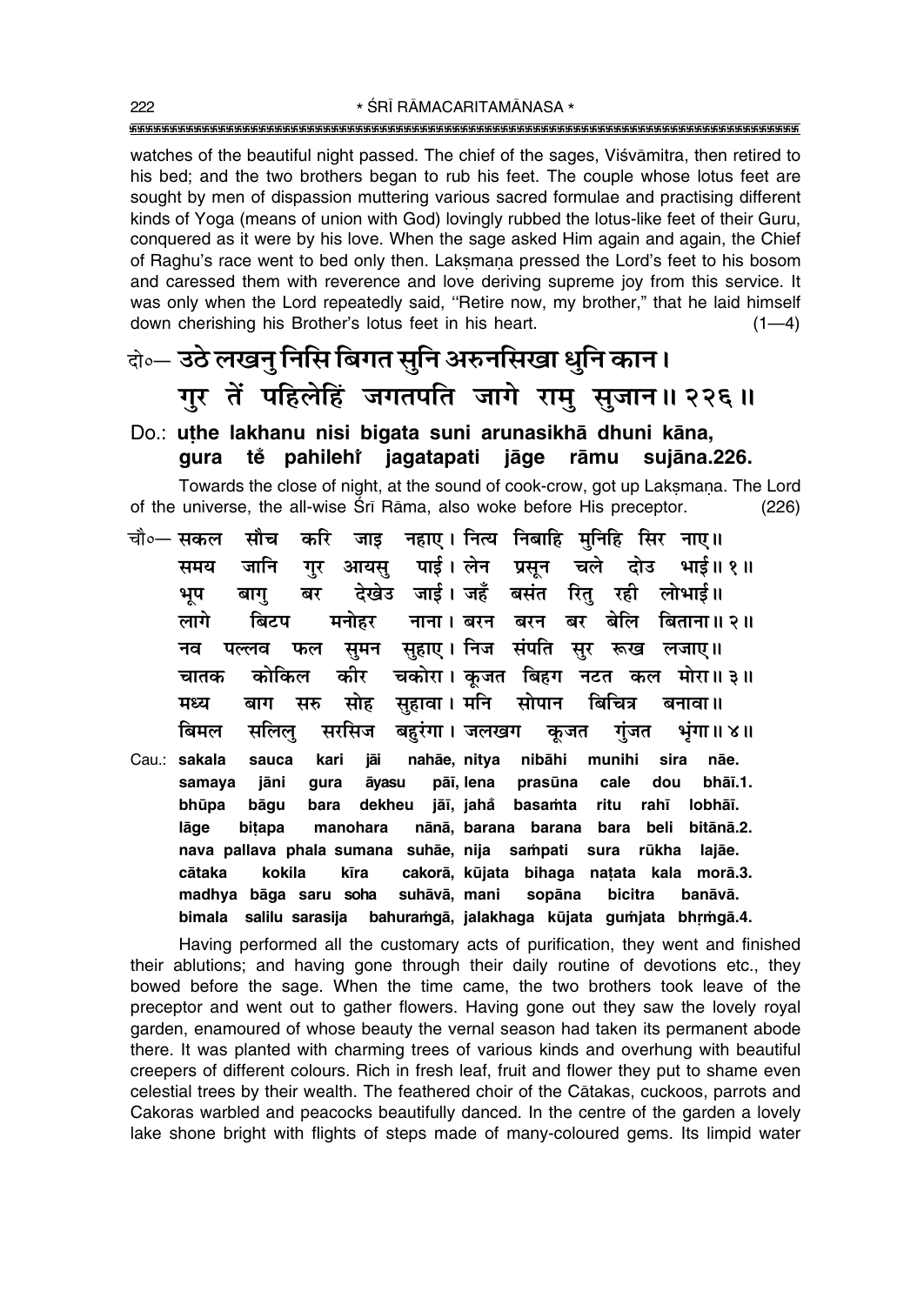watches of the beautiful night passed. The chief of the sages, Viśvāmitra, then retired to his bed; and the two brothers began to rub his feet. The couple whose lotus feet are sought by men of dispassion muttering various sacred formulae and practising different kinds of Yoga (means of union with God) lovingly rubbed the lotus-like feet of their Guru, conquered as it were by his love. When the sage asked Him again and again, the Chief of Raghu's race went to bed only then. Laksmana pressed the Lord's feet to his bosom and caressed them with reverence and love deriving supreme joy from this service. It was only when the Lord repeatedly said, "Retire now, my brother," that he laid himself down cherishing his Brother's lotus feet in his heart.  $(1-4)$ 

### केन्ट उठे लखनु निसि बिगत सुनि अरुनसिखा धुनि कान। गर तें पहिलेहिं जगतपति जागे रामु सुजान॥ २२६॥

#### Do.: uthe lakhanu nisi bigata suni arunasikhā dhuni kāna, sujāna.226. te pahilehi jagatapati jāge rāmu qura

Towards the close of night, at the sound of cook-crow, got up Laksmana. The Lord of the universe, the all-wise Srī Rāma, also woke before His preceptor.  $(226)$ 

- जाड़ नहाए। नित्य निबाहि मनिहि सिर नाए॥ सौच करि चौ०— सकल आयस पाई।लेन प्रसन चले दोउ भाई॥ १॥ समय जानि गर देखेउ जाई। जहँ बसंत रित रही लोभाई॥ बाग बर भूप बिटप मनोहर नाना । बरन बरन बर बेलि लागे बिताना॥ २॥ सूहाए। निज संपति सुर रूख लजाए॥ नव पल्लव फल सुमन चकोरा। कुजत बिहग नटत कल मोरा॥३॥ चातक कोकिल कीर सहावा। मनि बिचित्र मध्य सरु सोह सोपान बनावा ॥ बाग बिमल सलिल् सरसिज बहरंगा। जलखग कुजत गुंजत भूंगा ॥ ४ ॥ Cau.: sakala sauca kari jāi nahāe, nitya nibāhi munihi sira nāe.
- samaya jāni qura āvasu pāī, lena prasūna cale dou bhāī.1. bhūpa bāgu bara dekheu jāī, jahå basamta ritu rahī lobhāī. lāge bitapa manohara nānā, barana barana bara beli bitānā.2. nava pallava phala sumana suhāe, nija sampati rūkha sura lajāe. cakorā, kūjata bihaga cātaka kokila kīra natata kala morā.3. madhya bāga saru soha suhāvā, mani sopāna bicitra banāvā. bahuramgā, jalakhaga kūjata gumjata bhrmgā.4. bimala salilu sarasija

Having performed all the customary acts of purification, they went and finished their ablutions; and having gone through their daily routine of devotions etc., they bowed before the sage. When the time came, the two brothers took leave of the preceptor and went out to gather flowers. Having gone out they saw the lovely royal garden, enamoured of whose beauty the vernal season had taken its permanent abode there. It was planted with charming trees of various kinds and overhung with beautiful creepers of different colours. Rich in fresh leaf, fruit and flower they put to shame even celestial trees by their wealth. The feathered choir of the Catakas, cuckoos, parrots and Cakoras warbled and peacocks beautifully danced. In the centre of the garden a lovely lake shone bright with flights of steps made of many-coloured gems. Its limpid water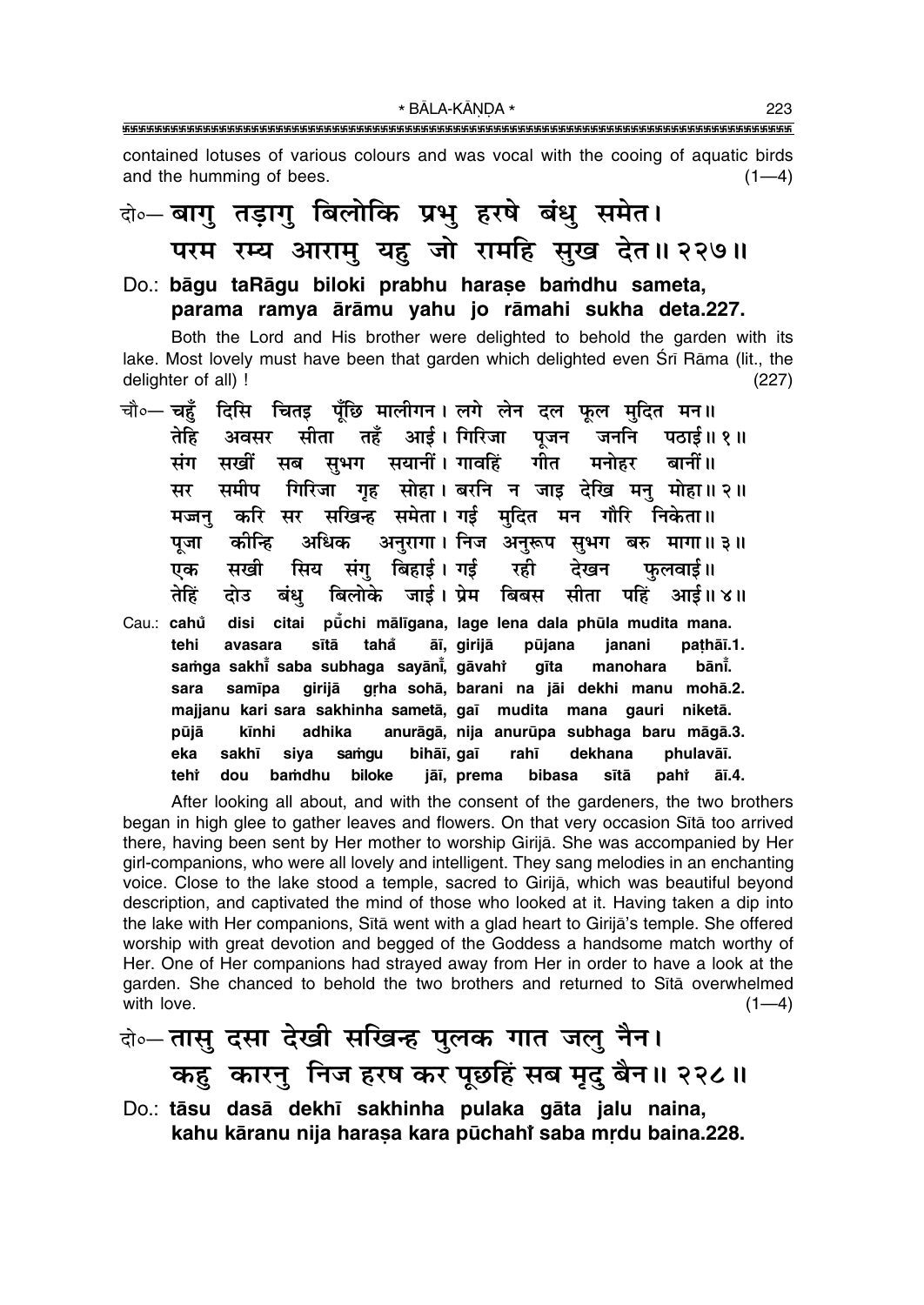\* BĀLA-KĀNDA \* 

contained lotuses of various colours and was vocal with the cooing of aquatic birds and the humming of bees.  $(1-4)$ 

## के-बागु तड़ागु बिलोकि प्रभु हरषे बंधु समेत। परम रम्य आराम् यह जो रामहि सुख देत॥ २२७॥

#### Do.: bāgu taRāgu biloki prabhu harase bamdhu sameta, parama ramya ārāmu yahu jo rāmahi sukha deta.227.

Both the Lord and His brother were delighted to behold the garden with its lake. Most lovely must have been that garden which delighted even Srī Rāma (lit., the delighter of all) !  $(227)$ 

| चौ० चहुँ दिसि चितइ पूँछि मालीगन। लगे लेन दल फूल मुदित मन॥                   |  |
|-----------------------------------------------------------------------------|--|
| तेहि अवसर सीता तहँ आई।गिरिजा पूजन जननि पठाई॥१॥                              |  |
| सखीं सब सुभग सयानीं।गावहिं गीत मनोहर बानीं॥<br>संग                          |  |
| समीप गिरिजा गृह सोहा। बरनि न जाइ देखि मनु मोहा॥ २॥<br>सर                    |  |
| मज्जनु करि सर सखिन्ह समेता।गई मुदित मन गौरि निकेता॥                         |  |
| कीन्हि अधिक अनुरागा। निज अनुरूप सुभग बरु मागा॥३॥<br>पुजा                    |  |
| एक सखी सिय संगु बिहाई। गई  रही  देखन  फुलवाई॥                               |  |
| दोउ बंधु बिलोके जाई।प्रेम बिबस सीता पहिं आई॥४॥<br>तेहिं                     |  |
| disi citai pū̃chi mālīgana, lage lena dala phūla mudita mana.<br>Cau.: cahů |  |
| avasara sītā taha āī, girijā pūjana janani pathāī.1.<br>tehi                |  |
| samga sakhi saba subhaga sayāni, gāvahi gīta manohara bāni.                 |  |
| samīpa girijā grha sohā, barani na jāi dekhi manu mohā.2.<br>sara           |  |
| majjanu kari sara sakhinha sametā, gaī mudita mana gauri niketā.            |  |
| kīnhi adhika anurāgā, nija anurūpa subhaga baru māgā.3.<br>pūjā             |  |
| sakhī siya samgu bihāī, gaī rahī dekhana phulavāī.<br>eka                   |  |
| bamdhu biloke jāī, prema bibasa sītā<br>pahi āī.4.<br>tehr<br>dou           |  |

After looking all about, and with the consent of the gardeners, the two brothers began in high glee to gather leaves and flowers. On that very occasion Sita too arrived there, having been sent by Her mother to worship Girija. She was accompanied by Her girl-companions, who were all lovely and intelligent. They sang melodies in an enchanting voice. Close to the lake stood a temple, sacred to Girijā, which was beautiful beyond description, and captivated the mind of those who looked at it. Having taken a dip into the lake with Her companions, Sitā went with a glad heart to Girijā's temple. She offered worship with great devotion and begged of the Goddess a handsome match worthy of Her. One of Her companions had strayed away from Her in order to have a look at the garden. She chanced to behold the two brothers and returned to Sita overwhelmed with love.  $(1-4)$ 

के-तासु दसा देखी सखिन्ह पुलक गात जलु नैन। कहु कारनु निज हरष कर पूछहिं सब मृदु बैन॥ २२८॥

Do.: tāsu dasā dekhī sakhinha pulaka gāta jalu naina, kahu kāranu nija harasa kara pūchahi saba mrdu baina.228.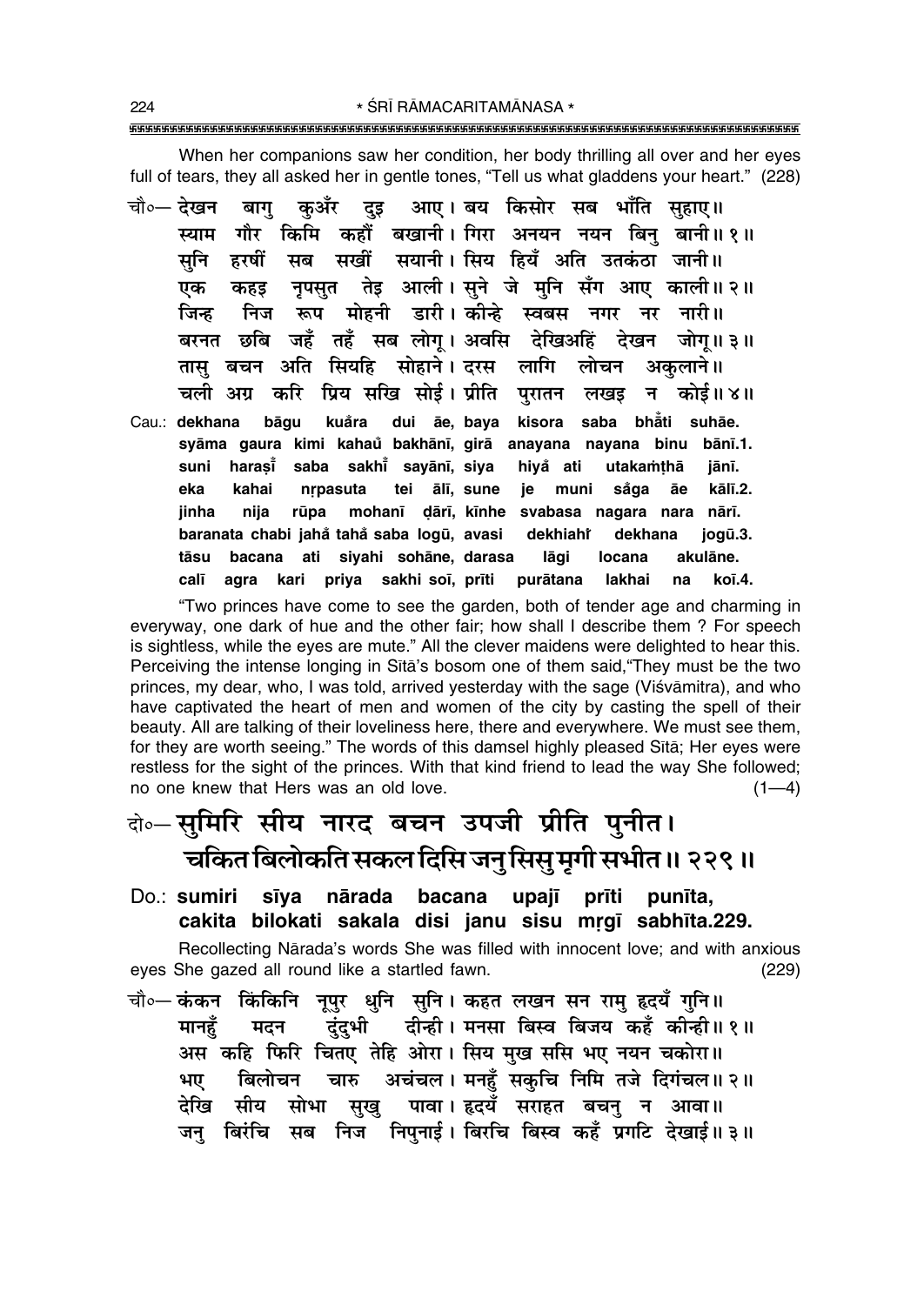When her companions saw her condition, her body thrilling all over and her eyes full of tears, they all asked her in gentle tones, "Tell us what gladdens your heart." (228)

कुअँर दृइ आए। बय किसोर सब भाँति सहाए॥ चौ०— देखन बाग स्याम गौर किमि कहौं बखानी।गिरा अनयन नयन बिन बानी॥१॥ सनि हरषीं सब सखीं सयानी।सिय हियँ अति उतकंठा जानी॥ नृपसुत तेइ आली। सुने जे मुनि सँग आए काली॥२॥ एक कहड निज रूप मोहनी डारी।कोन्हे स्वबस नगर नर नारी॥ जिन्ह बरनत छबि जहँ तहँ सब लोग्। अवसि देखिअहिं देखन जोग्॥३॥ तास बचन अति सियहि सोहाने। दरस लागि लोचन अकलाने ॥ चली अग्र करि प्रिय सखि सोई। प्रीति परातन लखड़ न कोई॥४॥ kisora saba bhåti suhāe. Cau.: dekhana bāqu kuåra dui āe, baya syāma gaura kimi kahaŭ bakhānī, girā anayana nayana binu bānī.1. suni harasi̇̃ saba sakhi̇̃ sayānī, siya hiyå ati utakamthā iānī. eka kahai nrpasuta tei ālī, sune je muni såga āe kālī.2. **iinha** niia rūpa mohanī dārī, kīnhe svabasa nagara nara nārī. baranata chabi jahå tahå saba logū, avasi dekhiahř dekhana jogū.3. bacana ati siyahi sohāne, darasa tāsu lāgi locana akulāne. agra kari priya sakhi soi, priti calī purātana lakhai na koī.4.

"Two princes have come to see the garden, both of tender age and charming in everyway, one dark of hue and the other fair; how shall I describe them? For speech is sightless, while the eyes are mute." All the clever maidens were delighted to hear this. Perceiving the intense longing in Sita's bosom one of them said, "They must be the two princes, my dear, who, I was told, arrived yesterday with the sage (Viśvāmitra), and who have captivated the heart of men and women of the city by casting the spell of their beauty. All are talking of their loveliness here, there and everywhere. We must see them, for they are worth seeing." The words of this damsel highly pleased Sita; Her eves were restless for the sight of the princes. With that kind friend to lead the way She followed; no one knew that Hers was an old love.  $(1-4)$ 

### बे∘–सुमिरि सीय नारद बचन उपजी प्रीति पुनीत। चकित बिलोकति सकल दिसि जन् सिस् मुगी सभीत ।। २२९ ॥

Do.: sumiri sīya nārada bacana upajī prīti punīta, cakita bilokati sakala disi janu sisu mrgī sabhīta.229.

Recollecting Nārada's words She was filled with innocent love; and with anxious eyes She gazed all round like a startled fawn.  $(229)$ 

चौ०— कंकन किंकिनि नूपुर धुनि सुनि। कहत लखन सन राम् हृदयँ गुनि॥ दुंदुभी दीन्ही। मनसा बिस्व बिजय कहँ कोन्ही॥१॥ मानहँ मदन अस कहि फिरि चितए तेहि ओरा। सिय मुख ससि भए नयन चकोरा॥ चारु अचंचल। मनहँ सकुचि निमि तजे दिगंचल॥२॥ बिलोचन भए सीय सोभा सुखु पावा। हृदयँ सराहत बचनु न आवा॥ देखि जन् बिरंचि सब निज निपनाई। बिरचि बिस्व कहँ प्रगटि देखाई॥३॥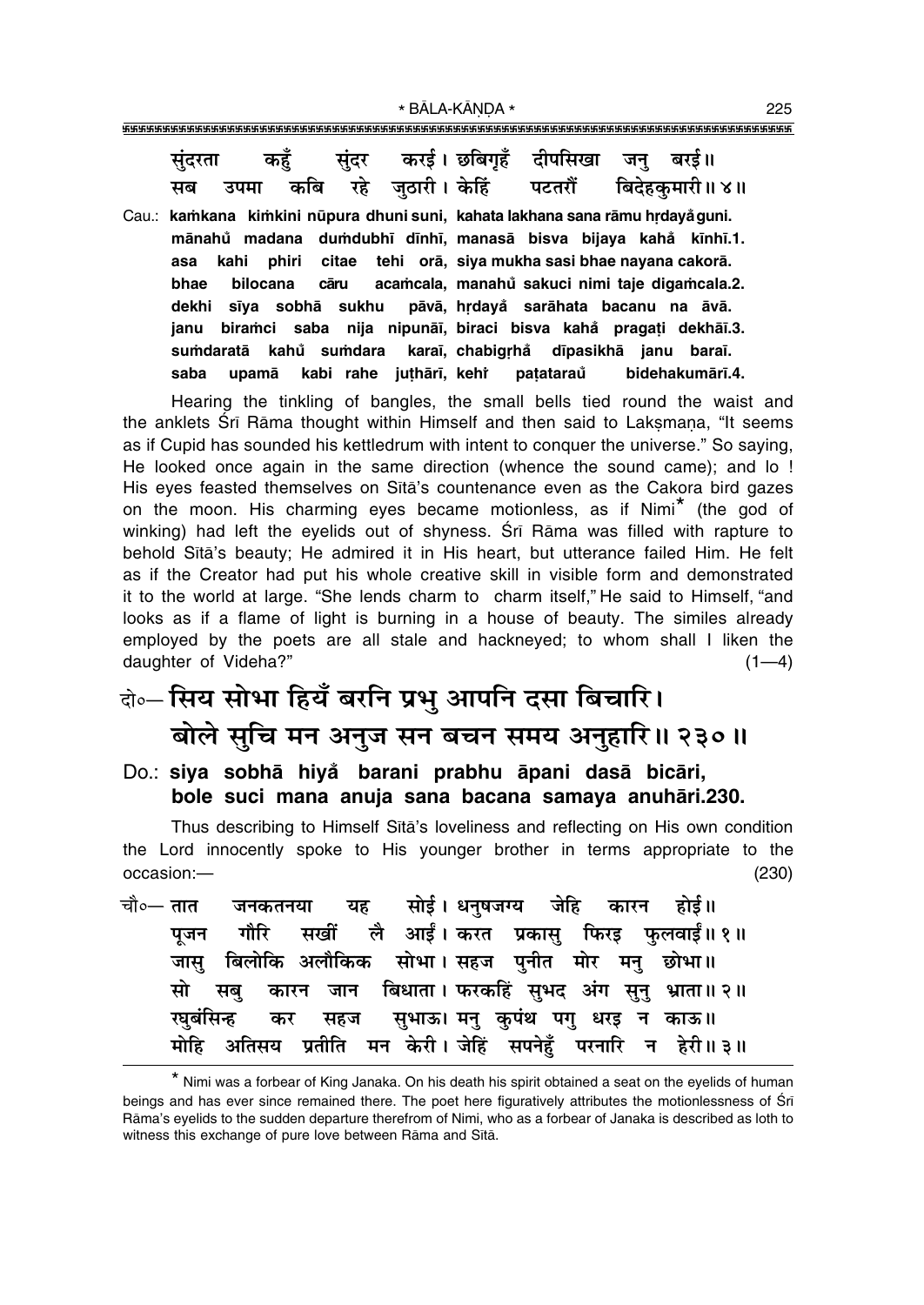संदर करई। छबिगहँ दीपसिखा बरर्ड ॥ कहँ जन संदरता जठारी। केहिं कबि रहे बिदेहकमारी॥ ४॥ उपमा पटतरौं मब Cau.: kamkana kimkini nūpura dhuni suni, kahata lakhana sana rāmu hrdayå guni. dumdubhī dīnhī, manasā bisva bijaya kahå kīnhī.1. mānahů madana asa kahi phiri citae tehi orā, siya mukha sasi bhae nayana cakorā. bhae bilocana cāru acamcala, manahů sakuci nimi taje digamcala.2. dekhi sīya sobhā sukhu pāvā, hrdayå sarāhata bacanu na āvā. janu biramci saba nija nipunāi, biraci bisva kahå pragati dekhāi.3. sumdaratā kahů sumdara karaī. chabigrhå dīpasikhā ianu baraī. kabi rahe juthārī, kehr saba upamā patataraů bidehakumārī.4.

Hearing the tinkling of bangles, the small bells tied round the waist and the anklets Srī Rāma thought within Himself and then said to Laksmana, "It seems as if Cupid has sounded his kettledrum with intent to conquer the universe." So saying, He looked once again in the same direction (whence the sound came); and lo ! His eyes feasted themselves on Sita's countenance even as the Cakora bird gazes on the moon. His charming eyes became motionless, as if Nimi<sup>\*</sup> (the god of winking) had left the eyelids out of shyness. Srī Rāma was filled with rapture to behold Sita's beauty; He admired it in His heart, but utterance failed Him. He felt as if the Creator had put his whole creative skill in visible form and demonstrated it to the world at large. "She lends charm to charm itself," He said to Himself, "and looks as if a flame of light is burning in a house of beauty. The similes already employed by the poets are all stale and hackneyed; to whom shall I liken the daughter of Videha?"  $(1-4)$ 

## बे॰-सिय सोभा हियँ बरनि प्रभु आपनि दसा बिचारि। बोले सुचि मन अनुज सन बचन समय अनुहारि॥ २३०॥

Do.: siya sobhā hiyå barani prabhu āpani dasā bicāri, bole suci mana anuja sana bacana samaya anuhāri.230.

Thus describing to Himself Sita's loveliness and reflecting on His own condition the Lord innocently spoke to His younger brother in terms appropriate to the occasion:- $(230)$ 

सोई। धनषजग्य जेहि कारन चौ∘— तात यह होई ॥ जनकतनया लै आईं। करत प्रकास फिरड फलवाईं॥१॥ गौरि सखीं पजन बिलोकि अलौकिक सोभा। सहज पनीत मोर मन छोभा॥ जास मो ं बिधाता । फरकहिं सुभद अंग सुन् भ्राता॥२॥ सब कारन जान सुभाऊ। मनु कुपंथ पगु धरइ न काऊ॥ रघबंसिन्ह कर सहज प्रतीति मन केरी। जेहिं सपनेहूँ परनारि न हेरी॥३॥ मोहि अतिसय

<sup>\*</sup> Nimi was a forbear of King Janaka. On his death his spirit obtained a seat on the eyelids of human beings and has ever since remained there. The poet here figuratively attributes the motionlessness of Sri Rāma's evelids to the sudden departure therefrom of Nimi, who as a forbear of Janaka is described as loth to witness this exchange of pure love between Rāma and Sītā.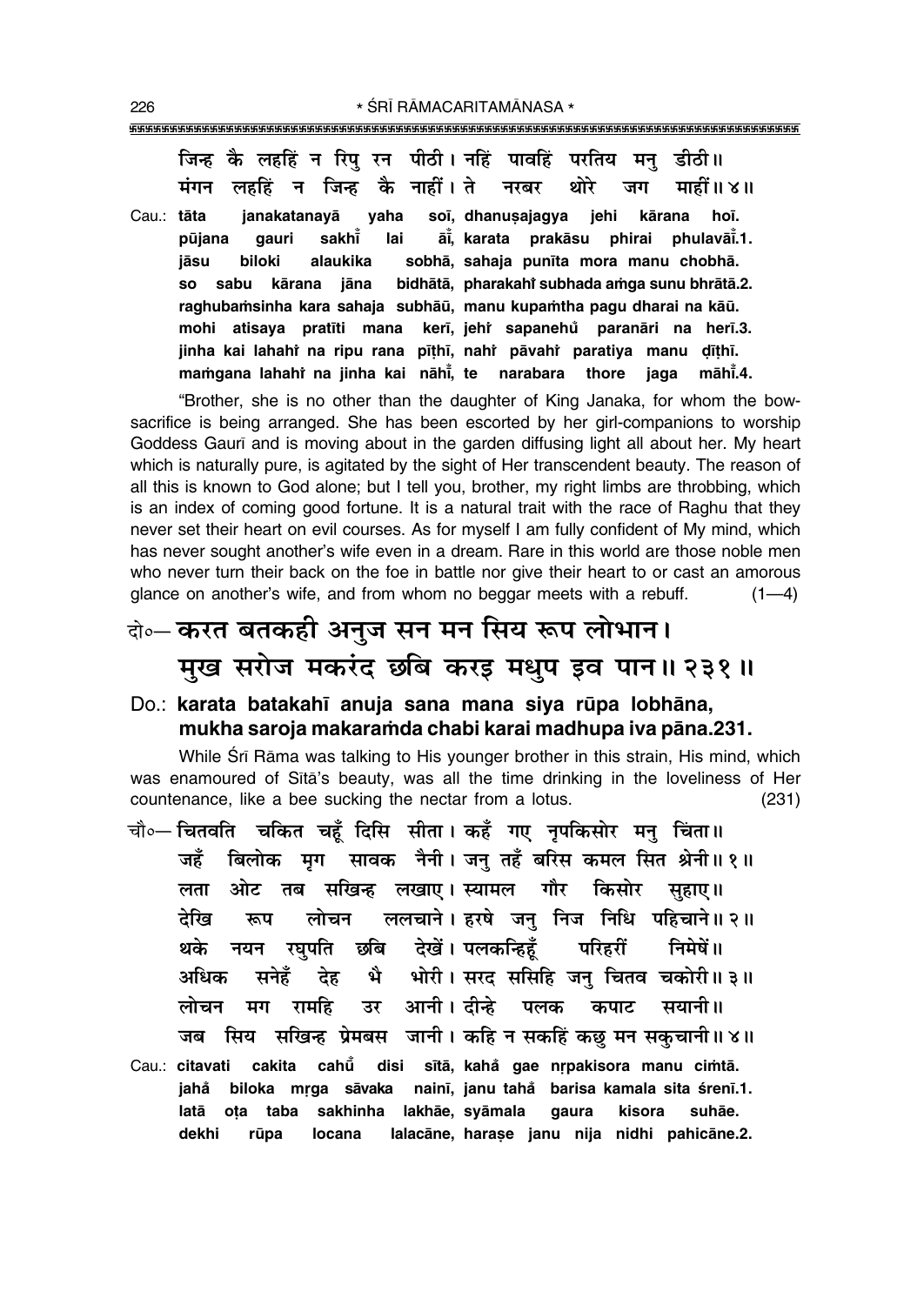िजन्ह कै लहहिं न रिप रन पीठी। नहिं पावहिं परतिय मन डीठी**॥** <u>मंगन लहहिं न जिन्ह कै नाहीं। ते नरबर थोरे जग माहीं॥४॥</u> Cau.: **tåta janakatanayå yaha so∂, dhanu¶ajagya jehi kårana ho∂. pµujana gauri sakh∂° lai å∂° , karata prakåsu phirai phulavå∂° .1. jåsu biloki alaukika sobhå, sahaja pun∂ta mora manu chobhå. so sabu kårana jåna bidhåtå, pharakahiÚ** bidhātā, pharakahi subhada amga sunu bhrātā.2. raghubamsinha kara sahaja subhāū, manu kupamtha pagu dharai na kāū. **mohi atisaya prat∂ti mana ker∂, jehiÚ sapanehu° paranåri na her∂.3.** jinha kai lahahì na ripu rana pīṭhī, nahi̇̀ pāvahi̇̀ paratiya manu ḍīṭhī. **maṁgana lahah** $\dagger$  **na jinha kai nāhi̇̃, te narabara thore jaga māhi̇̃.4.** 

"Brother, she is no other than the daughter of King Janaka, for whom the bowsacrifice is being arranged. She has been escorted by her girl-companions to worship Goddess Gaurī and is moving about in the garden diffusing light all about her. My heart which is naturally pure, is agitated by the sight of Her transcendent beauty. The reason of all this is known to God alone; but I tell you, brother, my right limbs are throbbing, which is an index of coming good fortune. It is a natural trait with the race of Raghu that they never set their heart on evil courses. As for myself I am fully confident of My mind, which has never sought anotherís wife even in a dream. Rare in this world are those noble men who never turn their back on the foe in battle nor give their heart to or cast an amorous glance on another's wife, and from whom no beggar meets with a rebuff.  $(1-4)$ 

## दो**०– करत बतकही अनुज सन मन सिय रूप लोभान। मुख सरोज मकरंद छबि करइ मधुप इव पान॥ २३१॥**

#### Do.: karata batakahī anuja sana mana siya rūpa lobhāna, **mukha saroja makara≈da chabi karai madhupa iva påna.231.**

While Śrī Rāma was talking to His younger brother in this strain, His mind, which was enamoured of Sītā's beauty, was all the time drinking in the loveliness of Her countenance, like a bee sucking the nectar from a lotus. (231)

- चौ०— चितवति चकित चहँ दिसि सीता । कहँ गए नपकिसोर मन् चिंता ॥ जहँ बिलोक मृग सावक नैनी।जन् तहँ बरिस कमल सित श्रेनी॥१॥ **लता ओट तब सखिन्ह लखाए। स्यामल गौर किसोर सहाए**॥ <u>देखि रूप लोचन ललचाने।इरषे जन</u>् निज निधि पहिचाने॥२॥ <u>थके नयन रघपति छबि देखें। पलकन्हिहँ</u> परिहरीं निमेषें॥ अधिक सनेहँ देह भै भोरी।**सरद ससिहि जन् चितव चकोरी॥३॥ लोचन मग रामहि उर आनी।** दीन्हे पलक कपाट सयानी॥ जब सिय सखिन्ह प्रेमबस जानी। कहि न सकहिं कछु मन सकुचानी॥४॥ Cau.: **citavati cakita cahµu° disi s∂tå, kaha° gae næpakisora manu ci≈tå. jaha° biloka mæga såvaka nain∂, janu taha° barisa kamala sita ‹ren∂.1.**
- **latå o¢a taba sakhinha lakhåe, syåmala gaura kisora suhåe. dekhi rµupa locana lalacåne, hara¶e janu nija nidhi pahicåne.2.**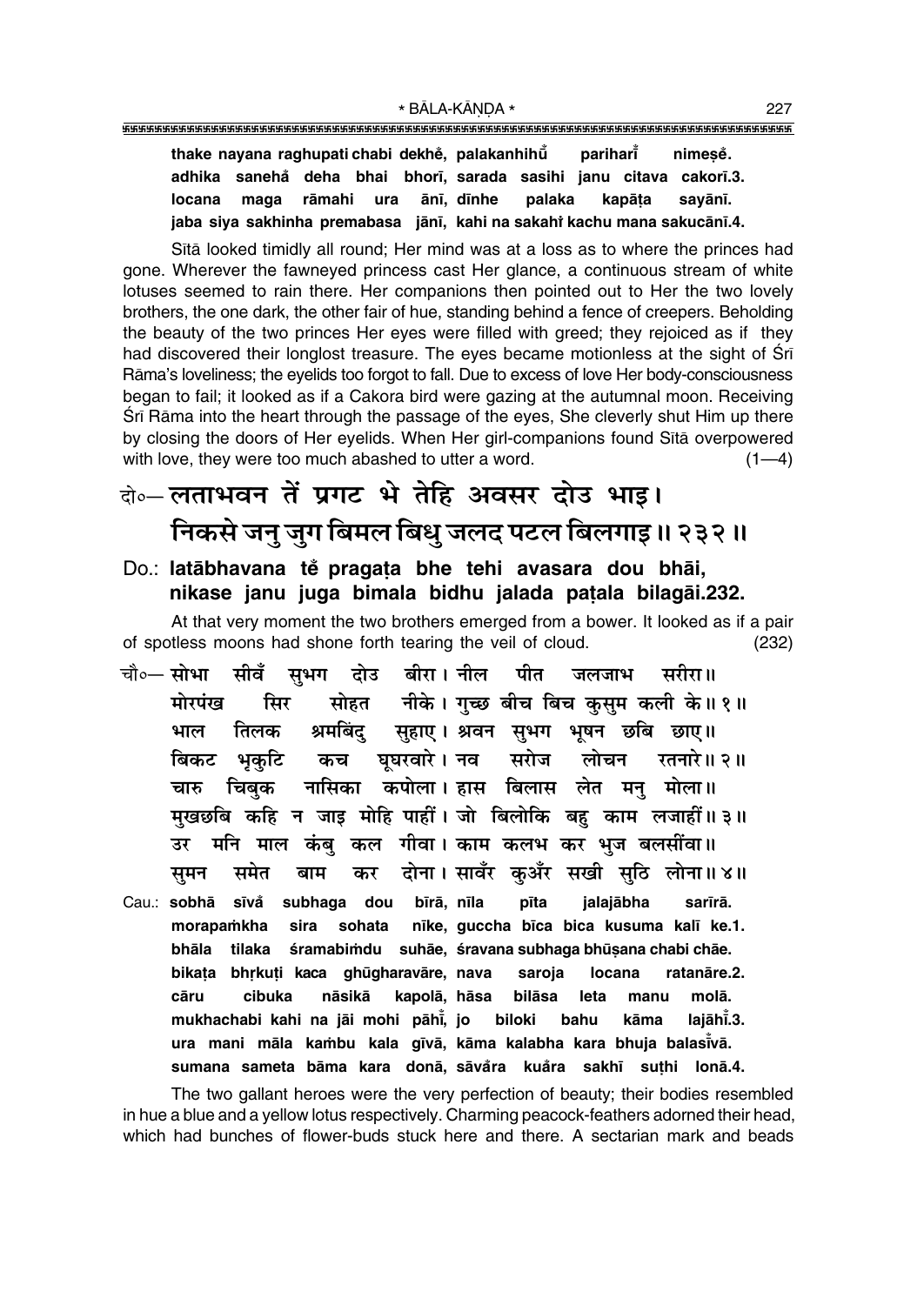thake nayana raghupati chabi dekhe, palakanhihu parihari nimese. adhika sanehå deha bhai bhorī, sarada sasihi janu citava cakorī.3. ānī. dīnhe locana maga rāmahi palaka kapāta savānī. **ura** jaba siya sakhinha premabasa jānī, kahi na sakahi kachu mana sakucānī.4.

Sita looked timidly all round; Her mind was at a loss as to where the princes had gone. Wherever the fawneyed princess cast Her glance, a continuous stream of white lotuses seemed to rain there. Her companions then pointed out to Her the two lovely brothers, the one dark, the other fair of hue, standing behind a fence of creepers. Beholding the beauty of the two princes Her eyes were filled with greed; they rejoiced as if they had discovered their longlost treasure. The eyes became motionless at the sight of Sri Rāma's loveliness; the eyelids too forgot to fall. Due to excess of love Her body-consciousness began to fail; it looked as if a Cakora bird were gazing at the autumnal moon. Receiving Sri Rama into the heart through the passage of the eyes, She cleverly shut Him up there by closing the doors of Her eyelids. When Her girl-companions found Sita overpowered with love, they were too much abashed to utter a word.  $(1-4)$ 

### के—लताभवन तें प्रगट भे तेहि अवसर दोउ भाइ। निकसे जनु जुग बिमल बिधु जलद पटल बिलगाइ॥ २३२॥

#### Do.: latābhavana tě pragata bhe tehi avasara dou bhāi, nikase janu juga bimala bidhu jalada patala bilagāi.232.

At that very moment the two brothers emerged from a bower. It looked as if a pair of spotless moons had shone forth tearing the veil of cloud.  $(232)$ 

- दोउ बीरा। नील चौ०— **सोभा सीवँ सभग** पीत जलजाभ सरीरा॥ सोहत नीके। गुच्छ बीच बिच कुसुम कली के॥१॥ मोरपंख सिर श्रमबिंदु सुहाए। श्रवन सुभग भूषन छबि छाए॥ तिलक भाल घघरवारे । नव रतनारे ॥ २ ॥ भुकटि सरोज लोचन बिकट कच नासिका कपोला। हास बिलास लेत मनु मोला॥ चिबक चारु मुखछबि कहि न जाइ मोहि पाहीं। जो बिलोकि बहु काम लजाहीं॥३॥ मनि माल कंबु कल गीवा। काम कलभ कर भुज बलसींवा॥ उर दोना। सावँर कअँर सखी सठि लोना॥४॥ बाम समन समेत कर
- Cau.: sobhā sīvå subhaga dou bīrā, nīla pīta jalajābha sarīrā. sohata nīke, guccha bīca bica kusuma kalī ke.1. morapamkha sira bhāla tilaka śramabimdu suhāe, śravana subhaga bhūsana chabi chāe. bikața bhrkuți kaca ghūgharavāre, nava ratanāre.2. saroja locana cāru cibuka nāsikā kapolā, hāsa bilāsa leta manu molā. mukhachabi kahi na jāi mohi pāhī, jo biloki hahu kāma laiāhī.3. ura mani māla kambu kala gīvā, kāma kalabha kara bhuja balasīvā. sumana sameta bāma kara donā, sāvåra kuåra sakhī suthi lonā.4.

The two gallant heroes were the very perfection of beauty; their bodies resembled in hue a blue and a yellow lotus respectively. Charming peacock-feathers adorned their head, which had bunches of flower-buds stuck here and there. A sectarian mark and beads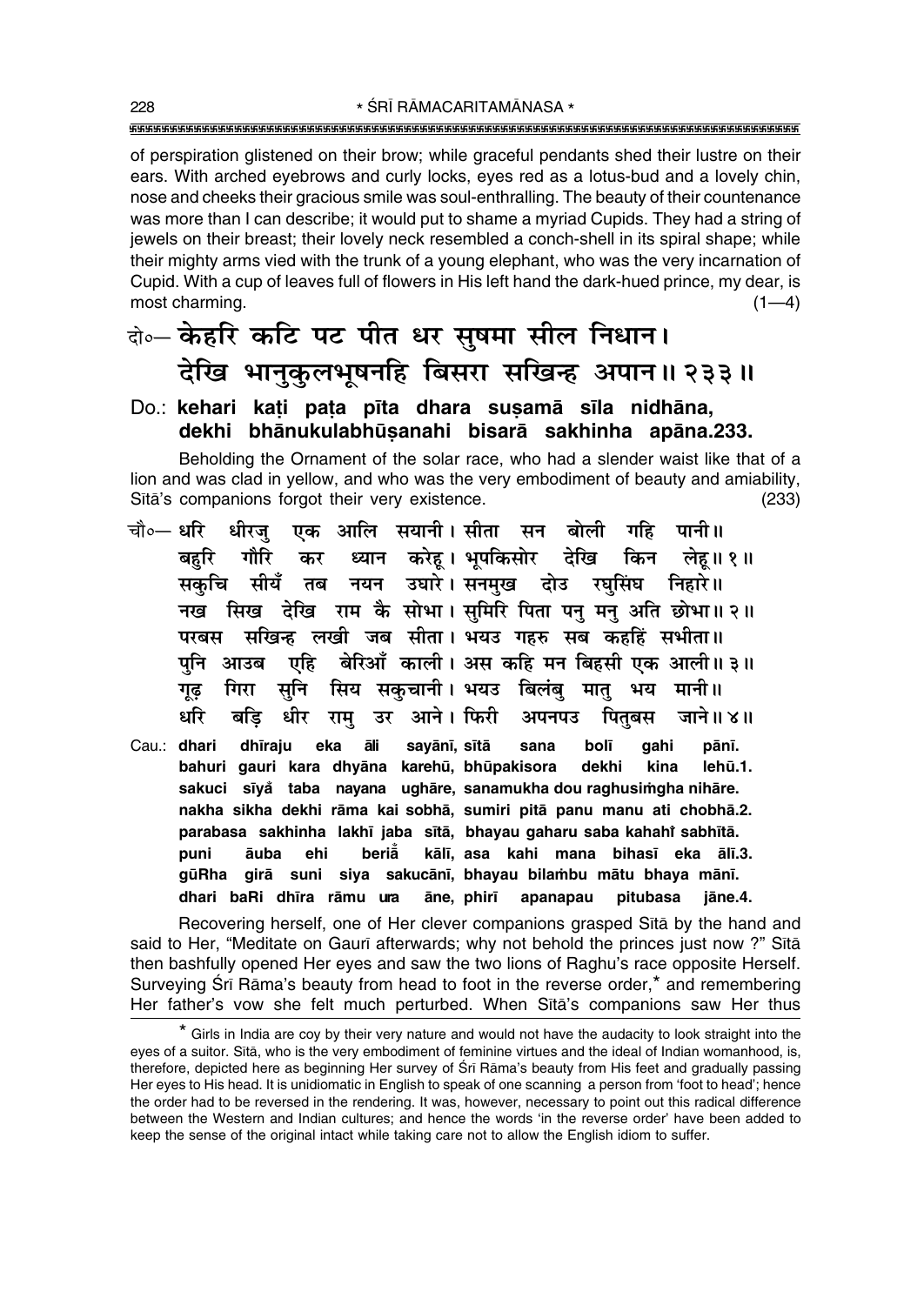of perspiration glistened on their brow; while graceful pendants shed their lustre on their ears. With arched evebrows and curly locks, eves red as a lotus-bud and a lovely chin, nose and cheeks their gracious smile was soul-enthralling. The beauty of their countenance was more than I can describe; it would put to shame a myriad Cupids. They had a string of jewels on their breast; their lovely neck resembled a conch-shell in its spiral shape; while their mighty arms vied with the trunk of a young elephant, who was the very incarnation of Cupid. With a cup of leaves full of flowers in His left hand the dark-hued prince, my dear, is most charming.  $(1-4)$ 

### दो० केहरि कटि पट पीत धर सूषमा सील निधान। देखि भानुकुलभूषनहि बिसरा सखिन्ह अपान॥ २३३॥

#### Do.: kehari kați pața pīta dhara sușamā sīla nidhāna, dekhi bhānukulabhūsanahi bisarā sakhinha apāna.233.

Beholding the Ornament of the solar race, who had a slender waist like that of a lion and was clad in yellow, and who was the very embodiment of beauty and amiability, Sītā's companions forgot their very existence.  $(233)$ 

- चौ∘— धरि एक आलि सयानी।सीता सन बोली गहि पानी॥ धीरज ध्यान करेहू। भूपकिसोर देखि किन लेहू॥१॥ बहरि गौरि कर सकुचि सीयँ तब नयन उघारे।सनमुख दोउ रघसिंघ निहारे॥ नख सिख देखि राम कै सोभा। समिरि पिता पन मन अति छोभा॥२॥ परबस सखिन्ह लखी जब सीता। भयउ गहरु सब कहहिं सभीता॥ पनि आउब एहि बेरिआँ काली। अस कहि मन बिहसी एक आली॥३॥ सुनि सिय सकुचानी। भयउ बिलंबु मातु भय मानी॥ गिरा गढ धरि बडि धीर राम उर आने। फिरी पितबस अपनपउ जाने ॥ ४॥
- Cau.: dhari dhīraju eka āli bolī sayānī, sītā sana gahi pānī. bahuri gauri kara dhyāna karehū, bhūpakisora dekhi kina lehū.1. sakuci sīyå taba nayana ughāre, sanamukha dou raghusimgha nihāre. nakha sikha dekhi rāma kai sobhā, sumiri pitā panu manu ati chobhā.2. parabasa sakhinha lakhī jaba sītā, bhayau gaharu saba kahahi sabhītā. beriå kālī, asa kahi mana bihasī eka ālī.3. puni āuba ehi gūRha girā suni siya sakucānī, bhayau bilambu mātu bhaya mānī. dhari baRi dhīra rāmu ura āne, phirī apanapau pitubasa iāne.4.

Recovering herself, one of Her clever companions grasped Sita by the hand and said to Her, "Meditate on Gaurī afterwards; why not behold the princes just now ?" Sītā then bashfully opened Her eyes and saw the two lions of Raghu's race opposite Herself. Surveying Srī Rāma's beauty from head to foot in the reverse order,\* and remembering Her father's vow she felt much perturbed. When Sita's companions saw Her thus

<sup>\*</sup> Girls in India are coy by their very nature and would not have the audacity to look straight into the eyes of a suitor. Sita, who is the very embodiment of feminine virtues and the ideal of Indian womanhood, is, therefore, depicted here as beginning Her survey of Srī Rāma's beauty from His feet and gradually passing Her eyes to His head. It is unidiomatic in English to speak of one scanning a person from 'foot to head'; hence the order had to be reversed in the rendering. It was, however, necessary to point out this radical difference between the Western and Indian cultures; and hence the words 'in the reverse order' have been added to keep the sense of the original intact while taking care not to allow the English idiom to suffer.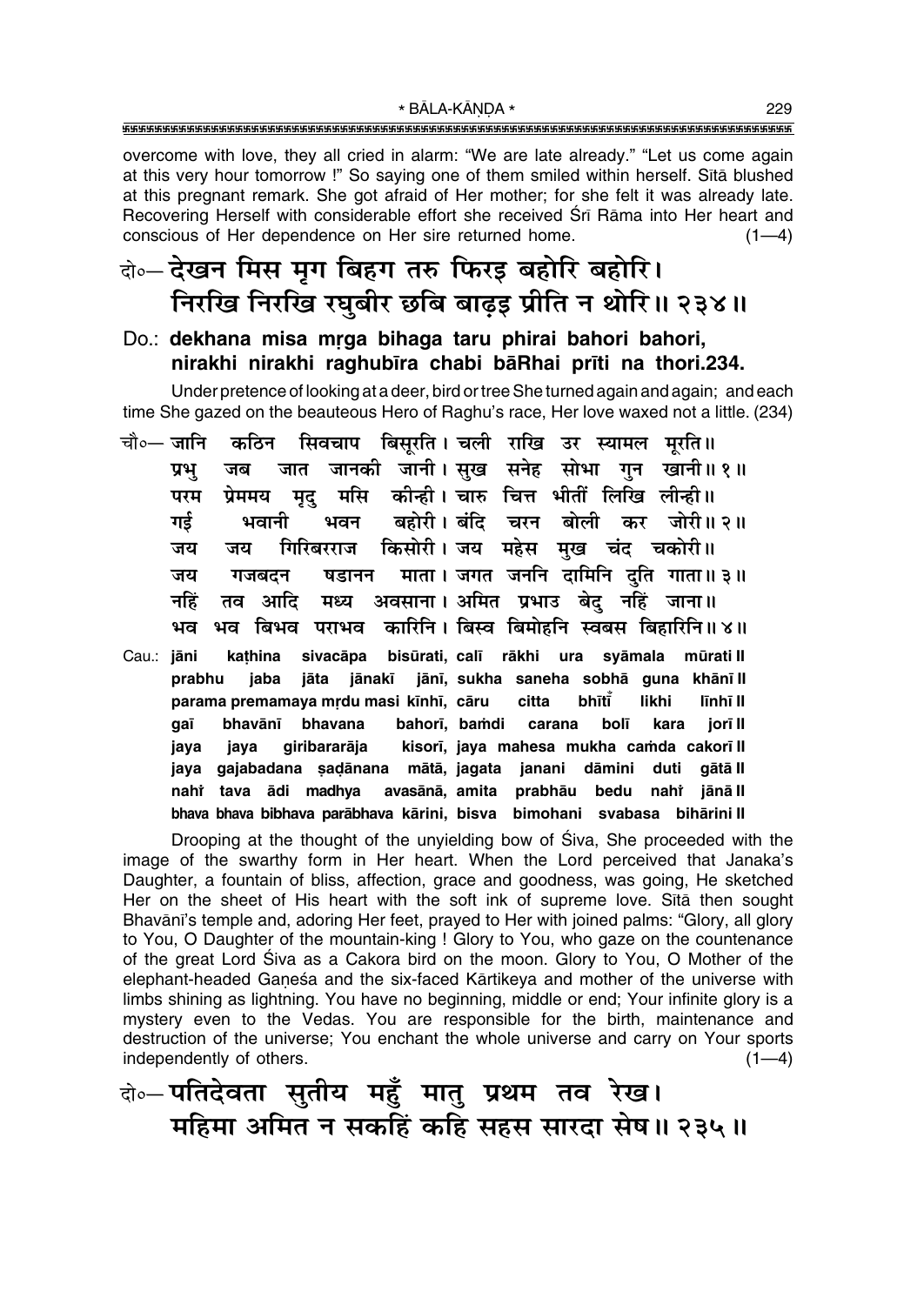overcome with love, they all cried in alarm: "We are late already." "Let us come again at this very hour tomorrow !" So saying one of them smiled within herself. Sita blushed at this pregnant remark. She got afraid of Her mother; for she felt it was already late. Recovering Herself with considerable effort she received Srī Rāma into Her heart and conscious of Her dependence on Her sire returned home.  $(1-4)$ 

### दो∘– देखन मिस मृग बिहग तरु फिरइ बहोरि बहोरि। निरखि निरखि रघुबीर छबि बाढ़इ प्रीति न थोरि॥ २३४॥

#### Do.: dekhana misa mrga bihaga taru phirai bahori bahori, nirakhi nirakhi raghubīra chabi bāRhai prīti na thori.234.

Under pretence of looking at a deer, bird or tree She turned again and again; and each time She gazed on the beauteous Hero of Raghu's race. Her love waxed not a little. (234)

- सिवचाप बिसूरति । चली राखि उर स्यामल मूरति ॥ चौ०— जानि कठिन जानकी जानी।सुख सनेह सोभा गुन खानी॥१॥ प्रभु जब जात मसि कोन्ही। चारु चित्त भीतीं लिखि लीन्ही॥ परम प्रेममय मद बहोरी। बंदि चरन बोली कर जोरी॥२॥ गर्ड भवानी भवन गिरिबरराज किसोरी।जय महेस मुख चंद चकोरी॥ जय जय षडानन माता । जगत जननि दामिनि दति गाता॥३॥ जय गजबदन नहिं अवसाना। अमित प्रभाउ बेद नहिं जाना॥ तव आदि मध्य भव बिभव पराभव कारिनि। बिस्व बिमोहनि स्वबस बिहारिनि॥४॥ भव
- Cau.: jāni kathina sivacāpa bisūrati, calī rākhi ura syāmala mūratill prabhu jaba jānakī jānī, sukha saneha sobhā guna khānī II jāta bhītī parama premamaya mrdu masi kīnhī, cāru citta likhi līnhī II bolī gaī bhavānī bhavana bahorī, bamdi carana kara jorī II kisorī, java mahesa mukha camda cakorī II java giribararāja java jaya gajabadana sadānana mātā, jagata janani dāmini duti gātā II nahi tava ādi madhya avasānā, amita prabhāu bedu nahi jānā II bhaya bhaya bibhaya parābhaya kārini, bisya bimohani syabasa bihārini II

Drooping at the thought of the unyielding bow of Siva, She proceeded with the image of the swarthy form in Her heart. When the Lord perceived that Janaka's Daughter, a fountain of bliss, affection, grace and goodness, was going, He sketched Her on the sheet of His heart with the soft ink of supreme love. Sita then sought Bhavānī's temple and, adoring Her feet, prayed to Her with joined palms: "Glory, all glory to You, O Daughter of the mountain-king ! Glory to You, who gaze on the countenance of the great Lord Siva as a Cakora bird on the moon. Glory to You, O Mother of the elephant-headed Ganeśa and the six-faced Kārtikeya and mother of the universe with limbs shining as lightning. You have no beginning, middle or end; Your infinite glory is a mystery even to the Vedas. You are responsible for the birth, maintenance and destruction of the universe; You enchant the whole universe and carry on Your sports independently of others.  $(1-4)$ 

केन्-पतिदेवता सुतीय महुँ मातु प्रथम तव रेख। महिमा अमित न सकहिं कहि सहस सारदा सेष॥ २३५॥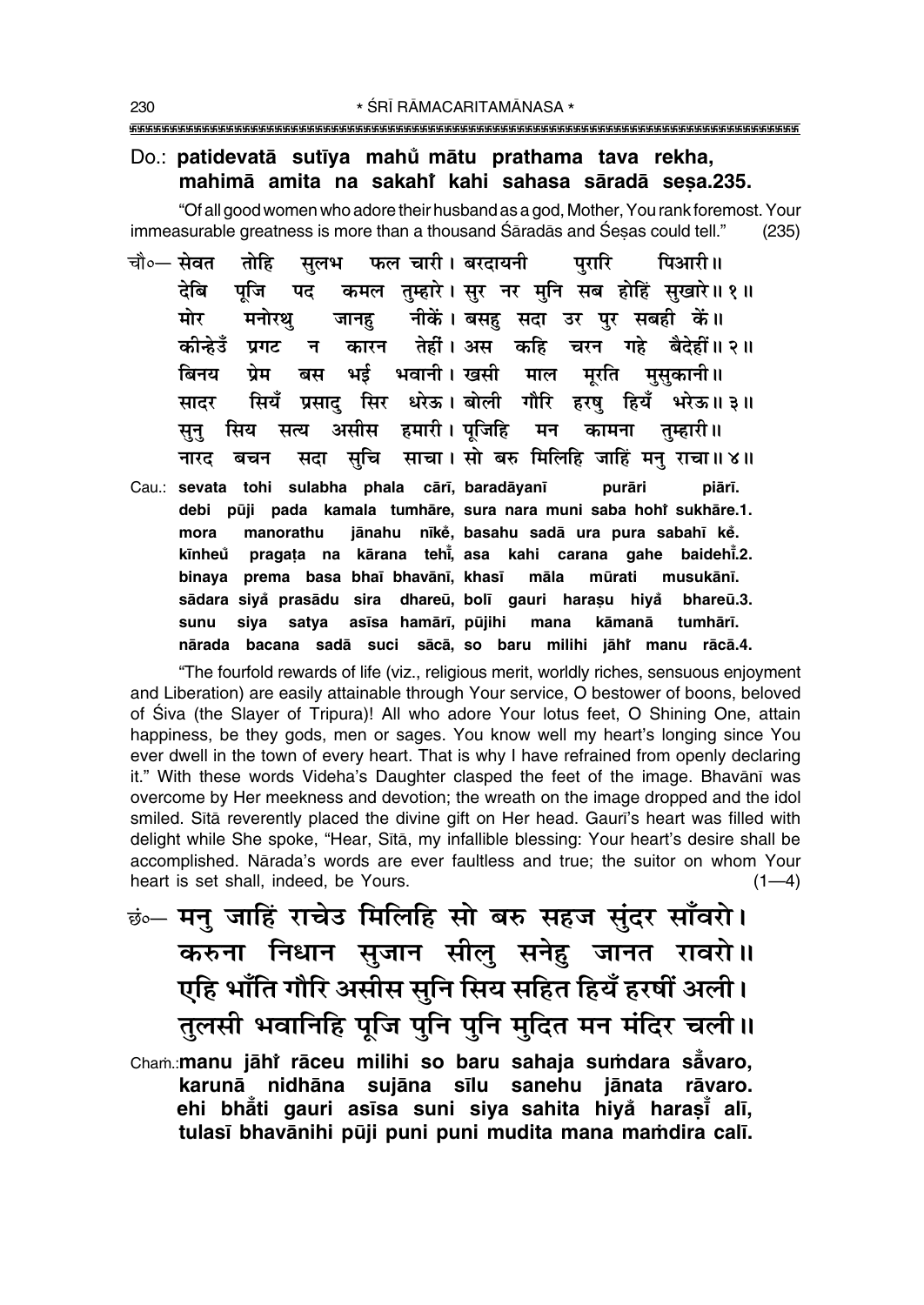### Do.: patidevatā sutīya mahů mātu prathama tava rekha, mahimā amita na sakahi kahi sahasa sāradā sesa.235.

"Of all good women who adore their husband as a god, Mother, You rank foremost. Your immeasurable greatness is more than a thousand Saradas and Sesas could tell."  $(235)$ 

- फल चारी। बरदायनी चौ०— सेवत तोहि सूलभ परारि पिआरी॥ कमल तुम्हारे। सुर नर मुनि सब होहिं सुखारे॥१॥ टेबि पजि पट नीकें। बसह़ सदा उर पुर सबही कें॥ मोर मनोरथ जानह कीन्हेउँ प्रगट तेहीं । अस कहि चरन गहे बैदेहीं ॥ २ ॥ कारन  $\overline{H}$ भई भवानी। खसी माल प्रेम बस बिनय मूरति मुसुकानी॥ सियँ प्रसाद सिर धरेऊ। बोली गौरि हरष हियँ भरेऊ॥३॥ सादर सिय असीस हमारी। पंजिहि कामना तम्हारी॥ सन सत्य मन सदा सुचि साचा।सो बरु मिलिहि जाहिं मनु राचा॥४॥ नारद बचन
- Cau.: sevata tohi sulabha phala cārī, baradāyanī purāri piārī. debi pūji pada kamala tumhāre, sura nara muni saba hohi sukhāre.1. mora manorathu jānahu nīkė, basahu sadā ura pura sabahī kė. pragata na kārana tehi, asa kahi carana gahe baidehi.2. kīnheů binaya prema basa bhaī bhavānī, khasī māla mūrati musukānī. sādara siya prasādu sira dhareū, bolī gauri harasu hiya bhareū.3. siya satya asīsa hamārī, pūjihi mana sunu kāmanā tumhārī. nārada bacana sadā suci sācā, so baru milihi jāhi manu rācā.4.

"The fourfold rewards of life (viz., religious merit, worldly riches, sensuous enjoyment and Liberation) are easily attainable through Your service, O bestower of boons, beloved of Siva (the Slayer of Tripura)! All who adore Your lotus feet, O Shining One, attain happiness, be they gods, men or sages. You know well my heart's longing since You ever dwell in the town of every heart. That is why I have refrained from openly declaring it." With these words Videha's Daughter clasped the feet of the image. Bhavānī was overcome by Her meekness and devotion; the wreath on the image dropped and the idol smiled. Sita reverently placed the divine gift on Her head. Gauri's heart was filled with delight while She spoke, "Hear, Sita, my infallible blessing: Your heart's desire shall be accomplished. Nārada's words are ever faultless and true; the suitor on whom Your heart is set shall, indeed, be Yours.  $(1-4)$ 

छं… मनु जाहिं राचेउ मिलिहि सो बरु सहज सुंदर साँवरो। करुना निधान सुजान सीलु सनेहु जानत रावरो॥ एहि भाँति गौरि असीस सुनि सिय सहित हियँ हरषीं अली। तुलसी भवानिहि पूजि पुनि पुनि मुदित मन मंदिर चली ।। Cham.: manu jāhi rāceu milihi so baru sahaja sumdara sāvaro, karunā nidhāna sujāna sīlu sanehu jānata rāvaro. ehi bhāti gauri asīsa suni siya sahita hiya harasī alī, tulasī bhavānihi pūji puni puni mudita mana mamdira calī.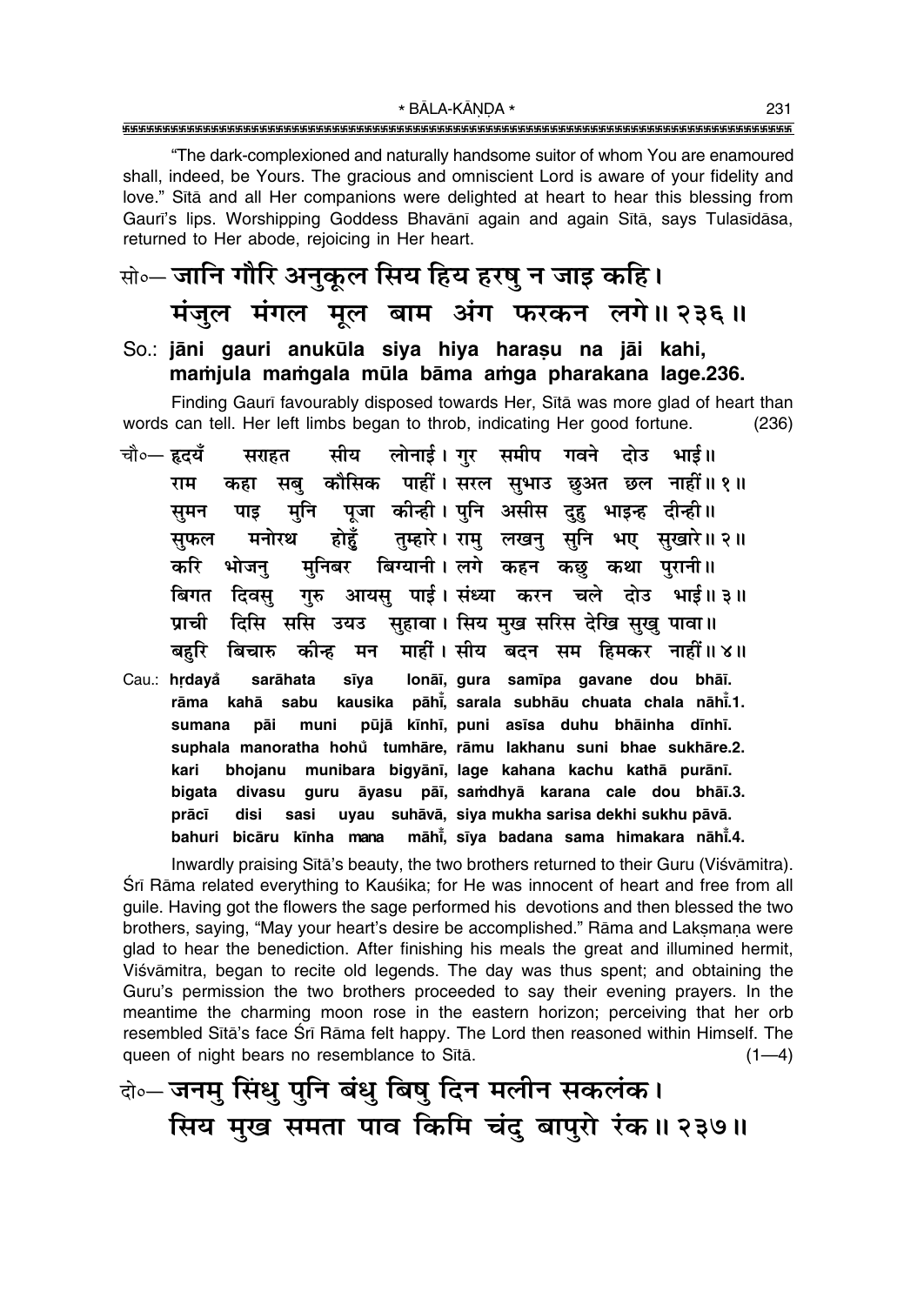\* BĀLA-KĀNDA \* 

"The dark-complexioned and naturally handsome suitor of whom You are enamoured shall, indeed, be Yours. The gracious and omniscient Lord is aware of your fidelity and love." Sita and all Her companions were delighted at heart to hear this blessing from Gauri's lips. Worshipping Goddess Bhavānī again and again Sītā, says Tulasīdāsa, returned to Her abode, rejoicing in Her heart.

### क्षे∘– जानि गौरि अनुकूल सिय हिय हरषु न जाइ कहि। मंजुल मंगल मूल बाम अंग फरकन लगे॥ २३६॥

#### So.: jāni gauri anukūla siya hiya harasu na jāi kahi, mamjula mamgala mūla bāma amga pharakana lage.236.

Finding Gauri favourably disposed towards Her, Sita was more glad of heart than words can tell. Her left limbs began to throb, indicating Her good fortune.  $(236)$ 

- चौ०— हृदयँ सीय लोनाई। गुर समीप गवने दोउ भाई॥ सराहत कहा सबु कौसिक पाहीं। सरल सुभाउ छुअत छल नाहीं॥१॥ राम मुनि पूजा कीन्ही। पुनि असीस दुहु भाइन्ह दीन्ही॥ पाड समन होहुँ तुम्हारे। रामु लखनु सुनि भए सुखारे॥ २॥ मनोरथ सुफल मुनिबर बिग्यानी।लगे कहन कछु कथा पुरानी॥ करि भोजन गुरु आयसु पाई।संध्या करन चले दोउ भाई॥३॥ बिगत दिवस दिसि ससि उयउ सुहावा। सिय मुख सरिस देखि सुखु पावा॥ प्राची माहीं। सीय बदन सम हिमकर नाहीं॥४॥ बहरि कीन्ह मन बिचारु
- lonāī, qura samīpa gavane dou bhāī. Cau.: hrdavå sarāhata sīva kahā sabu kausika pāhi, sarala subhāu chuata chala nāhi.1. rāma pūjā kīnhī, puni asīsa duhu bhāinha dīnhī. sumana pāi muni suphala manoratha hohů tumhāre, rāmu lakhanu suni bhae sukhāre.2. kari bhojanu munibara bigyānī, lage kahana kachu kathā purānī. divasu guru āyasu pāī, samdhyā karana cale dou bhāī.3. bigata prācī sasi uyau suhāvā, siya mukha sarisa dekhi sukhu pāvā. disi bahuri bicāru kīnha mana māhi, sīya badana sama himakara nāhi.4.

Inwardly praising Sita's beauty, the two brothers returned to their Guru (Viśvāmitra). Sri Rama related everything to Kauśika; for He was innocent of heart and free from all guile. Having got the flowers the sage performed his devotions and then blessed the two brothers, saying, "May your heart's desire be accomplished." Rāma and Laksmana were glad to hear the benediction. After finishing his meals the great and illumined hermit, Viśvāmitra, began to recite old legends. The day was thus spent; and obtaining the Guru's permission the two brothers proceeded to say their evening prayers. In the meantime the charming moon rose in the eastern horizon; perceiving that her orb resembled Sita's face Sri Rama felt happy. The Lord then reasoned within Himself. The queen of night bears no resemblance to Sītā.  $(1-4)$ 

बे॰ जनमु सिंधु पुनि बंधु बिषु दिन मलीन सकलंक। सिय मुख समता पाव किमि चंदु बापुरो रंक॥ २३७॥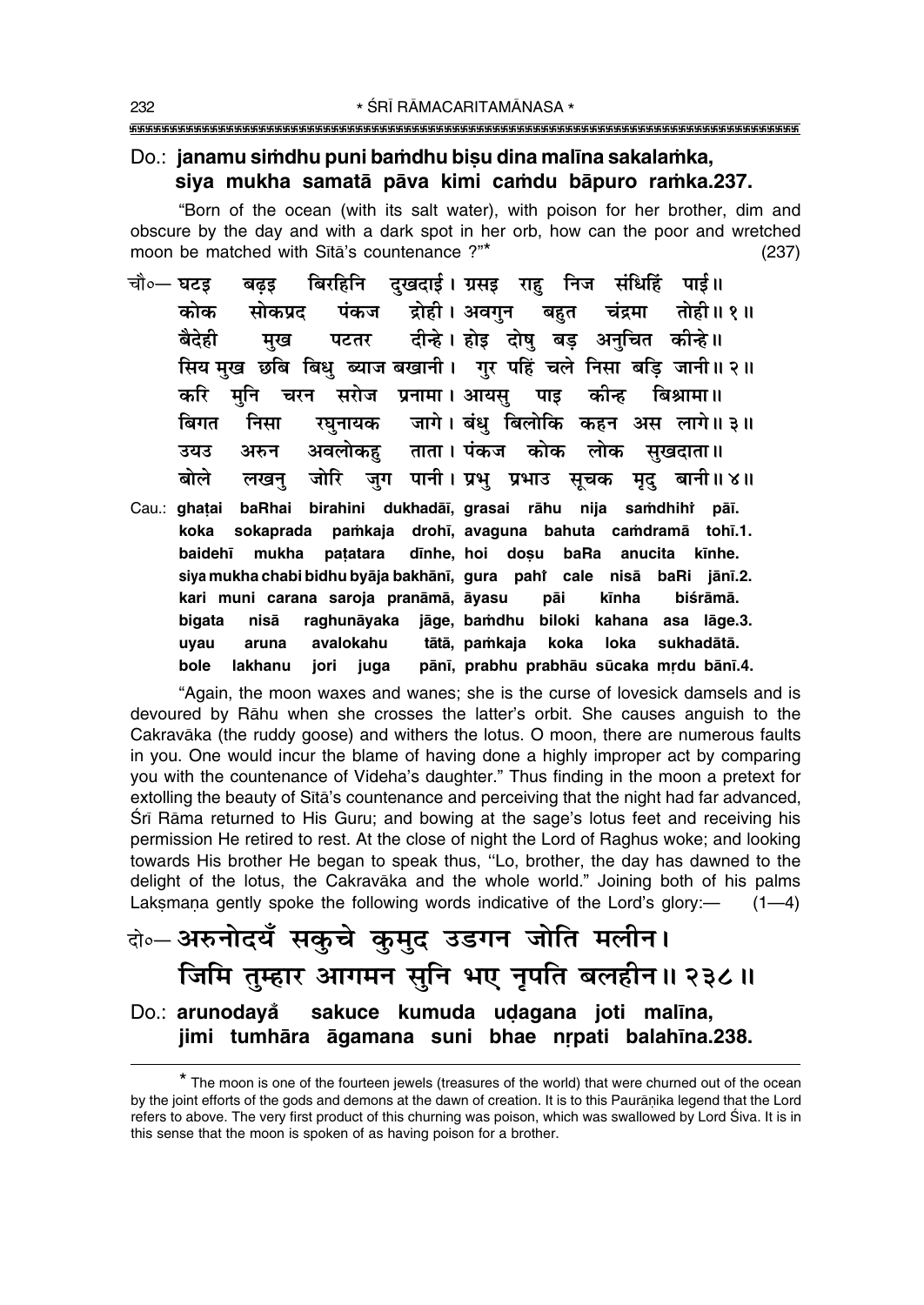#### Do.: janamu simdhu puni bamdhu bisu dina malīna sakalamka, siya mukha samatā pāva kimi camdu bāpuro ramka.237.

"Born of the ocean (with its salt water), with poison for her brother, dim and obscure by the day and with a dark spot in her orb, how can the poor and wretched moon be matched with Sītā's countenance ?"\*  $(237)$ 

- बिरहिनि दुखदाई। ग्रसइ राहु निज संधिहिं पाई॥ चौ०— घटड बढड कोक द्रोही। अवगन बहुत चंद्रमा तोही॥१॥ सोकपट पंकज दीन्हे। होइ दोषु बड़ अनुचित कीन्हे ॥ बैदेही मख पटतर सिय मख छबि बिध ब्याज बखानी। गर पहिं चले निसा बडि जानी॥२॥ कीन्ह मनि चरन सरोज प्रनामा। आयस पाइ करि बिश्रामा ॥ रघुनायक जागे। बंधु बिलोकि कहन अस लागे॥३॥ बिगत निसा अवलोकह ताता । पंकज कोक लोक सखदाता ॥ उयउ अरुन बोले जोरि जग पानी। प्रभ प्रभाउ सचक मृद् बानी॥४॥ लखन
- Cau.: ghatai baRhai birahini dukhadāī, grasai rāhu nija samdhihi pāī. pamkaja drohī, avaguna bahuta camdramā tohī.1. koka sokaprada baidehī mukha patatara dīnhe, hoi dosu baRa anucita kīnhe. siya mukha chabi bidhu byāja bakhānī, gura paht cale nisā baRi jānī.2. kari muni carana saroja pranāmā, āyasu pāi kīnha biśrāmā. raghunāyaka jāge, bamdhu biloki kahana asa lāge.3. nisā bigata uyau aruna avalokahu tātā, pamkaja koka loka sukhadātā. pānī, prabhu prabhāu sūcaka mrdu bānī.4. bole lakhanu jori iuqa

"Again, the moon waxes and wanes; she is the curse of lovesick damsels and is devoured by Rahu when she crosses the latter's orbit. She causes anguish to the Cakravāka (the ruddy goose) and withers the lotus. O moon, there are numerous faults in you. One would incur the blame of having done a highly improper act by comparing you with the countenance of Videha's daughter." Thus finding in the moon a pretext for extolling the beauty of Sita's countenance and perceiving that the night had far advanced, Śrī Rāma returned to His Guru; and bowing at the sage's lotus feet and receiving his permission He retired to rest. At the close of night the Lord of Raghus woke; and looking towards His brother He began to speak thus, "Lo, brother, the day has dawned to the delight of the lotus, the Cakravaka and the whole world." Joining both of his palms Laksmana gently spoke the following words indicative of the Lord's glory:- $(1-4)$ 

### बे॰ अरुनोदयँ सकुचे कुमुद उडगन जोति मलीन। जिमि तुम्हार आगमन सुनि भए नृपति बलहीन॥ २३८॥ Do.: arunodavå sakuce kumuda udagana joti malina, jimi tumhāra āgamana suni bhae nrpati balahīna.238.

<sup>\*</sup> The moon is one of the fourteen jewels (treasures of the world) that were churned out of the ocean by the joint efforts of the gods and demons at the dawn of creation. It is to this Paurānika legend that the Lord refers to above. The very first product of this churning was poison, which was swallowed by Lord Śiva. It is in this sense that the moon is spoken of as having poison for a brother.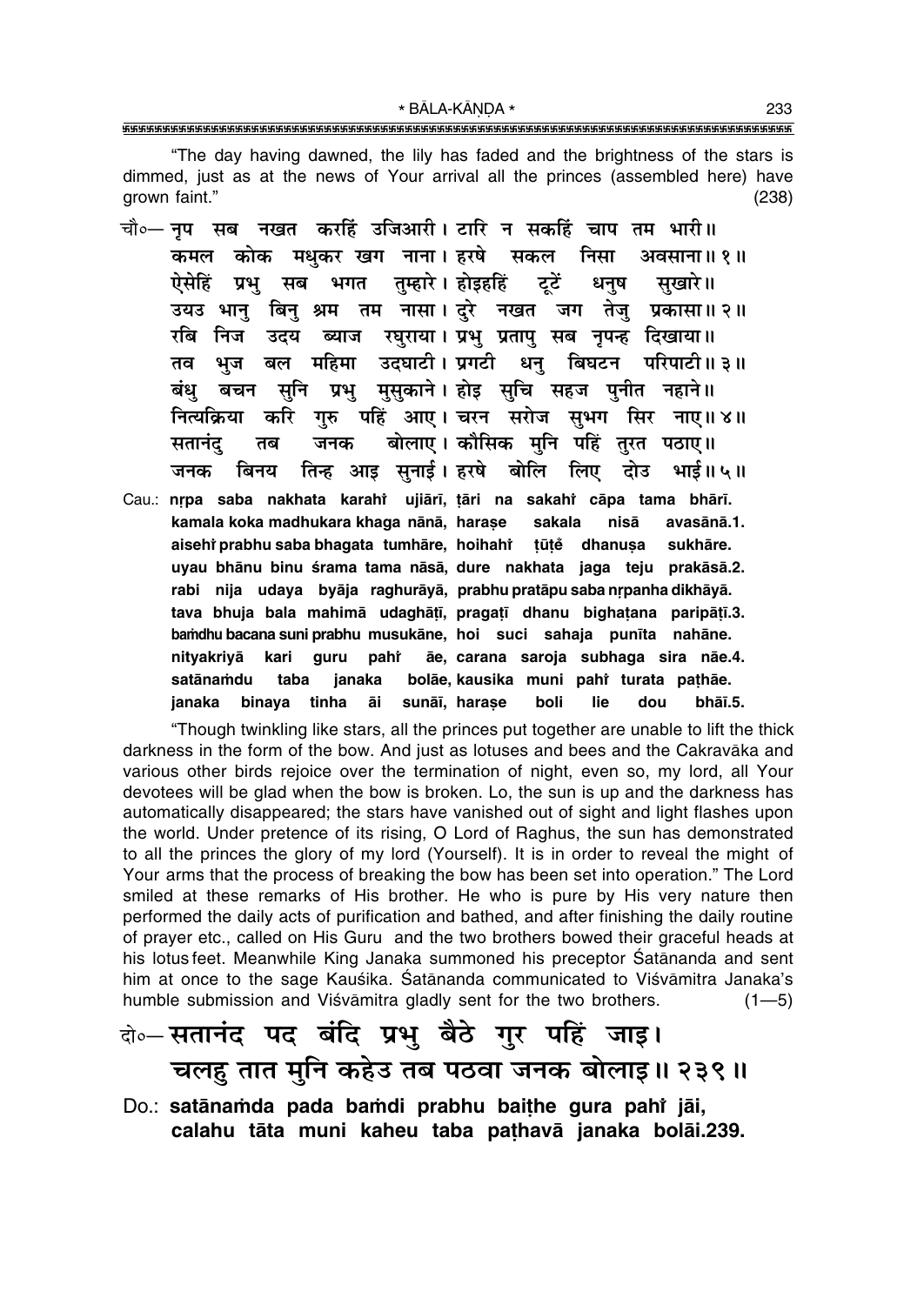\* BĀLA-KĀNDA \* 

"The day having dawned, the lily has faded and the brightness of the stars is dimmed, just as at the news of Your arrival all the princes (assembled here) have grown faint."  $(238)$ 

- चौ०— नप सब नखत करहिं उजिआरी। टारि न सकहिं चाप तम भारी॥ कमल कोक मधकर खग नाना। हरषे सकल निसा अवसाना ॥ १॥ तम्हारे । होइहहिं ऐसेहिं प्रभु सब भगत ट्टें धनष सखारे॥ उयउ भान् बिन् श्रम तम नासा। दरे नखत जग तेजु प्रकासा॥२॥ रबि निज उदय ब्याज रघराया। प्रभु प्रतापु सब नुपन्ह दिखाया॥ भज बल महिमा उदघाटी। प्रगटी धन बिघटन परिपाटी॥३॥ तव बचन सुनि प्रभु मुसुकाने। होइ सुचि सहज पुनीत नहाने॥ बंध करि गुरु पहिं आए। चरन सरोज सुभग सिर नाए॥४॥ नित्यक्रिया बोलाए। कौसिक मनि पहिं तरत पठाए॥ सतानंद तब जनक तिन्ह आइ सुनाई। हरषे बोलि लिए दोउ जनक बिनय भाई॥५॥
- Cau.: nrpa saba nakhata karahi ujiārī, țāri na sakahi cāpa tama bhārī. kamala koka madhukara khaga nānā, harașe sakala nisā avasānā.1. aisehi prabhu saba bhaqata tumhāre, hoihahi tūtė dhanusa sukhāre. uyau bhānu binu śrama tama nāsā, dure nakhata jaga teju prakāsā.2. rabi nija udaya byāja raghurāyā, prabhu pratāpu saba nrpanha dikhāyā. tava bhuja bala mahimā udaghātī, pragatī dhanu bighatana paripātī.3. bamdhu bacana suni prabhu musukāne, hoi suci sahaja punīta nahāne. kari ãe, carana saroja subhaga sira nãe.4. nityakriyā guru pahr satānamdu bolāe, kausika muni pahi turata pathāe. taba janaka janaka binaya tinha āi sunāī, harase boli lie dou bhāī.5.

"Though twinkling like stars, all the princes put together are unable to lift the thick darkness in the form of the bow. And just as lotuses and bees and the Cakravāka and various other birds rejoice over the termination of night, even so, my lord, all Your devotees will be glad when the bow is broken. Lo, the sun is up and the darkness has automatically disappeared; the stars have vanished out of sight and light flashes upon the world. Under pretence of its rising, O Lord of Raghus, the sun has demonstrated to all the princes the glory of my lord (Yourself). It is in order to reveal the might of Your arms that the process of breaking the bow has been set into operation." The Lord smiled at these remarks of His brother. He who is pure by His very nature then performed the daily acts of purification and bathed, and after finishing the daily routine of prayer etc., called on His Guru and the two brothers bowed their graceful heads at his lotus feet. Meanwhile King Janaka summoned his preceptor Satānanda and sent him at once to the sage Kauśika. Śatānanda communicated to Viśvāmitra Janaka's humble submission and Viśvāmitra gladly sent for the two brothers.  $(1 - 5)$ 

## वे०-सतानंद पद बंदि प्रभु बैठे गुर पहिं जाइ। चलह तात मुनि कहेउ तब पठवा जनक बोलाइ॥ २३९॥

Do.: satānamda pada bamdi prabhu baithe gura pahi jāi, calahu tāta muni kaheu taba paṭhavā janaka bolāi.239.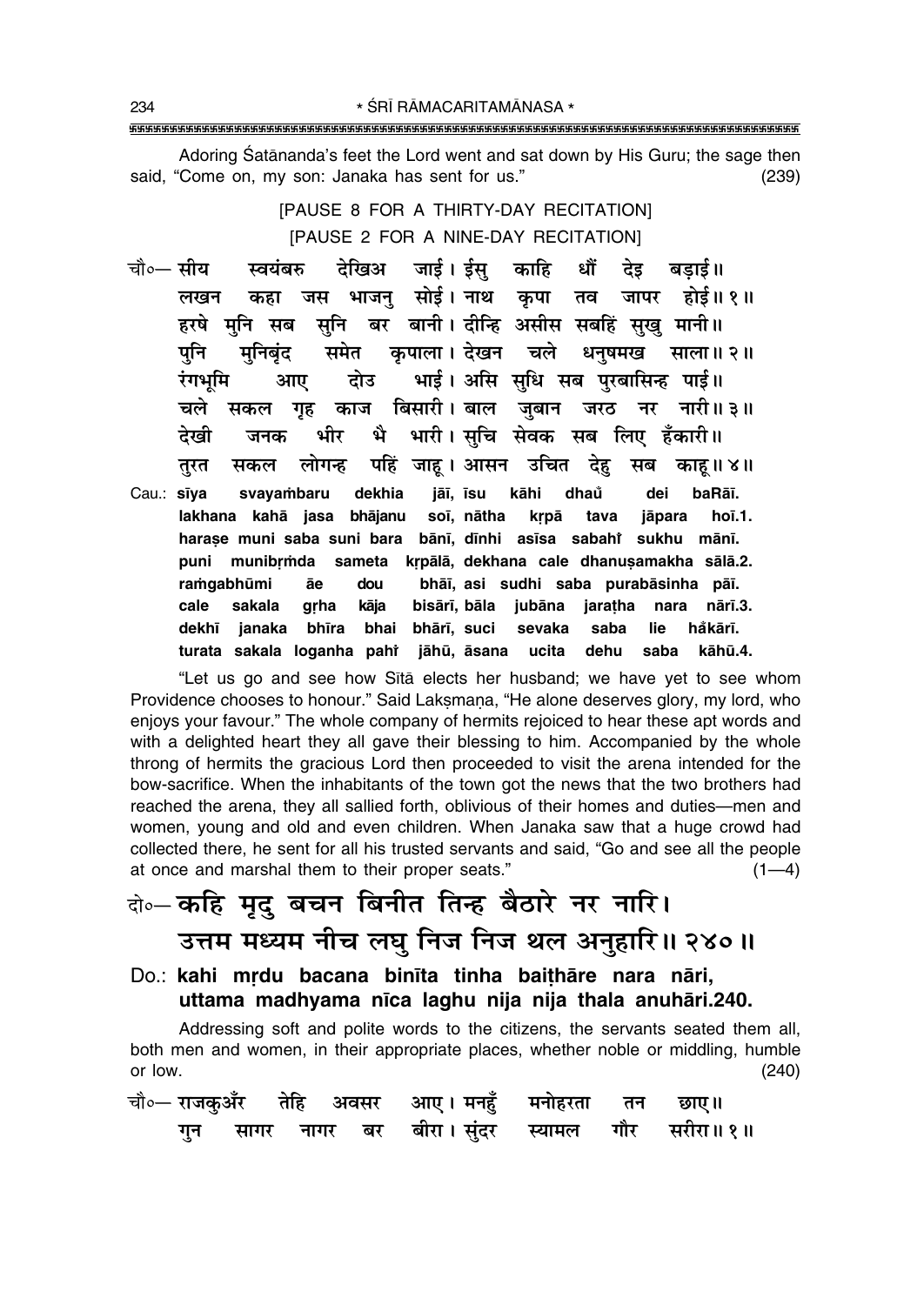Adoring Śatānanda's feet the Lord went and sat down by His Guru; the sage then said, "Come on, my son: Janaka has sent for us."  $(239)$ 

> [PAUSE 8 FOR A THIRTY-DAY RECITATION] [PAUSE 2 FOR A NINE-DAY RECITATION]

- जाई। ईस काहि चौ०— सीय स्वयंबरु देखिअ धौं देड बडाई॥ भाजन सोई। नाथ कपा तव जापर होई॥१॥ लखन जस कहा हरषे मनि सब सनि बर बानी।वदीन्हि असीस सबहिं सख मानी॥ कपाला । देखन चले धनषमख पनि समेत साला॥ २॥ मनिबंद भाई। असि सधि सब परबासिन्ह पाई॥ रंगभमि दोउ आए सकल गह काज बिसारी। बाल ज़बान जरठ नर नारी॥३॥ चले भै भारी। सचि सेवक सब लिए हँकारी॥ देखी भीर जनक लोगन्ह पहिं जाह। आसन उचित देह सब काह॥४॥ तरत सकल
- Cau.: sīya dekhia jāī, īsu kāhi dhaů svayambaru dei baRāī. lakhana kahā jasa bhājanu soī, nātha krpā tava jāpara hoī.1. harase muni saba suni bara bānī, dīnhi asīsa sabaht sukhu mānī. sameta krpālā, dekhana cale dhanusamakha sālā.2. puni munibrmda ramqabhūmi dou bhāī, asi sudhi saba purabāsinha pāī. āe sakala bisārī, bāla jubāna jaratha nara nārī.3. cale grha kāja dekhī janaka bhīra bhai bhārī, suci sevaka saba lie håkārī. turata sakala loganha pahi jāhū, āsana ucita dehu saba kāhū.4.

"Let us go and see how Sita elects her husband; we have yet to see whom Providence chooses to honour." Said Laksmana, "He alone deserves glory, my lord, who enjoys your favour." The whole company of hermits rejoiced to hear these apt words and with a delighted heart they all gave their blessing to him. Accompanied by the whole throng of hermits the gracious Lord then proceeded to visit the arena intended for the bow-sacrifice. When the inhabitants of the town got the news that the two brothers had reached the arena, they all sallied forth, oblivious of their homes and duties—men and women, young and old and even children. When Janaka saw that a huge crowd had collected there, he sent for all his trusted servants and said, "Go and see all the people at once and marshal them to their proper seats."  $(1-4)$ 

### बे-कहि मृदु बचन बिनीत तिन्ह बैठारे नर नारि। उत्तम मध्यम नीच लघु निज निज थल अनुहारि॥ २४०॥

Do.: kahi mrdu bacana binīta tinha baithāre nara nāri, uttama madhyama nīca laghu nija nija thala anuhāri.240.

Addressing soft and polite words to the citizens, the servants seated them all, both men and women, in their appropriate places, whether noble or middling, humble or low.  $(240)$ 

|  |  | चौ∘— राजकुअँर     तेहि    अवसर     आए ।  मनहुँ     मनोहरता      तन       छाए॥ |  |  |
|--|--|-------------------------------------------------------------------------------|--|--|
|  |  | गुन सागर नागर बर बीरा। सुंदर स्यामल गौर सरीरा॥ १॥                             |  |  |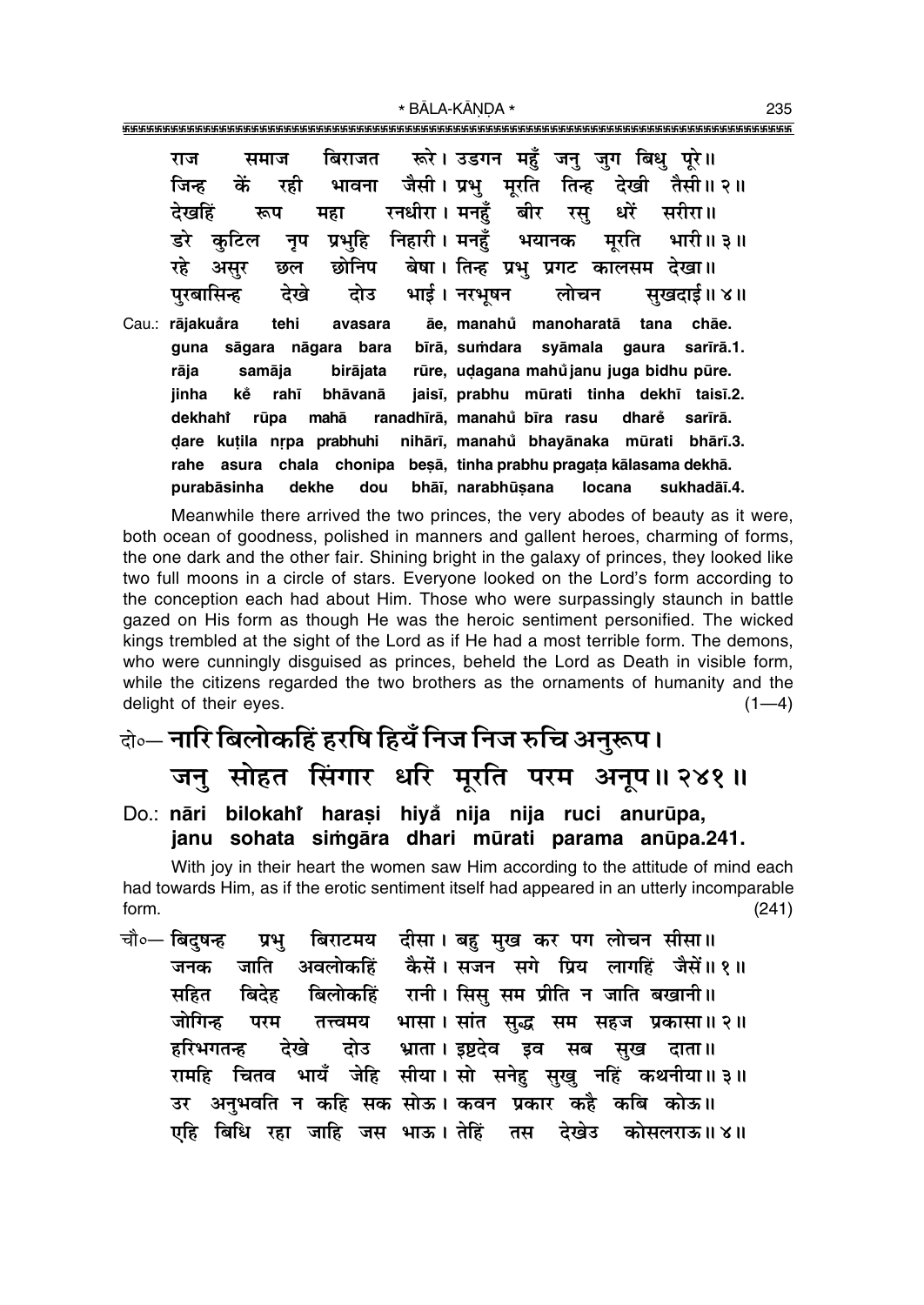""""""""""""""""""""""""""""""""""""""""""""""""""""""""""""""""""""""""""""""""""" \* BÅLA-KŰNœA \* <sup>235</sup>

| राज                                                                |        |          |  | समाज बिराजत रूरे। उडगन महुँ जनु जुग बिधु पूरे॥                 |                                                           |
|--------------------------------------------------------------------|--------|----------|--|----------------------------------------------------------------|-----------------------------------------------------------|
| जिन्ह कें रही भावना जैसी।प्रभु मूरति तिन्ह देखी तैसी॥२॥            |        |          |  |                                                                |                                                           |
| देखहिं                                                             |        |          |  | रूप महा रनधीरा।मनहुँ बीर रसु धरें सरीरा॥                       |                                                           |
| डरे कुटिल नृप प्रभुहि निहारी।मनहुँ भयानक मूरति भारी॥३॥             |        |          |  |                                                                |                                                           |
| रहे असुर छल छोनिप बेषा। तिन्ह प्रभु प्रगट कालसम देखा॥              |        |          |  |                                                                |                                                           |
| पुरबासिन्ह देखे दोउ भाई। नरभूषन लोचन सुखदाई॥ ४॥                    |        |          |  |                                                                |                                                           |
| Cau.: rājakuåra tehi avasara āe, manahů manoharatā tana chāe.      |        |          |  |                                                                |                                                           |
| guna sāgara nāgara bara bīrā, sumdara syāmala gaura sarīrā.1.      |        |          |  |                                                                |                                                           |
| rāja                                                               | samāja | birājata |  | rūre, udagana mahůjanu juga bidhu pūre.                        |                                                           |
| jinha                                                              |        |          |  |                                                                | ke rahī bhāvanā jaisī, prabhu mūrati tinha dekhī taisī.2. |
| dekhahî rūpa mahā ranadhīrā, manahů bīra rasu dharě sarīrā.        |        |          |  |                                                                |                                                           |
| dare kutila nrpa prabhuhi nihārī, manahů bhayānaka mūrati bhārī.3. |        |          |  |                                                                |                                                           |
| rahe                                                               |        |          |  | asura chala chonipa besā, tinha prabhu pragata kālasama dekhā. |                                                           |

Meanwhile there arrived the two princes, the very abodes of beauty as it were, both ocean of goodness, polished in manners and gallent heroes, charming of forms, the one dark and the other fair. Shining bright in the galaxy of princes, they looked like two full moons in a circle of stars. Everyone looked on the Lord's form according to the conception each had about Him. Those who were surpassingly staunch in battle gazed on His form as though He was the heroic sentiment personified. The wicked kings trembled at the sight of the Lord as if He had a most terrible form. The demons, who were cunningly disguised as princes, beheld the Lord as Death in visible form, while the citizens regarded the two brothers as the ornaments of humanity and the delight of their eyes.  $(1-4)$ 

purabāsinha dekhe dou bhāī, narabhūsana locana sukhadāī.4.

- दो**०— नारि बिलोकहिं हरषि हियँ निज निज रुचि अनुरूप।** जनु सोहत सिंगार धरि मुरति परम अनुप॥ २४१॥
- Do.: <mark>nāri bilokahi̇̀ haraṣi hiyǎ nija nija ruci anurūpa,</mark> janu sohata simgāra dhari mūrati parama anūpa.241.

With joy in their heart the women saw Him according to the attitude of mind each had towards Him, as if the erotic sentiment itself had appeared in an utterly incomparable form. (241)

चौ०— बिदुषन्ह प्रभु बिराटमय दीसा। बहु मुख कर पग लोचन सीसा॥ जनक जाति अवलोकहिं कैसें।**सजन सगे प्रिय लागहिं जैसें॥१॥** सहित बिदेह बिलोकहिं रानी । सिस् सम प्रीति न जाति बखानी ।। जोगिन्ह परम तत्त्वमय भासा।सांत सुद्ध सम सहज प्रकासा॥२॥ हरिभगतन्ह देखे दोउ भ्राता।**इष्टदेव इव सब सुख दाता**॥  $\tau$ रामहि चितव भायँ जेहि सीया।सो सनेहु सुखु नहिं कथनीया॥३॥ उर अनुभवति न कहि सक सोऊ। कवन प्रकार कहै कबि कोऊ॥ **एहि बिधि रहा जाहि जस भाऊ। तेहिं तस देखे**उ कोसलराऊ॥४॥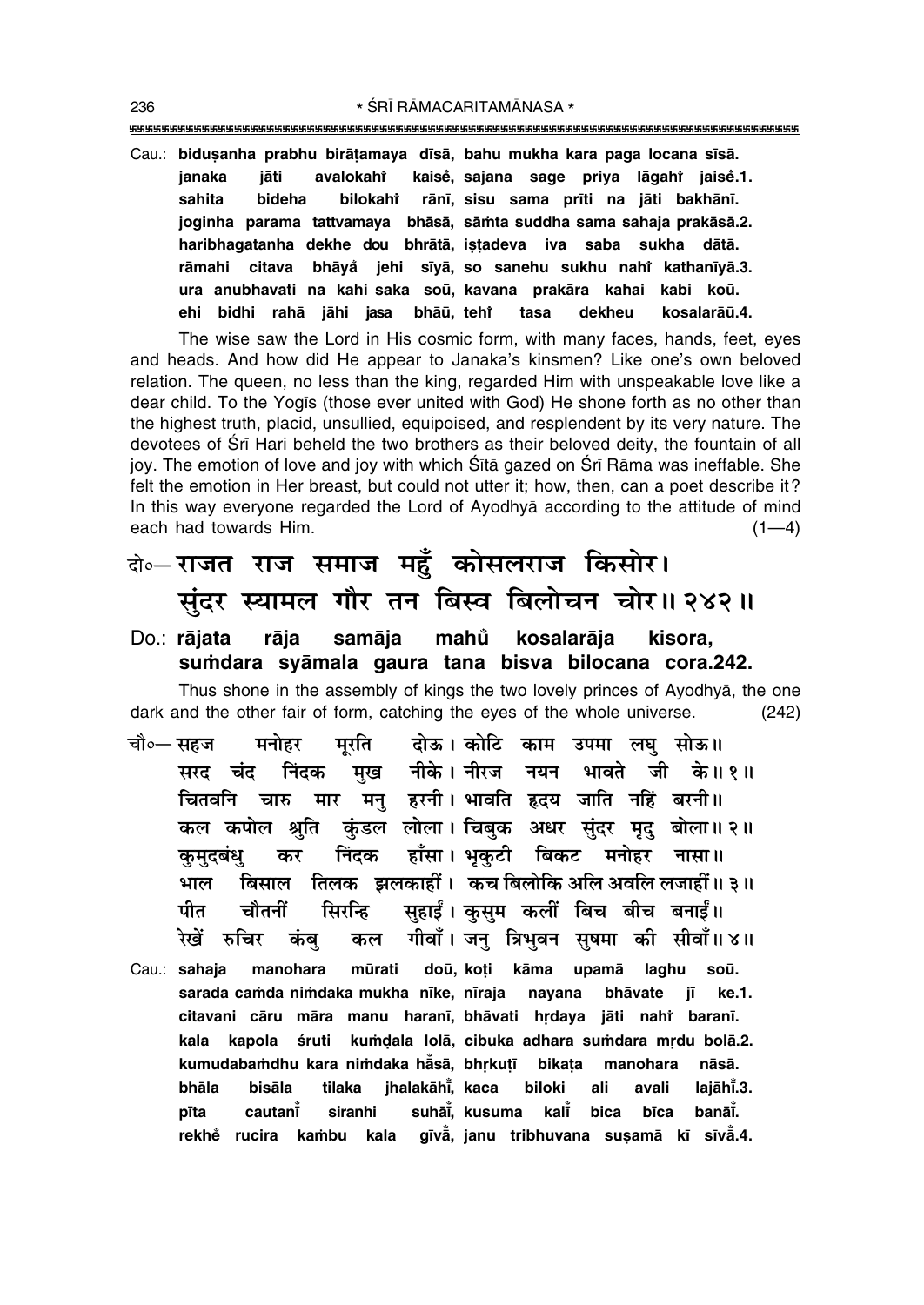\* ŚRĪ RĀMACARITAMĀNASA \* 

Cau.: biduşanha prabhu birāṭamaya dīsā, bahu mukha kara paga locana sīsā. kaisė, sajana sage priva lāgaht jaisė.1. janaka jāti avalokahi sahita rānī, sisu sama prīti na jāti bakhānī. bideha bilokahî joginha parama tattvamaya bhāsā, sāmta suddha sama sahaja prakāsā.2. haribhagatanha dekhe dou bhrātā, istadeva iva saba sukha dātā. citava bhāyå jehi sīyā, so sanehu sukhu nahi kathanīyā.3. rāmahi ura anubhavati na kahi saka soū, kavana prakāra kahai kabi koū. ehi bidhi rahā jāhi jasa bhāū, teht tasa dekheu kosalarāū.4.

The wise saw the Lord in His cosmic form, with many faces, hands, feet, eyes and heads. And how did He appear to Janaka's kinsmen? Like one's own beloved relation. The queen, no less than the king, regarded Him with unspeakable love like a dear child. To the Yogis (those ever united with God) He shone forth as no other than the highest truth, placid, unsullied, equipoised, and resplendent by its very nature. The devotees of Sri Hari beheld the two brothers as their beloved deity, the fountain of all joy. The emotion of love and joy with which Sita gazed on Sri Rama was ineffable. She felt the emotion in Her breast, but could not utter it; how, then, can a poet describe it? In this way everyone regarded the Lord of Ayodhya according to the attitude of mind each had towards Him.  $(1-4)$ 

### बे॰-राजत राज समाज महुँ कोसलराज किसोर। सुंदर स्यामल गौर तन बिस्व बिलोचन चोर॥ २४२॥

#### rāja mahů Do.: rājata samāja kosalarāja kisora. sumdara syāmala gaura tana bisva bilocana cora.242.

Thus shone in the assembly of kings the two lovely princes of Ayodhya, the one dark and the other fair of form, catching the eyes of the whole universe.  $(242)$ 

- दोऊ। कोटि काम उपमा लघु सोऊ॥ चौ०— सहज मनोहर मुरति मुख नीके। नीरज नयन भावते जी के॥१॥ निंदक सरद चंद चितवनि चारु मार मन् हरनी। भावति हृदय जाति नहिं बरनी ।। कल कपोल श्रुति कुंडल लोला। चिबक अधर सुंदर मृद बोला॥२॥ निंदक हाँसा। भुकुटी बिकट मनोहर नासा॥ कर कमदबंध बिसाल तिलक झलकाहीं। कच बिलोकि अलि अवलि लजाहीं॥३॥ भाल सहाईं। कुसुम कलीं बिच बीच बनाईं॥ सिरन्हि पीत चौतनीं गीवाँ। जनु त्रिभुवन सुषमा की सीवाँ॥४॥ रेखें रुचिर कंब कल
- doū, koti kāma upamā laghu Cau.: sahaja manohara mūrati soū. sarada camda nimdaka mukha nīke, nīraja navana bhāvate iī. ke.1. citavani cāru māra manu haranī, bhāvati hrdaya jāti nahi baranī. kala kapola śruti kumdala lolā, cibuka adhara sumdara mrdu bolā.2. kumudabamdhu kara nimdaka hāsā, bhrkutī bikata manohara nāsā. bhāla bisāla tilaka ihalakāhi, kaca biloki ali avali laiāhī.3. cautant siranhi suhāi, kusuma kalĭ bica bīca banāi. pīta rekhě rucira kambu kala gīvā, janu tribhuvana susamā kī sīvā.4.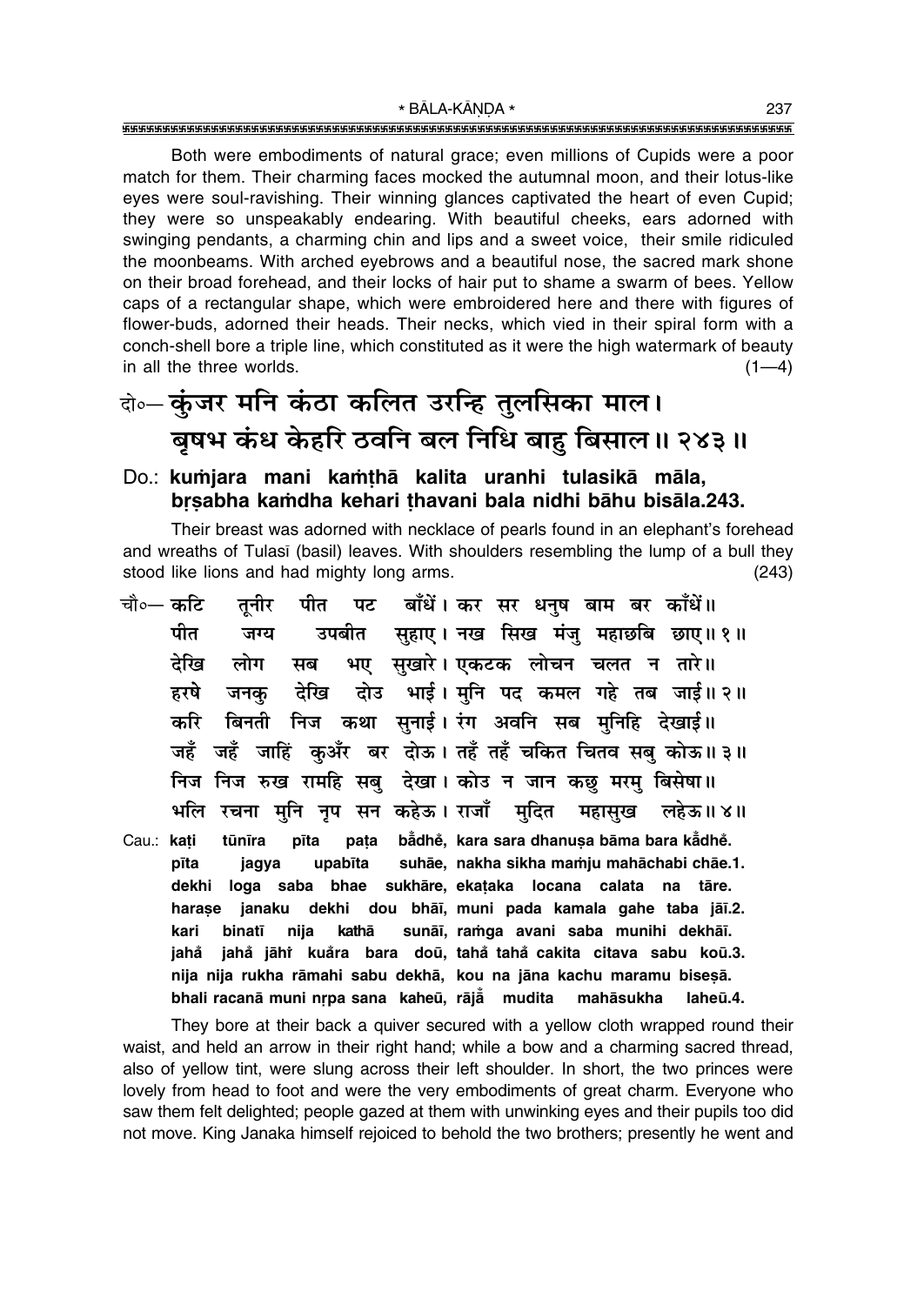Both were embodiments of natural grace; even millions of Cupids were a poor match for them. Their charming faces mocked the autumnal moon, and their lotus-like eyes were soul-ravishing. Their winning glances captivated the heart of even Cupid; they were so unspeakably endearing. With beautiful cheeks, ears adorned with swinging pendants, a charming chin and lips and a sweet voice, their smile ridiculed the moonbeams. With arched eyebrows and a beautiful nose, the sacred mark shone on their broad forehead, and their locks of hair put to shame a swarm of bees. Yellow caps of a rectangular shape, which were embroidered here and there with figures of flower-buds, adorned their heads. Their necks, which vied in their spiral form with a conch-shell bore a triple line, which constituted as it were the high watermark of beauty in all the three worlds.  $(1-4)$ 

## के- कुंजर मनि कंठा कलित उरन्हि तुलसिका माल। बुषभ कंध केहरि ठवनि बल निधि बाह बिसाल॥ २४३॥

#### Do.: kumjara mani kamthā kalita uranhi tulasikā māla, brsabha kamdha kehari thavani bala nidhi bāhu bisāla.243.

Their breast was adorned with necklace of pearls found in an elephant's forehead and wreaths of Tulasi (basil) leaves. With shoulders resembling the lump of a bull they stood like lions and had mighty long arms.  $(243)$ 

पट बाँधें। कर सर धनुष बाम बर काँधें॥ चौ०— कटि तुनीर पीत उपबीत सुहाए। नख सिख मंजु महाछबि छाए॥१॥ पीत जग्य भए सुखारे। एकटक लोचन चलत न तारे॥ देखि लोग सब दोउ भाई। मुनि पद कमल गहे तब जाई॥२॥ हरषे जनक देखि करि बिनती निज कथा सनाई। रंग अवनि सब मनिहि देखाई॥ जहँ जहँ जाहिं कुअँर बर दोऊ। तहँ तहँ चकित चितव सबु कोऊ॥३॥ निज निज रुख रामहि सब देखा। कोउ न जान कछ मरम बिसेषा॥ भलि रचना मनि नप सन कहेऊ। राजाँ मदित महासख लहेऊ॥४॥ Cau.: kati tūnīra pīta pata bådhě, kara sara dhanusa bāma bara kådhě. suhāe, nakha sikha mamju mahāchabi chāe.1. pīta upabīta jagya loga saba bhae sukhāre, ekataka locana calata na tāre. dekhi dekhi dou bhāi, muni pada kamala gahe taba jāi.2. harase janaku kari binatī nija kathā sunāī, ramga avani saba munihi dekhāī. iahå jahå jāhi kuåra bara doū, tahå tahå cakita citava sabu koū.3. nija nija rukha rāmahi sabu dekhā, kou na jāna kachu maramu bisesā. bhali racanā muni nrpa sana kaheū, rājā mudita mahāsukha laheū.4.

They bore at their back a quiver secured with a yellow cloth wrapped round their waist, and held an arrow in their right hand; while a bow and a charming sacred thread, also of yellow tint, were slung across their left shoulder. In short, the two princes were lovely from head to foot and were the very embodiments of great charm. Everyone who saw them felt delighted; people gazed at them with unwinking eyes and their pupils too did not move. King Janaka himself rejoiced to behold the two brothers; presently he went and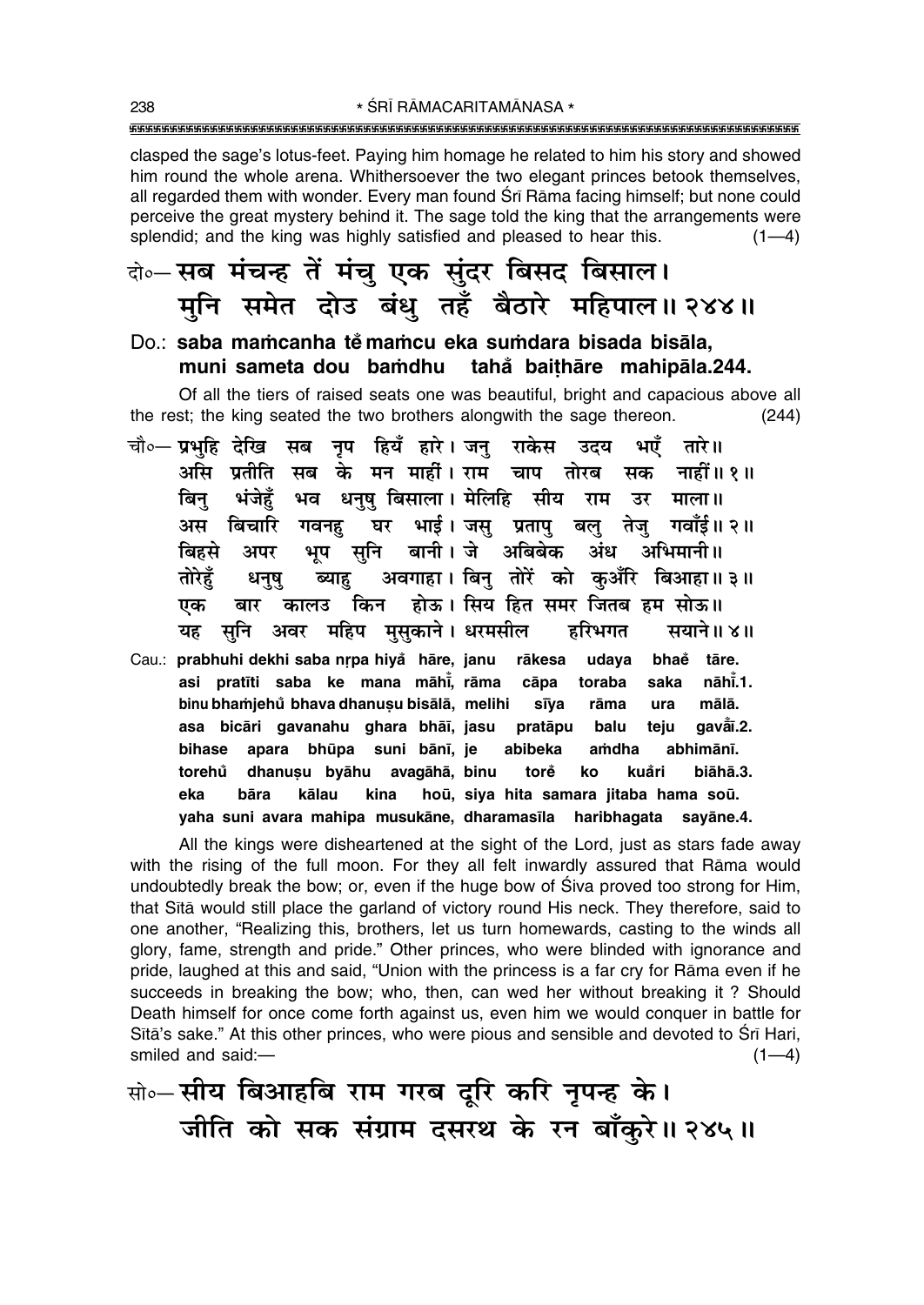\* ŚRĪ RĀMACARITAMĀNASA \* 

clasped the sage's lotus-feet. Paying him homage he related to him his story and showed him round the whole arena. Whithersoever the two elegant princes betook themselves, all regarded them with wonder. Every man found Srī Rāma facing himself; but none could perceive the great mystery behind it. The sage told the king that the arrangements were splendid; and the king was highly satisfied and pleased to hear this.  $(1-4)$ 

- बे॰ सब मंचन्ह तें मंचु एक सुंदर बिसद बिसाल। मुनि समेत दोउ बंध तहँ बैठारे महिपाल॥ २४४॥
- Do.: saba mamcanha těmamcu eka sumdara bisada bisāla, muni sameta dou bamdhu tahå baithāre mahipāla.244.

Of all the tiers of raised seats one was beautiful, bright and capacious above all the rest; the king seated the two brothers alongwith the sage thereon.  $(244)$ 

- चौ०— प्रभहि देखि सब नृप हियँ हारे। जन् राकेस उदय भएँ तारे ॥ असि प्रतीति सब के मन मार्हो। राम चाप नाहीं ॥ १ ॥ तोरब सक भव धनष बिसाला। मेलिहि सीय बिन भंजेहँ राम उर माला ॥ ्बिचारि गवनह घर भाई । जस् प्रताप् बल् तेज् गवाँई ॥ २ ॥ अस भूप सुनि बानी। जे अबिबेक अंध अभिमानी ॥ बिहसे अपर अवगाहा। बिनु तोरें को कआँरि बिआहा॥३॥ तोरेहँ ब्याह धनष किन होऊ। सिय हित समर जितब हम सोऊ॥ एक बार कालउ सुनि अवर महिप मुसुकाने। धरमसील हरिभगत सयाने॥ ४॥ यह
- Cau.: prabhuhi dekhi saba nrpa hiyå hāre, janu rākesa udaya bhaĕ tāre. asi pratīti saba ke mana māhi, rāma cāpa toraba saka nāhī.1. binu bhamjehů bhava dhanusu bisālā, melihi mālā. sīva rāma ura asa bicāri gavanahu ghara bhāī, jasu pratāpu balu teju gaval.2. apara bhūpa suni bānī, je abhimānī. bihase abibeka amdha dhanuşu byāhu avagāhā, binu torě kuåri biāhā.3. torehů ko bāra kālau kina hoū, siya hita samara jitaba hama soū. eka sayāne.4. vaha suni avara mahipa musukāne, dharamasīla haribhagata

All the kings were disheartened at the sight of the Lord, just as stars fade away with the rising of the full moon. For they all felt inwardly assured that Rama would undoubtedly break the bow; or, even if the huge bow of Siva proved too strong for Him, that Sita would still place the garland of victory round His neck. They therefore, said to one another, "Realizing this, brothers, let us turn homewards, casting to the winds all glory, fame, strength and pride." Other princes, who were blinded with ignorance and pride, laughed at this and said, "Union with the princess is a far cry for Rāma even if he succeeds in breaking the bow; who, then, can wed her without breaking it? Should Death himself for once come forth against us, even him we would conquer in battle for Sita's sake." At this other princes, who were pious and sensible and devoted to Sri Hari, smiled and said:- $(1-4)$ 

सो० सीय बिआहबि राम गरब दूरि करि नृपन्ह के। जीति को सक संग्राम दसरथ के रन बाँकुरे॥ २४५॥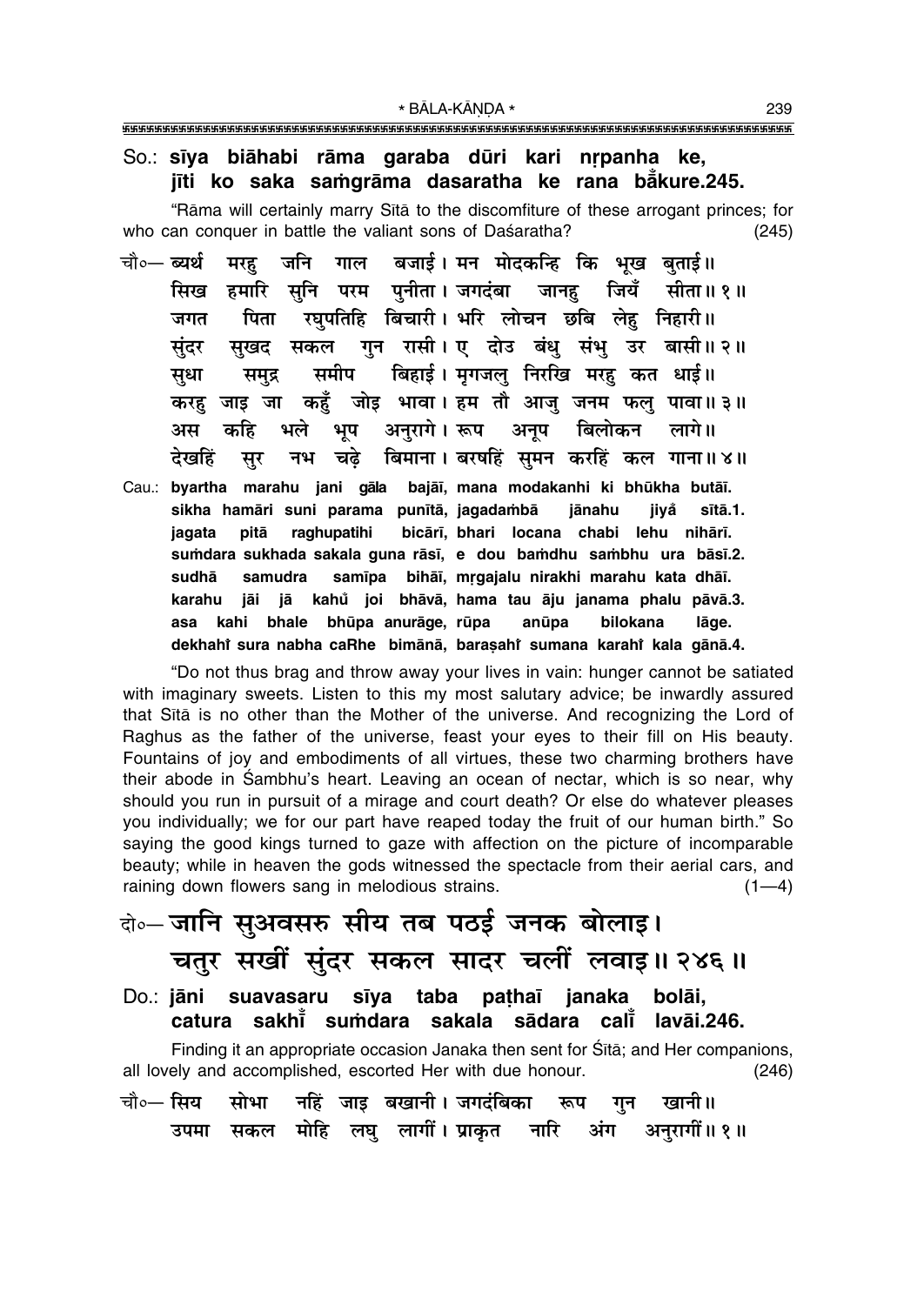#### So.: sīya biāhabi rāma garaba dūri kari nrpanha ke, jīti ko saka samgrāma dasaratha ke rana bākure.245.

"Rāma will certainly marry Sītā to the discomfiture of these arrogant princes; for who can conquer in battle the valiant sons of Daśaratha?  $(245)$ 

- मरह जनि गाल बजाई। मन मोदकन्हि कि भख बताई॥ चौ०— **ब्यर्थ** हमारि सनि परम पनीता।जगदंबा जानह सिख जियँ सीता॥ १॥ रघपतिहि बिचारी। भरि लोचन छबि लेह निहारी॥ पिता जगत गुन रासी। ए दोउ बंधु संभु उर बासी॥ २॥ सखद सकल संदर बिहाई। मृगजलु निरखि मरह कत धाई॥ समीप सधा समुद्र करह जाड़ जा कहँ जोड़ भावा। हम तौ आज जनम फल पावा॥३॥ भूष अनुरागे। रूप अनुष बिलोकन अस कहि भले लागे।। नभ चढ़े बिमाना। बरषहिं सुमन करहिं कल गाना॥४॥ देखहिं सर
- Cau.: byartha marahu jani gāla bajāī, mana modakanhi ki bhūkha butāī. sikha hamāri suni parama punītā, jagadambā jānahu jiyå sītā.1. pitā raghupatihi bicārī, bhari locana chabi lehu nihārī. jagata sumdara sukhada sakala guna rāsī, e dou bamdhu sambhu ura bāsī.2. samīpa bihāī, mrgajalu nirakhi marahu kata dhāī. sudhā samudra jā kahů joi bhāvā, hama tau āju janama phalu pāvā.3. karahu iāi bhale bhūpa anurāge, rūpa anūpa bilokana asa kahi lāge. dekhahi sura nabha caRhe bimānā, barasahi sumana karahi kala gānā.4.

"Do not thus brag and throw away your lives in vain: hunger cannot be satiated with imaginary sweets. Listen to this my most salutary advice; be inwardly assured that Sita is no other than the Mother of the universe. And recognizing the Lord of Raghus as the father of the universe, feast your eyes to their fill on His beauty. Fountains of joy and embodiments of all virtues, these two charming brothers have their abode in Sambhu's heart. Leaving an ocean of nectar, which is so near, why should you run in pursuit of a mirage and court death? Or else do whatever pleases you individually; we for our part have reaped today the fruit of our human birth." So saying the good kings turned to gaze with affection on the picture of incomparable beauty; while in heaven the gods witnessed the spectacle from their aerial cars, and raining down flowers sang in melodious strains.  $(1-4)$ 

### वे॰ जानि सुअवसरु सीय तब पठई जनक बोलाइ। चतुर सखीं सुंदर सकल सादर चलीं लवाइ॥ २४६॥ Do.: jāni suavasaru sīya taba pathaī janaka bolāi.

sakhi sumdara sakala sādara cali lavāi.246. catura

Finding it an appropriate occasion Janaka then sent for Sita; and Her companions, all lovely and accomplished, escorted Her with due honour.  $(246)$ 

नहिं जाइ बखानी। जगदंबिका चौ०— सिय सोभा रूप गुन खानी॥ सकल मोहि लघु लागीं। प्राकृत नारि अंग अनुरागीं॥१॥ उपमा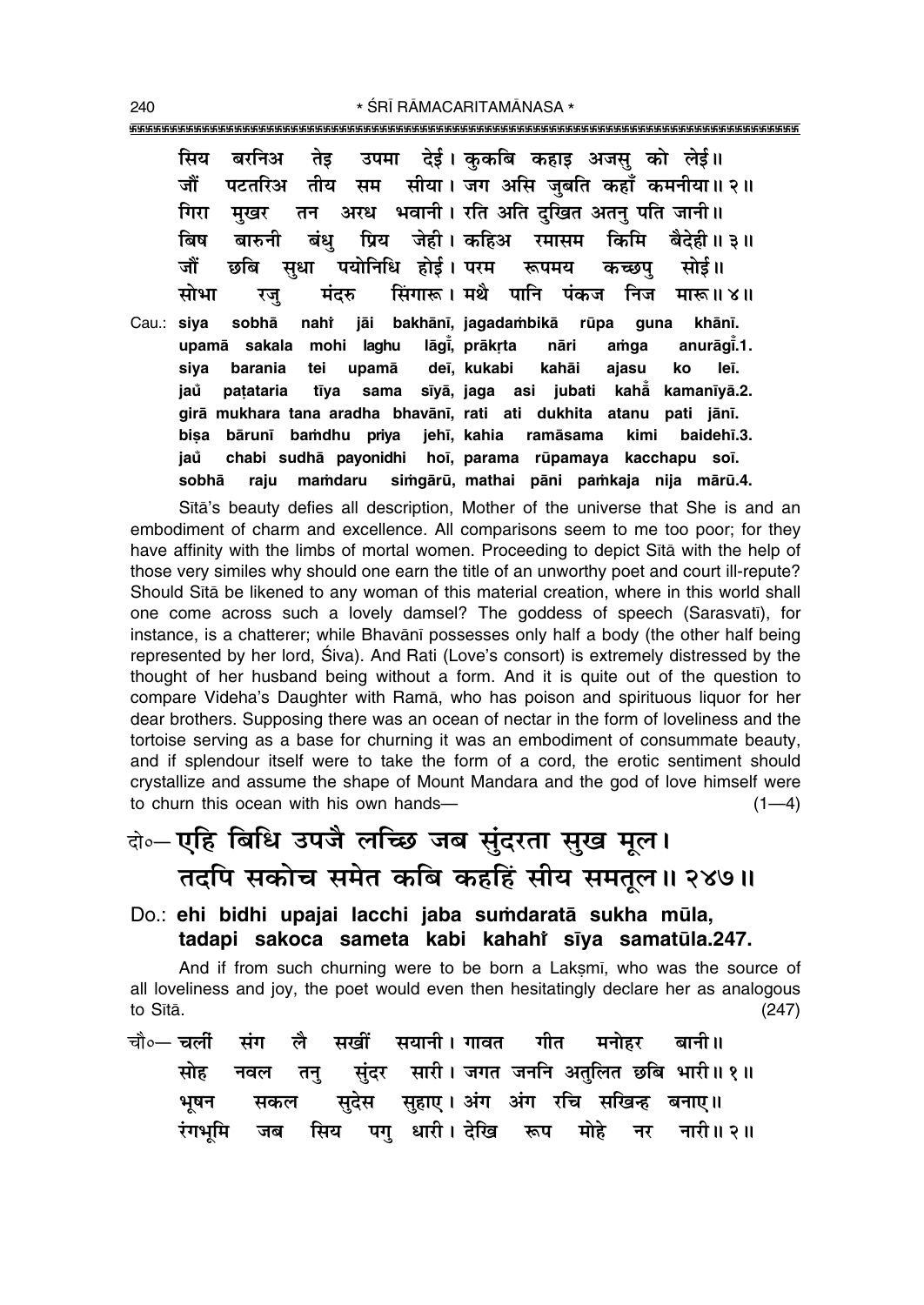सिय बरनिअ तेड उपमा देई। ककबि कहाइ अजस को लेई॥ जौं सीया। जग असि जुबति कहाँ कमनीया॥२॥ पटतरिअ तीय सम अरध भवानी। रति अति दखित अतन पति जानी॥ गिरा मखर तन बिष प्रिय जेही। कहिअ किमि बारुनी बंध् रमासम बैदेही ॥ ३ ॥ जौं पयोनिधि होई। परम सधा छबि रूपमय कच्छप सोई॥ सिंगारू। मथै पानि पंकज निज मोभा मंदरु मारू ॥ ४॥ रज sobhā jāi bakhānī, jagadambikā rūpa Cau.: siva nahi guna khānī. lāgi, prākrta upamā sakala mohi laghu anurāgī.1. nāri amga siya barania tei upamā deī, kukabi leī. kahāi ajasu ko sīyā, jaga asi jubati jaů patataria tīya sama kahā kamanīyā.2. girā mukhara tana aradha bhavānī, rati ati dukhita atanu pati jānī. bisa bārunī bamdhu priva jehī, kahia ramāsama kimi baidehī.3. jaů chabi sudhā payonidhi hoī, parama rūpamaya kacchapu soī. simgārū, mathai pāni pamkaja nija mārū.4. sobhā raju mamdaru

Sita's beauty defies all description, Mother of the universe that She is and an embodiment of charm and excellence. All comparisons seem to me too poor; for they have affinity with the limbs of mortal women. Proceeding to depict Sita with the help of those very similes why should one earn the title of an unworthy poet and court ill-repute? Should Sita be likened to any woman of this material creation, where in this world shall one come across such a lovely damsel? The goddess of speech (Sarasvati), for instance, is a chatterer; while Bhavani possesses only half a body (the other half being represented by her lord, Siva). And Rati (Love's consort) is extremely distressed by the thought of her husband being without a form. And it is quite out of the question to compare Videha's Daughter with Rama, who has poison and spirituous liquor for her dear brothers. Supposing there was an ocean of nectar in the form of loveliness and the tortoise serving as a base for churning it was an embodiment of consummate beauty, and if splendour itself were to take the form of a cord, the erotic sentiment should crystallize and assume the shape of Mount Mandara and the god of love himself were to churn this ocean with his own hands- $(1-4)$ 

# बे-एहि बिधि उपजै लच्छि जब सुंदरता सुख मूल। तदपि सकोच समेत कबि कहहिं सीय समतूल॥ २४७॥

#### Do.: ehi bidhi upajai lacchi jaba sumdaratā sukha mūla, tadapi sakoca sameta kabi kahahi siya samatula.247.

And if from such churning were to be born a Laksmi, who was the source of all loveliness and joy, the poet would even then hesitatingly declare her as analogous to Sītā.  $(247)$ 

चौ०— चलीं लै सखीं सयानी । गावत गीत मनोहर संग बानी ॥ सोह संदर सारी। जगत जननि अतुलित छबि भारी॥१॥ नवल तन् सुहाए। अंग अंग रचि सखिन्ह सुदेस भषन बनाए ॥ सकल सिय पगु धारी।देखि रूप रंगभमि मोहे नारी॥ २॥ जब नर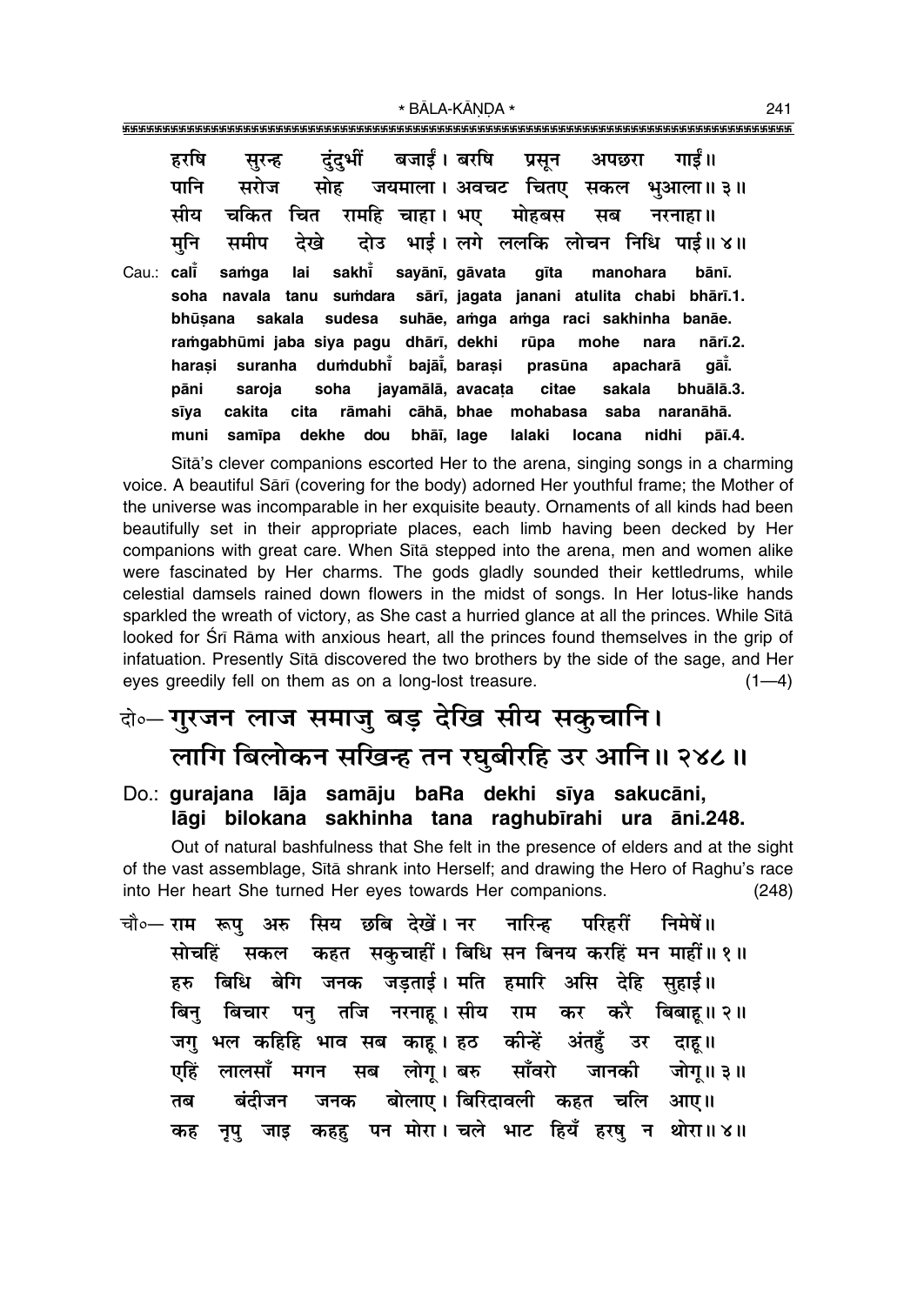\* BĀLA-KĀNDA \*

|            | हरषि   |  |  |  | सुरन्ह दुंदुभीं बजाईं।बरषि प्रसून अपछरा गाईं॥                       |       |           |  |
|------------|--------|--|--|--|---------------------------------------------------------------------|-------|-----------|--|
|            | पानि   |  |  |  | सरोज सोह जयमाला। अवचट चितए सकल भुआला॥३॥                             |       |           |  |
|            | सीय    |  |  |  | चकित चित रामहि चाहा। भए  मोहबस  सब  नरनाहा॥                         |       |           |  |
|            | मनि    |  |  |  | समीप देखे दोउ भाई।लगे ललकि लोचन निधि पाई॥४॥                         |       |           |  |
| Cau.: cali |        |  |  |  | samga lai sakhi sayānī, gāvata gīta manohara bānī.                  |       |           |  |
|            |        |  |  |  | soha navala tanu sumdara sārī, jagata janani atulita chabi bhārī.1. |       |           |  |
|            |        |  |  |  | bhūsana sakala sudesa suhāe, amga amga raci sakhinha banāe.         |       |           |  |
|            |        |  |  |  | ramgabhūmi jaba siya pagu dhārī, dekhi rūpa mohe nara               |       | nārī.2.   |  |
|            | harasi |  |  |  | suranha dumdubhi bajāi, barasi prasūna apacharā gāi.                |       |           |  |
|            | pāni   |  |  |  | saroja soha jayamālā, avacata citae sakala                          |       | bhuālā.3. |  |
|            | sīya   |  |  |  | cakita cita rāmahi cāhā, bhae mohabasa saba naranāhā.               |       |           |  |
|            | muni   |  |  |  | samīpa dekhe dou bhāī, lage lalaki locana                           | nidhi | pāī.4.    |  |

Sita's clever companions escorted Her to the arena, singing songs in a charming voice. A beautiful Sārī (covering for the body) adorned Her youthful frame; the Mother of the universe was incomparable in her exquisite beauty. Ornaments of all kinds had been beautifully set in their appropriate places, each limb having been decked by Her companions with great care. When Sita stepped into the arena, men and women alike were fascinated by Her charms. The gods gladly sounded their kettledrums, while celestial damsels rained down flowers in the midst of songs. In Her lotus-like hands sparkled the wreath of victory, as She cast a hurried glance at all the princes. While Sītā looked for Srī Rāma with anxious heart, all the princes found themselves in the grip of infatuation. Presently Sita discovered the two brothers by the side of the sage, and Her eves greedily fell on them as on a long-lost treasure.  $(1-4)$ 

## बे-गुरजन लाज समाजु बड़ देखि सीय सकुचानि। लागि बिलोकन सखिन्ह तन रघुबीरहि उर आनि॥ २४८॥

Do.: gurajana lāja samāju baRa dekhi sīya sakucāni, lāgi bilokana sakhinha tana raghubīrahi ura āni.248.

Out of natural bashfulness that She felt in the presence of elders and at the sight of the vast assemblage, Sita shrank into Herself; and drawing the Hero of Raghu's race into Her heart She turned Her eyes towards Her companions.  $(248)$ 

|  |  |  | चौ०— राम  रूपु  अरु  सिय  छबि  देखें । नर    नारिन्ह    परिहरीं    निमेषें ॥ |  |                                                         |  |
|--|--|--|------------------------------------------------------------------------------|--|---------------------------------------------------------|--|
|  |  |  |                                                                              |  | सोचहिं सकल कहत सकुचाहीं। बिधि सन बिनय करहिं मन माहीं॥१॥ |  |
|  |  |  | हरु बिधि बेगि जनक जड़ताई।मनि हमारि असि देहि सुहाई॥                           |  |                                                         |  |
|  |  |  |                                                                              |  | बिनु बिचार पनु तजि नरनाहू।सीय राम कर करै बिबाहू॥२॥      |  |
|  |  |  | जगु भल कहिहि भाव सब काहू। हठ कीन्हें अंतहुँ उर दाहू॥                         |  |                                                         |  |
|  |  |  |                                                                              |  | एहिं लालसाँ मगन सब लोगू।बरु साँवरो जानकी जोगू॥३॥        |  |
|  |  |  | तब बंदीजन जनक बोलाए।।बिरिदावली कहत चलि आए॥                                   |  |                                                         |  |
|  |  |  |                                                                              |  | कह नृपु जाइ कहह पन मोरा। चले भाट हियँ हरषु न थोरा॥४॥    |  |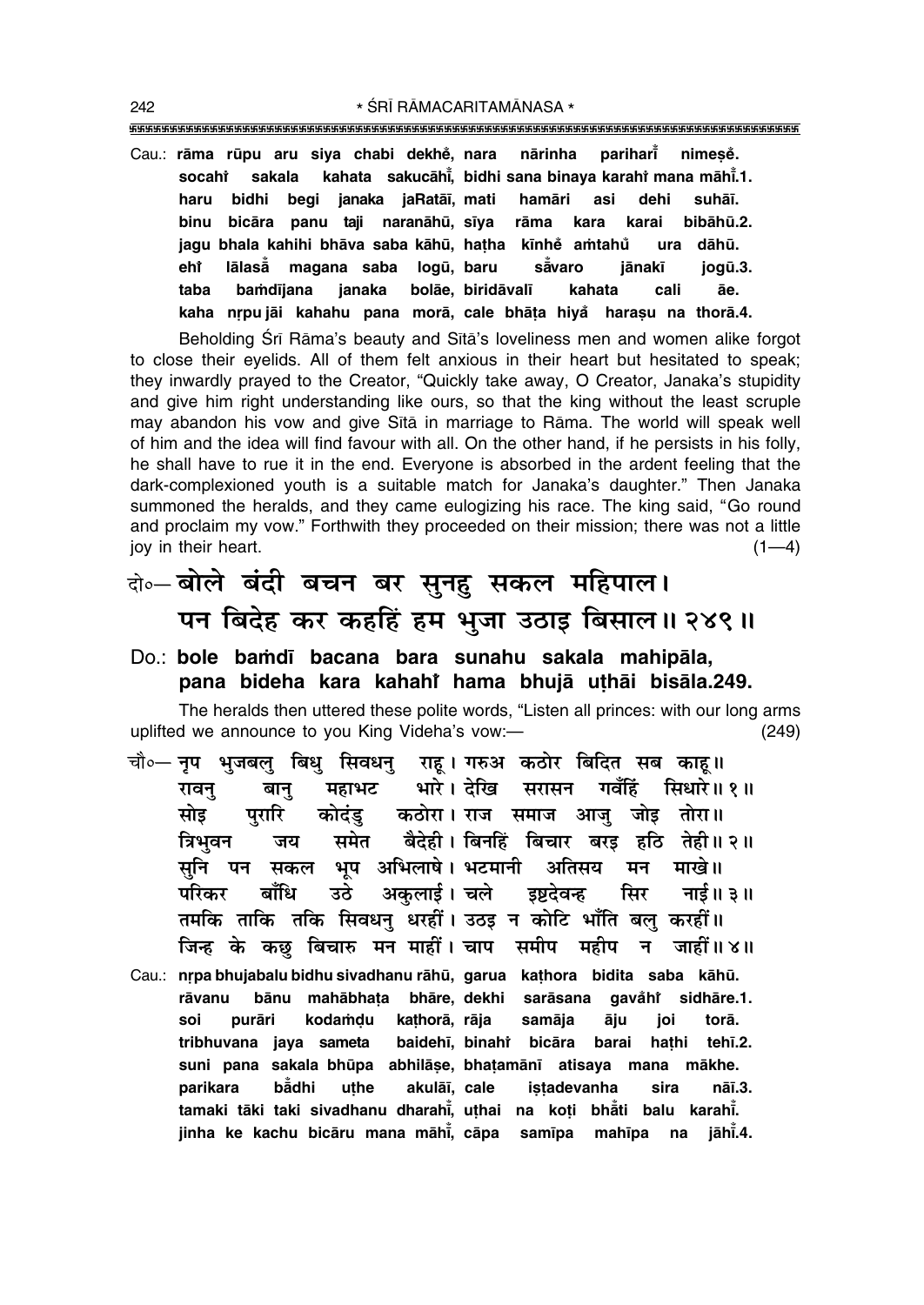\* ŚRĪ RĀMACARITAMĀNASA \* 

Cau.: rāma rūpu aru siya chabi dekhė, nara parihari nārinha nimese. kahata sakucāhi, bidhi sana binaya karahi mana māhi.1. sakala socahi begi janaka jaRatāj, mati bidhi hamāri asi dehi suhāī. haru bicāra panu taji naranāhū, sīya binu rāma kara karai bibāhū.2. jagu bhala kahihi bhāva saba kāhū, hatha kīnhe amtahu dāhū. ura eht lālasā magana saba logū, baru såvaro jānakī jogū.3. taba bamdījana janaka bolāe, biridāvalī kahata cali āe. kaha nrpujāi kahahu pana morā, cale bhāta hiya harasu na thorā.4.

Beholding Śrī Rāma's beauty and Sītā's loveliness men and women alike forgot to close their eyelids. All of them felt anxious in their heart but hesitated to speak; they inwardly prayed to the Creator, "Quickly take away, O Creator, Janaka's stupidity and give him right understanding like ours, so that the king without the least scruple may abandon his vow and give Sita in marriage to Rama. The world will speak well of him and the idea will find favour with all. On the other hand, if he persists in his folly, he shall have to rue it in the end. Everyone is absorbed in the ardent feeling that the dark-complexioned youth is a suitable match for Janaka's daughter." Then Janaka summoned the heralds, and they came eulogizing his race. The king said, "Go round and proclaim my vow." Forthwith they proceeded on their mission; there was not a little jov in their heart.  $(1-4)$ 

## के-बोले बंदी बचन बर सुनहु सकल महिपाल। पन बिदेह कर कहहिं हम भुजा उठाइ बिसाल॥ २४९॥

Do.: bole bamdī bacana bara sunahu sakala mahipāla, pana bideha kara kahahi hama bhujā uthāi bisāla.249.

The heralds then uttered these polite words, "Listen all princes: with our long arms uplifted we announce to you King Videha's vow:- $(249)$ 

- चौ∘— नप भजबल बिध सिवधन राह । गरुअ कठोर बिदित सब काह ॥ भारे। देखि सरासन गवँहिं सिधारे॥ १॥ रावन् महाभट बान् पुरारि कोदंड कठोरा। राज समाज आजु जोइ तोरा॥ सोड समेत बैदेही। बिनहिं बिचार बरड हठि तेही॥२॥ त्रिभवन जय भप अभिलाषे। भटमानी अतिसय सनि पन सकल मन माखे।। अकुलाई। चले डष्टदेवन्ह बाँधि परिकर उठे सिर नाई॥ ३॥ तमकि ताकि तकि सिवधन धरहीं। उठइ न कोटि भाँति बल करहीं।। जिन्ह के कछ बिचारु मन माहीं। चाप समीप महीप न जाहीं॥४॥
- Cau.: nrpa bhujabalu bidhu sivadhanu rāhū, garua kathora bidita saba kāhū. bānu mahābhata bhāre, dekhi sarāsana rāvanu gavåhi sidhāre.1. purāri kodamdu kathorā, rāja samāja soi āju joi torā tehī.2. tribhuvana jaya sameta baidehī, binahi bicāra barai hathi suni pana sakala bhūpa abhilāse, bhatamānī atisaya mana mākhe. parikara bådhi uthe akulāī, cale istadevanha nāī.3. sira tamaki tāki taki sivadhanu dharahī, uthai na koți bhāti balu karahī. jinha ke kachu bicāru mana māhi, cāpa samīpa mahīpa na jāhī.4.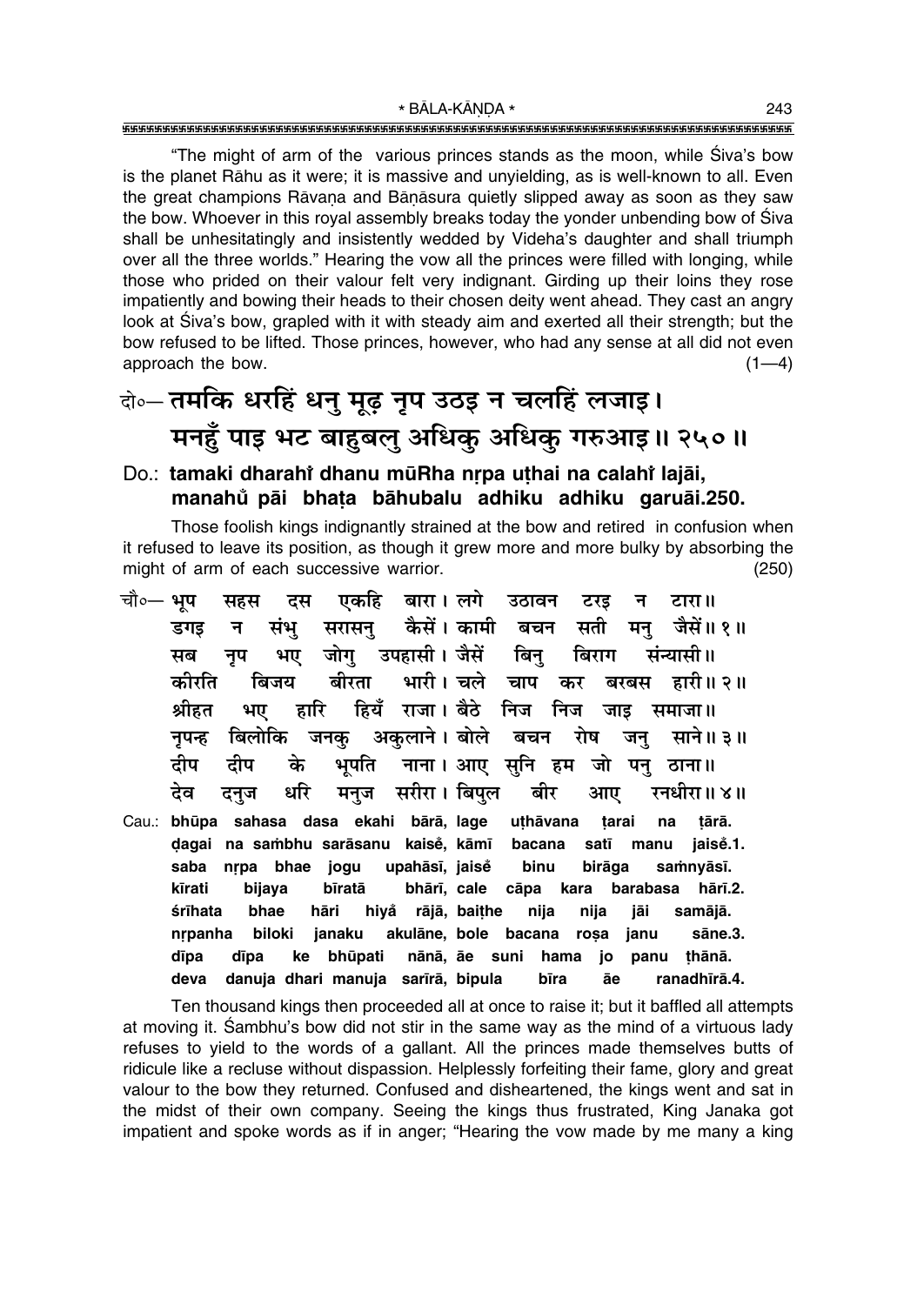"The might of arm of the various princes stands as the moon, while Siva's bow is the planet Rāhu as it were; it is massive and unyielding, as is well-known to all. Even the great champions Rāvana and Bānāsura quietly slipped away as soon as they saw the bow. Whoever in this royal assembly breaks today the yonder unbending bow of Siva shall be unhesitatingly and insistently wedded by Videha's daughter and shall triumph over all the three worlds." Hearing the vow all the princes were filled with longing, while those who prided on their valour felt very indignant. Girding up their loins they rose impatiently and bowing their heads to their chosen deity went ahead. They cast an angry look at Siva's bow, grapled with it with steady aim and exerted all their strength; but the bow refused to be lifted. Those princes, however, who had any sense at all did not even approach the bow.  $(1-4)$ 

## वे॰ तमकि धरहिं धनु मूढ़ नृप उठइ न चलहिं लजाइ। मनहुँ पाइ भट बाहुबलु अधिकु अधिकु गरुआइ॥ २५०॥

#### Do.: tamaki dharahi dhanu mūRha nrpa uthai na calahi lajāi, manahů pāi bhata bāhubalu adhiku adhiku garuāi.250.

Those foolish kings indignantly strained at the bow and retired in confusion when it refused to leave its position, as though it grew more and more bulky by absorbing the might of arm of each successive warrior.  $(250)$ 

| चौ०— <b>भुप</b>                                | सहस दस एकहि बारा।लगे उठावन टरइ न टारा॥                           |
|------------------------------------------------|------------------------------------------------------------------|
| डगइ                                            | न संभु सरासनु कैसें।कामी बचन सती मनु जैसें॥१॥                    |
| सब                                             | नृप भए जोगु उपहासी।जैसें बिनु बिराग संन्यासी॥                    |
|                                                | कीरति बिजय बीरता भारी। चले चाप कर बरबस हारी॥ २॥                  |
|                                                | श्रीहत भए हारि हियँ राजा । बैठे निज निज जाइ समाजा ॥              |
|                                                | नृपन्ह बिलोकि जनकु अकुलाने।बोले बचन रोष जनु साने॥३॥              |
| दीप दीप के भूपति नाना।।आए सुनि हम जो पनु ठाना॥ |                                                                  |
|                                                | देव दनुज धरि मनुज सरीरा।।बिपुल बीर आए रनधीरा॥४॥                  |
|                                                | Cau.: bhūpa sahasa dasa ekahi bārā, lage uthāvana tarai na tārā. |
|                                                | dagai na sambhu sarāsanu kaisė, kāmī bacana satī manu jaisė.1.   |
| saba                                           | nrpa bhae jogu upahāsī, jaise binu birāga samnyāsī.              |
| kīrati                                         | bijaya bīratā bhārī, cale cāpa kara barabasa hārī.2.             |
| hāri hiyå rājā, baițhe nija<br>śrīhata<br>bhae | nija<br>jāi samājā.                                              |
|                                                | nrpanha biloki janaku akulāne, bole bacana roșa janu sāne.3.     |
|                                                | dīpa dīpa ke bhūpati nānā, āe suni hama jo panu thānā.           |
| deva danuja dhari manuja sarīrā, bipula        | bīra āe ranadhīrā.4.                                             |

Ten thousand kings then proceeded all at once to raise it; but it baffled all attempts at moving it. Sambhu's bow did not stir in the same way as the mind of a virtuous lady refuses to yield to the words of a gallant. All the princes made themselves butts of ridicule like a recluse without dispassion. Helplessly forfeiting their fame, glory and great valour to the bow they returned. Confused and disheartened, the kings went and sat in the midst of their own company. Seeing the kings thus frustrated, King Janaka got impatient and spoke words as if in anger; "Hearing the vow made by me many a king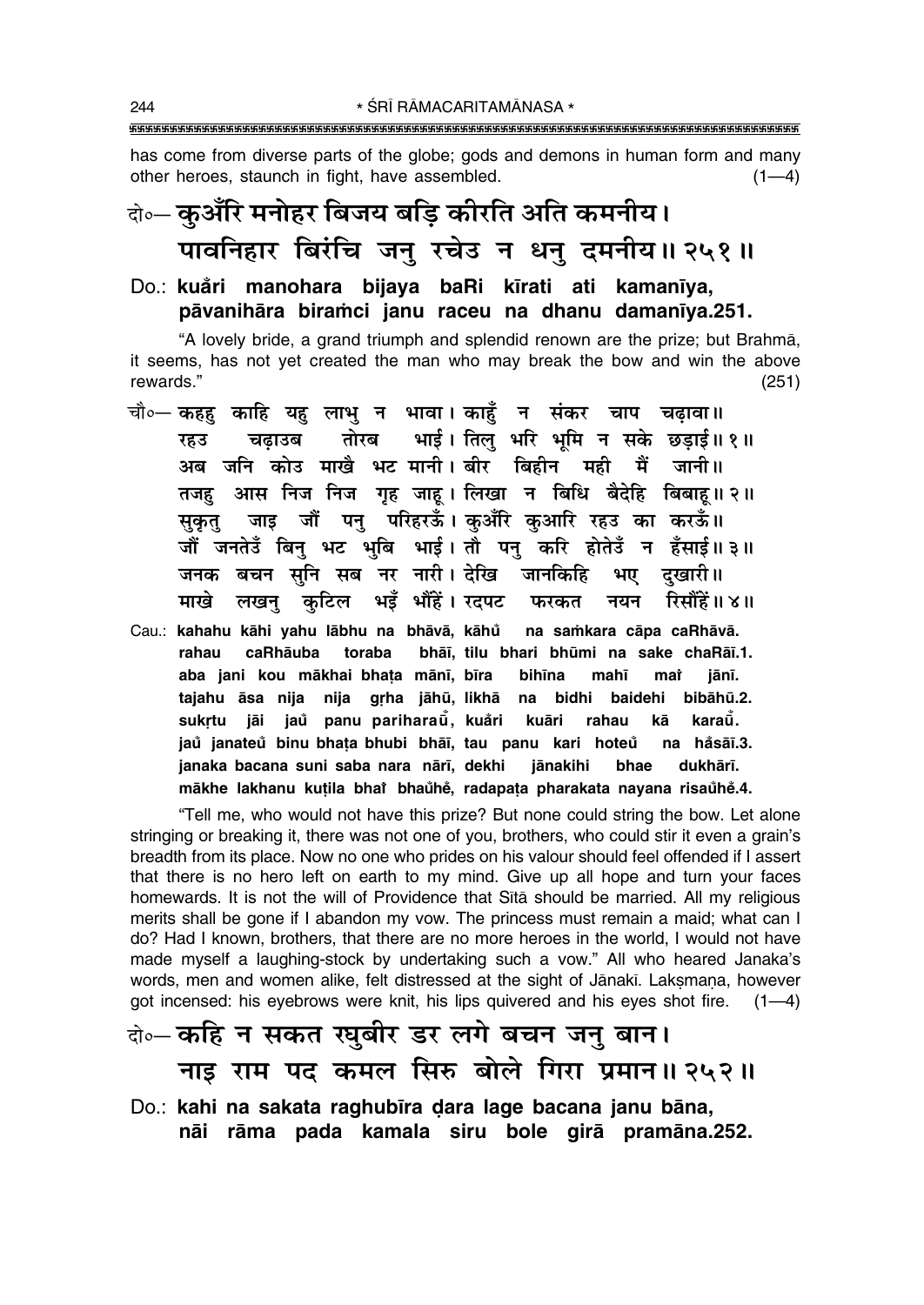has come from diverse parts of the globe; gods and demons in human form and many other heroes, staunch in fight, have assembled.  $(1-4)$ 

# के- कुऑरि मनोहर बिजय बड़ि कीरति अति कमनीय। पावनिहार बिरंचि जन् रचेउ न धन् दमनीय॥२५१॥

#### Do.: kuåri manohara bijava baRi kīrati ati kamanīva. pāvanihāra biramci janu raceu na dhanu damanīva.251.

"A lovely bride, a grand triumph and splendid renown are the prize; but Brahma, it seems, has not yet created the man who may break the bow and win the above rewards."  $(251)$ 

चौ∘— कहह काहि यह लाभ न भावा। काहँ न संकर चाप चढावा॥ तोरब भाई। तिलु भरि भूमि न सके छड़ाई॥१॥ चढाउब रहउ अब जनि कोउ माखै भट मानी। बीर बिहीन मही मैं जानी॥ तजहु आस निज निज गृह जाहू। लिखा न बिधि बैदेहि बिबाहू॥२॥ सुकृतु जाइ जौं पनु परिहरऊँ। कुआँरे कुआरि रहउ का करऊँ॥ जौं जनतेउँ बिनु भट भुबि भाई। तौ पनु करि होतेउँ न हँसाई॥३॥ जनक बचन सुनि सब नर नारी। देखि जानकिहि भए दुखारी॥ माखे लखन् कुटिल भइँ भौंहें। रदपट फरकत नयन रिसौंहें॥४॥ Cau.: kahahu kāhi yahu lābhu na bhāvā, kāhů na samkara cāpa caRhāvā. rahau caRhāuba toraba bhāī, tilu bhari bhūmi na sake chaRāī.1. aba jani kou mākhai bhata mānī, bīra bihīna mahī mat jānī. tajahu āsa nija nija grha jāhū, likhā na bidhi baidehi bibāhū.2. sukrtu jāi jau panu pariharaū, kuåri kuāri rahau kā karaŭ. jaů janateů binu bhata bhubi bhāi, tau panu kari hoteů na håsāī.3. janaka bacana suni saba nara nārī, dekhi iānakihi bhae dukhārī. mākhe lakhanu kutila bhai bhaŭhe, radapata pharakata nayana risaŭhe.4.

"Tell me, who would not have this prize? But none could string the bow. Let alone stringing or breaking it, there was not one of you, brothers, who could stir it even a grain's breadth from its place. Now no one who prides on his valour should feel offended if I assert that there is no hero left on earth to my mind. Give up all hope and turn your faces homewards. It is not the will of Providence that Sita should be married. All my religious merits shall be gone if I abandon my vow. The princess must remain a maid; what can I do? Had I known, brothers, that there are no more heroes in the world. I would not have made myself a laughing-stock by undertaking such a vow." All who heared Janaka's words, men and women alike, felt distressed at the sight of Jānakī. Laksmana, however got incensed: his eyebrows were knit, his lips quivered and his eyes shot fire. (1-4)

### बे-कहि न सकत खूबीर डर लगे बचन जन बान। नाइ राम पद कमल सिरु बोले गिरा प्रमान॥ २५२॥

Do.: kahi na sakata raghubīra dara lage bacana janu bāna, nāi rāma pada kamala siru bole girā pramāna.252.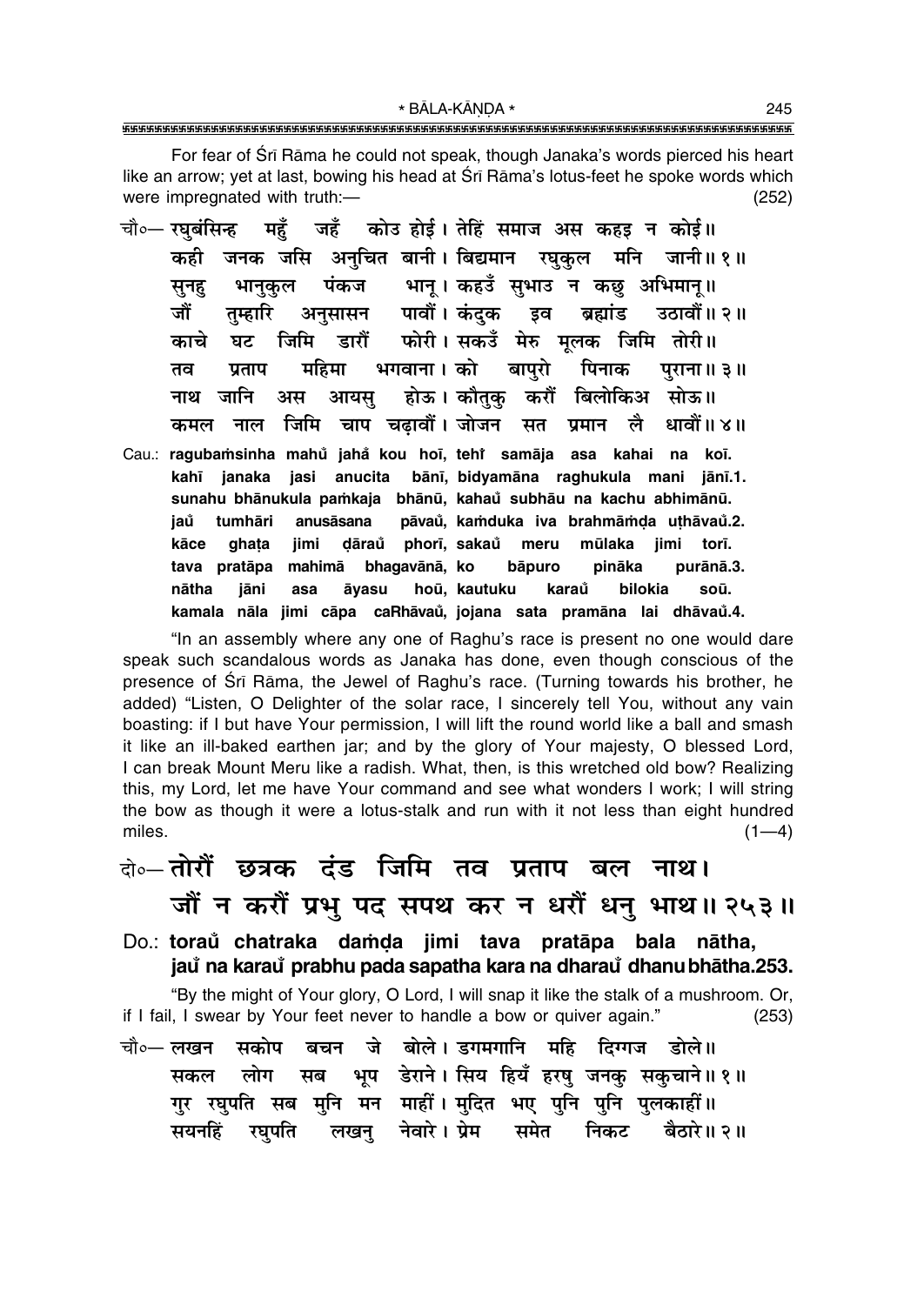\* BĀLA-KĀNDA \* 

For fear of Sri Rama he could not speak, though Janaka's words pierced his heart like an arrow; yet at last, bowing his head at Srī Rāma's lotus-feet he spoke words which were impregnated with truth:- $(252)$ 

- चौ०— रघबंसिन्ह महँ जहँ कोउ होई। तेहिं समाज अस कहड़ न कोई॥ जनक जसि अनचित बानी। बिद्यमान रघकुल मनि जानी॥१॥ कही पंकज भानू। कहउँ सुभाउ न कछ अभिमान्॥ सनह भानकल अनसासन पावौं। कंदक इव ब्रह्मांड जौं तम्हारि उतावौं ॥ २ ॥ डारौँ फोरी। सकउँ मेरु मलक जिमि तोरी॥ जिमि काचे घट भगवाना। को बापरो महिमा पिनाक पताप ਰਕ पराना ॥ ३ ॥ होऊ। कौतक करौं बिलोकिअ सोऊ॥ जानि अम आयस नाश नाल जिमि चाप चढावौँ । जोजन कमल सत प्रमान लै धावौं ॥ ४॥
- Cau.: ragubamsinha mahů jahå kou hoī, tehř samāja asa kahai na koī. janaka jasi anucita bānī, bidyamāna raghukula mani jānī.1. kahī sunahu bhānukula pamkaja bhānū, kahaů subhāu na kachu abhimānū. tumhāri anusāsana pāvaŭ, kamduka iva brahmāmda uthāvaŭ.2. jaů dāraů phorī, sakaů meru jimi torī. kāce qhata jimi mūlaka tava pratāpa mahimā bhagavānā, ko bāpuro pināka purānā.3. āvasu hoū, kautuku karaů bilokia soū. nātha iāni asa kamala nāla jimi cāpa caRhāvaů, jojana sata pramāna lai dhāvaů.4.

"In an assembly where any one of Raghu's race is present no one would dare speak such scandalous words as Janaka has done, even though conscious of the presence of Sri Rāma, the Jewel of Raghu's race. (Turning towards his brother, he added) "Listen, O Delighter of the solar race, I sincerely tell You, without any vain boasting: if I but have Your permission, I will lift the round world like a ball and smash it like an ill-baked earthen jar; and by the glory of Your majesty, O blessed Lord, I can break Mount Meru like a radish. What, then, is this wretched old bow? Realizing this, my Lord, let me have Your command and see what wonders I work; I will string the bow as though it were a lotus-stalk and run with it not less than eight hundred miles.  $(1-4)$ 

### वे⊶ तोरौं छत्रक दंड जिमि तव प्रताप बल नाथ।

### जौं न करों प्रभु पद सपथ कर न धरों धनु भाथ॥ २५३॥

Do.: toraŭ chatraka damda jimi tava pratāpa bala nātha, jau na karau prabhu pada sapatha kara na dharau dhanu bhātha.253.

"By the might of Your glory, O Lord, I will snap it like the stalk of a mushroom. Or, if I fail, I swear by Your feet never to handle a bow or quiver again."  $(253)$ 

बचन जे बोले।डगमगानि महि दिग्गज डोले॥ चौ०— लखन सकोप भूष डेराने। सिय हियँ हरषु जनकु सकुचाने॥१॥ लोग सकल सब गुर रघुपति सब मुनि मन माहीं। मुदित भए पुनि पुनि पुलकाहीं॥ रघुपति लखन् नेवारे।प्रेम समेत निकट बैठारे॥ २॥ सयनहिं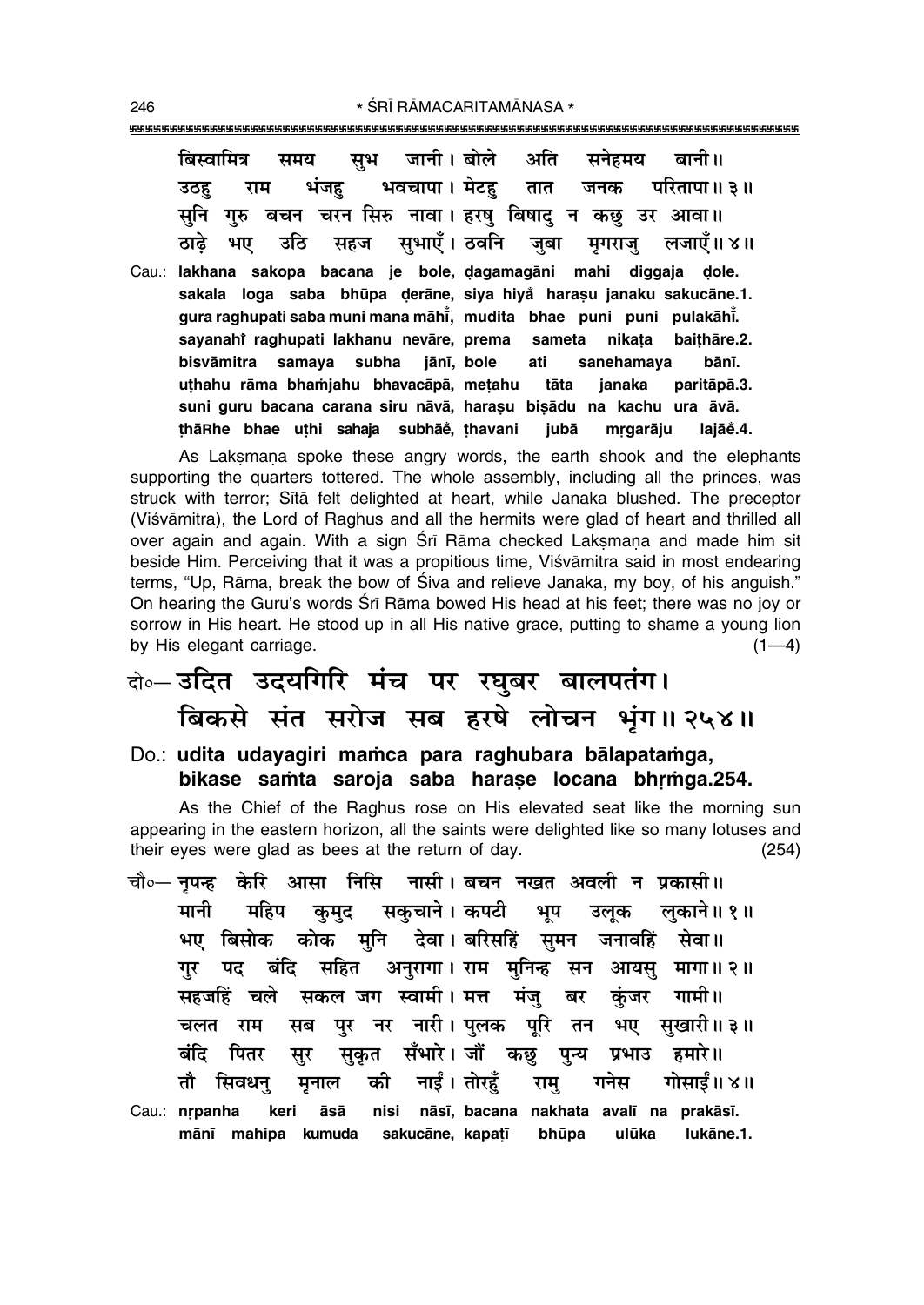| बिस्वामित्र समय सुभ जानी।बोले अति सनेहमय बानी॥                     |                                                                                                                                                                                                                 |
|--------------------------------------------------------------------|-----------------------------------------------------------------------------------------------------------------------------------------------------------------------------------------------------------------|
| भंजह<br>राम<br>उठह                                                 | भवचापा । मेटहु तात जनक परितापा॥३॥                                                                                                                                                                               |
| सुनि                                                               | गुरु बचन चरन सिरु नावा। हरषु बिषादु न कछु उर आवा॥                                                                                                                                                               |
| ठाढे                                                               | भए उठि सहज सुभाएँ। ठवनि जुबा मृगराजु लजाएँ॥ ४॥                                                                                                                                                                  |
| Cau.: lakhana sakopa bacana je bole, dagamagāni mahi diggaja dole. | sakala loga saba bhūpa derāne, siya hiyå harasu janaku sakucāne.1.<br>gura raghupati saba muni mana māhī, mudita bhae puni puni pulakāhī.<br>sayanahi raghupati lakhanu nevāre, prema sameta nikata baithāre.2. |
| bisvāmitra samaya subha jānī, bole ati                             | sanehamaya<br>bānī.                                                                                                                                                                                             |
| uthahu rāma bhamjahu bhavacāpā, metahu tāta                        | janaka<br>paritāpā.3.                                                                                                                                                                                           |
|                                                                    | suni guru bacana carana siru nāvā, harasu bisādu na kachu ura āvā.                                                                                                                                              |
| thāRhe bhae uthi sahaja subhāĕ, thavani                            | lajāĕ.4.<br>jubā<br>mrgarāju                                                                                                                                                                                    |

As Laksmana spoke these angry words, the earth shook and the elephants supporting the quarters tottered. The whole assembly, including all the princes, was struck with terror; Sita felt delighted at heart, while Janaka blushed. The preceptor (Viśvāmitra), the Lord of Raghus and all the hermits were glad of heart and thrilled all over again and again. With a sign Srī Rāma checked Laksmana and made him sit beside Him. Perceiving that it was a propitious time, Viśvāmitra said in most endearing terms, "Up, Rāma, break the bow of Śiva and relieve Janaka, my boy, of his anguish." On hearing the Guru's words Srī Rāma bowed His head at his feet; there was no joy or sorrow in His heart. He stood up in all His native grace, putting to shame a young lion by His elegant carriage.  $(1-4)$ 

## बे॰-डदित उदयगिरि मंच पर रघुबर बालपतंग। बिकसे संत सरोज सब हरषे लोचन भूंग॥ २५४॥

#### Do.: udita udayagiri mamca para raghubara bālapatamga, bikase samta saroja saba harase locana bhrmga.254.

As the Chief of the Raghus rose on His elevated seat like the morning sun appearing in the eastern horizon, all the saints were delighted like so many lotuses and their eyes were glad as bees at the return of day.  $(254)$ 

- चौ∘— नपन्ह केरि आसा निसि नासी । बचन नखत अवली न प्रकासी ॥ सकुचाने। कपटी भूप उल्क मानी लकाने॥ १॥ महिप कुमुद् भए बिसोक कोक मुनि देवा।बरिसहिं सुमन जनावहिं सेवा॥ गुर पद बंदि सहित अनुरागा। राम मुनिन्ह सन आयसु मागा॥ २॥ सहजहिं चले सकल जग स्वामी। मत्त मंजु बर कंजर गामी॥ सब पुर नर नारी। पुलक पूरि तन चलत राम भए सुखारी॥३॥ सकत सँभारे। जौं कछ पन्य प्रभाउ हमारे॥ बंदि पितर सुर नाईं । तोरहूँ गोसाईं॥ ४॥ तौ सिवधन मनाल की राम गनेस
- Cau.: nrpanha keri āsā nisi nāsī, bacana nakhata avalī na prakāsī. mānī mahipa kumuda sakucāne, kapatī bhūpa ulūka lukāne.1.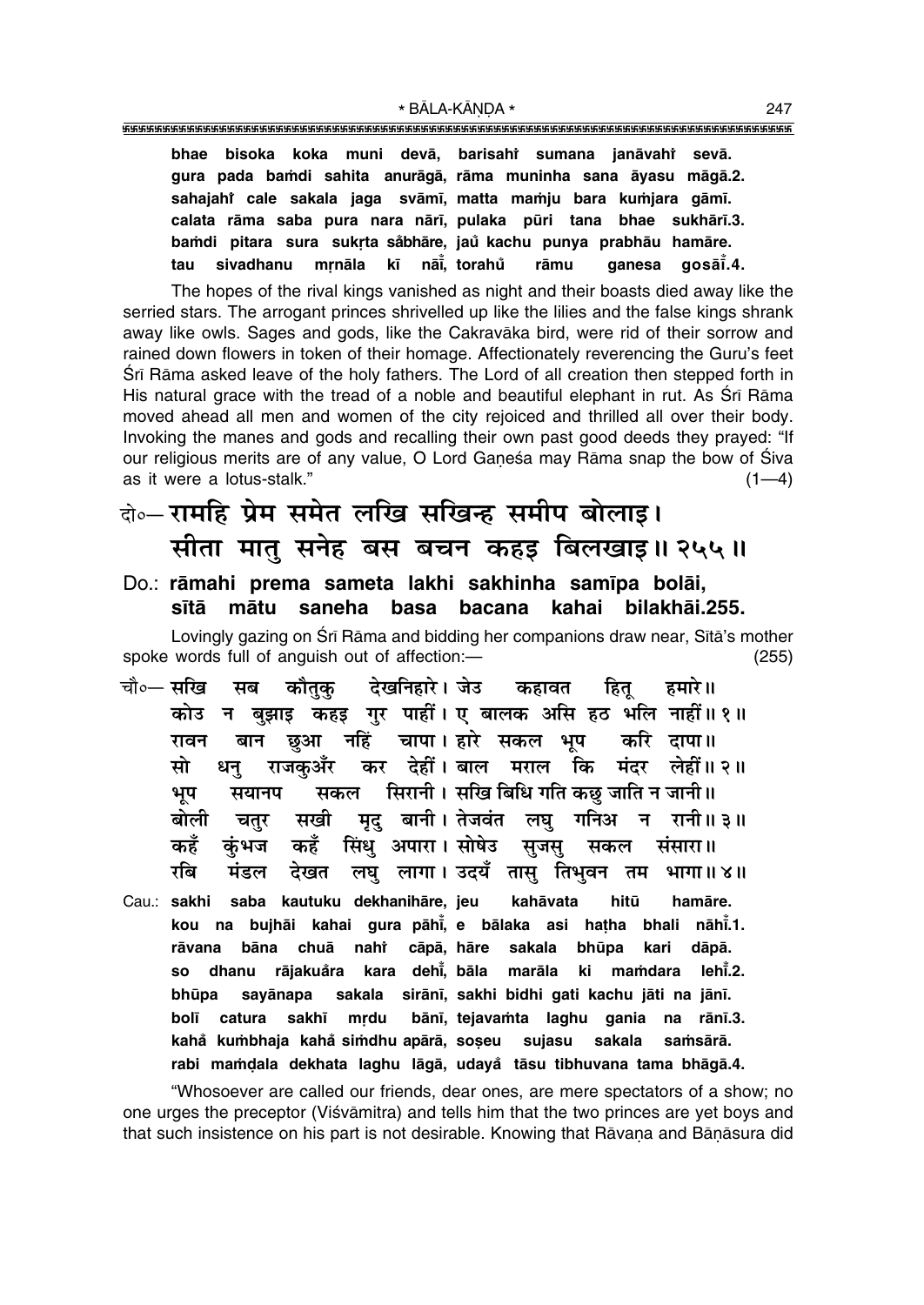sivadhanu mrnāla kī nāi̇̃, torahů

tau

The hopes of the rival kings vanished as night and their boasts died away like the serried stars. The arrogant princes shrivelled up like the lilies and the false kings shrank away like owls. Sages and gods, like the Cakravaka bird, were rid of their sorrow and rained down flowers in token of their homage. Affectionately reverencing the Guru's feet Sri Rama asked leave of the holy fathers. The Lord of all creation then stepped forth in His natural grace with the tread of a noble and beautiful elephant in rut. As Srī Rāma moved ahead all men and women of the city rejoiced and thrilled all over their body. Invoking the manes and gods and recalling their own past good deeds they prayed: "If our religious merits are of any value, O Lord Ganesa may Rāma snap the bow of Siva as it were a lotus-stalk."  $(1-4)$ 

rāmu

qanesa

aosāī̃.4.

### के-रामहि प्रेम समेत लखि सखिन्ह समीप बोलाइ। सीता मात् सनेह बस बचन कहड़ बिलखाइ॥२५५॥

#### Do.: rāmahi prema sameta lakhi sakhinha samīpa bolāi, sītā mātu saneha basa bacana kahai bilakhāi.255.

Lovingly gazing on Śrī Rāma and bidding her companions draw near, Sītā's mother spoke words full of anguish out of affection:- $(255)$ 

- देखनिहारे । जेउ चौ०— सरिव सब कौतक कहावत हमारे ॥ हित कोउ न बुझाइ कहड़ गुर पाहीं। ए बालक असि हठ भलि नाहीं॥ १॥ बान छुआ नहिं चापा। हारे सकल भूप करि दापा॥ रावन धनु राजकुअँर कर देहीं।बाल मराल कि मंदर लेहीं॥२॥ मो सकल सिरानी। सखि बिधि गति कछु जाति न जानी॥ भूप सयानप मृद् बानी। तेजवंत लघु गनिअ न रानी॥३॥ बोली चतुर सखी कहँ कहँ सिंध अपारा। सोषेउ सजस कंभज सकल संसारा॥ लघु लागा। उदयँ तासु तिभुवन तम भागा॥४॥ रबि मंडल देखत
- Cau.: sakhi saba kautuku dekhanihāre, jeu kahāvata hitū hamāre. kou na bujhāi kahai gura pāhi, e bālaka asi hatha bhali nāhi.1. rāvana bāna chuā nahi cāpā. hāre sakala bhūpa kari dāpā. dhanu rājakuåra kara dehi, bāla marāla ki mamdara lehi.2. **SO** bhūpa sayānapa sakala sirānī, sakhi bidhi gati kachu jāti na jānī. **bolī** catura sakhī mrdu bānī, tejavamta laghu gania na rānī.3. kahå kumbhaja kahå simdhu apārā, soșeu sujasu sakala samsārā. rabi mamdala dekhata laghu lāgā, udayå tāsu tibhuvana tama bhāgā.4.

"Whosoever are called our friends, dear ones, are mere spectators of a show; no one urges the preceptor (Viśvāmitra) and tells him that the two princes are yet boys and that such insistence on his part is not desirable. Knowing that Rāvana and Bānāsura did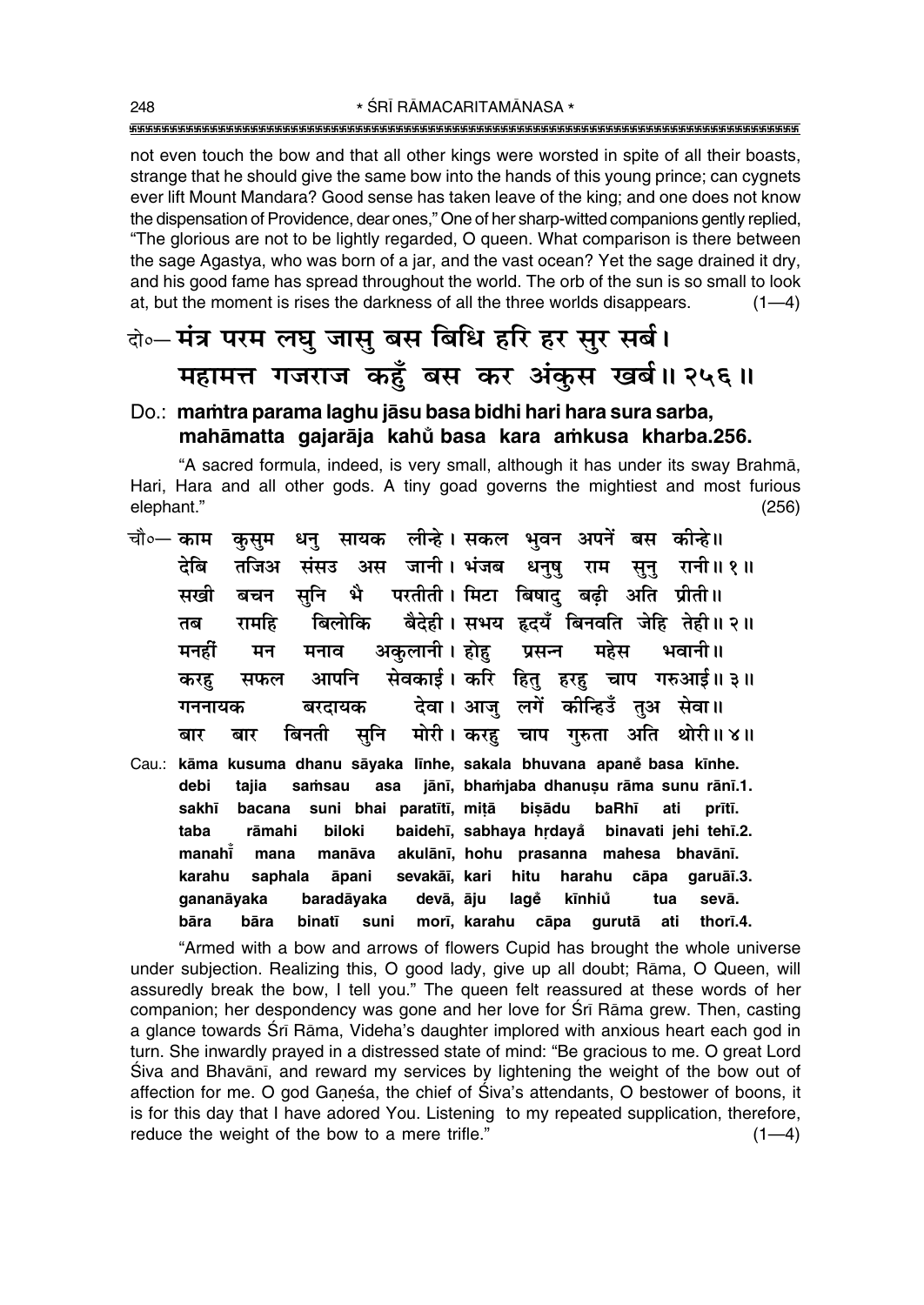not even touch the bow and that all other kings were worsted in spite of all their boasts, strange that he should give the same bow into the hands of this young prince; can cygnets ever lift Mount Mandara? Good sense has taken leave of the king; and one does not know the dispensation of Providence, dear ones," One of her sharp-witted companions gently replied, "The glorious are not to be lightly regarded, O queen. What comparison is there between the sage Agastya, who was born of a jar, and the vast ocean? Yet the sage drained it dry, and his good fame has spread throughout the world. The orb of the sun is so small to look at, but the moment is rises the darkness of all the three worlds disappears.  $(1-4)$ 

### बे॰- मंत्र परम लघु जासु बस बिधि हरि हर सुर सर्ब। महामत्त गजराज कहँ बस कर अंकुस खर्ब।। २५६॥

#### Do.: mamtra parama laghu jāsu basa bidhi hari hara sura sarba. mahāmatta gajarāja kahů basa kara amkusa kharba.256.

"A sacred formula, indeed, is very small, although it has under its sway Brahmā, Hari, Hara and all other gods. A tiny goad governs the mightiest and most furious elephant."  $(256)$ 

- धनु सायक लीन्हे। सकल भुवन अपनें बस कीन्हे।। चौ∘— काम कसम संसउ अस जानी। भंजब धनुषु राम सुनु रानी॥१॥ टेबि तजिअ भै परतीती। मिटा बिषाद् बढी अति प्रीती॥ सनि सखी बचन बैदेही। सभय हृदयँ बिनवति जेहि तेही॥२॥ रामहि बिलोकि तब भवानी ॥ अकुलानी । होह प्रसन्न महेस मनहीं मन मनाव सेवकाई। करि हितु हरहु चाप गरुआई॥३॥ आपनि करह सफल देवा। आज लगें कीन्हिउँ तुअ सेवा॥ बरदायक गननायक बिनती सनि मोरी। करह चाप गुरुता अति थोरी॥४॥ बार बार
- Cau.: kāma kusuma dhanu sāyaka līnhe, sakala bhuvana apaně basa kīnhe. jānī, bhamjaba dhanusu rāma sunu rānī.1. samsau asa debi taiia suni bhai paratītī, mitā bisādu sakhī bacana baRhī ati prītī. taba rāmahi biloki baidehī, sabhaya hrdayå binavati jehi tehī.2. manahī mana manāva akulānī, hohu prasanna mahesa bhavānī. karahu saphala āpani sevakāī, kari hitu harahu cāpa garuāī.3. baradāyaka devā, āju lagě kīnhiů tua sevā. qananāyaka bāra bāra binatī suni morī, karahu cāpa gurutā ati thorī.4.

"Armed with a bow and arrows of flowers Cupid has brought the whole universe under subjection. Realizing this, O good lady, give up all doubt; Rāma, O Queen, will assuredly break the bow, I tell you." The queen felt reassured at these words of her companion; her despondency was gone and her love for Sri Rama grew. Then, casting a glance towards Srī Rāma, Videha's daughter implored with anxious heart each god in turn. She inwardly prayed in a distressed state of mind: "Be gracious to me. O great Lord Śiva and Bhavānī, and reward my services by lightening the weight of the bow out of affection for me. O god Ganesa, the chief of Siva's attendants, O bestower of boons, it is for this day that I have adored You. Listening to my repeated supplication, therefore, reduce the weight of the bow to a mere trifle."  $(1-4)$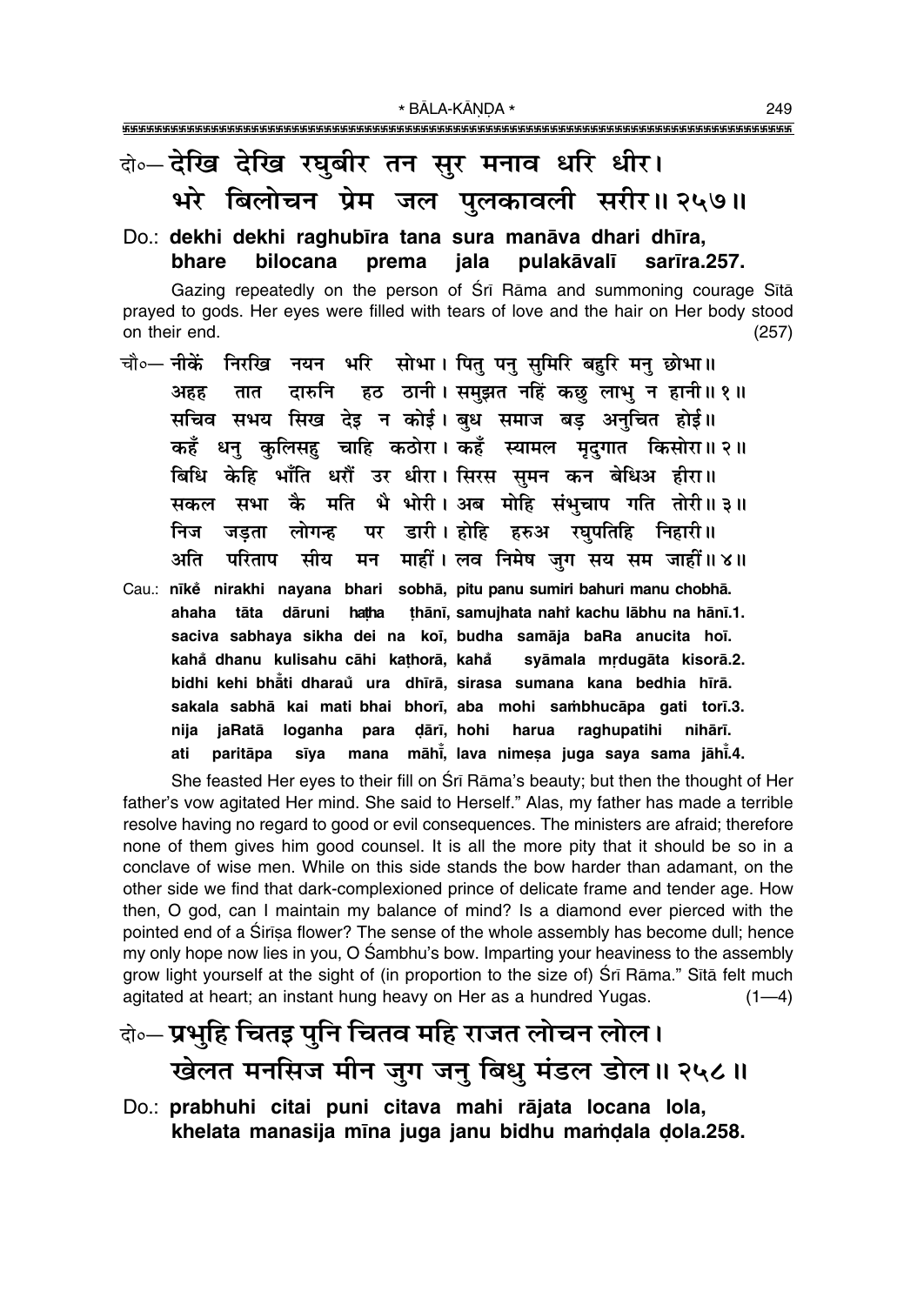## बे॰-देखि देखि रघुबीर तन सुर मनाव धरि धीर। भरे बिलोचन प्रेम जल पुलकावली सरीर॥ २५७॥

#### Do.: dekhi dekhi raghubīra tana sura manāva dhari dhīra, bhare bilocana prema jala pulakāvalī sarīra.257.

Gazing repeatedly on the person of Sri Rama and summoning courage Sita prayed to gods. Her eyes were filled with tears of love and the hair on Her body stood on their end.  $(257)$ 

- चौ०- नीकें निरखि नयन भरि सोभा। पित पन समिरि बहरि मन छोभा॥ दारुनि हठ ठानी। समुझत नहिं कछ लाभु न हानी॥१॥ अहह तात सचिव सभय सिख देइ न कोई। बध समाज बड अनचित होई॥ धन कलिसह चाहि कठोरा। कहँ स्यामल मदगात किसोरा॥२॥ कहँ बिधि केहि भाँति धरौँ उर धीरा। सिरस सुमन कन बेधिअ हीरा॥ सकल सभा कै मति भै भोरी। अब मोहि संभचाप गति तोरी॥३॥ लोगन्ह पर डारी। होहि हरुअ रघपतिहि निहारी॥ निज जडता मन माहीं। लव निमेष जुग सय सम जाहीं॥४॥ अति परिताप सीय
- Cau.: nīkě nirakhi nayana bhari sobhā, pitu panu sumiri bahuri manu chobhā. ahaha tāta dāruni hatha thānī, samujhata nahi kachu lābhu na hānī.1. saciva sabhaya sikha dei na koī, budha samāja baRa anucita hoī. kahå dhanu kulisahu cāhi kathorā, kahå syāmala mrdugāta kisorā.2. bidhi kehi bhati dharau ura dhīrā, sirasa sumana kana bedhia hīrā. sakala sabhā kai mati bhai bhorī, aba mohi sambhucāpa gati torī.3. dārī. hohi nija jaRatā loganha para harua raghupatihi nihārī. mana māhi, lava nimesa juga saya sama jāhi.4. ati paritāpa sīva

She feasted Her eyes to their fill on Sri Rama's beauty; but then the thought of Her father's vow agitated Her mind. She said to Herself." Alas, my father has made a terrible resolve having no regard to good or evil consequences. The ministers are afraid; therefore none of them gives him good counsel. It is all the more pity that it should be so in a conclave of wise men. While on this side stands the bow harder than adamant, on the other side we find that dark-complexioned prince of delicate frame and tender age. How then, O god, can I maintain my balance of mind? Is a diamond ever pierced with the pointed end of a Sirisa flower? The sense of the whole assembly has become dull; hence my only hope now lies in you, O Sambhu's bow. Imparting your heaviness to the assembly grow light yourself at the sight of (in proportion to the size of) Srī Rāma." Sītā felt much agitated at heart; an instant hung heavy on Her as a hundred Yugas.  $(1-4)$ 

## केन् प्रभुहि चितइ पुनि चितव महि राजत लोचन लोल। खेलत मनसिज मीन जुग जन् बिधु मंडल डोल॥ २५८॥

Do.: prabhuhi citai puni citava mahi rājata locana lola, khelata manasija mīna juga janu bidhu mamdala dola.258.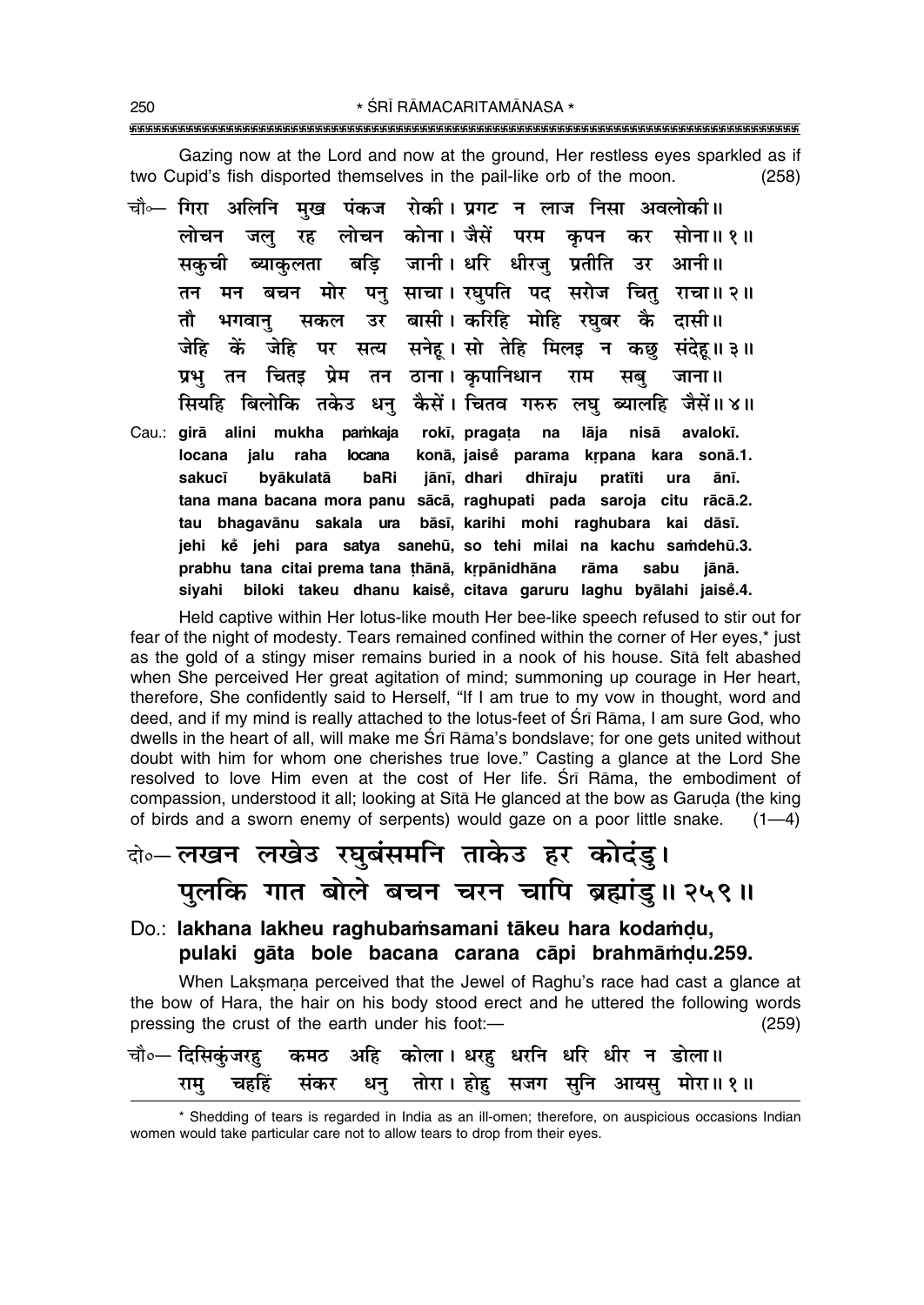Gazing now at the Lord and now at the ground, Her restless eyes sparkled as if two Cupid's fish disported themselves in the pail-like orb of the moon.  $(258)$ 

चौ⊶ गिरा अलिनि मुख पंकज रोकी।प्रगट न लाज निसा अवलोकी॥ लोचन कोना। जैसें परम कपन कर सोना॥१॥ लोचन जल रह बडि जानी। धरि धीरज प्रतीति उर आनी॥ सकची ब्याकलता तन मन बचन मोर पन साचा। रघपति पद सरोज चित राचा॥२॥ सकल उर बासी।करिहि मोहि रघबर कै दासी॥ तौ भगवान जेहि पर सत्य सनेह। सो तेहि मिलइ न कछ संदेह॥३॥ जेहि कें चितइ प्रेम तन ठाना। कपानिधान प्रभ तन राम सब जाना ॥ सियहि बिलोकि तकेउ धन कैसें। चितव गरुरु लघ ब्यालहि जैसें॥४॥ Cau.: girā alini mukha pamkaja rokī, pragata na lāja nisā avalokī. locana jalu raha konā, jaisė parama krpana kara sonā.1. **locana** jānī, dhari dhīraju sakucī byākulatā baRi pratīti ura ānī. tana mana bacana mora panu sācā, raghupati pada saroja citu rācā.2. bāsī, karihi mohi raghubara kai dāsī. tau bhagavānu sakala ura jehi ke jehi para satya sanehū, so tehi milai na kachu samdehū.3. prabhu tana citai prema tana thānā, krpānidhāna rāma sabu iānā. siyahi biloki takeu dhanu kaisě, citava garuru laghu byālahi jaisě.4.

Held captive within Her lotus-like mouth Her bee-like speech refused to stir out for fear of the night of modesty. Tears remained confined within the corner of Her eyes,\* just as the gold of a stingy miser remains buried in a nook of his house. Sita felt abashed when She perceived Her great agitation of mind; summoning up courage in Her heart, therefore, She confidently said to Herself, "If I am true to my vow in thought, word and deed, and if my mind is really attached to the lotus-feet of Sri Rāma, I am sure God, who dwells in the heart of all, will make me Srī Rāma's bondslave; for one gets united without doubt with him for whom one cherishes true love." Casting a glance at the Lord She resolved to love Him even at the cost of Her life. Srī Rāma, the embodiment of compassion, understood it all; looking at Sita He glanced at the bow as Garuda (the king of birds and a sworn enemy of serpents) would gaze on a poor little snake.  $(1-4)$ 

## के-लखन लखेड रघुबंसमनि ताकेउ हर कोदंडु। पुलकि गात बोले बचन चरन चापि ब्रह्मांडु॥ २५९॥

#### Do.: lakhana lakheu raghubamsamani tākeu hara kodamdu, pulaki gāta bole bacana carana cāpi brahmāmdu.259.

When Laksmana perceived that the Jewel of Raghu's race had cast a glance at the bow of Hara, the hair on his body stood erect and he uttered the following words pressing the crust of the earth under his foot:- $(259)$ 

|  |  | चौ∘— दिसिकुंजरहु कमठ अहि कोला। धरहु धरनि धरि धीर न डोला॥ |  |  |
|--|--|----------------------------------------------------------|--|--|
|  |  | रामु चहहिं संकर धनु तोरा।होहु सजग सुनि आयसु मोरा॥१॥      |  |  |

<sup>\*</sup> Shedding of tears is regarded in India as an ill-omen; therefore, on auspicious occasions Indian women would take particular care not to allow tears to drop from their eyes.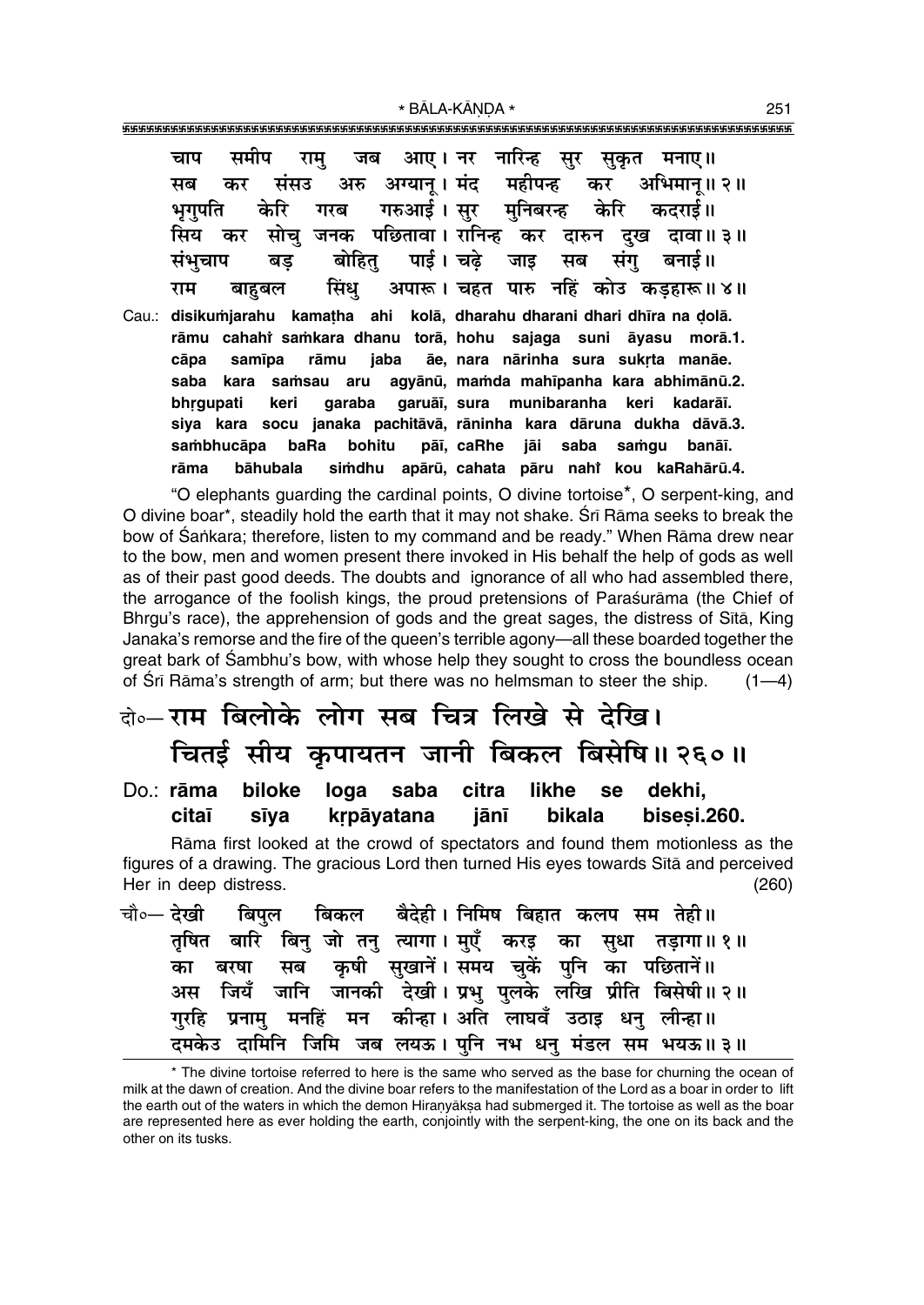\* BĀLA-KĀNDA \* 

| चाप समीप राम् जब आए।नर नारिन्ह सुर सुकृत मनाए॥                            |
|---------------------------------------------------------------------------|
| सब कर संसउ अरु अग्यान्।। मंद महीपन्ह कर अभिमान्॥२॥                        |
| भृगुपति केरि गरब गरुआई।सुर मुनिबरन्ह केरि कदराई॥                          |
| सिय कर सोचु जनक पछितावा। रानिन्ह कर दारुन दुख दावा॥३॥                     |
| संभुचाप बड़ बोहितु पाई। चढ़े जाइ सब संगु बनाई॥                            |
| े बाहुबल     सिंधु     अपारू । चहत  पारु  नहिं  कोउ  कड़हारू ॥ ४ ॥<br>राम |

Cau.: disikumjarahu kamatha ahi kolā, dharahu dharani dhari dhīra na dolā. rāmu cahahi samkara dhanu torā, hohu sajaga suni āyasu morā.1. ãe, nara nārinha sura sukrta manāe. cāpa samīpa rāmu jaba saba kara samsau aru agyānū, mamda mahīpanha kara abhimānū.2. garuāi, sura munibaranha keri bhrgupati keri garaba kadarāī. siya kara socu janaka pachitāvā, rāninha kara dāruna dukha dāvā.3. sambhucāpa baRa bohitu pāī, caRhe jāi saba samqu banāī. rāma bāhubala simdhu apārū, cahata pāru nahi kou kaRahārū.4.

"O elephants quarding the cardinal points, O divine tortoise<sup>\*</sup>, O serpent-king, and O divine boar\*, steadily hold the earth that it may not shake. Srī Rāma seeks to break the bow of Śankara; therefore, listen to my command and be ready." When Rāma drew near to the bow, men and women present there invoked in His behalf the help of gods as well as of their past good deeds. The doubts and ignorance of all who had assembled there, the arrogance of the foolish kings, the proud pretensions of Paraśurāma (the Chief of Bhrgu's race), the apprehension of gods and the great sages, the distress of Sita, King Janaka's remorse and the fire of the queen's terrible agony—all these boarded together the great bark of Sambhu's bow, with whose help they sought to cross the boundless ocean of Sri Rama's strength of arm; but there was no helmsman to steer the ship.  $(1-4)$ 

### के-राम बिलोके लोग सब चित्र लिखे से देखि। चितई सीय कुपायतन जानी बिकल बिसेषि॥ २६०॥

Do.: rāma biloke loga saba citra likhe dekhi, **se** citaī krpāyatana bikala bisesi.260. sīya jānī

Rāma first looked at the crowd of spectators and found them motionless as the figures of a drawing. The gracious Lord then turned His eyes towards Sita and perceived Her in deep distress.  $(260)$ 

|  |  |  |  |  | चौ∘— देखी   बिपुल   बिकल   बैदेही । निमिष बिहात कलप सम तेही ॥ |  |
|--|--|--|--|--|---------------------------------------------------------------|--|
|  |  |  |  |  | तृषित बारि बिनु जो तनु त्यागा। मुएँ करइ का सुधा तड़ागा॥१॥     |  |
|  |  |  |  |  | का बरषा सब कृषी सुखानें। समय चुकें पुनि का पछितानें॥          |  |
|  |  |  |  |  | अस जियँ जानि जानकी देखी।प्रभु पुलके लखि प्रीति बिसेषी॥२॥      |  |
|  |  |  |  |  | गुरहि प्रनामु मनहिं मन कीन्हा।अति लाघवँ उठाइ धनु लीन्हा॥      |  |
|  |  |  |  |  | दमकेउ दामिनि जिमि जब लयऊ। पुनि नभ धनु मंडल सम भयऊ॥३॥          |  |

<sup>\*</sup> The divine tortoise referred to here is the same who served as the base for churning the ocean of milk at the dawn of creation. And the divine boar refers to the manifestation of the Lord as a boar in order to lift the earth out of the waters in which the demon Hiranyaksa had submerged it. The tortoise as well as the boar are represented here as ever holding the earth, conjointly with the serpent-king, the one on its back and the other on its tusks.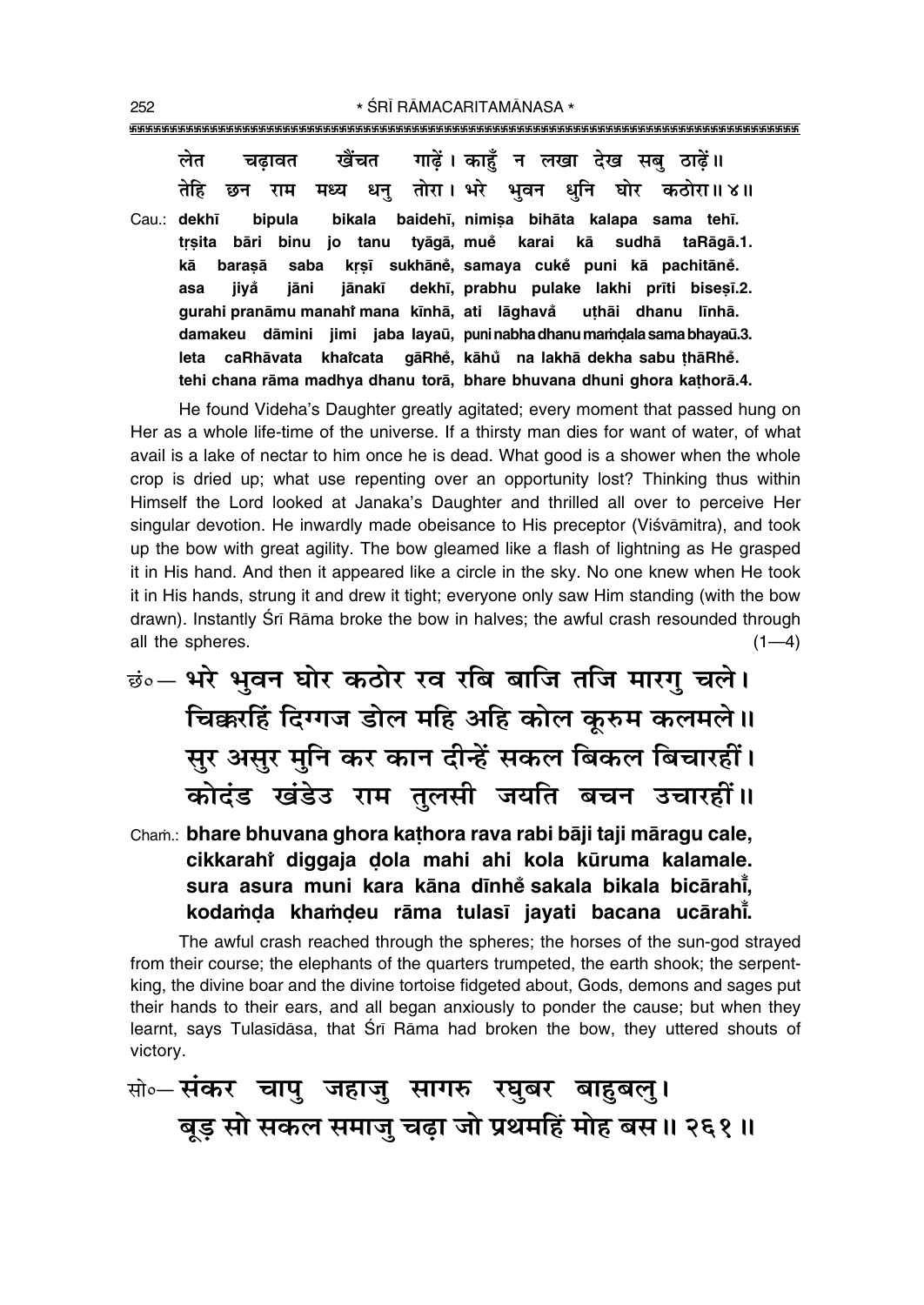| लेत         | चढ़ावत खैंचत गाढ़ें। काहूँ न लखा देख सबु ठाढ़ें॥                        |
|-------------|-------------------------------------------------------------------------|
| तेहि        | छन राम मध्य धन् तोरा। भरे भवन धनि घोर कठोरा॥४॥                          |
| Cau.: dekhī | bipula bikala baidehī, nimisa bihāta kalapa sama tehī.                  |
|             | trsita bāri binu jo tanu tyāgā, muĕ karai kā sudhā taRāgā.1.            |
| kā          | barasā saba krsī sukhāně, samaya cukě puni kā pachitāně.                |
| jiyå<br>asa | jāni jānakī dekhī, prabhu pulake lakhi prīti bisesī.2.                  |
|             | gurahi pranāmu manahi mana kīnhā, ati lāghavă uthāi dhanu līnhā.        |
|             | damakeu dāmini jimi jaba layaū, puninabha dhanu mamdala sama bhayaū.3.  |
|             | leta caRhāvata khaicata gāRhě, kāhů na lakhā dekha sabu thāRhě.         |
|             | tehi chana rāma madhya dhanu torā, bhare bhuvana dhuni ghora kathorā.4. |

He found Videha's Daughter greatly agitated; every moment that passed hung on Her as a whole life-time of the universe. If a thirsty man dies for want of water, of what avail is a lake of nectar to him once he is dead. What good is a shower when the whole crop is dried up; what use repenting over an opportunity lost? Thinking thus within Himself the Lord looked at Janaka's Daughter and thrilled all over to perceive Her singular devotion. He inwardly made obeisance to His preceptor (Viśvāmitra), and took up the bow with great agility. The bow gleamed like a flash of lightning as He grasped it in His hand. And then it appeared like a circle in the sky. No one knew when He took it in His hands, strung it and drew it tight; everyone only saw Him standing (with the bow drawn). Instantly Sri Rama broke the bow in halves; the awful crash resounded through all the spheres.  $(1-4)$ 

<u>छं०</u>- भरे भवन घोर कठोर रव रबि बाजि तजि मारगु चले। चिक्करहिं दिग्गज डोल महि अहि कोल कूरुम कलमले ।। सुर असुर मुनि कर कान दीन्हें सकल बिकल बिचारहीं। कोदंड खंडेउ राम तुलसी जयति बचन उचारहीं॥

Cham.: bhare bhuvana ghora kathora rava rabi bāji taji māragu cale, cikkarahi diggaja dola mahi ahi kola kūruma kalamale. sura asura muni kara kāna dīnhe sakala bikala bicārahī, kodamda khamdeu rāma tulasī javati bacana ucārahī.

The awful crash reached through the spheres; the horses of the sun-god strayed from their course; the elephants of the quarters trumpeted, the earth shook; the serpentking, the divine boar and the divine tortoise fidgeted about, Gods, demons and sages put their hands to their ears, and all began anxiously to ponder the cause; but when they learnt, says Tulasidasa, that Sri Rama had broken the bow, they uttered shouts of victory.

## सो० संकर चापु जहाजु सागरु रघुबर बाहुबलु। बूड़ सो सकल समाजु चढ़ा जो प्रथमहिं मोह बस ॥ २६१ ॥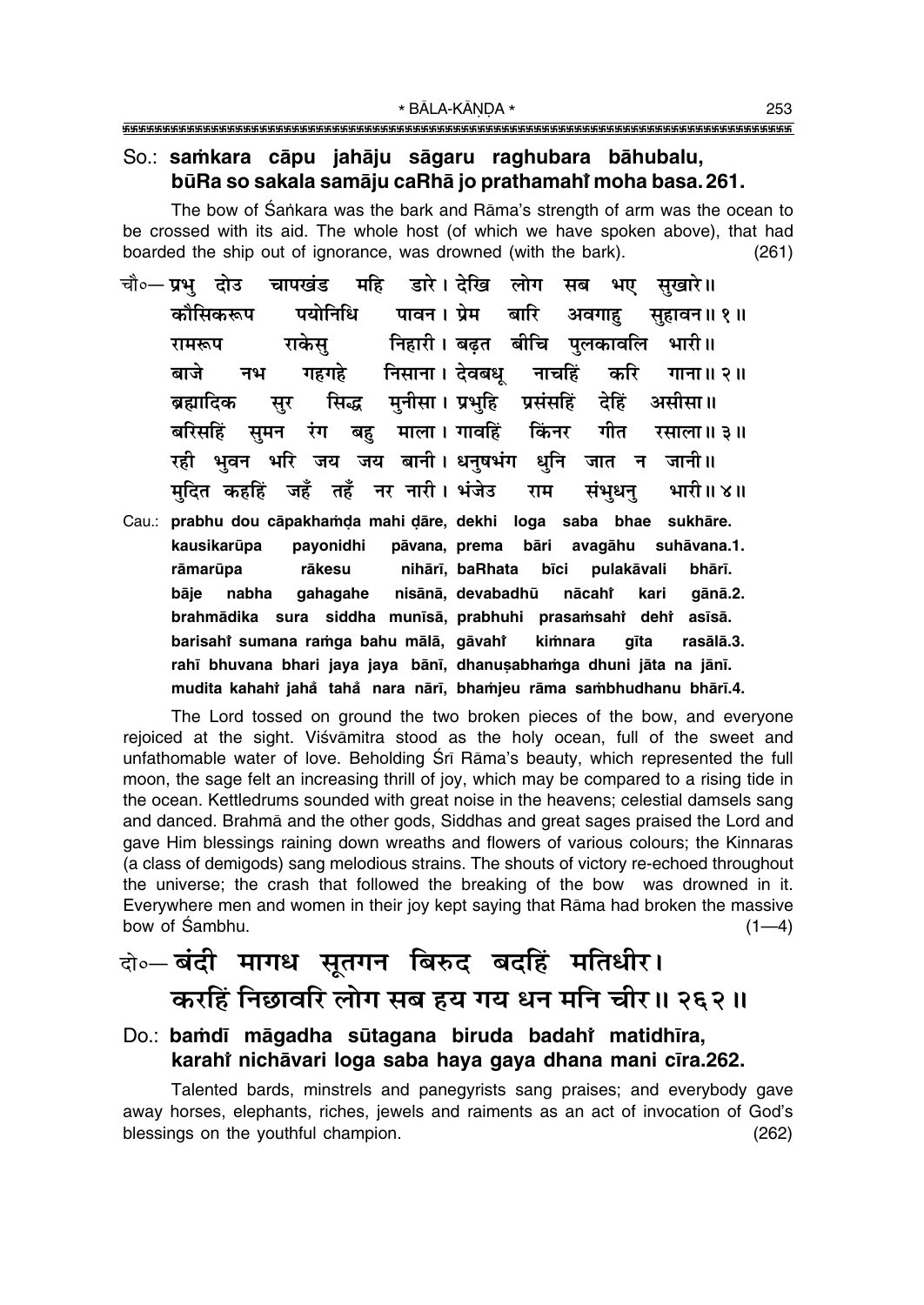#### So.: samkara cāpu jahāju sāgaru raghubara bāhubalu, būRa so sakala samāju caRhā jo prathamahi moha basa. 261.

The bow of Sankara was the bark and Rāma's strength of arm was the ocean to be crossed with its aid. The whole host (of which we have spoken above), that had boarded the ship out of ignorance, was drowned (with the bark).  $(261)$ 

- महि डारे। देखि लोग सब भए चापखंड चौ०— **प्रभ** दोउ सखारे॥ पयोनिधि पावन। प्रेम बारि अवगाह कौमिकरूप सहावन॥ १॥ निहारी । बढ़त बीचि पुलकावलि राकेस भारी॥ रामरूप गहगहे निसाना। देवबध् नाचहिं करि बाजे नभ गाना ॥ २ ॥ सिद्ध मुनीसा। प्रभुहि प्रसंसहिं देहिं असीसा॥ ब्रह्मादिक सूर बरिसहिं समन रंग बह माला।गावहिं किंनर गीत रसाला ॥ ३॥ रही भवन भरि जय जय बानी। धनुषभंग धुनि जात न जानी ।। मदित कहहिं जहँ तहँ नर नारी। भंजेउ भारी॥४॥ राम संभधन
- Cau.: prabhu dou cāpakhamda mahi dāre, dekhi loga saba bhae sukhāre. pāvana, prema avagāhu suhāvana.1. kausikarūpa payonidhi bāri nihārī, baRhata rāmarūpa rākesu bīci pulakāvali bhārī. bāje nabha gahagahe nisānā, devabadhū nācaht kari gānā.2. brahmādika sura siddha munīsā, prabhuhi prasamsahi dehi asīsā. barisahi sumana ramga bahu mālā, gāvahi kimnara gīta rasālā.3. rahī bhuvana bhari jaya jaya bānī, dhanusabhamga dhuni jāta na jānī. mudita kahahi jahå tahå nara nārī, bhamjeu rāma sambhudhanu bhārī.4.

The Lord tossed on ground the two broken pieces of the bow, and everyone rejoiced at the sight. Viśvāmitra stood as the holy ocean, full of the sweet and unfathomable water of love. Beholding Srī Rāma's beauty, which represented the full moon, the sage felt an increasing thrill of joy, which may be compared to a rising tide in the ocean. Kettledrums sounded with great noise in the heavens; celestial damsels sang and danced. Brahma and the other gods, Siddhas and great sages praised the Lord and gave Him blessings raining down wreaths and flowers of various colours; the Kinnaras (a class of demigods) sang melodious strains. The shouts of victory re-echoed throughout the universe; the crash that followed the breaking of the bow was drowned in it. Everywhere men and women in their joy kept saying that Rāma had broken the massive bow of Sambhu.  $(1-4)$ 

### वो०— बंदी मागध सुतगन बिरुद बदहिं मतिधीर। करहिं निछावरि लोग सब हय गय धन मनि चीर॥ २६२॥

#### Do.: bamdī māgadha sūtagana biruda badahi matidhīra, karahi nichāvari loga saba haya gaya dhana mani cīra.262.

Talented bards, minstrels and panegyrists sang praises; and everybody gave away horses, elephants, riches, jewels and raiments as an act of invocation of God's blessings on the youthful champion.  $(262)$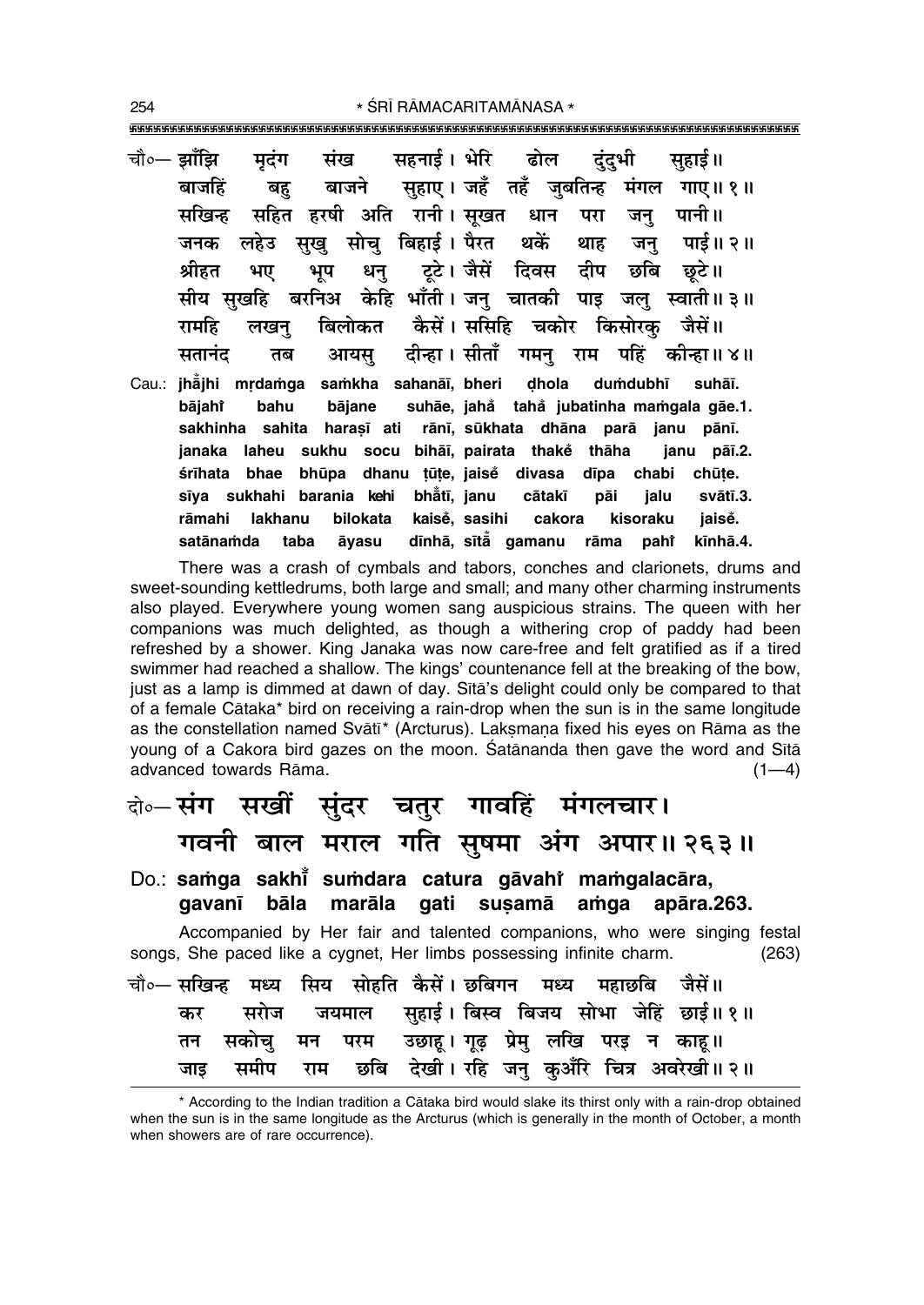| चौ०— झाँझि मृदंग संख सहनाई। भेरि ढोल दुंदुभी सुहाई॥              |                                               |
|------------------------------------------------------------------|-----------------------------------------------|
| बाजहिं बहु बाजने सुहाए । जहँ तहँ जुबतिन्ह मंगल गाए ॥ १ ॥         |                                               |
| सखिन्ह सहित हरषी अति रानी।सूखत धान परा जनु पानी॥                 |                                               |
| जनक लहेउ सुखु सोचु बिहाई। पैरत थकें थाह जनु पाई॥२॥               |                                               |
| श्रीहत भए भूप धनु टूटे।जैसें दिवस दीप छबि छूटे॥                  |                                               |
| सीय सुखहि बरनिअ केहि भाँती। जनु चातकी पाइ जलु स्वाती॥३॥          |                                               |
| रामहि लखनु बिलोकत कैसें।ससिरि चकोर किसोरकु जैसें॥                |                                               |
| सतानंद तब आयसु दीन्हा।सीताँ गमनु राम पहिं कीन्हा॥४॥              |                                               |
| Cau.: jhajhi mrdamga samkha sahanāi, bheri dhola dumdubhī suhāi. |                                               |
| bājahi bahu bājane suhāe, jahå tahå jubatinha-maṁgala-gāe.1.     |                                               |
| sakhinha sahita harasī ati rānī, sūkhata dhāna parā janu pānī.   |                                               |
| janaka laheu sukhu socu bihāī, pairata thakě thāha janu pāī.2.   |                                               |
| śrīhata bhae bhūpa dhanu țūțe, jaise divasa dīpa chabi chūțe.    |                                               |
| sīya sukhahi barania kehi bhātī, janu cātakī pāi jalu svātī.3.   |                                               |
| rāmahi lakhanu                                                   | bilokata kaisė, sasihi cakora kisoraku jaisė. |
| satānamda taba āyasu dīnhā, sītā gamanu rāma paht kīnhā.4.       |                                               |

There was a crash of cymbals and tabors, conches and clarionets, drums and sweet-sounding kettledrums, both large and small; and many other charming instruments also played. Everywhere young women sang auspicious strains. The queen with her companions was much delighted, as though a withering crop of paddy had been refreshed by a shower. King Janaka was now care-free and felt gratified as if a tired swimmer had reached a shallow. The kings' countenance fell at the breaking of the bow, just as a lamp is dimmed at dawn of day. Sita's delight could only be compared to that of a female Cātaka\* bird on receiving a rain-drop when the sun is in the same longitude as the constellation named Svātī\* (Arcturus). Laksmana fixed his eyes on Rāma as the young of a Cakora bird gazes on the moon. Satananda then gave the word and Sita advanced towards Rāma.  $(1-4)$ 

|     | के⊶संग सखीं सुंदर चतुर गावहिं मंगलचार।                               |  |  |                                                                          |       |
|-----|----------------------------------------------------------------------|--|--|--------------------------------------------------------------------------|-------|
|     |                                                                      |  |  | गवनी बाल मराल गति सुषमा अंग अपार॥ २६३॥                                   |       |
|     | Do.: samga sakhi sumdara catura gāvahi mamgalacāra,                  |  |  | gavanī bāla marāla gati susamā amga apāra.263.                           |       |
|     | songs, She paced like a cygnet, Her limbs possessing infinite charm. |  |  | Accompanied by Her fair and talented companions, who were singing festal | (263) |
|     | चौ०— सखिन्ह मध्य सिय सोहति कैसें। छबिगन मध्य महाछबि जैसें॥           |  |  |                                                                          |       |
|     |                                                                      |  |  | कर सरोज जयमाल सुहाई। बिस्व बिजय सोभा जेहिं छाई॥१॥                        |       |
| तन  | सकोचु मन परम उछाहू।गूढ़ प्रेमु लखि परइ न काहू॥                       |  |  |                                                                          |       |
| जाड |                                                                      |  |  | समीप राम छबि देखी।रहि जनु कुअँरि चित्र अवरेखी॥२॥                         |       |

<sup>\*</sup> According to the Indian tradition a Cātaka bird would slake its thirst only with a rain-drop obtained when the sun is in the same longitude as the Arcturus (which is generally in the month of October, a month when showers are of rare occurrence).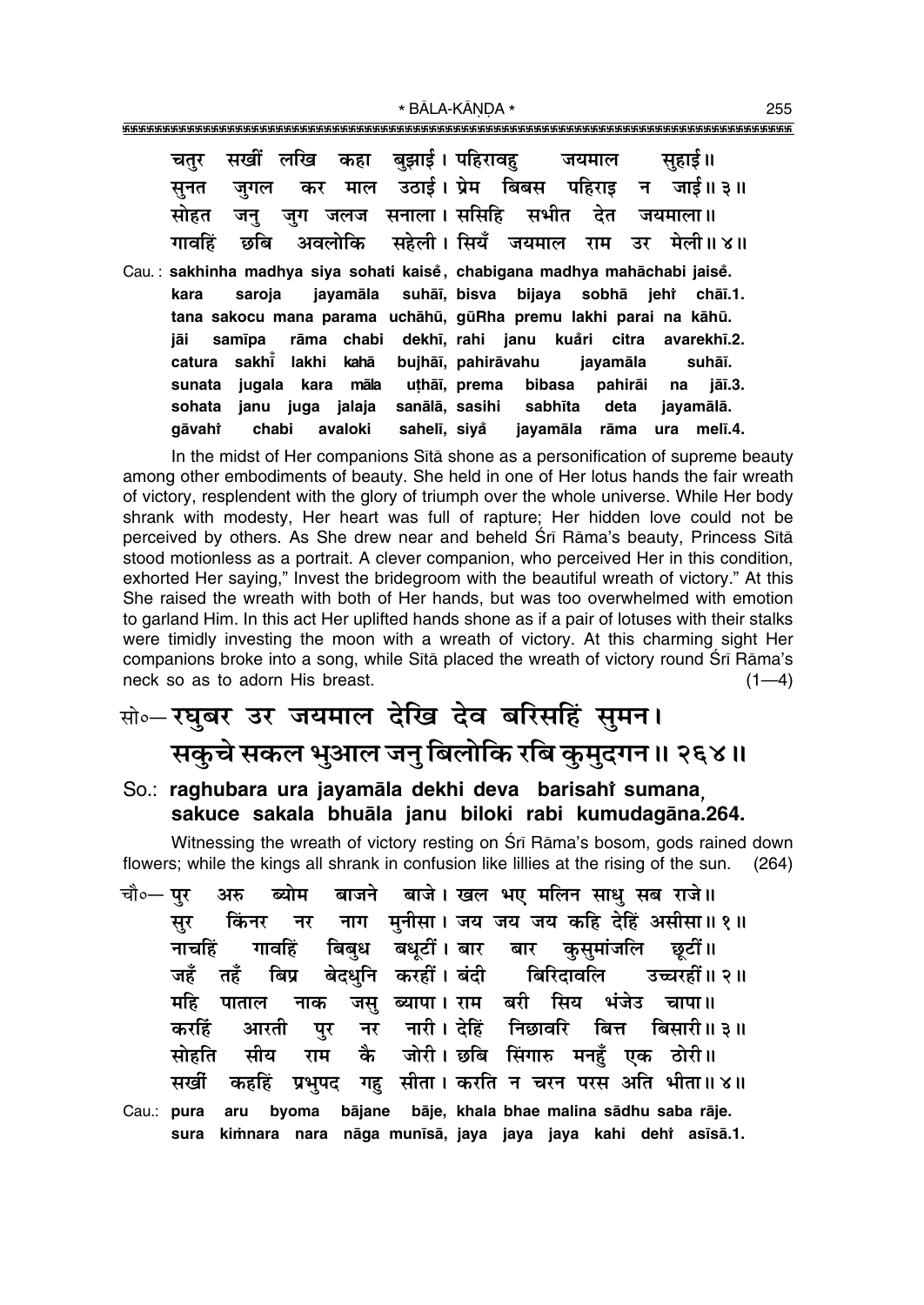| चतुर   |        |             |            | सखीं लखि कहा बुझाई। पहिरावहु जयमाल                                         |              |          |              |       | सुहाई ॥                                    |
|--------|--------|-------------|------------|----------------------------------------------------------------------------|--------------|----------|--------------|-------|--------------------------------------------|
| सूनत   | जगल    |             |            |                                                                            |              |          |              |       | कर माल उठाई।ऐप्रेम बिबस पहिराइ न जाई॥३॥    |
| सोहत   | जन्    |             |            | जुग जलज सनाला। ससिहि सभीत देत जयमाला॥                                      |              |          |              |       |                                            |
| गावहिं |        |             |            |                                                                            |              |          |              |       | छबि अवलोकि सहेली।सियँ जयमाल राम उर मेली॥४॥ |
|        |        |             |            | Cau.: sakhinha madhya siya sohati kaisě, chabigana madhya mahāchabi jaisě. |              |          |              |       |                                            |
| kara   | saroja |             |            | jayamāla suhāī, bisva                                                      |              |          | bijaya sobhā |       | jehr chāī.1.                               |
|        |        |             |            | tana sakocu mana parama uchāhū, gūRha premu lakhi parai na kāhū.           |              |          |              |       |                                            |
| jāi    | samīpa |             | rāma chabi |                                                                            |              |          |              |       | dekhī, rahi janu kuåri citra avarekhī.2.   |
| catura |        | sakhī lakhi | kahā       | bujhāī, pahirāvahu                                                         |              |          | jayamāla     |       | suhāī.                                     |
| sunata | jugala | kara        | māla       |                                                                            | uțhāī, prema | bibasa   | pahirāi      | na na | jāī.3.                                     |
| sohata | janu   | juga jalaja |            | sanālā, sasihi sabhīta                                                     |              |          | deta         |       | jayamālā.                                  |
| aāvahi | chabi  |             | avaloki    | sahelī, siyå                                                               |              | jayamāla | rāma         | ura   | melī.4.                                    |

In the midst of Her companions Sita shone as a personification of supreme beauty among other embodiments of beauty. She held in one of Her lotus hands the fair wreath of victory, resplendent with the glory of triumph over the whole universe. While Her body shrank with modesty, Her heart was full of rapture; Her hidden love could not be perceived by others. As She drew near and beheld Srī Rāma's beauty, Princess Sītā stood motionless as a portrait. A clever companion, who perceived Her in this condition, exhorted Her saying," Invest the bridegroom with the beautiful wreath of victory." At this She raised the wreath with both of Her hands, but was too overwhelmed with emotion to garland Him. In this act Her uplifted hands shone as if a pair of lotuses with their stalks were timidly investing the moon with a wreath of victory. At this charming sight Her companions broke into a song, while Sita placed the wreath of victory round Sri Rama's neck so as to adorn His breast.  $(1-4)$ 

## सो०- रघुबर उर जयमाल देखि देव बरिसहिं सुमन। सकुचे सकल भुआल जन् बिलोकि रबि कुमुदगन ॥ २६४॥

#### So.: raghubara ura jayamāla dekhi deva barisahi sumana. sakuce sakala bhuāla janu biloki rabi kumudagāna.264.

Witnessing the wreath of victory resting on Sri Rama's bosom, gods rained down flowers; while the kings all shrank in confusion like lillies at the rising of the sun. (264)

बाजने बाजे। खल भए मलिन साध सब राजे॥ चौ∘— पर ब्योम अरु नाग मनीसा। जय जय जय कहि देहिं असीसा॥१॥ किंनर सूर नर बिबुध बधुटीं।बार बार कुसुमांजलि छुटीं॥ गावहिं नाचहिं जहँ तहँ बिप्र बेदधनि करहीं।बंदी बिरिदावलि उच्चरहीं॥२॥ जस् ब्यापा। राम बरी सिय भंजेउ चापा॥ महि पाताल नाक नर नारी। देहिं निछावरि बित्त बिसारी॥ ३॥ करहिं आरती पुर कै जोरी। छबि सिंगारु मनहँ एक ठोरी॥ मीय राम सोहति कहहिं प्रभुपद गहु सीता। करति न चरन परस अति भीता॥४॥ सर्खी Cau.: pura aru byoma bājane bāje, khala bhae malina sādhu saba rāje. sura kimnara nara nāga munīsā, jaya jaya jaya kahi dehr asīsā.1.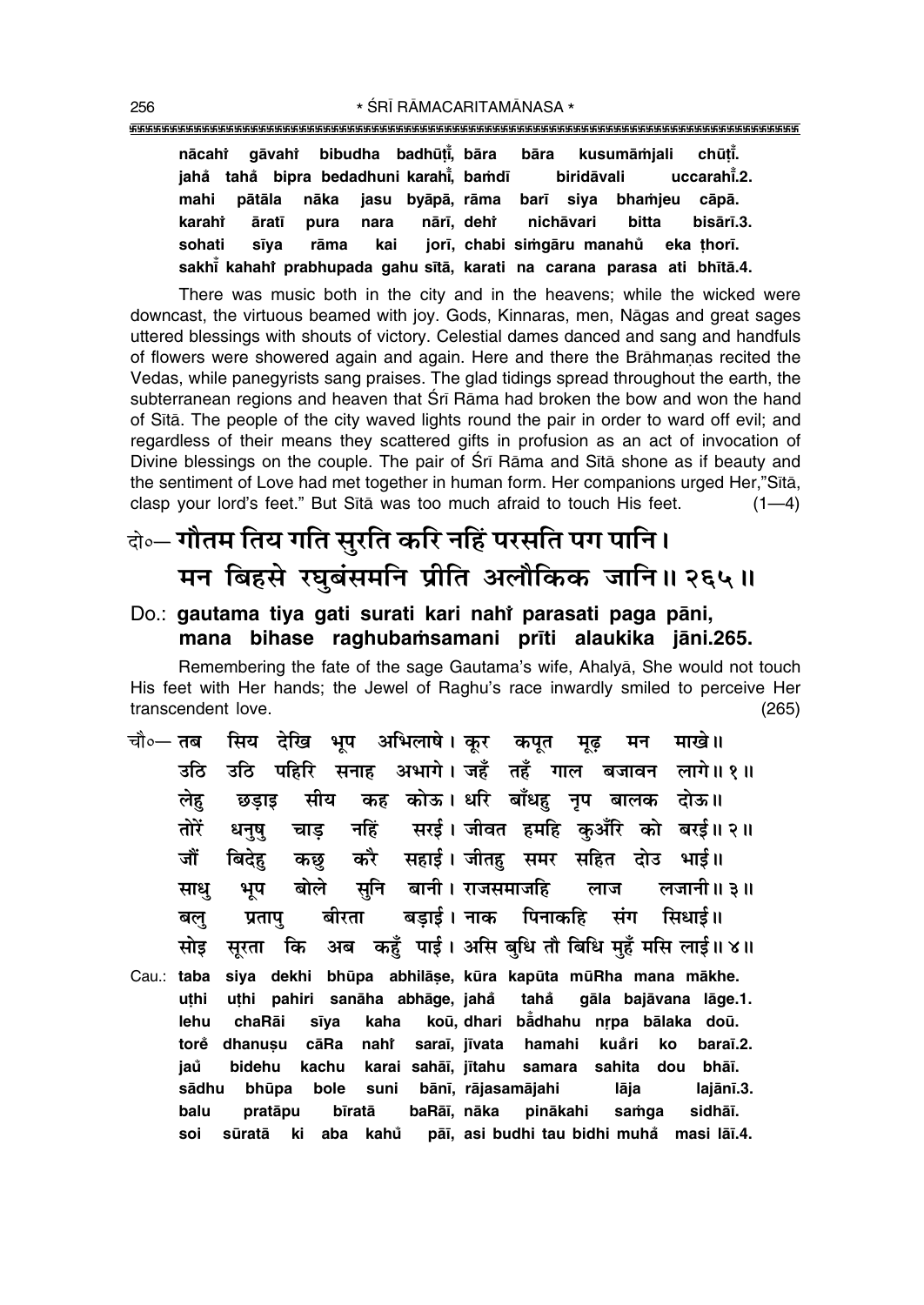|  | nācahi gāvahi bibudha badhūti, bāra bāra kusumāmjali chūti.             |  |                                                                |  |  |  |           |
|--|-------------------------------------------------------------------------|--|----------------------------------------------------------------|--|--|--|-----------|
|  |                                                                         |  | jahå tahå bipra bedadhuni karahi, bamdī biridāvali uccarahi.2. |  |  |  |           |
|  | mahi pātāla nāka jasu byāpā, rāma barī siya bhamjeu cāpā.               |  |                                                                |  |  |  |           |
|  | karahî āratī pura nara nārī, dehî nichāvari bitta                       |  |                                                                |  |  |  | bisārī.3. |
|  | sohati sīya rāma kai jorī, chabi-simgāru-manahů eka-thorī.              |  |                                                                |  |  |  |           |
|  | sakhi kahahi prabhupada gahu sitā, karati na carana parasa ati bhītā.4. |  |                                                                |  |  |  |           |

There was music both in the city and in the heavens; while the wicked were downcast, the virtuous beamed with joy. Gods, Kinnaras, men, Nāgas and great sages uttered blessings with shouts of victory. Celestial dames danced and sang and handfuls of flowers were showered again and again. Here and there the Brāhmanas recited the Vedas, while panegyrists sang praises. The glad tidings spread throughout the earth, the subterranean regions and heaven that Srī Rāma had broken the bow and won the hand of Sita. The people of the city waved lights round the pair in order to ward off evil; and regardless of their means they scattered gifts in profusion as an act of invocation of Divine blessings on the couple. The pair of Srī Rāma and Sītā shone as if beauty and the sentiment of Love had met together in human form. Her companions urged Her."Sītā, clasp your lord's feet." But Sita was too much afraid to touch His feet.  $(1-4)$ 

## केन्न गौतम तिय गति सुरति करि नहिं परसति पग पानि। मन बिहसे रघुबंसमनि प्रीति अलौकिक जानि॥ २६५॥

#### Do.: gautama tiya gati surati kari nahi parasati paga pāni, mana bihase raghubamsamani prīti alaukika jāni.265.

Remembering the fate of the sage Gautama's wife, Ahalya, She would not touch His feet with Her hands; the Jewel of Raghu's race inwardly smiled to perceive Her transcendent love.  $(265)$ 

- सिय देखि भूप अभिलाषे। कूर कपूत मन माखे।। चौ०— **तब** मढ उठि पहिरि सनाह अभागे।जहँ तहँ गाल बजावन लागे॥१॥ उठि सीय कह कोऊ। धरि बाँधहु नृप बालक दोऊ॥ लेह छडाड नहिं सरई। जीवत हमहि कआँरि को बरई॥२॥ तोरें धनष चाड करै सहाई। जीतहु समर सहित दोउ भाई॥ कछ जौं बिदेह सुनि बानी। राजसमाजहि बोले लजानी॥ ३॥ लाज साध् भूप बड़ाई। नाक पिनाकहि प्रतापु बीरता संग सिधाई॥ बल् अब कहँ पाई। असि बधि तौ बिधि महँ मसि लाई॥४॥ मोड सरता कि
- siya dekhi bhūpa abhilāṣe, kūra kapūta mūRha mana mākhe. Cau.: taba uthi pahiri sanāha abhāge, jahå uthi tahå gāla bajāvana lāge.1. lehu sīya koū, dhari bādhahu nrpa bālaka doū. chaRāi kaha torė dhanusu cāRa nahi saraī, jīvata hamahi kuåri ko baraī.2. jaů bidehu kachu karai sahāī, jītahu samara sahita dou bhāī. bole suni bānī, rājasamājahi lāja sādhu bhūpa lajānī.3. baRāī, nāka pinākahi samga sidhāī. balu pratāpu bīratā pāī, asi budhi tau bidhi muha masi lāī.4. soi sūratā ki aba kahů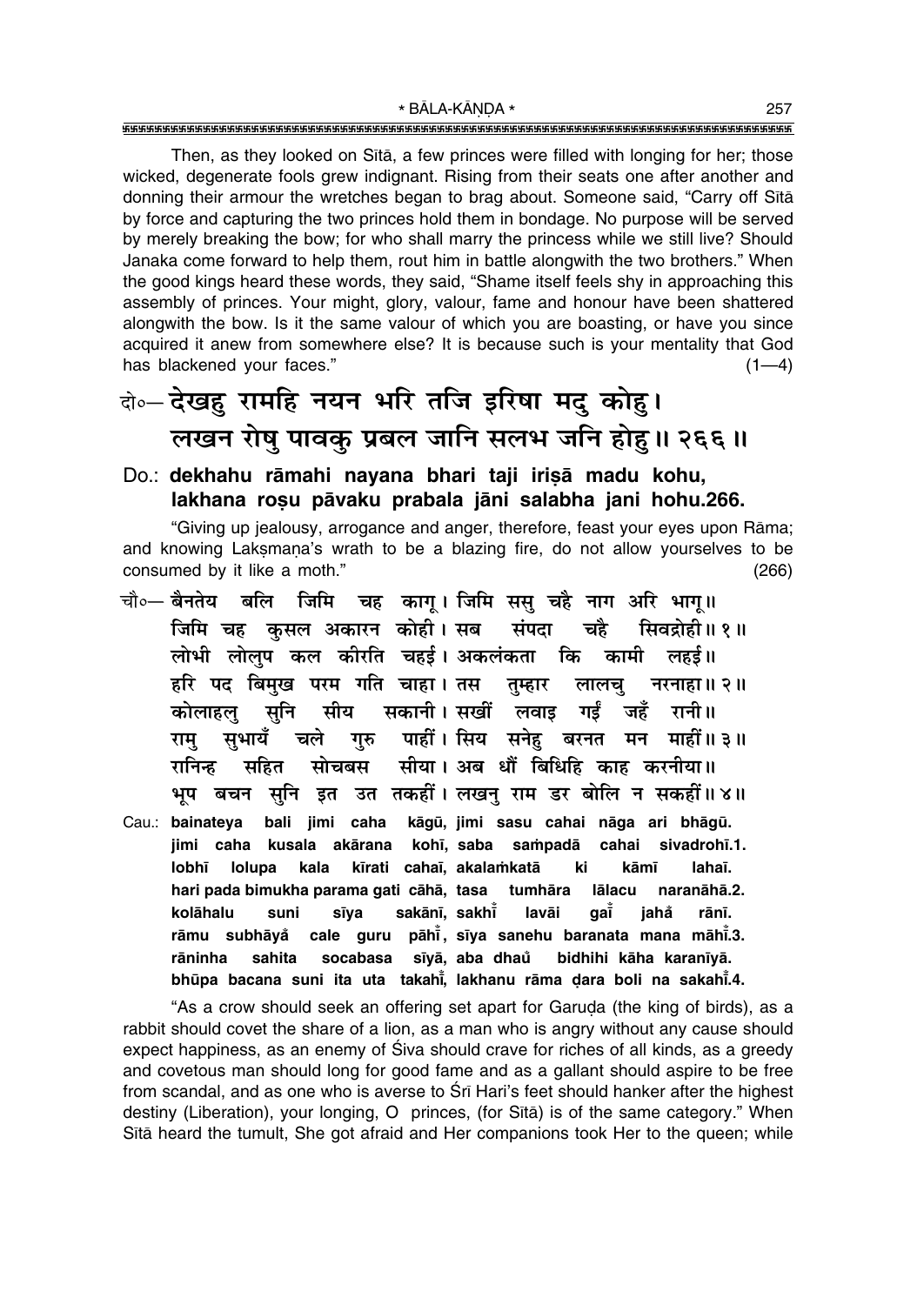Then, as they looked on Sītā, a few princes were filled with longing for her; those wicked, degenerate fools grew indignant. Rising from their seats one after another and donning their armour the wretches began to brag about. Someone said, "Carry off Sītā by force and capturing the two princes hold them in bondage. No purpose will be served by merely breaking the bow; for who shall marry the princess while we still live? Should Janaka come forward to help them, rout him in battle alongwith the two brothers." When the good kings heard these words, they said, "Shame itself feels shy in approaching this assembly of princes. Your might, glory, valour, fame and honour have been shattered alongwith the bow. Is it the same valour of which you are boasting, or have you since acquired it anew from somewhere else? It is because such is your mentality that God has blackened your faces."  $(1-4)$ 

## दो**० देखहु रामहि नयन भरि तजि इरिषा मदु कोहु।** लखन रोषु पावकु प्रबल जानि सलभ जनि होहु॥ २६६॥

#### Do.: dekhahu rāmahi nayana bhari taji irisā madu kohu, **lakhana ro¶u påvaku prabala jåni salabha jani hohu.266.**

ìGiving up jealousy, arrogance and anger, therefore, feast your eyes upon Råma; and knowing Laksmana's wrath to be a blazing fire, do not allow yourselves to be consumed by it like a moth." Consumed by it like a moth."

चौ०— <mark>बैनतेय बलि जिमि चह कागू। जिमि ससु चहै नाग अरि भागू॥</mark> **जिमि चह कुसल अकारन कोही। सब संपदा चहै सि**वद्रोही॥१॥ लोभी लोलुप कल कीरति चहईं। अकलंकता कि कामी लहई॥ हरि पद बिमुख परम गति चाहा। तस तुम्हार लालचु नरनाहा॥२॥ े कोलाहल सनि सीय सकानी।**सखीं लवाइ गईं जहँ रानी**॥ **राम् सुभायँ चले गुरु पाहीं। सिय सनेह बरनत मन माहीं॥३॥ ⁄Uनिन्ह सहित सोचबस सीया।** अब धौं बिधिहि काह करनीया॥ भूप बचन सुनि इत उत तकहीं। लखन् राम डर बोलि न सकहीं॥ ४॥ Cau.: bainateya bali jimi caha kāgū, jimi sasu cahai nāga ari bhāgū. jimi caha kusala akārana kohī, saba sampadā cahai sivadrohī.1. **lobh∂ lolupa kala k∂rati caha∂, akala≈katå ki kåm∂ laha∂. hari pada bimukha parama gati cåhå, tasa tumhåra lålacu naranåhå.2. kolåhalu suni s∂ya sakån∂, sakh∂° lavåi ga∂° jaha rån∂. ° råmu subhåya° cale guru påh∂° , s∂ya sanehu baranata mana måh∂° .3. råninha sahita socabasa s∂yå, aba dhau bidhihi kåha karan∂yå. ° bhūpa bacana suni ita uta takahi̇̃, lakhanu rāma ḍara boli na sakahi̇̃.4.** 

"As a crow should seek an offering set apart for Garuda (the king of birds), as a rabbit should covet the share of a lion, as a man who is angry without any cause should expect happiness, as an enemy of Siva should crave for riches of all kinds, as a greedy and covetous man should long for good fame and as a gallant should aspire to be free from scandal, and as one who is averse to Srī Hari's feet should hanker after the highest destiny (Liberation), your longing, O princes, (for Sītā) is of the same category." When Sītā heard the tumult, She got afraid and Her companions took Her to the queen; while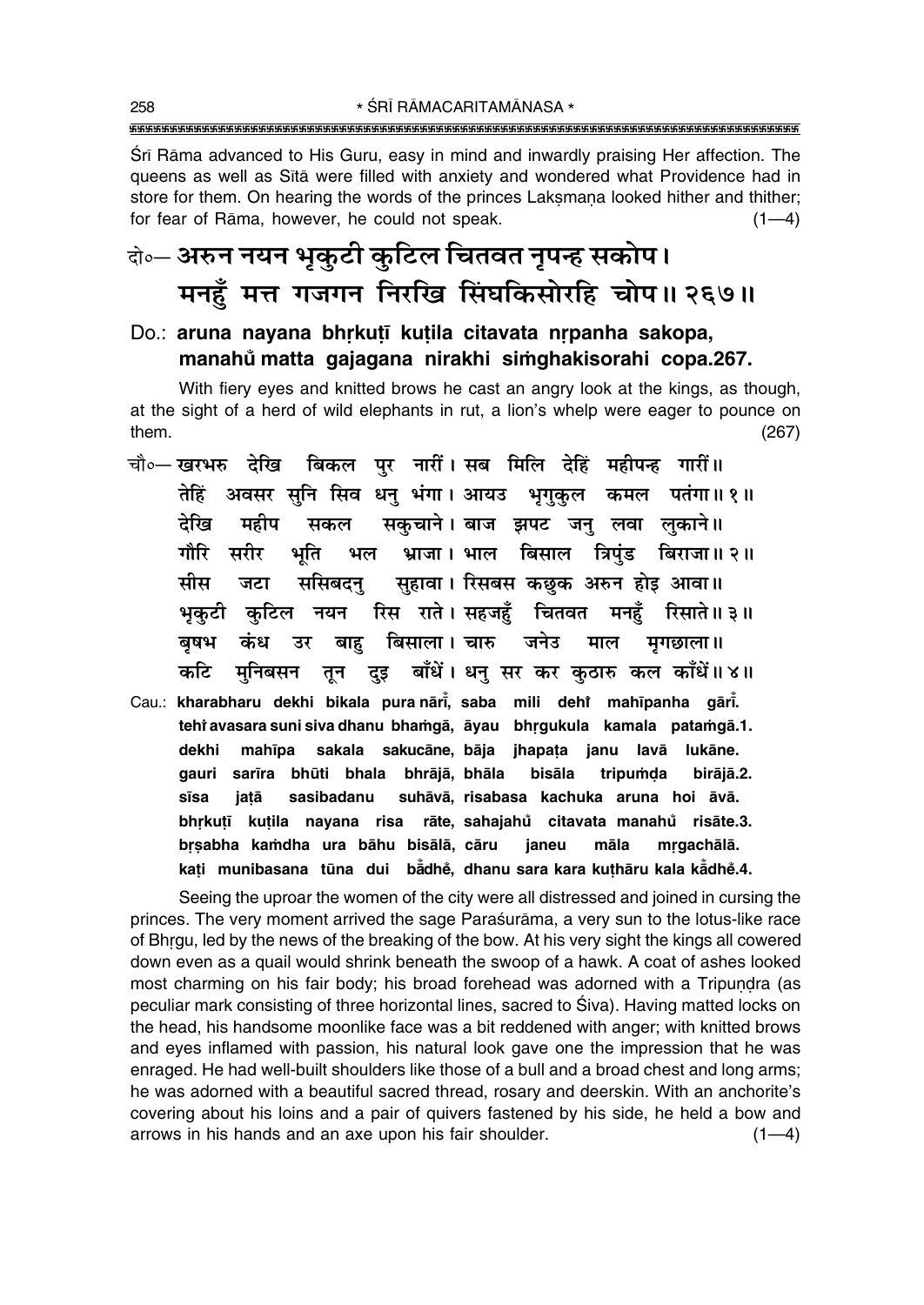Sri Rama advanced to His Guru, easy in mind and inwardly praising Her affection. The queens as well as Sita were filled with anxiety and wondered what Providence had in store for them. On hearing the words of the princes Laksmana looked hither and thither; for fear of Rāma, however, he could not speak.  $(1-4)$ 

### केन्ट अरुन नयन भूकुटी कुटिल चितवत नृपन्ह सकोप। मनहँ मत्त गजगन निरखि सिंघकिसोरहि चोप॥ २६७॥

Do.: aruna nayana bhrkutī kutila citavata nrpanha sakopa, manahů matta gajagana nirakhi simghakisorahi copa.267.

With fiery eyes and knitted brows he cast an angry look at the kings, as though, at the sight of a herd of wild elephants in rut, a lion's whelp were eager to pounce on them.  $(267)$ 

- चौ∘— खरभरु देखि बिकल पर नारीं। सब मिलि देहिं महीपन्ह गारीं॥ तेहिं अवसर सनि सिव धन् भंगा। आयउ भगकल कमल पतंगा॥१॥ सकचाने। बाज झपट जन् लवा लकाने॥ देखि महीप सकल भ्राजा। भाल बिसाल त्रिपुंड बिराजा॥२॥ गौरि सरीर भति भल सुहावा। रिसबस कछुक अरुन होइ आवा॥ मीस जटा ससिबदन रिस राते । सहजहुँ चितवत मनहुँ रिसाते॥३॥ भकटी कटिल नयन बाह बिसाला। चारु जनेउ माल बुषभ कंध उर मगछाला ॥ तून दुइ बाँधें। धनु सर कर कुठारु कल काँधें॥४॥ कटि मनिबसन
- Cau.: kharabharu dekhi bikala pura nāri, saba mili dehi mahīpanha gāri. tehi avasara suni siva dhanu bhamgā, āyau bhrgukula kamala patamgā.1. mahīpa sakala sakucāne, bāja jhapaṭa janu lavā lukāne. dekhi gauri sarīra bhūti bhala bhrājā, bhāla bisāla tripumda birājā.2. sīsa jatā sasibadanu suhāvā, risabasa kachuka aruna hoi āvā. bhrkutī kutila nayana risa rāte, sahajahů citavata manahů risāte.3. brsabha kamdha ura bāhu bisālā, cāru māla janeu mrgachālā. kati munibasana tūna dui badhe, dhanu sara kara kuthāru kala kadhe.4.

Seeing the uproar the women of the city were all distressed and joined in cursing the princes. The very moment arrived the sage Paraśurāma, a very sun to the lotus-like race of Bhrgu, led by the news of the breaking of the bow. At his very sight the kings all cowered down even as a quail would shrink beneath the swoop of a hawk. A coat of ashes looked most charming on his fair body; his broad forehead was adorned with a Tripundra (as peculiar mark consisting of three horizontal lines, sacred to Siva). Having matted locks on the head, his handsome moonlike face was a bit reddened with anger; with knitted brows and eyes inflamed with passion, his natural look gave one the impression that he was enraged. He had well-built shoulders like those of a bull and a broad chest and long arms; he was adorned with a beautiful sacred thread, rosary and deerskin. With an anchorite's covering about his loins and a pair of quivers fastened by his side, he held a bow and arrows in his hands and an axe upon his fair shoulder.  $(1-4)$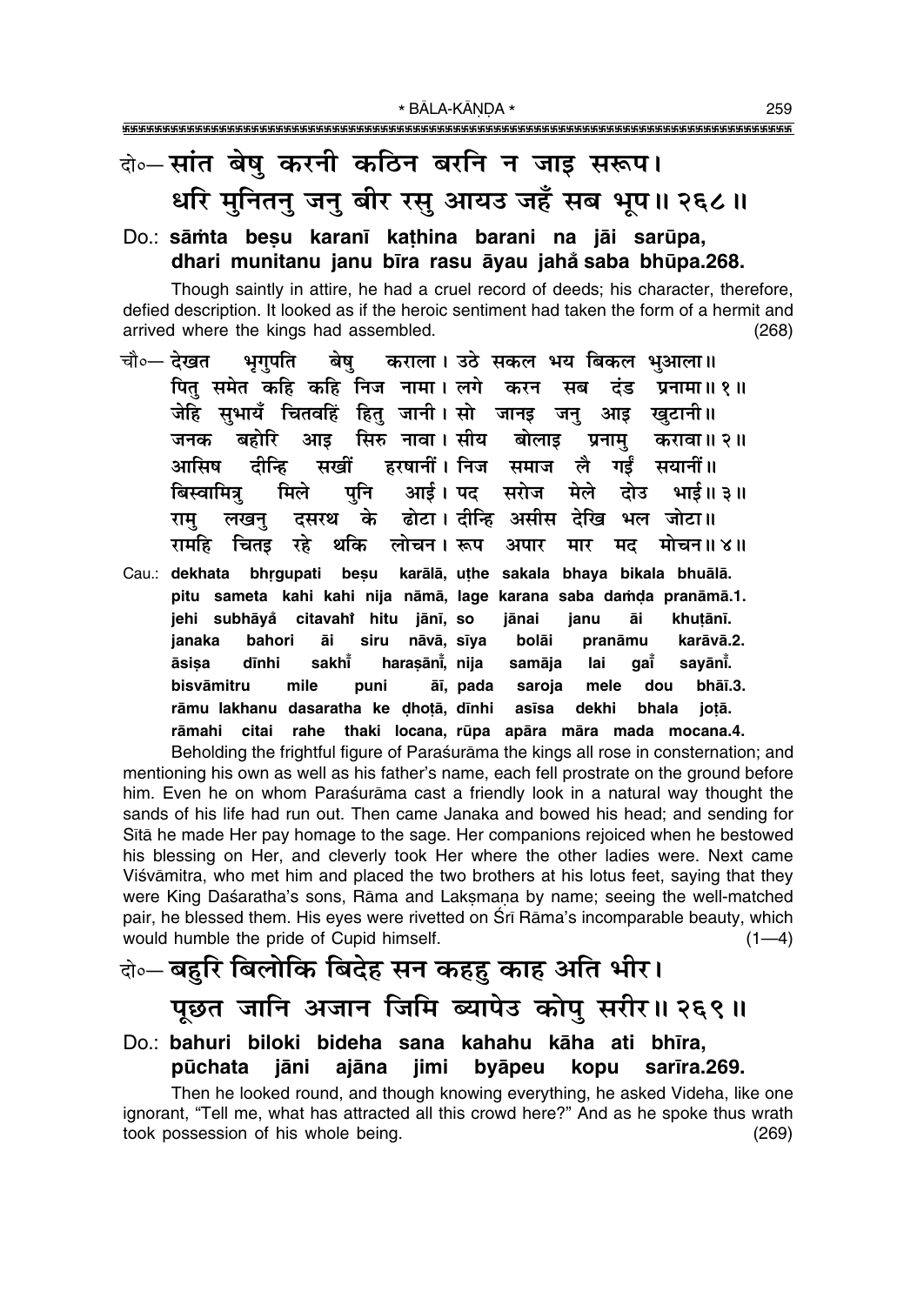## वे⊶सांत बेषु करनी कठिन बरनि न जाइ सरूप। धरि मुनितनु जनु बीर रसु आयउ जहँ सब भूप॥ २६८॥

#### Do.: sāmta besu karanī kathina barani na jāi sarūpa, dhari munitanu janu bīra rasu āyau jahå saba bhūpa.268.

Though saintly in attire, he had a cruel record of deeds; his character, therefore, defied description. It looked as if the heroic sentiment had taken the form of a hermit and arrived where the kings had assembled.  $(268)$ 

- चौ०— देखत भगपति बेष कराला। उठे सकल भय बिकल भुआला॥ पित समेत कहि कहि निज नामा। लगे करन सब दंड प्रनामा॥१॥ जेहि सभायँ चितवहिं हित् जानी।सो जानइ जन् आड खटानी॥ सिरु नावा । सीय बोलाइ जनक बहोरि आड प्रनाम करावा॥ २॥ सखीं टीन्हि हरषानीं। निज समाज आमिष लै गर्डं सयानीं॥ पनि आई। पद सरोज मेले दोउ बिस्वामित्र् मिले भाई ॥ ३ ॥ के ढोटा। दीन्हि असीस देखि भल जोटा॥ दसरथ राम लखन थकि लोचन। रूप रामहि चितड़ रहे अपार मार मद मोचन॥४॥
- Cau.: dekhata bhrgupati besu karālā, uthe sakala bhaya bikala bhuālā. pitu sameta kahi kahi nija nāmā, lage karana saba damda pranāmā.1. jehi subhāyå citavahi hitu jānī, so jānai janu āi khutānī. bahori bolāi karāvā.2. janaka āi siru nāvā, sīya pranāmu āsisa dīnhi sakht harasāni, nija samāja lai aaĭ savānī. bisvāmitru mile puni āī, pada saroja mele dou bhāī.3. rāmu lakhanu dasaratha ke dhotā, dīnhi asīsa dekhi bhala jotā. rāmahi citai rahe thaki locana, rūpa apāra māra mada mocana.4.

Beholding the frightful figure of Parasurama the kings all rose in consternation; and mentioning his own as well as his father's name, each fell prostrate on the ground before him. Even he on whom Paraśurāma cast a friendly look in a natural way thought the sands of his life had run out. Then came Janaka and bowed his head; and sending for Sita he made Her pay homage to the sage. Her companions rejoiced when he bestowed his blessing on Her, and cleverly took Her where the other ladies were. Next came Viśvāmitra, who met him and placed the two brothers at his lotus feet, saying that they were King Daśaratha's sons, Rāma and Laksmana by name; seeing the well-matched pair, he blessed them. His eyes were rivetted on Srī Rāma's incomparable beauty, which would humble the pride of Cupid himself.  $(1-4)$ 

# के-बहुरि बिलोकि बिदेह सन कहहु काह अति भीर। पूछत जानि अजान जिमि ब्यापेउ कोपु सरीर॥ २६९॥

#### Do.: bahuri biloki bideha sana kahahu kāha ati bhīra, jimi pūchata iāni ajāna byāpeu kopu sarīra.269.

Then he looked round, and though knowing everything, he asked Videha, like one ignorant, "Tell me, what has attracted all this crowd here?" And as he spoke thus wrath took possession of his whole being.  $(269)$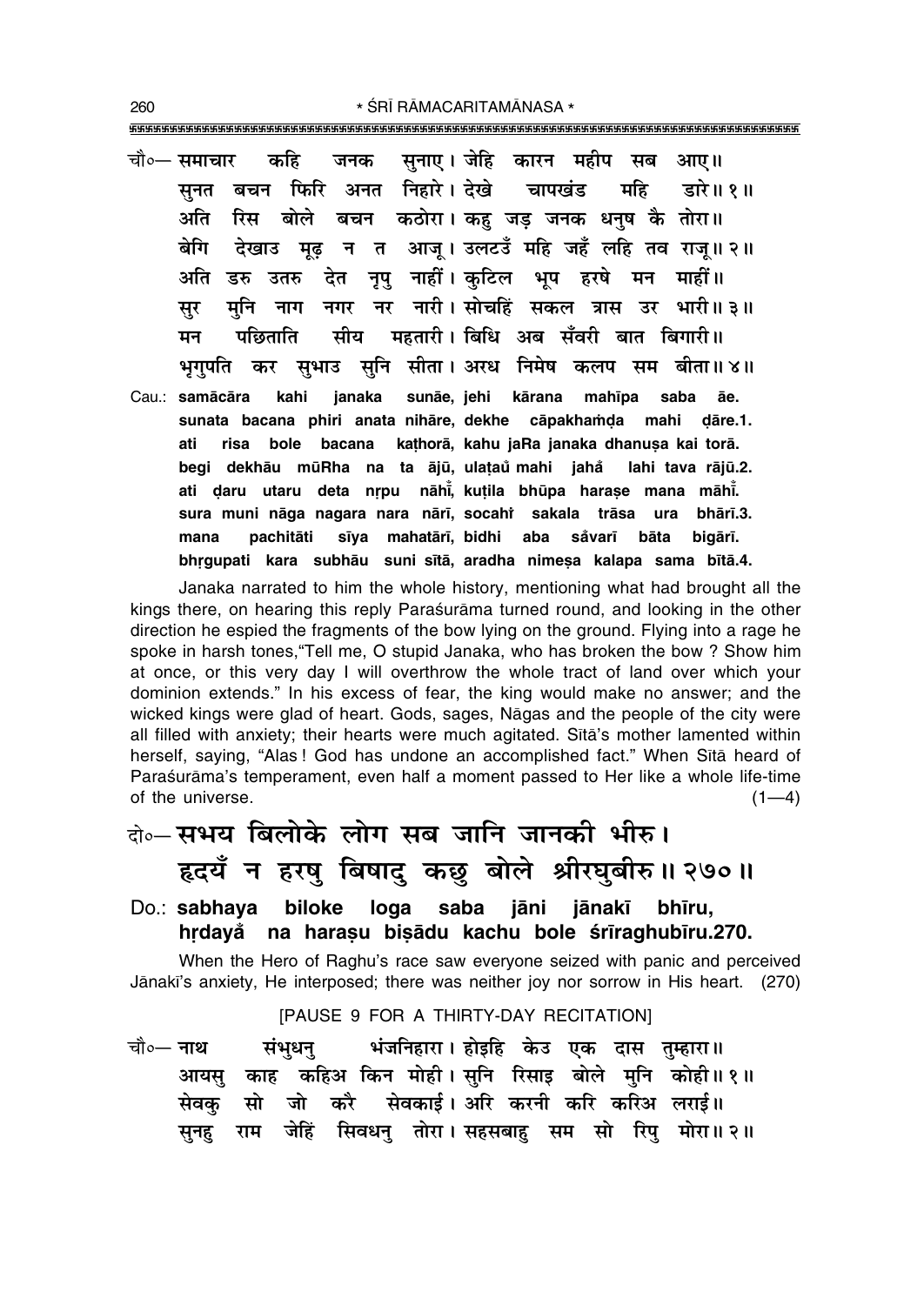\* ŚRĪ RĀMACARITAMĀNASA \* 

- सनाए। जेहि कारन महीप सब आए॥ कहि चौ०— समाचार जनक सनत बचन फिरि अनत निहारे। देखे चापखंड महि डारे॥ १॥ अति रिस बोले बचन कठोरा।कह जड जनक धनष कै तोरा॥ बेगि देखाउ मूढ़ न त आजू।उलटउँ महि जहँ लहि तव राजू॥२॥ अति डरु उतरु देत नृपु नाहीं।कुटिल भूप हरषे मन माहीं॥ मनि नाग नगर नर नारी।सोचहिं सकल त्रास उर भारी॥३॥ सर सीय महतारी। बिधि अब सँवरी बात बिगारी॥ पछिताति मन सभाउ सनि सीता। अरध निमेष कलप सम बीता॥४॥ भगपति कर
- kahi sunāe, jehi kārana mahīpa saba Cau.: samācāra janaka āe. sunata bacana phiri anata nihāre, dekhe cāpakhamda mahi dāre.1. bole bacana kathorā, kahu jaRa janaka dhanusa kai torā. ati risa begi dekhāu mūRha na ta ājū, ulataŭ mahi jahå lahi tava rājū.2. ati daru utaru deta nrpu nāhi, kutila bhūpa harase mana māhi. sura muni nāga nagara nara nārī, socahi sakala trāsa ura bhārī.3. sīya mahatārī, bidhi aba pachitāti såvarī mana bāta bigārī. bhrgupati kara subhāu suni sītā, aradha nimeṣa kalapa sama bītā.4.

Janaka narrated to him the whole history, mentioning what had brought all the kings there, on hearing this reply Paraśurāma turned round, and looking in the other direction he espied the fragments of the bow lying on the ground. Flying into a rage he spoke in harsh tones, "Tell me, O stupid Janaka, who has broken the bow? Show him at once, or this very day I will overthrow the whole tract of land over which your dominion extends." In his excess of fear, the king would make no answer; and the wicked kings were glad of heart. Gods, sages, Nāgas and the people of the city were all filled with anxiety; their hearts were much agitated. Sita's mother lamented within herself, saying, "Alas! God has undone an accomplished fact." When Sītā heard of Paraśurāma's temperament, even half a moment passed to Her like a whole life-time of the universe.  $(1-4)$ 

### बे॰ सभय बिलोके लोग सब जानि जानकी भीरु। हृदयँ न हरषु बिषादु कछु बोले श्रीरघुबीरु॥ २७०॥

#### biloke loga Do.: sabhaya saba jāni jānakī bhīru. hrdavå na harasu bisādu kachu bole śrīraghubīru.270.

When the Hero of Raghu's race saw everyone seized with panic and perceived Jānakī's anxiety. He interposed; there was neither joy nor sorrow in His heart. (270)

#### [PAUSE 9 FOR A THIRTY-DAY RECITATION]

चौ∘— **नाथ** भंजनिहारा। होइहि केउ एक दास तुम्हारा॥ संभधन आयसु काह कहिअ किन मोही।सुनि रिसाइ बोले मुनि कोही॥१॥ सो जो करै सेवकाई। अरि करनी करि करिअ लराई॥ सेवक राम जेहिं सिवधनु तोरा।सहसबाहु सम सो रिपु मोरा॥२॥ सनह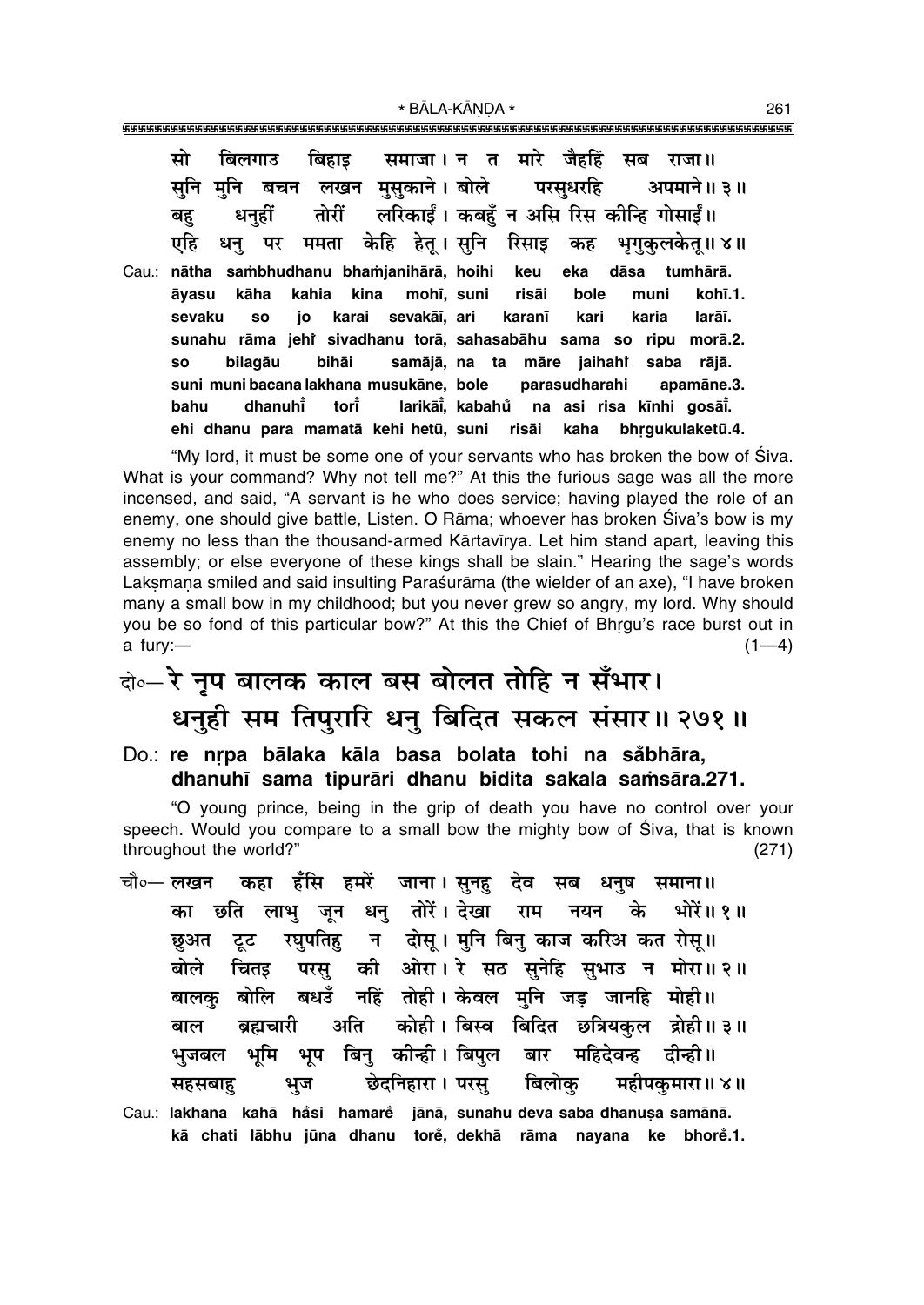\* BĀLA-KĀNDA \*

| बिहाइ समाजा। न त मारे जैहहिं सब राजा॥<br>सो<br>बिलगाउ               |
|---------------------------------------------------------------------|
| सुनि मुनि बचन लखन मुसुकाने।बोले परसुधरहि अपमाने॥३॥                  |
| धनुहीं तोरीं लरिकाईं। कबहुँ न असि रिस कीन्हि गोसाईं॥<br>बहु         |
| धनु पर ममता केहि हेतू। सुनि रिसाइ कह भृगुकुलकेतू॥४॥<br>एहि          |
| Cau.: nātha sambhudhanu bhamjanihārā, hoihi keu eka dāsa tumhārā.   |
| kāha kahia kina mohī, suni risāi bole<br>kohī.1.<br>muni<br>āyasu   |
| so jo karai sevakāī, ari karanī kari karia larāī.<br>sevaku         |
| sunahu rāma jehr sivadhanu torā, sahasabāhu sama so ripu morā.2.    |
| samājā, na ta māre jaihahi saba rājā.<br>bilagāu bihāi<br><b>SO</b> |
| suni muni bacana lakhana musukāne, bole parasudharahi apamāne.3.    |
| dhanuhi tori larikāi, kabahu na asi risa kīnhi gosāi.<br>bahu       |
| ehi dhanu para mamatā kehi hetū, suni risāi kaha bhrgukulaketū.4.   |

"My lord, it must be some one of your servants who has broken the bow of Siva. What is your command? Why not tell me?" At this the furious sage was all the more incensed, and said, "A servant is he who does service; having played the role of an enemy, one should give battle, Listen. O Rāma; whoever has broken Śiva's bow is my enemy no less than the thousand-armed Kārtavīrya. Let him stand apart, leaving this assembly; or else everyone of these kings shall be slain." Hearing the sage's words Laksmana smiled and said insulting Paraśurāma (the wielder of an axe), "I have broken many a small bow in my childhood; but you never grew so angry, my lord. Why should you be so fond of this particular bow?" At this the Chief of Bhrgu's race burst out in  $a$  fury: $(1-4)$ 

# के-रे नृप बालक काल बस बोलत तोहि न सँभार। धनुही सम तिपुरारि धनु बिदित सकल संसार॥ २७१॥

### Do.: re nrpa bālaka kāla basa bolata tohi na såbhāra, dhanuhī sama tipurāri dhanu bidita sakala samsāra. 271.

"O young prince, being in the grip of death you have no control over your speech. Would you compare to a small bow the mighty bow of Siva, that is known throughout the world?"  $(271)$ 

- कहा हँसि हमरें जाना।सुनहु देव सब धनुष समाना॥ चौ∘— लखन छति लाभु जून धनु तोरें।देखा राम नयन के भोरें॥१॥ का टूट रघुपतिह न दोस् । मुनि बिनु काज करिअ कत रोस् ॥ छअत परसु की ओरा। रे सठ सुनेहि सुभाउ न मोरा॥ २॥ बोले चितड बालकु बोलि बधउँ नहिं तोही। केवल मुनि जड़ जानहि मोही॥ ब्रह्मचारी अति कोही । बिस्व बिदित छत्रियकल द्रोही ॥ ३ ॥ बाल भुजबल भूमि भूप बिन् कीन्ही।विपुल बार महिदेवन्ह दीन्ही ॥ छेदनिहारा । परस् बिलोक महीपकुमारा॥ ४॥ सहसबाह भज Cau.: lakhana kahā håsi hamare jānā, sunahu deva saba dhanusa samānā.
- kā chati lābhu jūna dhanu torė, dekhā rāma nayana ke bhorė.1.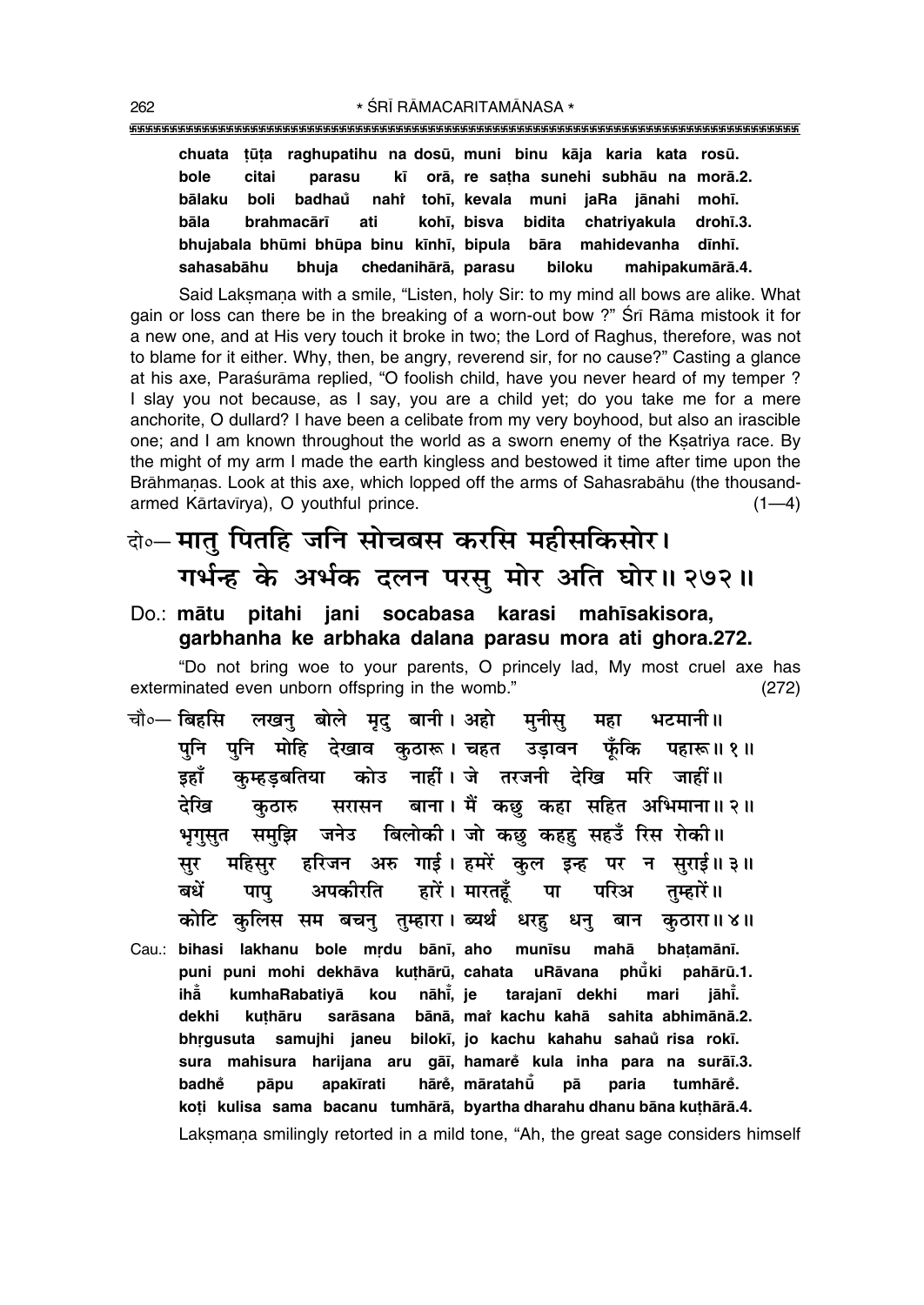**chuata ¢µu¢a raghupatihu na dosµu, muni binu kåja karia kata rosµu. bole citai parasu k∂ orå, re sa¢ha sunehi subhåu na morå.2. bålaku boli badhau nahi ° Ú toh∂, kevala muni jaRa jånahi moh∂. båla brahmacår∂ ati koh∂, bisva bidita chatriyakula droh∂.3.** bhujabala bhūmi bhūpa binu kīnhī, bipula bāra mahidevanha dīnhī. **sahasabåhu bhuja chedanihårå, parasu biloku mahipakumårå.4.**

Said Laksmana with a smile, "Listen, holy Sir: to my mind all bows are alike. What gain or loss can there be in the breaking of a worn-out bow ?" Śrī Rāma mistook it for a new one, and at His very touch it broke in two; the Lord of Raghus, therefore, was not to blame for it either. Why, then, be angry, reverend sir, for no cause?" Casting a glance at his axe, Parasurāma replied, "O foolish child, have you never heard of my temper ? I slay you not because, as I say, you are a child yet; do you take me for a mere anchorite, O dullard? I have been a celibate from my very boyhood, but also an irascible one; and I am known throughout the world as a sworn enemy of the Ksatriya race. By the might of my arm I made the earth kingless and bestowed it time after time upon the Brāhmanas. Look at this axe, which lopped off the arms of Sahasrabāhu (the thousandarmed Kārtavīrya), O youthful prince. (1ó4) (1ó4) (1ó4)

- दो**0** मातु पितहि जनि सोचबस करसि महीसकिसोर। गर्भन्ह के अर्भक दलन परस् मोर अति घोर॥ २७२॥
- Do.: **måtu pitahi jani socabasa karasi mah∂sakisora, garbhanha ke arbhaka dalana parasu mora ati ghora.272.**

ìDo not bring woe to your parents, O princely lad, My most cruel axe has exterminated even unborn offspring in the womb." (272)

- चौ०– बिहसि लखन बोले मद बानी। अहो मनीस महा भटमानी॥ <mark>पुनि पुनि मोहि देखाव कुठारू। चहत उड़ावन फूँकि पहारू॥१॥</mark> इहाँ कम्हडबतिया कोउ नाहीं।**जे तरजनी देखि मरि जाहीं**॥ देखि कठारु सरासन बाना। मैं कछ**्कहा सहित अभिमाना॥ २**॥ <u>भगसुत समुझि जनेउ बिलोकी। जो कछ कहह</u> सहउँ रिस रोकी॥ सुर महिसुर हरिजन अरु गाई**। हमरें कुल इन्ह पर न सुराई॥३**॥ खधें पापु अपकीरति हारें। मारतहँ पा परिअ तुम्हारें॥ <mark>कोटि कुलिस सम बचनु तुम्हारा। ब्यर्थ धरहु धनु बान कुठारा॥४॥</mark>
- Cau.: **bihasi lakhanu bole mrdu bānī, aho munīsu mahā bhatamānī. puni puni mohi dekhåva ku¢hårµu, cahata uRåvana phµu°** pahārū.1. **ihå° kumhaRabatiyå kou nåh∂° , je tarajan∂ dekhi mari jåh∂° . dekhi ku¢håru saråsana bånå, maiÚ kachu kahå sahita abhimånå.2.** bhrgusuta samujhi janeu bilokī, jo kachu kahahu sahaŭ risa rokī. **sura mahisura harijana aru gå∂, hamare kula inha para na surå∂.3. ° badhe påpu apak∂rati håre ° ° , måratahµu° på paria tumhåre°. ko¢i kulisa sama bacanu tumhårå, byartha dharahu dhanu båna ku¢hårå.4.** Laksmana smilingly retorted in a mild tone, "Ah, the great sage considers himself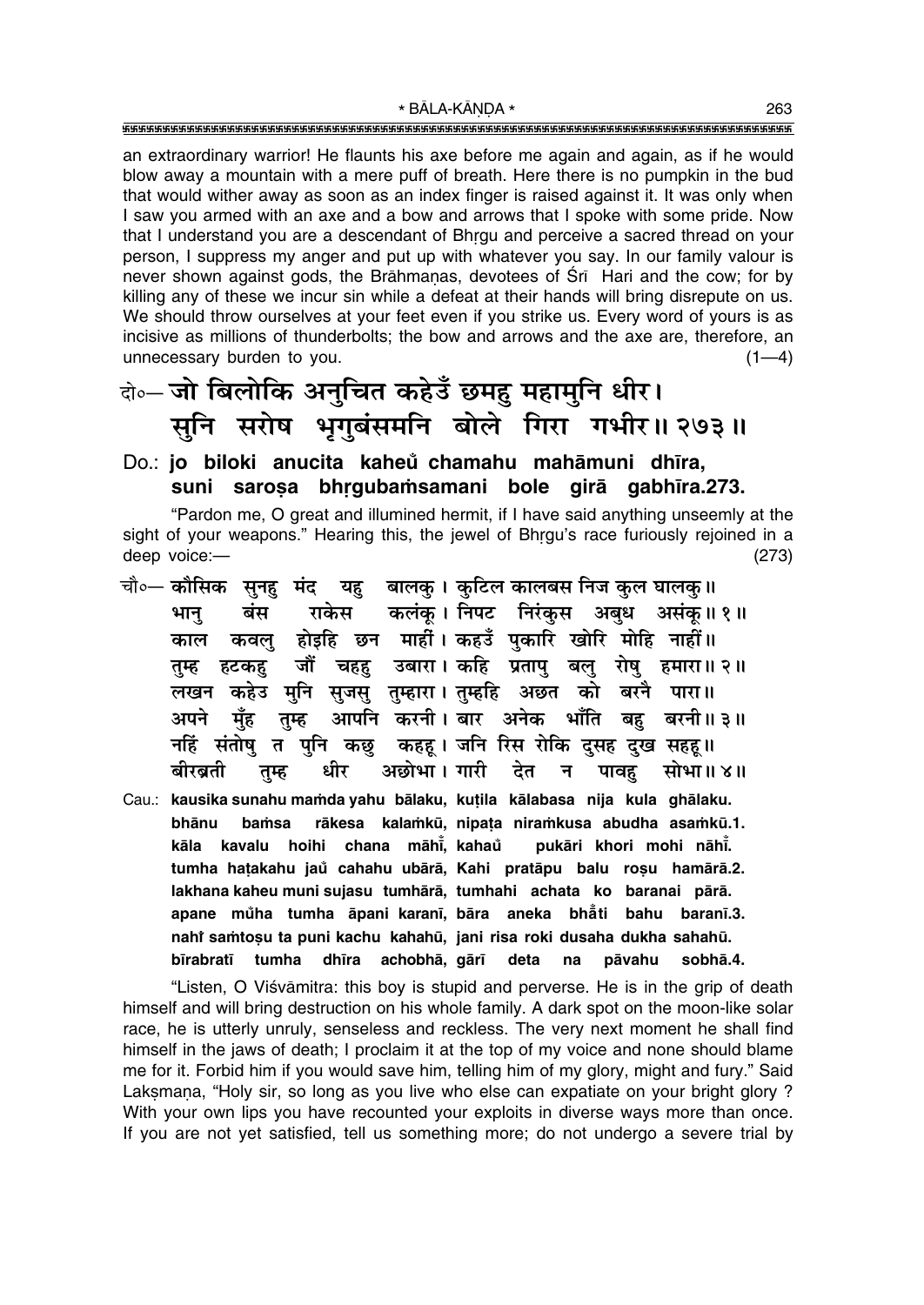an extraordinary warrior! He flaunts his axe before me again and again, as if he would blow away a mountain with a mere puff of breath. Here there is no pumpkin in the bud that would wither away as soon as an index finger is raised against it. It was only when I saw you armed with an axe and a bow and arrows that I spoke with some pride. Now that I understand you are a descendant of Bhrgu and perceive a sacred thread on your person, I suppress my anger and put up with whatever you say. In our family valour is never shown against gods, the Brāhmanas, devotees of Srī Hari and the cow; for by killing any of these we incur sin while a defeat at their hands will bring disrepute on us. We should throw ourselves at your feet even if you strike us. Every word of yours is as incisive as millions of thunderbolts; the bow and arrows and the axe are, therefore, an unnecessary burden to you.  $(1-4)$ 

### बेन्चो बिलोकि अनुचित कहेउँ छमह महामुनि धीर। सुनि सरोष भृगुबंसमनि बोले गिरा गभीर॥ २७३॥

#### Do.: jo biloki anucita kaheů chamahu mahāmuni dhīra, suni sarosa bhrqubamsamani bole qirā qabhīra.273.

"Pardon me, O great and illumined hermit, if I have said anything unseemly at the sight of your weapons." Hearing this, the jewel of Bhrgu's race furiously rejoined in a deep voice:- $(273)$ 

- चौ∘— कौसिक सुनहु मंद यह बालकु । कुटिल कालबस निज कुल घालकु॥ बंस राकेस कलंक। निपट निरंकस अबध असंक॥ १॥ भान् कवलु होइहि छन माहीं। कहउँ पुकारि खोरि मोहि नाहीं।। काल जौं चहह उबारा। कहि प्रतापु बलु रोषु हमारा॥२॥ हटकह तम्ह लखन कहेउ मुनि सुजसु तुम्हारा।तुम्हहि अछत को बरनै पारा॥ आपनि करनी।बार अनेक भाँति अपने मॅह बह बरनी॥ ३॥ तुम्ह नहिं संतोषु त पुनि कछु कहह। जनि रिस रोकि दुसह दुख सहह।। अछोभा । गारी बीरब्रती धीर देत न पावह सोभा॥ ४॥ तुम्ह
- Cau.: kausika sunahu mamda yahu bālaku, kutila kālabasa nija kula ghālaku. rākesa kalamkū, nipata niramkusa abudha asamkū.1. bhānu bamsa chana māhī, kahaŭ kāla kavalu hoihi pukāri khori mohi nāhī. tumha hatakahu jaŭ cahahu ubārā, Kahi pratāpu balu rosu hamārā.2. lakhana kaheu muni sujasu tumhārā, tumhahi achata ko baranai pārā. apane můha tumha āpani karanī, bāra aneka bhåti bahu baranī.3. nahî samtoşu ta puni kachu kahahū, jani risa roki dusaha dukha sahahū. bīrabratī tumha dhīra achobhā, gārī deta  $na$ pāvahu sobhā.4.

"Listen, O Viśvāmitra: this boy is stupid and perverse. He is in the grip of death himself and will bring destruction on his whole family. A dark spot on the moon-like solar race, he is utterly unruly, senseless and reckless. The very next moment he shall find himself in the jaws of death; I proclaim it at the top of my voice and none should blame me for it. Forbid him if you would save him, telling him of my glory, might and fury." Said Laksmana, "Holy sir, so long as you live who else can expatiate on your bright glory? With your own lips you have recounted your exploits in diverse ways more than once. If you are not yet satisfied, tell us something more; do not undergo a severe trial by